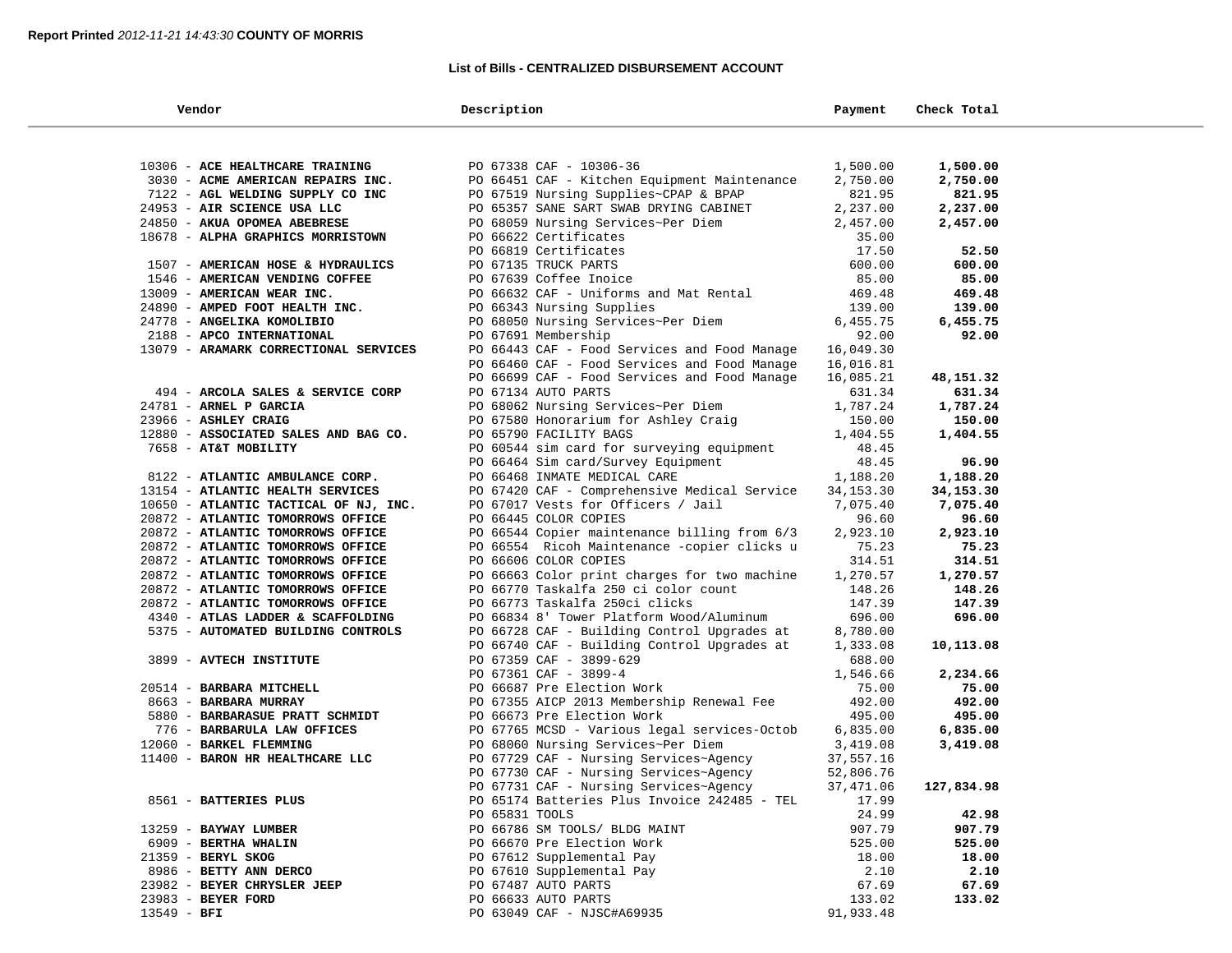#### **List of Bills - CENTRALIZED DISBURSEMENT ACCOUNT**

| Vendor                                                                 | Description                                                           | Payment            | Check Total        |  |
|------------------------------------------------------------------------|-----------------------------------------------------------------------|--------------------|--------------------|--|
|                                                                        |                                                                       |                    |                    |  |
| 10306 - ACE HEALTHCARE TRAINING                                        | PO 67338 CAF - 10306-36                                               | 1,500.00           | 1,500.00           |  |
| 3030 - ACME AMERICAN REPAIRS INC.                                      | PO 66451 CAF - Kitchen Equipment Maintenance                          | 2,750.00           | 2,750.00           |  |
| 7122 - AGL WELDING SUPPLY CO INC                                       | PO 67519 Nursing Supplies~CPAP & BPAP                                 | 821.95             | 821.95             |  |
| 24953 - AIR SCIENCE USA LLC                                            | PO 65357 SANE SART SWAB DRYING CABINET                                | 2,237.00           | 2,237.00           |  |
| 24850 - AKUA OPOMEA ABEBRESE                                           | PO 68059 Nursing Services~Per Diem                                    | 2,457.00           | 2,457.00           |  |
| 18678 - ALPHA GRAPHICS MORRISTOWN                                      | PO 66622 Certificates                                                 | 35.00              |                    |  |
|                                                                        | PO 66819 Certificates                                                 | 17.50              | 52.50              |  |
| 1507 - AMERICAN HOSE & HYDRAULICS                                      | PO 67135 TRUCK PARTS                                                  | 600.00             | 600.00             |  |
| 1546 - AMERICAN VENDING COFFEE                                         | PO 67639 Coffee Inoice                                                | 85.00              | 85.00              |  |
| 13009 - AMERICAN WEAR INC.                                             | PO 66632 CAF - Uniforms and Mat Rental                                | 469.48             | 469.48             |  |
| 24890 - AMPED FOOT HEALTH INC.                                         | PO 66343 Nursing Supplies                                             | 139.00             | 139.00             |  |
| 24778 - ANGELIKA KOMOLIBIO                                             | PO 68050 Nursing Services~Per Diem                                    | 6,455.75           | 6,455.75           |  |
| 2188 - APCO INTERNATIONAL                                              | PO 67691 Membership                                                   | 92.00              | 92.00              |  |
| 13079 - ARAMARK CORRECTIONAL SERVICES                                  | PO 66443 CAF - Food Services and Food Manage                          | 16,049.30          |                    |  |
|                                                                        | PO 66460 CAF - Food Services and Food Manage                          | 16,016.81          |                    |  |
|                                                                        | PO 66699 CAF - Food Services and Food Manage                          | 16,085.21          | 48,151.32          |  |
| 494 - ARCOLA SALES & SERVICE CORP                                      | PO 67134 AUTO PARTS                                                   | 631.34             | 631.34             |  |
| 24781 - ARNEL P GARCIA                                                 | PO 68062 Nursing Services~Per Diem                                    | 1,787.24           | 1,787.24           |  |
| 23966 - ASHLEY CRAIG                                                   | PO 67580 Honorarium for Ashley Craig                                  | 150.00             | 150.00             |  |
| 12880 - ASSOCIATED SALES AND BAG CO.                                   | PO 65790 FACILITY BAGS                                                | 1,404.55           | 1,404.55           |  |
| 7658 - AT&T MOBILITY                                                   | PO 60544 sim card for surveying equipment                             | 48.45              |                    |  |
|                                                                        | PO 66464 Sim card/Survey Equipment                                    | 48.45              | 96.90              |  |
| 8122 - ATLANTIC AMBULANCE CORP.                                        | PO 66468 INMATE MEDICAL CARE                                          | 1,188.20           | 1,188.20           |  |
| 13154 - ATLANTIC HEALTH SERVICES                                       | PO 67420 CAF - Comprehensive Medical Service                          | 34,153.30          | 34,153.30          |  |
| 10650 - ATLANTIC TACTICAL OF NJ, INC.                                  | PO 67017 Vests for Officers / Jail                                    | 7,075.40           | 7,075.40           |  |
| 20872 - ATLANTIC TOMORROWS OFFICE                                      | PO 66445 COLOR COPIES                                                 | 96.60              | 96.60              |  |
| 20872 - ATLANTIC TOMORROWS OFFICE                                      | PO 66544 Copier maintenance billing from 6/3                          | 2,923.10           | 2,923.10           |  |
| 20872 - ATLANTIC TOMORROWS OFFICE                                      | PO 66554 Ricoh Maintenance -copier clicks u                           | 75.23              | 75.23              |  |
| 20872 - ATLANTIC TOMORROWS OFFICE<br>20872 - ATLANTIC TOMORROWS OFFICE | PO 66606 COLOR COPIES<br>PO 66663 Color print charges for two machine | 314.51<br>1,270.57 | 314.51<br>1,270.57 |  |
| 20872 - ATLANTIC TOMORROWS OFFICE                                      | PO 66770 Taskalfa 250 ci color count                                  | 148.26             | 148.26             |  |
| 20872 - ATLANTIC TOMORROWS OFFICE                                      | PO 66773 Taskalfa 250ci clicks                                        | 147.39             | 147.39             |  |
| 4340 - ATLAS LADDER & SCAFFOLDING                                      | PO 66834 8' Tower Platform Wood/Aluminum                              | 696.00             | 696.00             |  |
| 5375 - AUTOMATED BUILDING CONTROLS                                     | PO 66728 CAF - Building Control Upgrades at                           | 8,780.00           |                    |  |
|                                                                        | PO 66740 CAF - Building Control Upgrades at                           | 1,333.08           | 10,113.08          |  |
| 3899 - AVTECH INSTITUTE                                                | PO 67359 CAF - 3899-629                                               | 688.00             |                    |  |
|                                                                        | PO 67361 CAF - 3899-4                                                 | 1,546.66           | 2,234.66           |  |
| 20514 - <b>BARBARA MITCHELL</b>                                        | PO 66687 Pre Election Work                                            | 75.00              | 75.00              |  |
| 8663 - BARBARA MURRAY                                                  | PO 67355 AICP 2013 Membership Renewal Fee                             | 492.00             | 492.00             |  |
| 5880 - BARBARASUE PRATT SCHMIDT                                        | PO 66673 Pre Election Work                                            | 495.00             | 495.00             |  |
| 776 - BARBARULA LAW OFFICES                                            | PO 67765 MCSD - Various legal services-Octob                          | 6,835.00           | 6,835.00           |  |
| 12060 - BARKEL FLEMMING                                                | PO 68060 Nursing Services~Per Diem                                    | 3,419.08           | 3,419.08           |  |
| 11400 - BARON HR HEALTHCARE LLC                                        | PO 67729 CAF - Nursing Services~Agency                                | 37,557.16          |                    |  |
|                                                                        | PO 67730 CAF - Nursing Services~Agency                                | 52,806.76          |                    |  |
|                                                                        | PO 67731 CAF - Nursing Services~Agency                                | 37,471.06          | 127,834.98         |  |
| 8561 - BATTERIES PLUS                                                  | PO 65174 Batteries Plus Invoice 242485 - TEL                          | 17.99              |                    |  |
|                                                                        | PO 65831 TOOLS                                                        | 24.99              | 42.98              |  |
| 13259 - BAYWAY LUMBER                                                  | PO 66786 SM TOOLS/ BLDG MAINT                                         | 907.79             | 907.79             |  |
| 6909 - BERTHA WHALIN                                                   | PO 66670 Pre Election Work                                            | 525.00             | 525.00             |  |
| 21359 - BERYL SKOG                                                     | PO 67612 Supplemental Pay                                             | 18.00              | 18.00              |  |
| 8986 - BETTY ANN DERCO                                                 | PO 67610 Supplemental Pay<br>PO 67487 AUTO PARTS                      | 2.10               | 2.10               |  |
| 23982 - BEYER CHRYSLER JEEP<br>23983 - BEYER FORD                      | PO 66633 AUTO PARTS                                                   | 67.69<br>133.02    | 67.69<br>133.02    |  |
| $13549 - BFI$                                                          | PO 63049 CAF - NJSC#A69935                                            | 91,933.48          |                    |  |
|                                                                        |                                                                       |                    |                    |  |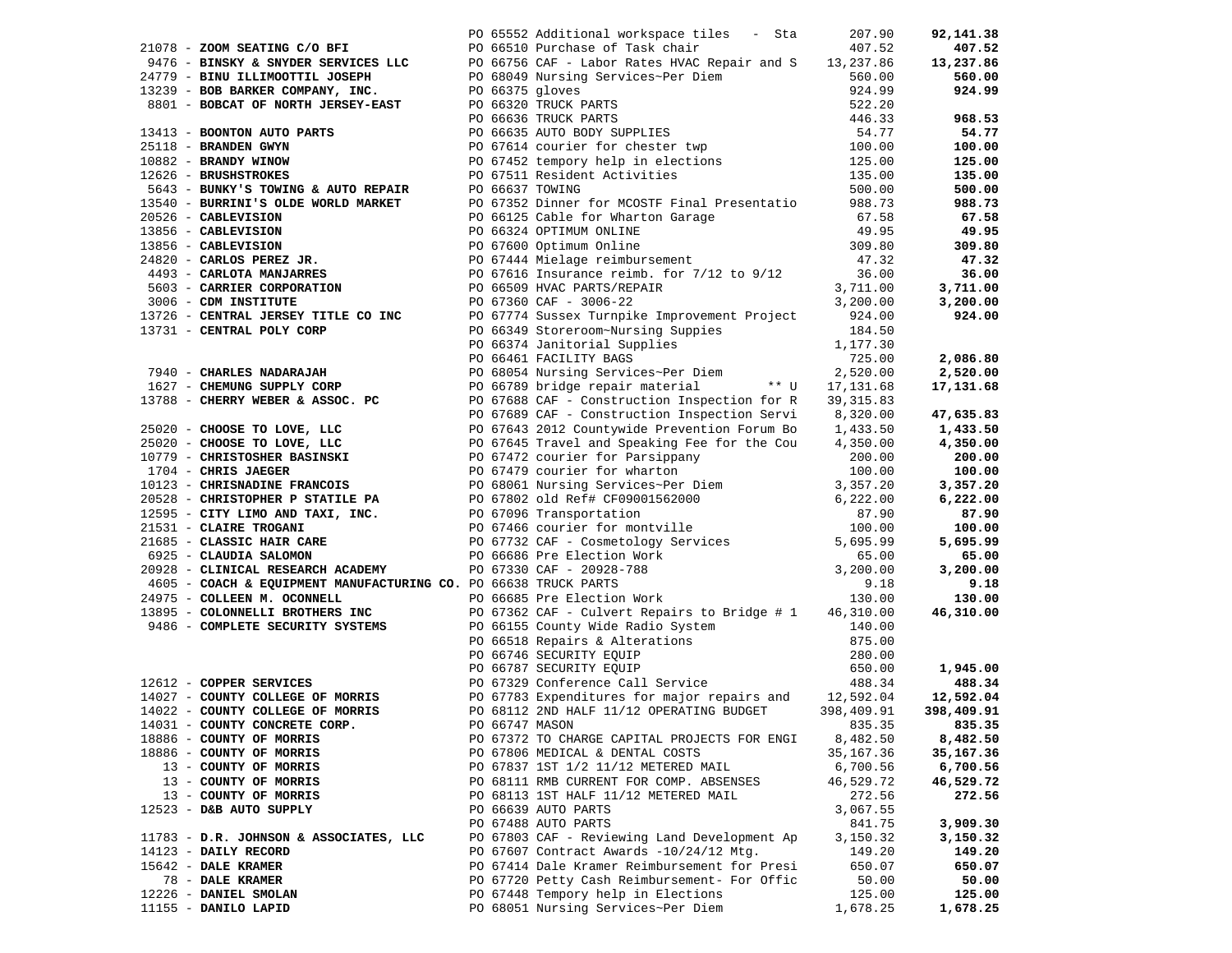|                                        |  | PO 65552 Additional workspace tiles - Sta<br>21078 - <b>ZOOM SEATING C/O BFI</b><br>9476 - <b>BINSKY &amp; SNYDER SERVICES LLC</b><br>24779 - <b>BINU ILLIMOOTTIL JOSEPH</b><br>13239 - <b>BOB BARKER COMPANY, INC.</b><br>8801 - <b>BOBCAT OF NORTH JERSEY-EAST</b><br>257.86<br>24779 - <b>BINU ILLIMOOTTIL JOSEPH</b> |            | 92,141.38  |
|----------------------------------------|--|--------------------------------------------------------------------------------------------------------------------------------------------------------------------------------------------------------------------------------------------------------------------------------------------------------------------------|------------|------------|
|                                        |  |                                                                                                                                                                                                                                                                                                                          |            | 407.52     |
|                                        |  |                                                                                                                                                                                                                                                                                                                          |            | 13,237.86  |
|                                        |  |                                                                                                                                                                                                                                                                                                                          |            | 560.00     |
|                                        |  |                                                                                                                                                                                                                                                                                                                          |            | 924.99     |
|                                        |  |                                                                                                                                                                                                                                                                                                                          |            |            |
|                                        |  |                                                                                                                                                                                                                                                                                                                          |            | 968.53     |
|                                        |  |                                                                                                                                                                                                                                                                                                                          |            | 54.77      |
|                                        |  |                                                                                                                                                                                                                                                                                                                          |            | 100.00     |
|                                        |  |                                                                                                                                                                                                                                                                                                                          |            | 125.00     |
|                                        |  |                                                                                                                                                                                                                                                                                                                          |            | 135.00     |
|                                        |  |                                                                                                                                                                                                                                                                                                                          |            |            |
|                                        |  |                                                                                                                                                                                                                                                                                                                          |            | 500.00     |
|                                        |  |                                                                                                                                                                                                                                                                                                                          |            | 988.73     |
|                                        |  |                                                                                                                                                                                                                                                                                                                          |            | 67.58      |
|                                        |  |                                                                                                                                                                                                                                                                                                                          |            | 49.95      |
|                                        |  |                                                                                                                                                                                                                                                                                                                          |            | 309.80     |
|                                        |  |                                                                                                                                                                                                                                                                                                                          |            | 47.32      |
|                                        |  |                                                                                                                                                                                                                                                                                                                          |            | 36.00      |
|                                        |  |                                                                                                                                                                                                                                                                                                                          |            | 3,711.00   |
|                                        |  |                                                                                                                                                                                                                                                                                                                          |            | 3,200.00   |
|                                        |  |                                                                                                                                                                                                                                                                                                                          |            | 924.00     |
|                                        |  |                                                                                                                                                                                                                                                                                                                          |            |            |
|                                        |  |                                                                                                                                                                                                                                                                                                                          |            |            |
|                                        |  |                                                                                                                                                                                                                                                                                                                          |            | 2,086.80   |
|                                        |  |                                                                                                                                                                                                                                                                                                                          |            | 2,520.00   |
|                                        |  |                                                                                                                                                                                                                                                                                                                          |            | 17,131.68  |
|                                        |  |                                                                                                                                                                                                                                                                                                                          |            |            |
|                                        |  |                                                                                                                                                                                                                                                                                                                          |            | 47,635.83  |
|                                        |  |                                                                                                                                                                                                                                                                                                                          |            | 1,433.50   |
|                                        |  |                                                                                                                                                                                                                                                                                                                          |            | 4,350.00   |
|                                        |  |                                                                                                                                                                                                                                                                                                                          |            | 200.00     |
|                                        |  |                                                                                                                                                                                                                                                                                                                          |            | 100.00     |
|                                        |  |                                                                                                                                                                                                                                                                                                                          |            | 3,357.20   |
|                                        |  |                                                                                                                                                                                                                                                                                                                          |            | 6,222.00   |
|                                        |  |                                                                                                                                                                                                                                                                                                                          |            | 87.90      |
|                                        |  |                                                                                                                                                                                                                                                                                                                          |            | 100.00     |
|                                        |  |                                                                                                                                                                                                                                                                                                                          |            | 5,695.99   |
|                                        |  |                                                                                                                                                                                                                                                                                                                          |            |            |
|                                        |  |                                                                                                                                                                                                                                                                                                                          |            | 65.00      |
|                                        |  |                                                                                                                                                                                                                                                                                                                          |            | 3,200.00   |
|                                        |  |                                                                                                                                                                                                                                                                                                                          |            | 9.18       |
|                                        |  | 24975 - COLLEEN M. OCONNELL PO 66685 Pre Election Work 130.00<br>13895 - COLONNELLI BROTHERS INC PO 67362 CAF - Culvert Repairs to Bridge # 1 46,310.00                                                                                                                                                                  |            | 130.00     |
|                                        |  |                                                                                                                                                                                                                                                                                                                          |            | 46,310.00  |
|                                        |  | 9486 - COMPLETE SECURITY SYSTEMS<br>PO 66155 County Wide Radio System<br>PO 66518 Repairs & Alterations<br>PO 66746 SECURITY EQUIP<br>PO 66787 SECURITY EQUIP<br>PO 67329 Conference Call Service<br>PO 67329 Conference Call Service<br>280                                                                             |            |            |
|                                        |  |                                                                                                                                                                                                                                                                                                                          |            |            |
|                                        |  |                                                                                                                                                                                                                                                                                                                          |            |            |
|                                        |  |                                                                                                                                                                                                                                                                                                                          |            | 1,945.00   |
| 12612 - COPPER SERVICES                |  |                                                                                                                                                                                                                                                                                                                          |            | 488.34     |
|                                        |  | 14027 - COUNTY COLLEGE OF MORRIS PO 67783 Expenditures for major repairs and 12,592.04                                                                                                                                                                                                                                   |            | 12,592.04  |
| 14022 - COUNTY COLLEGE OF MORRIS       |  | PO 68112 2ND HALF 11/12 OPERATING BUDGET                                                                                                                                                                                                                                                                                 | 398,409.91 | 398,409.91 |
| 14031 - COUNTY CONCRETE CORP.          |  | PO 66747 MASON                                                                                                                                                                                                                                                                                                           | 835.35     | 835.35     |
| 18886 - COUNTY OF MORRIS               |  | PO 67372 TO CHARGE CAPITAL PROJECTS FOR ENGI                                                                                                                                                                                                                                                                             | 8,482.50   | 8,482.50   |
| 18886 - COUNTY OF MORRIS               |  | PO 67806 MEDICAL & DENTAL COSTS                                                                                                                                                                                                                                                                                          | 35,167.36  | 35,167.36  |
| 13 - COUNTY OF MORRIS                  |  | PO 67837 1ST 1/2 11/12 METERED MAIL                                                                                                                                                                                                                                                                                      | 6,700.56   | 6,700.56   |
| 13 - COUNTY OF MORRIS                  |  | PO 68111 RMB CURRENT FOR COMP. ABSENSES                                                                                                                                                                                                                                                                                  | 46,529.72  | 46,529.72  |
| 13 - COUNTY OF MORRIS                  |  | PO 68113 1ST HALF 11/12 METERED MAIL                                                                                                                                                                                                                                                                                     | 272.56     | 272.56     |
| 12523 - D&B AUTO SUPPLY                |  | PO 66639 AUTO PARTS                                                                                                                                                                                                                                                                                                      | 3,067.55   |            |
|                                        |  | PO 67488 AUTO PARTS                                                                                                                                                                                                                                                                                                      | 841.75     | 3,909.30   |
| 11783 - D.R. JOHNSON & ASSOCIATES, LLC |  | PO 67803 CAF - Reviewing Land Development Ap                                                                                                                                                                                                                                                                             | 3,150.32   | 3,150.32   |
| 14123 - DAILY RECORD                   |  | PO 67607 Contract Awards -10/24/12 Mtg.                                                                                                                                                                                                                                                                                  | 149.20     | 149.20     |
| $15642$ - DALE KRAMER                  |  | PO 67414 Dale Kramer Reimbursement for Presi                                                                                                                                                                                                                                                                             | 650.07     | 650.07     |
| 78 - DALE KRAMER                       |  | PO 67720 Petty Cash Reimbursement- For Offic                                                                                                                                                                                                                                                                             | 50.00      | 50.00      |
| 12226 - DANIEL SMOLAN                  |  | PO 67448 Tempory help in Elections                                                                                                                                                                                                                                                                                       | 125.00     | 125.00     |
| 11155 - DANILO LAPID                   |  | PO 68051 Nursing Services~Per Diem                                                                                                                                                                                                                                                                                       | 1,678.25   | 1,678.25   |
|                                        |  |                                                                                                                                                                                                                                                                                                                          |            |            |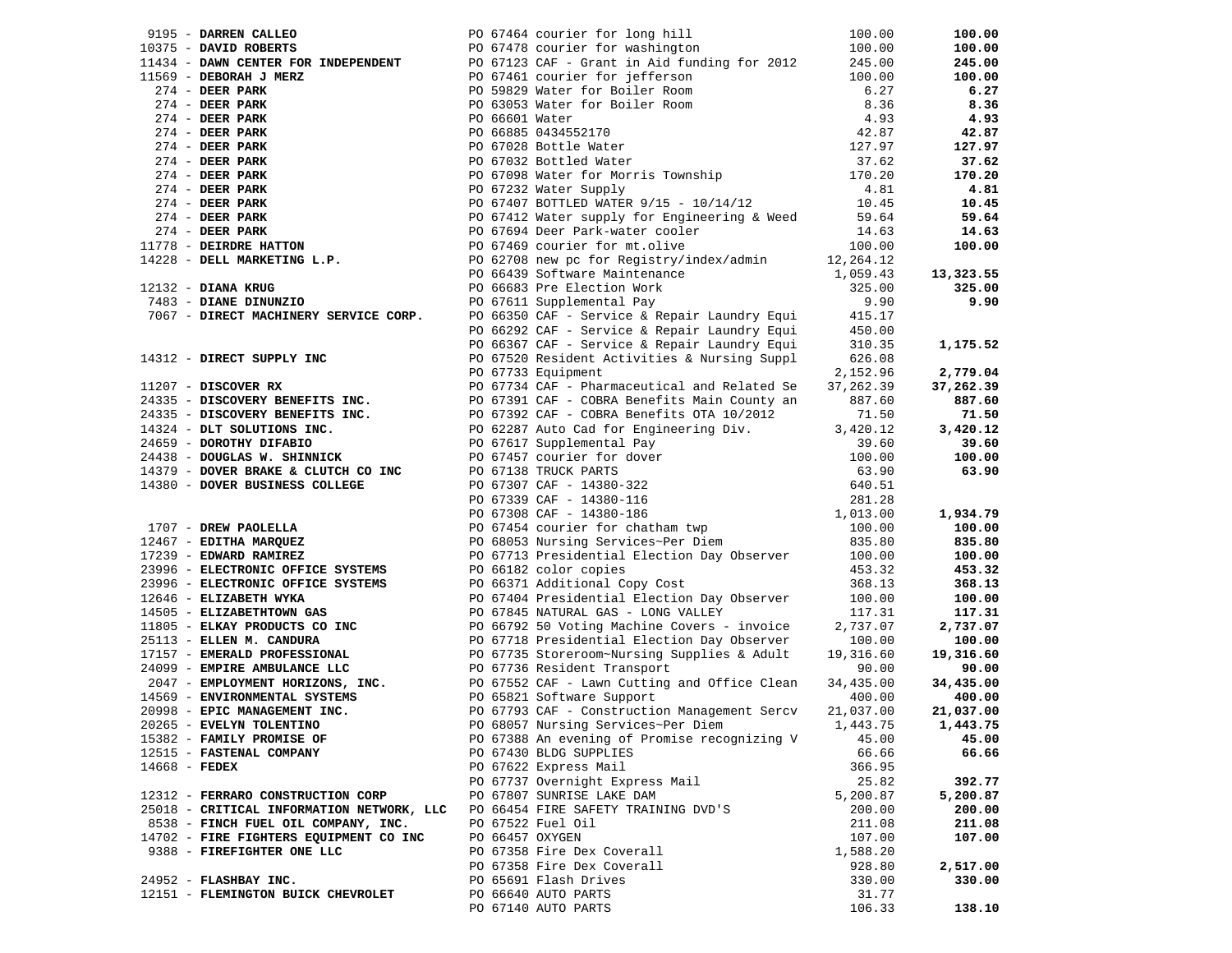| 9195 - DARREN CALLEO                                                                                                                                                                                                                                               |                 | PO 67464 courier for long hill                                                                                                                                                                                                                     | 100.00               | 100.00    |
|--------------------------------------------------------------------------------------------------------------------------------------------------------------------------------------------------------------------------------------------------------------------|-----------------|----------------------------------------------------------------------------------------------------------------------------------------------------------------------------------------------------------------------------------------------------|----------------------|-----------|
| 10375 - DAVID ROBERTS                                                                                                                                                                                                                                              |                 | PO 67478 courier for washington                                                                                                                                                                                                                    | 100.00               | 100.00    |
|                                                                                                                                                                                                                                                                    |                 | 11434 - DAWN CENTER FOR INDEPENDENT PO 67123 CAF - Grant in Aid funding for 2012 245.00                                                                                                                                                            |                      | 245.00    |
|                                                                                                                                                                                                                                                                    |                 |                                                                                                                                                                                                                                                    |                      | 100.00    |
|                                                                                                                                                                                                                                                                    |                 |                                                                                                                                                                                                                                                    |                      | 6.27      |
|                                                                                                                                                                                                                                                                    |                 |                                                                                                                                                                                                                                                    |                      | 8.36      |
| 11434 - DAWN CENTER FOR INDEPENDENT<br>11569 - DEBORAH J MERZ<br>274 - DEER PARK<br>274 - DEER PARK<br>274 - DEER PARK<br>274 - DEER PARK<br>274 - DEER PARK<br>274 - DEER PARK<br>274 - DEER PARK<br>274 - DEER PARK<br>274 - DEER PARK<br>274 - DEER PARK<br>274 |                 | PO 67123 CAP - Grant In Ald Lunding 101 2012<br>PO 67461 courier for jefferson<br>PO 59829 Water for Boiler Room<br>6.27<br>PO 63053 Water for Boiler Room<br>8.36<br>PO 66601 Water<br>4.93<br>PO 66885 0434552170<br>PO 67028 Bottle Water<br>PO |                      |           |
|                                                                                                                                                                                                                                                                    |                 |                                                                                                                                                                                                                                                    |                      | 4.93      |
|                                                                                                                                                                                                                                                                    |                 |                                                                                                                                                                                                                                                    |                      | 42.87     |
|                                                                                                                                                                                                                                                                    |                 |                                                                                                                                                                                                                                                    |                      | 127.97    |
|                                                                                                                                                                                                                                                                    |                 |                                                                                                                                                                                                                                                    |                      | 37.62     |
|                                                                                                                                                                                                                                                                    |                 |                                                                                                                                                                                                                                                    |                      | 170.20    |
|                                                                                                                                                                                                                                                                    |                 |                                                                                                                                                                                                                                                    |                      | 4.81      |
|                                                                                                                                                                                                                                                                    |                 | PO 67407 BOTTLED WATER $9/15 - 10/14/12$ 10.45                                                                                                                                                                                                     |                      | 10.45     |
|                                                                                                                                                                                                                                                                    |                 |                                                                                                                                                                                                                                                    |                      |           |
|                                                                                                                                                                                                                                                                    |                 | PO 67412 Water supply for Engineering & Weed                                                                                                                                                                                                       | 59.64                | 59.64     |
|                                                                                                                                                                                                                                                                    |                 | PO 67694 Deer Park-water cooler<br>PO 67469 courier for mt.olive                                                                                                                                                                                   | 14.63                | 14.63     |
|                                                                                                                                                                                                                                                                    |                 |                                                                                                                                                                                                                                                    | 100.00               | 100.00    |
|                                                                                                                                                                                                                                                                    |                 | PO 62708 new pc for Registry/index/admin                                                                                                                                                                                                           | 12,264.12            |           |
|                                                                                                                                                                                                                                                                    |                 |                                                                                                                                                                                                                                                    | 1,059.43             | 13,323.55 |
| $12132$ - DIANA KRUG                                                                                                                                                                                                                                               |                 | PO 66439 Software Maintenance<br>PO 66683 Pre Election Work<br>PO 67611 Supplemental Pay                                                                                                                                                           | 325.00               | 325.00    |
| 12132 - DIANA KRUG<br>7483 - DIANE DINUNZIO                                                                                                                                                                                                                        |                 |                                                                                                                                                                                                                                                    | 9.90                 | 9.90      |
| 7483 - DIANE DINUNZIO<br>7067 - DIRECT MACHINERY SERVICE CORP.                                                                                                                                                                                                     |                 | PO 67611 Supplemental Pay                                                                                                                                                                                                                          |                      |           |
|                                                                                                                                                                                                                                                                    |                 | PO 66350 CAF - Service & Repair Laundry Equi                                                                                                                                                                                                       | 415.17               |           |
|                                                                                                                                                                                                                                                                    |                 | PO 66292 CAF - Service & Repair Laundry Equi<br>PO 66367 CAF - Service & Repair Laundry Equi                                                                                                                                                       | 450.00               |           |
|                                                                                                                                                                                                                                                                    |                 | PO 66367 CAF - Service & Repair Laundry Equi                                                                                                                                                                                                       | 310.35               | 1,175.52  |
|                                                                                                                                                                                                                                                                    |                 | 14312 - DIRECT SUPPLY INC<br>PO 67520 Resident Activities & Nursing Suppl<br>PO 67733 Equipment<br>PO 67734 CAF - Pharmaceutical and Related Se<br>27,<br>PO 67331 CAF - COBRA Benefits Main County an<br>PO 67331 CAF - COBRA Benefits Ma         | 626.08               |           |
|                                                                                                                                                                                                                                                                    |                 |                                                                                                                                                                                                                                                    | 2,152.96             | 2,779.04  |
|                                                                                                                                                                                                                                                                    |                 |                                                                                                                                                                                                                                                    | 37,262.39            | 37,262.39 |
|                                                                                                                                                                                                                                                                    |                 |                                                                                                                                                                                                                                                    | 887.60               | 887.60    |
|                                                                                                                                                                                                                                                                    |                 |                                                                                                                                                                                                                                                    |                      |           |
|                                                                                                                                                                                                                                                                    |                 |                                                                                                                                                                                                                                                    | 71.50                | 71.50     |
|                                                                                                                                                                                                                                                                    |                 |                                                                                                                                                                                                                                                    | 3,420.12             | 3,420.12  |
|                                                                                                                                                                                                                                                                    |                 |                                                                                                                                                                                                                                                    | 39.60                | 39.60     |
|                                                                                                                                                                                                                                                                    |                 |                                                                                                                                                                                                                                                    | 100.00               | 100.00    |
|                                                                                                                                                                                                                                                                    |                 |                                                                                                                                                                                                                                                    | 63.90                | 63.90     |
|                                                                                                                                                                                                                                                                    |                 |                                                                                                                                                                                                                                                    | 640.51               |           |
|                                                                                                                                                                                                                                                                    |                 |                                                                                                                                                                                                                                                    | 281.28               |           |
|                                                                                                                                                                                                                                                                    |                 | 24335 - DISCOVERY BENEFITS INC.<br>24335 - DISCOVERY BENEFITS INC.<br>24335 - DISCOVERY BENEFITS INC.<br>24326 - DOROTHY DIFABIO<br>24659 - DOROTHY DIFABIO<br>24659 - DOROTHY DIFABIO<br>24438 - DOUGLAS W. SHINNICK<br>24438 - DOUGLAS W.        | $281.28$<br>1,013.00 | 1,934.79  |
|                                                                                                                                                                                                                                                                    |                 |                                                                                                                                                                                                                                                    |                      |           |
|                                                                                                                                                                                                                                                                    |                 |                                                                                                                                                                                                                                                    | 100.00<br>835.80     | 100.00    |
|                                                                                                                                                                                                                                                                    |                 |                                                                                                                                                                                                                                                    |                      | 835.80    |
|                                                                                                                                                                                                                                                                    |                 | PO 67713 Presidential Election Day Observer 100.00                                                                                                                                                                                                 |                      | 100.00    |
| 23996 - ELECTRONIC OFFICE SYSTEMS                                                                                                                                                                                                                                  |                 | PO 66182 color copies                                                                                                                                                                                                                              | 453.32               | 453.32    |
| 23996 - ELECTRONIC OFFICE SYSTEMS PO 66371 Additional Copy Cost                                                                                                                                                                                                    |                 |                                                                                                                                                                                                                                                    | 368.13               | 368.13    |
| 12646 - ELIZABETH WYKA                                                                                                                                                                                                                                             |                 | PO 67404 Presidential Election Day Observer                                                                                                                                                                                                        | 100.00               | 100.00    |
| 14505 - ELIZABETHTOWN GAS                                                                                                                                                                                                                                          |                 |                                                                                                                                                                                                                                                    | 117.31               | 117.31    |
| 11805 - ELKAY PRODUCTS CO INC                                                                                                                                                                                                                                      |                 |                                                                                                                                                                                                                                                    | 2,737.07             | 2,737.07  |
|                                                                                                                                                                                                                                                                    |                 |                                                                                                                                                                                                                                                    |                      |           |
| 25113 - ELLEN M. CANDURA                                                                                                                                                                                                                                           |                 | PO 67845 NATURAL GAS - LONG VALULL.<br>PO 66792 50 Voting Machine Covers - invoice<br>PO 67718 Presidential Election Day Observer<br>PO 67735 Storeroom-Nursing Supplies & Adult :                                                                 | 100.00               | 100.00    |
| 17157 - EMERALD PROFESSIONAL                                                                                                                                                                                                                                       |                 |                                                                                                                                                                                                                                                    | 19,316.60            | 19,316.60 |
| 24099 - EMPIRE AMBULANCE LLC                                                                                                                                                                                                                                       |                 | PO 67736 Resident Transport                                                                                                                                                                                                                        | 90.00                | 90.00     |
| 2047 - EMPLOYMENT HORIZONS, INC.                                                                                                                                                                                                                                   |                 |                                                                                                                                                                                                                                                    | 34,435.00            | 34,435.00 |
| 14569 - ENVIRONMENTAL SYSTEMS                                                                                                                                                                                                                                      |                 | PO 67552 CAF - Lawn Cutting and Office Clean<br>PO 65821 Software Support<br>PO 67793 CAF - Construction Management Sercv                                                                                                                          | 400.00               | 400.00    |
| 20998 - EPIC MANAGEMENT INC.                                                                                                                                                                                                                                       |                 |                                                                                                                                                                                                                                                    | 21,037.00            | 21,037.00 |
| 20265 - EVELYN TOLENTINO                                                                                                                                                                                                                                           |                 | PO 68057 Nursing Services~Per Diem                                                                                                                                                                                                                 | 1,443.75             | 1,443.75  |
| 15382 - FAMILY PROMISE OF                                                                                                                                                                                                                                          |                 | PO 67388 An evening of Promise recognizing V                                                                                                                                                                                                       | 45.00                | 45.00     |
| 12515 - FASTENAL COMPANY                                                                                                                                                                                                                                           |                 | PO 67430 BLDG SUPPLIES                                                                                                                                                                                                                             | 66.66                | 66.66     |
|                                                                                                                                                                                                                                                                    |                 |                                                                                                                                                                                                                                                    |                      |           |
| $14668$ - FEDEX                                                                                                                                                                                                                                                    |                 | PO 67622 Express Mail                                                                                                                                                                                                                              | 366.95               |           |
|                                                                                                                                                                                                                                                                    |                 | PO 67737 Overnight Express Mail                                                                                                                                                                                                                    | 25.82                | 392.77    |
| 12312 - FERRARO CONSTRUCTION CORP                                                                                                                                                                                                                                  |                 | PO 67807 SUNRISE LAKE DAM                                                                                                                                                                                                                          | 5,200.87             | 5,200.87  |
| 25018 - CRITICAL INFORMATION NETWORK, LLC                                                                                                                                                                                                                          |                 | PO 66454 FIRE SAFETY TRAINING DVD'S                                                                                                                                                                                                                | 200.00               | 200.00    |
| 8538 - FINCH FUEL OIL COMPANY, INC.                                                                                                                                                                                                                                |                 | PO 67522 Fuel Oil                                                                                                                                                                                                                                  | 211.08               | 211.08    |
| 14702 - FIRE FIGHTERS EQUIPMENT CO INC                                                                                                                                                                                                                             | PO 66457 OXYGEN |                                                                                                                                                                                                                                                    | 107.00               | 107.00    |
| 9388 - FIREFIGHTER ONE LLC                                                                                                                                                                                                                                         |                 | PO 67358 Fire Dex Coverall                                                                                                                                                                                                                         | 1,588.20             |           |
|                                                                                                                                                                                                                                                                    |                 | PO 67358 Fire Dex Coverall                                                                                                                                                                                                                         | 928.80               | 2,517.00  |
|                                                                                                                                                                                                                                                                    |                 |                                                                                                                                                                                                                                                    |                      | 330.00    |
| 24952 - FLASHBAY INC.                                                                                                                                                                                                                                              |                 | PO 65691 Flash Drives                                                                                                                                                                                                                              | 330.00               |           |
| 12151 - FLEMINGTON BUICK CHEVROLET                                                                                                                                                                                                                                 |                 | PO 66640 AUTO PARTS                                                                                                                                                                                                                                | 31.77                |           |
|                                                                                                                                                                                                                                                                    |                 | PO 67140 AUTO PARTS                                                                                                                                                                                                                                | 106.33               | 138.10    |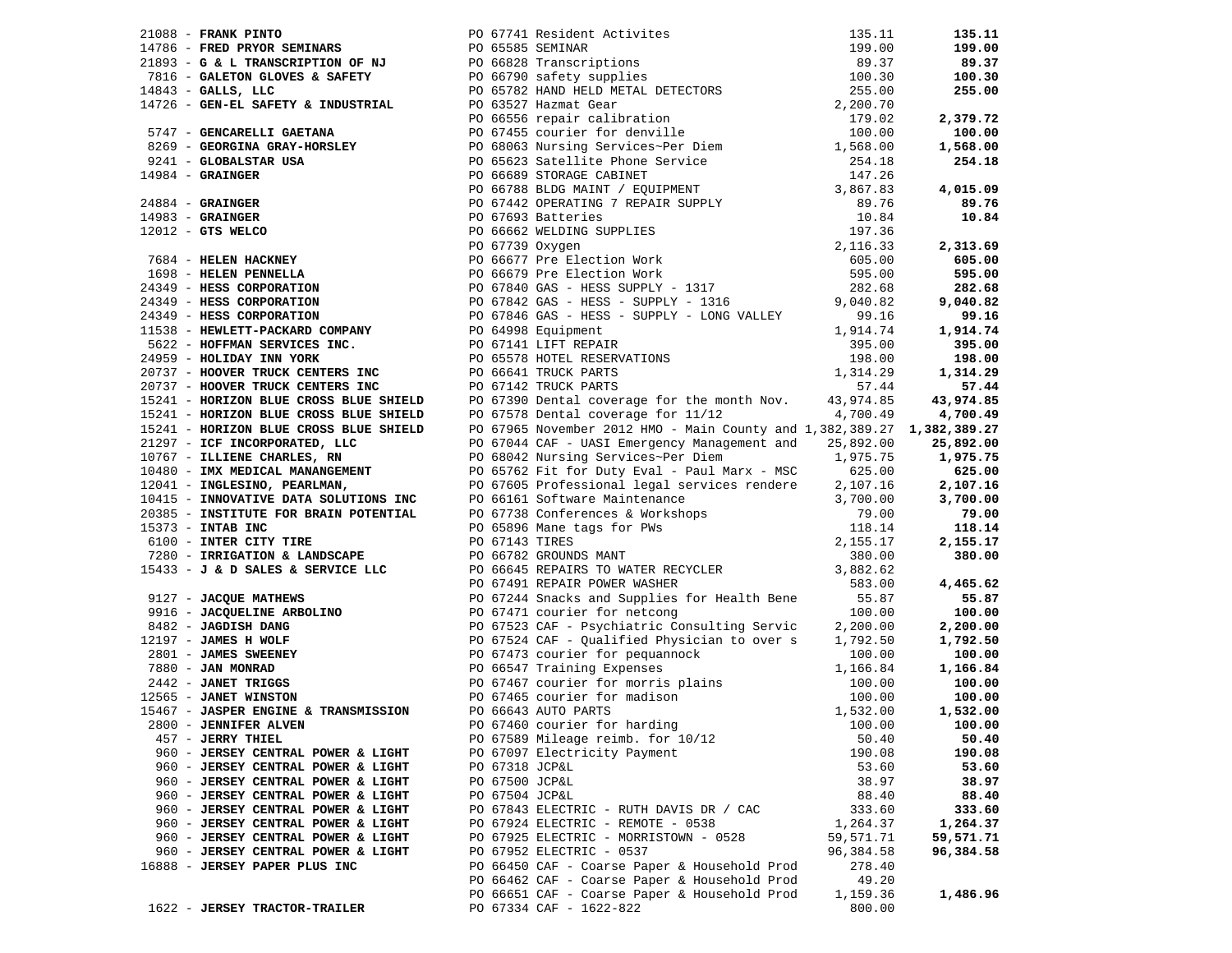|                                    |  |                                                                                                                                                                                                                                     |           | 605.00    |
|------------------------------------|--|-------------------------------------------------------------------------------------------------------------------------------------------------------------------------------------------------------------------------------------|-----------|-----------|
|                                    |  |                                                                                                                                                                                                                                     |           |           |
|                                    |  |                                                                                                                                                                                                                                     |           | 282.68    |
|                                    |  |                                                                                                                                                                                                                                     |           |           |
|                                    |  |                                                                                                                                                                                                                                     |           |           |
|                                    |  |                                                                                                                                                                                                                                     |           |           |
|                                    |  |                                                                                                                                                                                                                                     |           |           |
|                                    |  |                                                                                                                                                                                                                                     |           |           |
|                                    |  |                                                                                                                                                                                                                                     |           |           |
|                                    |  |                                                                                                                                                                                                                                     |           |           |
|                                    |  |                                                                                                                                                                                                                                     |           |           |
|                                    |  |                                                                                                                                                                                                                                     |           |           |
|                                    |  |                                                                                                                                                                                                                                     |           |           |
|                                    |  |                                                                                                                                                                                                                                     |           |           |
|                                    |  |                                                                                                                                                                                                                                     |           |           |
|                                    |  |                                                                                                                                                                                                                                     |           |           |
|                                    |  |                                                                                                                                                                                                                                     |           |           |
|                                    |  |                                                                                                                                                                                                                                     |           |           |
|                                    |  |                                                                                                                                                                                                                                     |           |           |
|                                    |  |                                                                                                                                                                                                                                     |           |           |
|                                    |  |                                                                                                                                                                                                                                     |           |           |
|                                    |  |                                                                                                                                                                                                                                     |           |           |
|                                    |  |                                                                                                                                                                                                                                     |           |           |
|                                    |  |                                                                                                                                                                                                                                     |           |           |
|                                    |  | 2008) <b>The Same Prime Property and the control of the same prime in the same property of the same prime in the same property of the same prime in the same property of the same property of the same property of the same pro</b> |           |           |
|                                    |  |                                                                                                                                                                                                                                     |           |           |
|                                    |  |                                                                                                                                                                                                                                     |           |           |
|                                    |  |                                                                                                                                                                                                                                     |           |           |
|                                    |  |                                                                                                                                                                                                                                     |           |           |
|                                    |  |                                                                                                                                                                                                                                     |           |           |
|                                    |  |                                                                                                                                                                                                                                     |           |           |
|                                    |  |                                                                                                                                                                                                                                     |           |           |
|                                    |  |                                                                                                                                                                                                                                     |           |           |
|                                    |  |                                                                                                                                                                                                                                     |           |           |
|                                    |  |                                                                                                                                                                                                                                     |           |           |
|                                    |  |                                                                                                                                                                                                                                     |           |           |
| 457 - JERRY THIEL                  |  | PO 67589 Mileage reimb. for 10/12                                                                                                                                                                                                   | 50.40     | 50.40     |
| 960 - JERSEY CENTRAL POWER & LIGHT |  | PO 67097 Electricity Payment                                                                                                                                                                                                        | 190.08    | 190.08    |
|                                    |  |                                                                                                                                                                                                                                     |           |           |
| 960 - JERSEY CENTRAL POWER & LIGHT |  | PO 67318 JCP&L                                                                                                                                                                                                                      | 53.60     | 53.60     |
| 960 - JERSEY CENTRAL POWER & LIGHT |  | PO 67500 JCP&L                                                                                                                                                                                                                      | 38.97     | 38.97     |
| 960 - JERSEY CENTRAL POWER & LIGHT |  | PO 67504 JCP&L                                                                                                                                                                                                                      | 88.40     | 88.40     |
| 960 - JERSEY CENTRAL POWER & LIGHT |  | PO 67843 ELECTRIC - RUTH DAVIS DR / CAC                                                                                                                                                                                             | 333.60    | 333.60    |
| 960 - JERSEY CENTRAL POWER & LIGHT |  | PO 67924 ELECTRIC - REMOTE - 0538                                                                                                                                                                                                   | 1,264.37  | 1,264.37  |
| 960 - JERSEY CENTRAL POWER & LIGHT |  | PO 67925 ELECTRIC - MORRISTOWN - 0528                                                                                                                                                                                               | 59,571.71 | 59,571.71 |
| 960 - JERSEY CENTRAL POWER & LIGHT |  | PO 67952 ELECTRIC - 0537                                                                                                                                                                                                            | 96,384.58 | 96,384.58 |
| 16888 - JERSEY PAPER PLUS INC      |  | PO 66450 CAF - Coarse Paper & Household Prod                                                                                                                                                                                        | 278.40    |           |
|                                    |  | PO 66462 CAF - Coarse Paper & Household Prod                                                                                                                                                                                        | 49.20     |           |
|                                    |  | PO 66651 CAF - Coarse Paper & Household Prod                                                                                                                                                                                        | 1,159.36  | 1,486.96  |
| 1622 - JERSEY TRACTOR-TRAILER      |  | PO 67334 CAF - 1622-822                                                                                                                                                                                                             | 800.00    |           |
|                                    |  |                                                                                                                                                                                                                                     |           |           |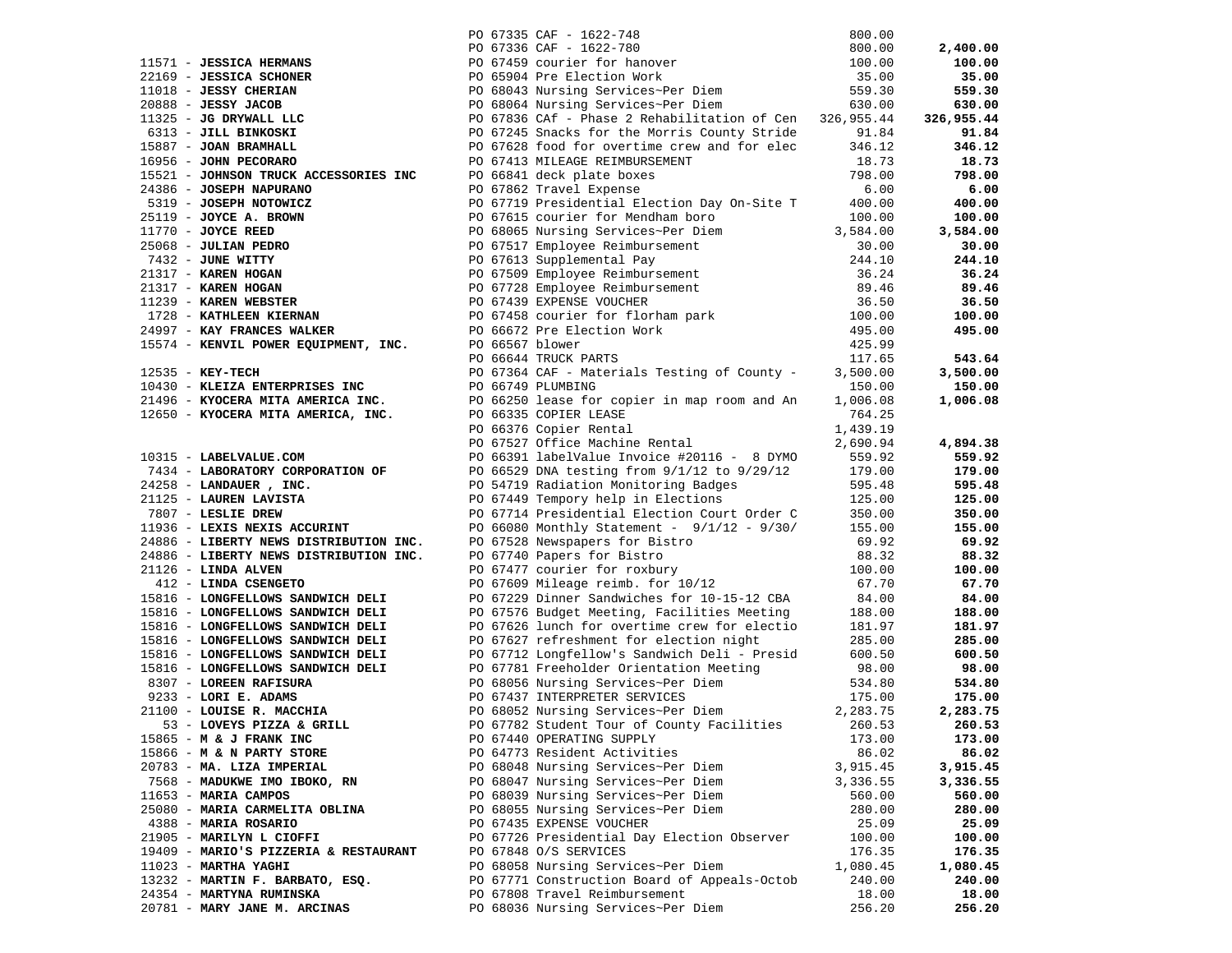|                                       |                                                                                                                                                                                                                                                                                                                      |          | 2,400.00   |
|---------------------------------------|----------------------------------------------------------------------------------------------------------------------------------------------------------------------------------------------------------------------------------------------------------------------------------------------------------------------|----------|------------|
|                                       |                                                                                                                                                                                                                                                                                                                      |          | 100.00     |
|                                       |                                                                                                                                                                                                                                                                                                                      |          | 35.00      |
|                                       |                                                                                                                                                                                                                                                                                                                      |          |            |
|                                       | 200.00 PO 6735 CAF - 1622-748 800.00<br>211571 - JESSICA HERMANS<br>22169 - JESSICA SCHONER<br>100.00 PO 67345 CAF - 1622-780 800.00<br>22169 - JESSICA SCHONER<br>200.00 PO 6745 CAF - 1622-780 800.00<br>200.00 PO 680641 Nursing Servic                                                                           |          | 559.30     |
|                                       |                                                                                                                                                                                                                                                                                                                      |          | 630.00     |
|                                       |                                                                                                                                                                                                                                                                                                                      |          | 326,955.44 |
|                                       |                                                                                                                                                                                                                                                                                                                      |          | 91.84      |
|                                       |                                                                                                                                                                                                                                                                                                                      |          | 346.12     |
|                                       |                                                                                                                                                                                                                                                                                                                      |          | 18.73      |
|                                       | 15221 - JONESON MAPURANO<br>24386 - JOSEPH NAPURANO<br>2519 - JOSEPH NAPURANO<br>2519 - JOSEPH NOTOWICZ<br>25019 - JOSEPH NOTOWICZ<br>25068 - JULIAN PEDRO<br>25068 - JULIAN PEDRO<br>25068 - JULIAN PEDRO<br>25068 - JULIAN PEDRO<br>25068 - J                                                                      |          | 798.00     |
|                                       |                                                                                                                                                                                                                                                                                                                      |          | 6.00       |
|                                       |                                                                                                                                                                                                                                                                                                                      |          | 400.00     |
|                                       |                                                                                                                                                                                                                                                                                                                      |          | 100.00     |
|                                       |                                                                                                                                                                                                                                                                                                                      |          | 3,584.00   |
|                                       |                                                                                                                                                                                                                                                                                                                      |          | 30.00      |
|                                       |                                                                                                                                                                                                                                                                                                                      |          | 244.10     |
|                                       |                                                                                                                                                                                                                                                                                                                      |          | 36.24      |
|                                       |                                                                                                                                                                                                                                                                                                                      |          | 89.46      |
|                                       |                                                                                                                                                                                                                                                                                                                      |          | 36.50      |
|                                       |                                                                                                                                                                                                                                                                                                                      |          | 100.00     |
|                                       |                                                                                                                                                                                                                                                                                                                      |          | 495.00     |
|                                       |                                                                                                                                                                                                                                                                                                                      |          |            |
|                                       |                                                                                                                                                                                                                                                                                                                      |          | 543.64     |
|                                       |                                                                                                                                                                                                                                                                                                                      |          | 3,500.00   |
|                                       |                                                                                                                                                                                                                                                                                                                      |          | 150.00     |
|                                       | 24997 - <b>KAY FRANCES WALKER</b><br>15574 - <b>KENVIL POWER EQUIPMENT, INC.</b> PO 66567 blower<br>25574 - <b>KENVIL POWER EQUIPMENT, INC.</b> PO 66567 blower<br>27566644 TRUCK PARTS<br>27566644 TRUCK PARTS<br>27666749 PLUMBING<br>250.00<br>2566749 PLUMBING                                                   |          | 1,006.08   |
|                                       |                                                                                                                                                                                                                                                                                                                      | 764.25   |            |
|                                       | 21496 - KYOCERA MITA AMERICA INC.<br>12650 - KYOCERA MITA AMERICA INC.<br>12650 - KYOCERA MITA AMERICA, INC.<br>PO 66335 COPIER LEASE<br>PO 66376 Copier Rental<br>PO 67527 Office Machine Rental<br>PO 66335 COPIER LEASE 1999 764.25<br>PO 66376 Copier Rental 1,439.19<br>PO 67527 Office Machine Rental 2,690.94 |          |            |
|                                       |                                                                                                                                                                                                                                                                                                                      |          | 4,894.38   |
|                                       | 10315 - <b>LABELVALUE.COM</b><br>7434 - <b>LABORATORY CORPORATION OF</b><br>7434 - <b>LABORATORY CORPORATION OF</b><br>24258 - <b>LANDAUER</b> , INC.<br>2125 - <b>LAURER LAVISTA</b><br>2066391 labelValue Invoice #20116 - 8 DYMO<br>24258 - <b>LANDAUER</b> , INC.<br>242                                         |          |            |
|                                       |                                                                                                                                                                                                                                                                                                                      |          | 559.92     |
|                                       |                                                                                                                                                                                                                                                                                                                      |          | 179.00     |
|                                       |                                                                                                                                                                                                                                                                                                                      |          | 595.48     |
|                                       |                                                                                                                                                                                                                                                                                                                      |          | 125.00     |
|                                       |                                                                                                                                                                                                                                                                                                                      |          | 350.00     |
|                                       |                                                                                                                                                                                                                                                                                                                      |          | 155.00     |
|                                       |                                                                                                                                                                                                                                                                                                                      |          | 69.92      |
|                                       | PO 67740 Papers for Bistro 88.32<br>PO 67477 courier for roxbury 100.00<br>PO 67609 Mileage reimb. for 10/12 67.70<br>PO 67229 Dinner Sandwiches for 10-15-12 CBA 84.00<br>PO 67576 Budget Meeting, Facilities Meeting 188.00                                                                                        |          | 88.32      |
| $21126$ - LINDA ALVEN                 |                                                                                                                                                                                                                                                                                                                      |          | 100.00     |
| 412 - LINDA CSENGETO                  |                                                                                                                                                                                                                                                                                                                      |          | 67.70      |
| 15816 - LONGFELLOWS SANDWICH DELI     |                                                                                                                                                                                                                                                                                                                      |          | 84.00      |
| 15816 - LONGFELLOWS SANDWICH DELI     |                                                                                                                                                                                                                                                                                                                      |          | 188.00     |
| 15816 - LONGFELLOWS SANDWICH DELI     | PO 67626 lunch for overtime crew for electio 181.97                                                                                                                                                                                                                                                                  |          | 181.97     |
| 15816 - LONGFELLOWS SANDWICH DELI     | PO 67627 refreshment for election night 285.00<br>PO 67712 Longfellow's Sandwich Deli - Presid 600.50                                                                                                                                                                                                                |          | 285.00     |
| 15816 - LONGFELLOWS SANDWICH DELI     |                                                                                                                                                                                                                                                                                                                      |          | 600.50     |
|                                       | 15816 - LONGFELLOWS SANDWICH DELI<br>8307 - LOREEN RAFISURA<br>9233 - LORI E. ADAMS<br>9233 - LORI E. ADAMS<br>21100 - LOUISE R. ADAMS<br>275.00<br>27.83.75<br>PO 68056 Nursing Services~Per Diem<br>PO 68052 Nursing Services~Per Diem<br>PO 6                                                                     |          | 98.00      |
|                                       |                                                                                                                                                                                                                                                                                                                      |          | 534.80     |
|                                       |                                                                                                                                                                                                                                                                                                                      |          | 175.00     |
|                                       |                                                                                                                                                                                                                                                                                                                      |          | 2,283.75   |
| 53 - LOVEYS PIZZA & GRILL             | PO 67782 Student Tour of County Facilities 260.53                                                                                                                                                                                                                                                                    |          | 260.53     |
| $15865 - M & J$ FRANK INC             | PO 67440 OPERATING SUPPLY                                                                                                                                                                                                                                                                                            | 173.00   | 173.00     |
| 15866 - M & N PARTY STORE             | PO 64773 Resident Activities                                                                                                                                                                                                                                                                                         | 86.02    | 86.02      |
| 20783 - MA. LIZA IMPERIAL             | PO 68048 Nursing Services~Per Diem                                                                                                                                                                                                                                                                                   | 3,915.45 | 3,915.45   |
| 7568 - MADUKWE IMO IBOKO, RN          | PO 68047 Nursing Services~Per Diem                                                                                                                                                                                                                                                                                   | 3,336.55 | 3,336.55   |
| 11653 - MARIA CAMPOS                  | PO 68039 Nursing Services~Per Diem                                                                                                                                                                                                                                                                                   | 560.00   | 560.00     |
| 25080 - MARIA CARMELITA OBLINA        | PO 68055 Nursing Services~Per Diem                                                                                                                                                                                                                                                                                   | 280.00   | 280.00     |
| 4388 - MARIA ROSARIO                  | PO 67435 EXPENSE VOUCHER                                                                                                                                                                                                                                                                                             | 25.09    | 25.09      |
| 21905 - MARILYN L CIOFFI              | PO 67726 Presidential Day Election Observer                                                                                                                                                                                                                                                                          | 100.00   | 100.00     |
| 19409 - MARIO'S PIZZERIA & RESTAURANT | PO 67848 O/S SERVICES                                                                                                                                                                                                                                                                                                | 176.35   | 176.35     |
| $11023$ - MARTHA YAGHI                | PO 68058 Nursing Services~Per Diem                                                                                                                                                                                                                                                                                   | 1,080.45 | 1,080.45   |
| 13232 - MARTIN F. BARBATO, ESQ.       | PO 67771 Construction Board of Appeals-Octob                                                                                                                                                                                                                                                                         | 240.00   | 240.00     |
| 24354 - MARTYNA RUMINSKA              | PO 67808 Travel Reimbursement                                                                                                                                                                                                                                                                                        | 18.00    | 18.00      |
| 20781 - MARY JANE M. ARCINAS          | PO 68036 Nursing Services~Per Diem                                                                                                                                                                                                                                                                                   | 256.20   | 256.20     |
|                                       |                                                                                                                                                                                                                                                                                                                      |          |            |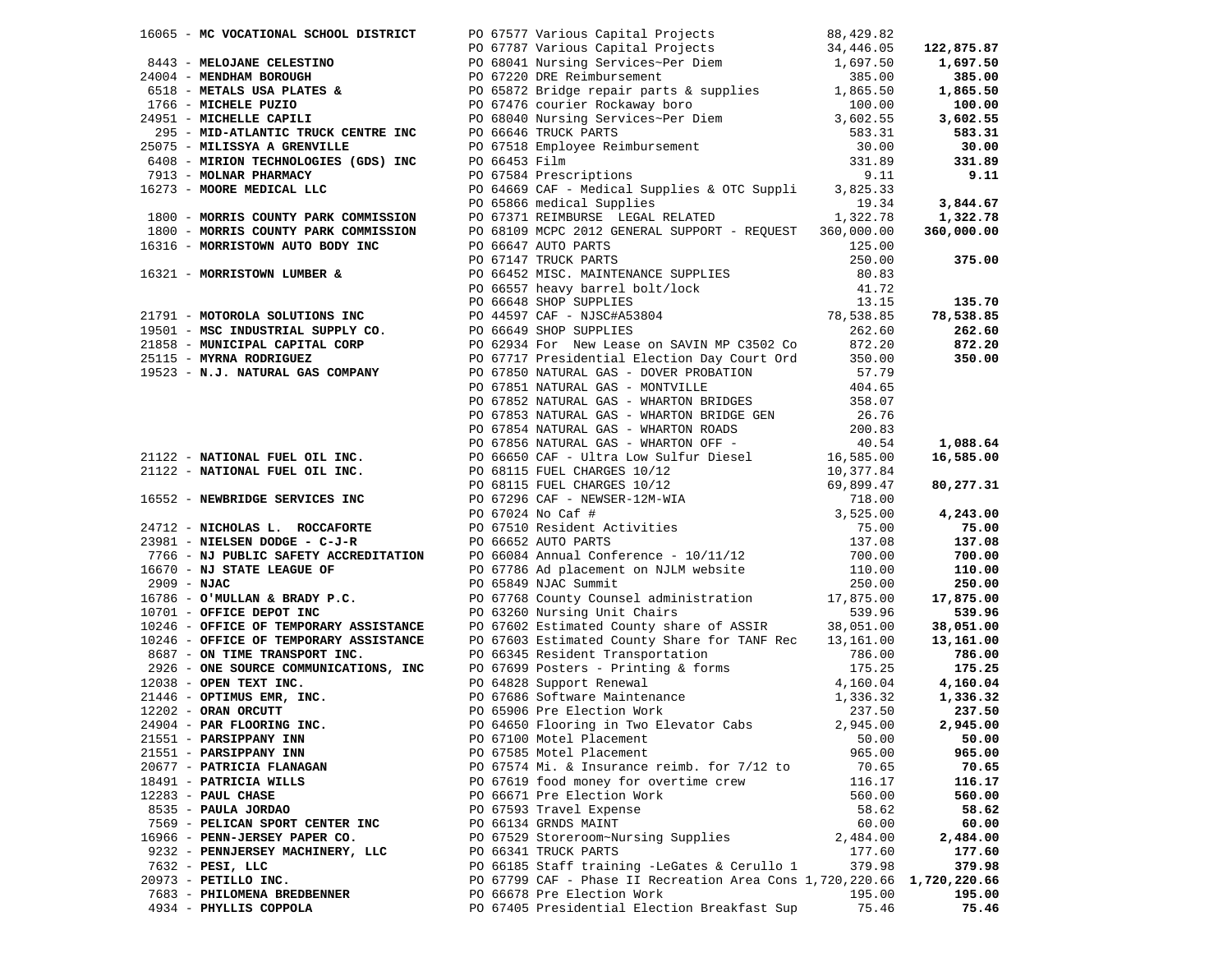|                                                     |                                                                                                                                                                                                                              |                 | 78,538.85       |
|-----------------------------------------------------|------------------------------------------------------------------------------------------------------------------------------------------------------------------------------------------------------------------------------|-----------------|-----------------|
|                                                     |                                                                                                                                                                                                                              |                 |                 |
|                                                     |                                                                                                                                                                                                                              |                 |                 |
|                                                     |                                                                                                                                                                                                                              |                 |                 |
|                                                     |                                                                                                                                                                                                                              |                 |                 |
|                                                     |                                                                                                                                                                                                                              |                 |                 |
|                                                     |                                                                                                                                                                                                                              |                 |                 |
|                                                     |                                                                                                                                                                                                                              |                 |                 |
|                                                     |                                                                                                                                                                                                                              |                 |                 |
|                                                     |                                                                                                                                                                                                                              |                 |                 |
|                                                     |                                                                                                                                                                                                                              |                 |                 |
|                                                     |                                                                                                                                                                                                                              |                 |                 |
|                                                     | 1933 - MINITOR CONTENT (005) INC. (006) 1246 (108) INC. (008) INC. (108) 1246 (118) 1246 (118) 1246 (118) 1246 (118) 1246 (118) 1246 (118) 1246 (118) 1246 (118) 1246 (118) 1246 (118) 1246 (118) 1246 (118) 1246 (118) 1246 |                 |                 |
|                                                     |                                                                                                                                                                                                                              |                 |                 |
|                                                     |                                                                                                                                                                                                                              |                 |                 |
|                                                     |                                                                                                                                                                                                                              |                 |                 |
|                                                     |                                                                                                                                                                                                                              |                 |                 |
|                                                     |                                                                                                                                                                                                                              |                 |                 |
|                                                     |                                                                                                                                                                                                                              |                 |                 |
|                                                     |                                                                                                                                                                                                                              |                 |                 |
|                                                     |                                                                                                                                                                                                                              |                 |                 |
|                                                     |                                                                                                                                                                                                                              |                 |                 |
|                                                     |                                                                                                                                                                                                                              |                 |                 |
|                                                     |                                                                                                                                                                                                                              |                 |                 |
|                                                     |                                                                                                                                                                                                                              |                 |                 |
|                                                     |                                                                                                                                                                                                                              |                 |                 |
|                                                     |                                                                                                                                                                                                                              |                 |                 |
|                                                     |                                                                                                                                                                                                                              |                 |                 |
|                                                     |                                                                                                                                                                                                                              |                 |                 |
|                                                     | 24904 - PAR FLOORING INC. PO 64650 Flooring in Two Elevator Cabs 2,945.00 2,945.00                                                                                                                                           |                 |                 |
| 21551 - PARSIPPANY INN                              | PO 67100 Motel Placement<br>PO 67585 Motel Placement                                                                                                                                                                         | 50.00<br>965.00 | 50.00<br>965.00 |
| 21551 - PARSIPPANY INN                              |                                                                                                                                                                                                                              |                 |                 |
| 20677 - PATRICIA FLANAGAN<br>18491 - PATRICIA WILLS | PO 67574 Mi. & Insurance reimb. for 7/12 to<br>PO 67619 food money for overtime crew                                                                                                                                         | 70.65<br>116.17 | 70.65<br>116.17 |
| $12283$ - PAUL CHASE                                | PO 66671 Pre Election Work                                                                                                                                                                                                   | 560.00          | 560.00          |
| 8535 - PAULA JORDAO                                 | PO 67593 Travel Expense                                                                                                                                                                                                      | 58.62           | 58.62           |
| 7569 - PELICAN SPORT CENTER INC                     | PO 66134 GRNDS MAINT                                                                                                                                                                                                         | 60.00           | 60.00           |
| 16966 - PENN-JERSEY PAPER CO.                       | PO 67529 Storeroom~Nursing Supplies                                                                                                                                                                                          | 2,484.00        | 2,484.00        |
| 9232 - PENNJERSEY MACHINERY, LLC                    | PO 66341 TRUCK PARTS                                                                                                                                                                                                         | 177.60          | 177.60          |
| 7632 - PESI, LLC                                    | PO 66185 Staff training -LeGates & Cerullo 1                                                                                                                                                                                 | 379.98          | 379.98          |
| 20973 - PETILLO INC.                                | PO 67799 CAF - Phase II Recreation Area Cons 1,720,220.66 1,720,220.66                                                                                                                                                       |                 |                 |
| 7683 - PHILOMENA BREDBENNER                         | PO 66678 Pre Election Work                                                                                                                                                                                                   | 195.00          | 195.00          |
| 4934 - PHYLLIS COPPOLA                              | PO 67405 Presidential Election Breakfast Sup                                                                                                                                                                                 | 75.46           | 75.46           |
|                                                     |                                                                                                                                                                                                                              |                 |                 |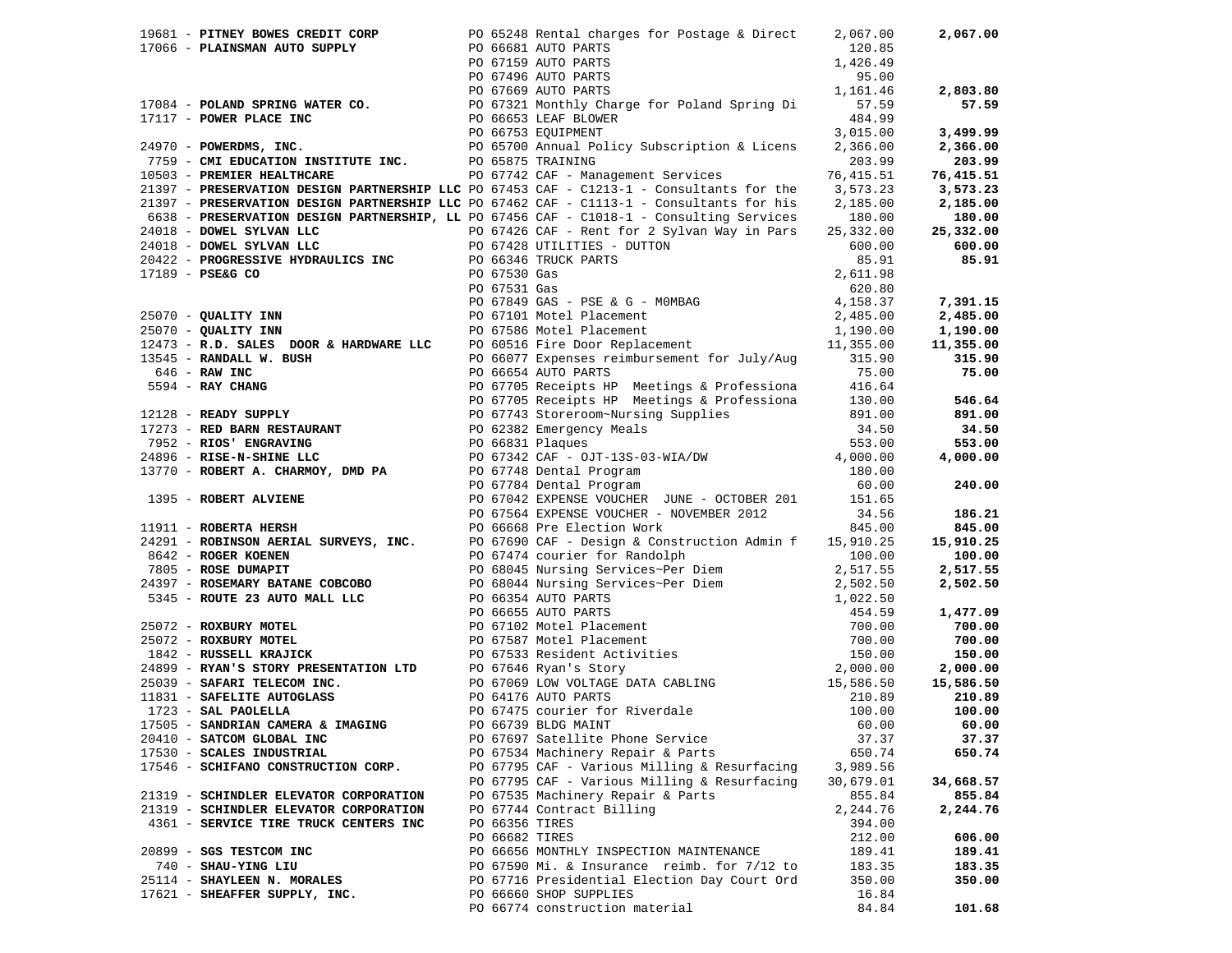|                                        |                | 19681 - <b>PITNEY BOWES CREDIT CORP</b><br>17066 - <b>PLAINSMAN AUTO SUPPLY</b><br>PO 66681 AUTO PARTS<br>PO 67159 AUTO PARTS<br>PO 6719 AUTO PARTS<br>PO 6719 AUTO PARTS<br>PO 67496 AUTO PARTS<br>PO 67865 AUTO PARTS<br>PO 67865 AUTO PARTS<br>PO 6665 |                  | 2,067.00  |
|----------------------------------------|----------------|-----------------------------------------------------------------------------------------------------------------------------------------------------------------------------------------------------------------------------------------------------------|------------------|-----------|
|                                        |                |                                                                                                                                                                                                                                                           |                  |           |
|                                        |                |                                                                                                                                                                                                                                                           |                  |           |
|                                        |                |                                                                                                                                                                                                                                                           |                  |           |
|                                        |                | $120.85$<br>$1,426.49$<br>$95.00$<br>$1,161.46$<br>$55.00$                                                                                                                                                                                                |                  | 2,803.80  |
|                                        |                |                                                                                                                                                                                                                                                           |                  | 57.59     |
|                                        |                |                                                                                                                                                                                                                                                           |                  |           |
|                                        |                |                                                                                                                                                                                                                                                           |                  | 3,499.99  |
|                                        |                |                                                                                                                                                                                                                                                           |                  | 2,366.00  |
|                                        |                |                                                                                                                                                                                                                                                           |                  | 203.99    |
|                                        |                |                                                                                                                                                                                                                                                           |                  | 76,415.51 |
|                                        |                | 21397 - PRESERVATION DESIGN PARTNERSHIP LLC PO 67453 CAF - C1213-1 - Consultants for the 3,573.23                                                                                                                                                         |                  | 3,573.23  |
|                                        |                | 21397 - PRESERVATION DESIGN PARTNERSHIP LLC PO 67462 CAF - C1113-1 - Consultants for his 2,185.00                                                                                                                                                         |                  | 2,185.00  |
|                                        |                | 6638 - PRESERVATION DESIGN PARTNERSHIP, LL PO 67456 CAF - C1018-1 - Consulting Services 180.00                                                                                                                                                            |                  | 180.00    |
|                                        |                |                                                                                                                                                                                                                                                           |                  |           |
|                                        |                |                                                                                                                                                                                                                                                           |                  |           |
|                                        |                |                                                                                                                                                                                                                                                           |                  |           |
|                                        |                |                                                                                                                                                                                                                                                           |                  |           |
|                                        |                |                                                                                                                                                                                                                                                           |                  |           |
|                                        |                |                                                                                                                                                                                                                                                           |                  |           |
|                                        |                |                                                                                                                                                                                                                                                           |                  |           |
|                                        |                |                                                                                                                                                                                                                                                           |                  |           |
|                                        |                |                                                                                                                                                                                                                                                           |                  |           |
|                                        |                |                                                                                                                                                                                                                                                           |                  |           |
|                                        |                |                                                                                                                                                                                                                                                           |                  |           |
|                                        |                |                                                                                                                                                                                                                                                           |                  |           |
|                                        |                |                                                                                                                                                                                                                                                           |                  |           |
|                                        |                |                                                                                                                                                                                                                                                           |                  |           |
|                                        |                |                                                                                                                                                                                                                                                           |                  |           |
|                                        |                |                                                                                                                                                                                                                                                           |                  |           |
|                                        |                |                                                                                                                                                                                                                                                           |                  |           |
|                                        |                |                                                                                                                                                                                                                                                           |                  |           |
|                                        |                |                                                                                                                                                                                                                                                           |                  |           |
|                                        |                |                                                                                                                                                                                                                                                           |                  |           |
|                                        |                |                                                                                                                                                                                                                                                           |                  |           |
|                                        |                |                                                                                                                                                                                                                                                           |                  |           |
|                                        |                |                                                                                                                                                                                                                                                           |                  |           |
|                                        |                |                                                                                                                                                                                                                                                           |                  |           |
|                                        |                |                                                                                                                                                                                                                                                           |                  |           |
|                                        |                |                                                                                                                                                                                                                                                           |                  |           |
|                                        |                |                                                                                                                                                                                                                                                           |                  |           |
|                                        |                |                                                                                                                                                                                                                                                           |                  |           |
|                                        |                |                                                                                                                                                                                                                                                           |                  |           |
|                                        |                |                                                                                                                                                                                                                                                           |                  |           |
|                                        |                | 2197 - PRESERVATION DESIGN PARTMEMENTP LED 10 5745 CAP - CID13-1 - Connectime for his 2185.00 2185.00<br>26138 - PRESERVATION DESIGN PARTMEMENTP, LED 10 5755 CAP - CID13-1 - Connectime Services 18:0.00 2189.00<br>26138 - PRES                         |                  |           |
|                                        |                |                                                                                                                                                                                                                                                           |                  |           |
|                                        |                |                                                                                                                                                                                                                                                           |                  |           |
|                                        |                |                                                                                                                                                                                                                                                           |                  |           |
| 17505 - SANDRIAN CAMERA & IMAGING      |                | PO 66739 BLDG MAINT                                                                                                                                                                                                                                       | 60.00            | 60.00     |
| 20410 - SATCOM GLOBAL INC              |                | PO 67697 Satellite Phone Service                                                                                                                                                                                                                          | 37.37            | 37.37     |
| 17530 - SCALES INDUSTRIAL              |                | PO 67534 Machinery Repair & Parts                                                                                                                                                                                                                         | 650.74           | 650.74    |
| 17546 - SCHIFANO CONSTRUCTION CORP.    |                | PO 67795 CAF - Various Milling & Resurfacing                                                                                                                                                                                                              | 3,989.56         |           |
|                                        |                | PO 67795 CAF - Various Milling & Resurfacing                                                                                                                                                                                                              | 30,679.01        | 34,668.57 |
| 21319 - SCHINDLER ELEVATOR CORPORATION |                | PO 67535 Machinery Repair & Parts<br>PO 67744 Contract Billing                                                                                                                                                                                            | 855.84           | 855.84    |
| 21319 - SCHINDLER ELEVATOR CORPORATION | PO 66356 TIRES |                                                                                                                                                                                                                                                           | 2,244.76         | 2,244.76  |
| 4361 - SERVICE TIRE TRUCK CENTERS INC  | PO 66682 TIRES |                                                                                                                                                                                                                                                           | 394.00<br>212.00 | 606.00    |
| 20899 - SGS TESTCOM INC                |                | PO 66656 MONTHLY INSPECTION MAINTENANCE                                                                                                                                                                                                                   | 189.41           | 189.41    |
| 740 - SHAU-YING LIU                    |                | PO 67590 Mi. & Insurance reimb. for 7/12 to                                                                                                                                                                                                               | 183.35           | 183.35    |
| 25114 - SHAYLEEN N. MORALES            |                | PO 67716 Presidential Election Day Court Ord                                                                                                                                                                                                              | 350.00           | 350.00    |
| 17621 - SHEAFFER SUPPLY, INC.          |                | PO 66660 SHOP SUPPLIES                                                                                                                                                                                                                                    | 16.84            |           |
|                                        |                | PO 66774 construction material                                                                                                                                                                                                                            | 84.84            | 101.68    |
|                                        |                |                                                                                                                                                                                                                                                           |                  |           |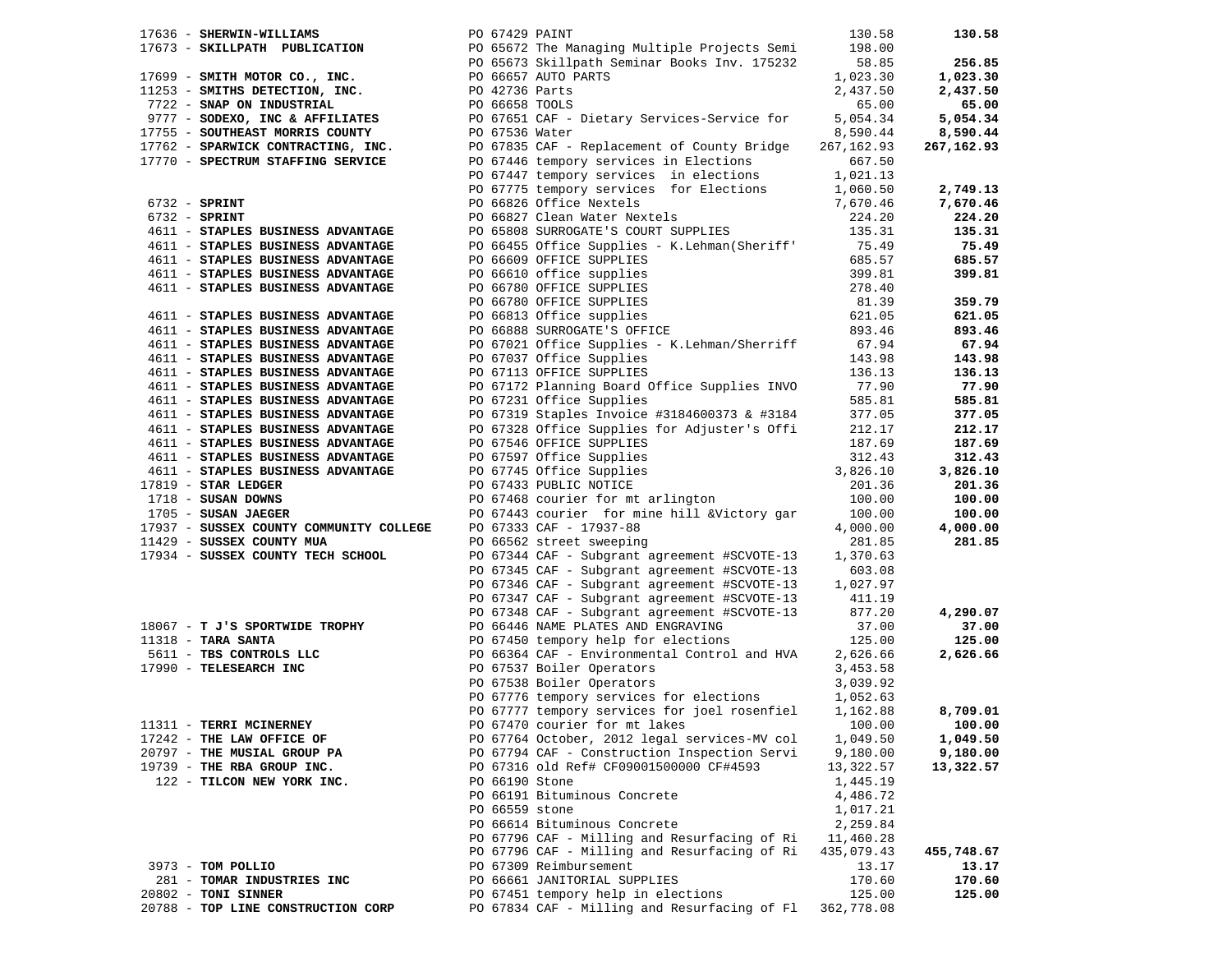| 17636 - SHERWIN-WILLIAMS                                                | PO 67429 PAINT |                                                                                                                                                                                                                                               | 130.58     | 130.58     |
|-------------------------------------------------------------------------|----------------|-----------------------------------------------------------------------------------------------------------------------------------------------------------------------------------------------------------------------------------------------|------------|------------|
|                                                                         |                | 1763 - SHERWIN-WILLIAMS<br>17673 - SKILLPATH PUBLICATION<br>1769 - SMITH MOTOR CO., INC.<br>1769 - SMITH MOTOR CO., INC.<br>1759 - SMITHS DETECTION, INC.<br>175232<br>1752 - SNAP ON INDUSTRIAL<br>1775 - SODEXO, INC & AFFILIATES<br>1775 - | 198.00     |            |
|                                                                         |                |                                                                                                                                                                                                                                               |            |            |
|                                                                         |                |                                                                                                                                                                                                                                               | 58.85      | 256.85     |
|                                                                         |                |                                                                                                                                                                                                                                               | 1,023.30   | 1,023.30   |
|                                                                         |                |                                                                                                                                                                                                                                               | 2,437.50   | 2,437.50   |
|                                                                         |                |                                                                                                                                                                                                                                               | 65.00      | 65.00      |
|                                                                         |                |                                                                                                                                                                                                                                               |            |            |
|                                                                         |                |                                                                                                                                                                                                                                               | 5,054.34   | 5,054.34   |
|                                                                         |                |                                                                                                                                                                                                                                               | 8,590.44   | 8,590.44   |
| 17762 - SPARWICK CONTRACTING, INC.<br>17770 - SPECTRUM STAFFING SERVICE |                | PO 67835 CAF - Replacement of County Bridge                                                                                                                                                                                                   | 267,162.93 | 267,162.93 |
|                                                                         |                | PO 67446 tempory services in Elections                                                                                                                                                                                                        | 667.50     |            |
|                                                                         |                | PO 67447 tempory services in elections                                                                                                                                                                                                        | 1,021.13   |            |
|                                                                         |                | PO 67775 tempory services for Elections                                                                                                                                                                                                       | 1,060.50   | 2,749.13   |
|                                                                         |                |                                                                                                                                                                                                                                               |            |            |
| $6732$ - SPRINT                                                         |                | PO 66826 Office Nextels                                                                                                                                                                                                                       | 7,670.46   | 7,670.46   |
| $6732 - SPRINT$                                                         |                | PO 66827 Clean Water Nextels                                                                                                                                                                                                                  | 224.20     | 224.20     |
| 4611 - STAPLES BUSINESS ADVANTAGE                                       |                | PO 65808 SURROGATE'S COURT SUPPLIES                                                                                                                                                                                                           | 135.31     | 135.31     |
| 4611 - STAPLES BUSINESS ADVANTAGE                                       |                | PO 66455 Office Supplies - K.Lehman (Sheriff' 75.49                                                                                                                                                                                           |            | 75.49      |
| 4611 - STAPLES BUSINESS ADVANTAGE                                       |                | PO 66609 OFFICE SUPPLIES                                                                                                                                                                                                                      | 685.57     | 685.57     |
|                                                                         |                |                                                                                                                                                                                                                                               | 399.81     |            |
| 4611 - STAPLES BUSINESS ADVANTAGE                                       |                |                                                                                                                                                                                                                                               |            | 399.81     |
| 4611 - STAPLES BUSINESS ADVANTAGE                                       |                |                                                                                                                                                                                                                                               | 278.40     |            |
|                                                                         |                |                                                                                                                                                                                                                                               | 81.39      | 359.79     |
| 4611 - STAPLES BUSINESS ADVANTAGE                                       |                |                                                                                                                                                                                                                                               | 621.05     | 621.05     |
| 4611 - STAPLES BUSINESS ADVANTAGE                                       |                | PO 66610 office supplies<br>PO 66780 OFFICE SUPPLIES<br>PO 66780 OFFICE SUPPLIES<br>PO 66813 Office supplies<br>PO 66888 SURROGATE'S OFFICE                                                                                                   | 893.46     | 893.46     |
| 4611 - STAPLES BUSINESS ADVANTAGE                                       |                | PO 67021 Office Supplies - K.Lehman/Sherriff                                                                                                                                                                                                  | 67.94      | 67.94      |
| 4611 - STAPLES BUSINESS ADVANTAGE                                       |                |                                                                                                                                                                                                                                               |            | 143.98     |
|                                                                         |                | PO 67037 Office Supplies                                                                                                                                                                                                                      | 143.98     |            |
| 4611 - STAPLES BUSINESS ADVANTAGE                                       |                | PO 67113 OFFICE SUPPLIES                                                                                                                                                                                                                      | 136.13     | 136.13     |
| 4611 - STAPLES BUSINESS ADVANTAGE                                       |                | PO 67172 Planning Board Office Supplies INVO                                                                                                                                                                                                  | 77.90      | 77.90      |
| 4611 - STAPLES BUSINESS ADVANTAGE                                       |                | PO 67231 Office Supplies                                                                                                                                                                                                                      | 585.81     | 585.81     |
| 4611 - STAPLES BUSINESS ADVANTAGE                                       |                | PO 67319 Staples Invoice #3184600373 & #3184                                                                                                                                                                                                  | 377.05     | 377.05     |
| 4611 - STAPLES BUSINESS ADVANTAGE                                       |                | PO 67328 Office Supplies for Adjuster's Offi                                                                                                                                                                                                  | 212.17     | 212.17     |
| 4611 - STAPLES BUSINESS ADVANTAGE                                       |                | PO 67546 OFFICE SUPPLIES                                                                                                                                                                                                                      | 187.69     | 187.69     |
|                                                                         |                |                                                                                                                                                                                                                                               |            |            |
| 4611 - STAPLES BUSINESS ADVANTAGE                                       |                | PO 67597 Office Supplies<br>PO 67745 Office Supplies<br>2010 CLIC SUPPLIES                                                                                                                                                                    | 312.43     | 312.43     |
| 4611 - STAPLES BUSINESS ADVANTAGE                                       |                |                                                                                                                                                                                                                                               | 3,826.10   | 3,826.10   |
| $17819$ - STAR LEDGER                                                   |                | PO 67433 PUBLIC NOTICE                                                                                                                                                                                                                        | 201.36     | 201.36     |
| 1718 - SUSAN DOWNS                                                      |                | PO 67468 courier for mt arlington                                                                                                                                                                                                             | 100.00     | 100.00     |
| 1705 - SUSAN JAEGER                                                     |                | PO 67443 courier for mine hill &Victory gar                                                                                                                                                                                                   | 100.00     | 100.00     |
| 17937 - SUSSEX COUNTY COMMUNITY COLLEGE                                 |                | PO 67333 CAF - 17937-88                                                                                                                                                                                                                       | 4,000.00   | 4,000.00   |
|                                                                         |                |                                                                                                                                                                                                                                               |            |            |
| 11429 - SUSSEX COUNTY MUA                                               |                | PO 66562 street sweeping                                                                                                                                                                                                                      | 281.85     | 281.85     |
| 17934 - SUSSEX COUNTY TECH SCHOOL                                       |                | PO 67344 CAF - Subgrant agreement #SCVOTE-13                                                                                                                                                                                                  | 1,370.63   |            |
|                                                                         |                | PO 67345 CAF - Subgrant agreement #SCVOTE-13                                                                                                                                                                                                  | 603.08     |            |
|                                                                         |                | PO 67346 CAF - Subgrant agreement #SCVOTE-13                                                                                                                                                                                                  | 1,027.97   |            |
|                                                                         |                | PO 67347 CAF - Subgrant agreement #SCVOTE-13                                                                                                                                                                                                  | 411.19     |            |
|                                                                         |                | PO 67348 CAF - Subgrant agreement #SCVOTE-13                                                                                                                                                                                                  | 877.20     | 4,290.07   |
| 18067 - T J'S SPORTWIDE TROPHY                                          |                | PO 66446 NAME PLATES AND ENGRAVING                                                                                                                                                                                                            | 37.00      | 37.00      |
|                                                                         |                |                                                                                                                                                                                                                                               |            |            |
| $11318$ - TARA SANTA                                                    |                | PO 67450 tempory help for elections                                                                                                                                                                                                           | 125.00     | 125.00     |
| 5611 - TBS CONTROLS LLC                                                 |                | PO 66364 CAF - Environmental Control and HVA                                                                                                                                                                                                  | 2,626.66   | 2,626.66   |
| 17990 - TELESEARCH INC                                                  |                | PO 67537 Boiler Operators                                                                                                                                                                                                                     | 3,453.58   |            |
|                                                                         |                | PO 67538 Boiler Operators                                                                                                                                                                                                                     | 3,039.92   |            |
|                                                                         |                | PO 67776 tempory services for elections                                                                                                                                                                                                       | 1,052.63   |            |
|                                                                         |                | PO 67777 tempory services for joel rosenfiel                                                                                                                                                                                                  | 1,162.88   | 8,709.01   |
|                                                                         |                |                                                                                                                                                                                                                                               |            |            |
| 11311 - TERRI MCINERNEY                                                 |                | PO 67470 courier for mt lakes                                                                                                                                                                                                                 | 100.00     | 100.00     |
| 17242 - THE LAW OFFICE OF                                               |                | PO 67764 October, 2012 legal services-MV col                                                                                                                                                                                                  | 1,049.50   | 1,049.50   |
| 20797 - THE MUSIAL GROUP PA                                             |                | PO 67794 CAF - Construction Inspection Servi                                                                                                                                                                                                  | 9,180.00   | 9,180.00   |
| 19739 - THE RBA GROUP INC.                                              |                | PO 67316 old Ref# CF09001500000 CF#4593                                                                                                                                                                                                       | 13,322.57  | 13,322.57  |
| 122 - TILCON NEW YORK INC.                                              | PO 66190 Stone |                                                                                                                                                                                                                                               | 1,445.19   |            |
|                                                                         |                | PO 66191 Bituminous Concrete                                                                                                                                                                                                                  | 4,486.72   |            |
|                                                                         |                |                                                                                                                                                                                                                                               |            |            |
|                                                                         | PO 66559 stone |                                                                                                                                                                                                                                               | 1,017.21   |            |
|                                                                         |                | PO 66614 Bituminous Concrete                                                                                                                                                                                                                  | 2,259.84   |            |
|                                                                         |                | PO 67796 CAF - Milling and Resurfacing of Ri                                                                                                                                                                                                  | 11,460.28  |            |
|                                                                         |                | PO 67796 CAF - Milling and Resurfacing of Ri                                                                                                                                                                                                  | 435,079.43 | 455,748.67 |
| 3973 - TOM POLLIO                                                       |                | PO 67309 Reimbursement                                                                                                                                                                                                                        | 13.17      | 13.17      |
| 281 - TOMAR INDUSTRIES INC                                              |                | PO 66661 JANITORIAL SUPPLIES                                                                                                                                                                                                                  | 170.60     | 170.60     |
|                                                                         |                |                                                                                                                                                                                                                                               |            |            |
| 20802 - TONI SINNER                                                     |                | PO 67451 tempory help in elections                                                                                                                                                                                                            | 125.00     | 125.00     |
| 20788 - TOP LINE CONSTRUCTION CORP                                      |                | PO 67834 CAF - Milling and Resurfacing of Fl                                                                                                                                                                                                  | 362,778.08 |            |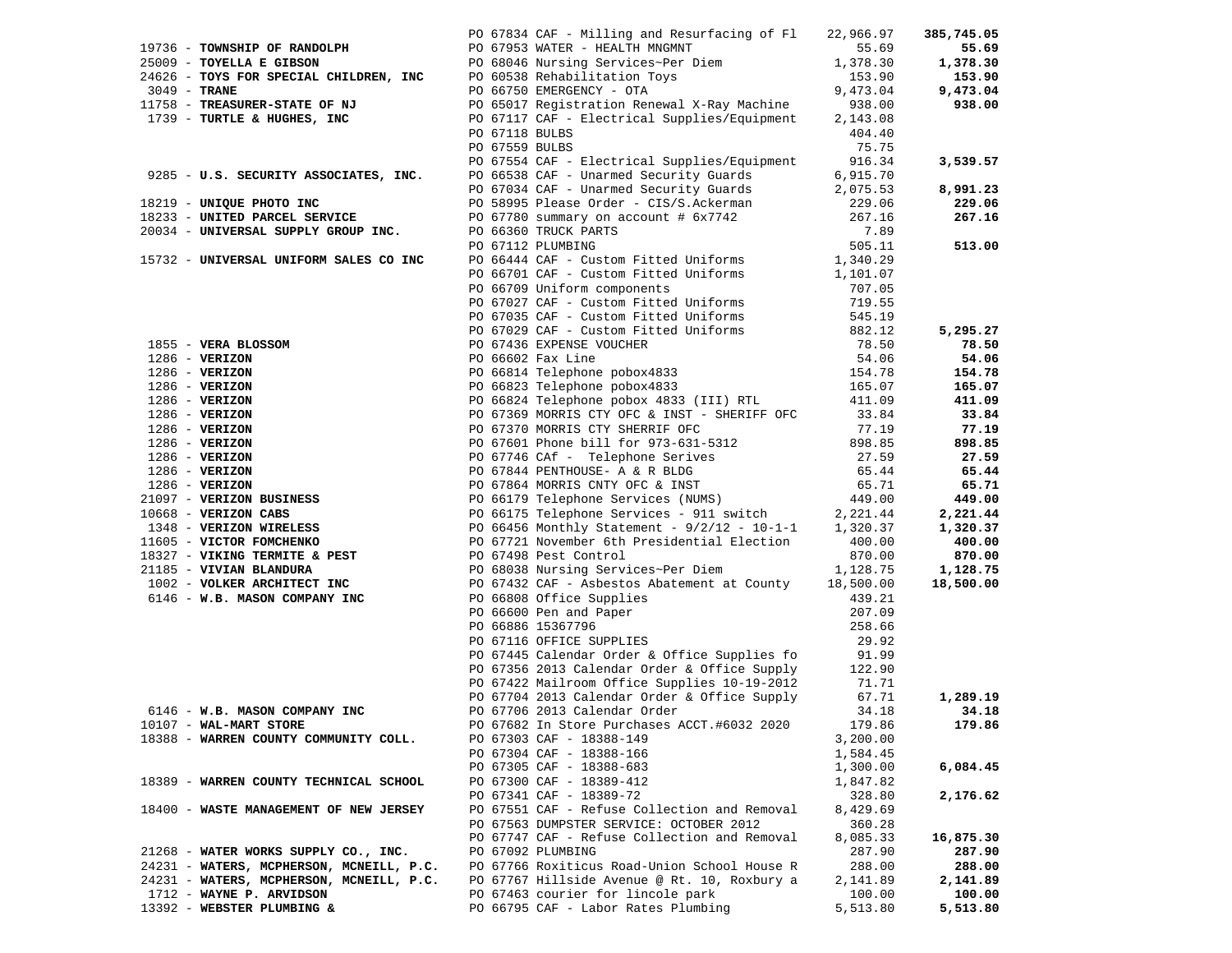|                                                           |                                                                                    |                | PO 67834 CAF - Milling and Resurfacing of Fl                                                                          | 22,966.97            | 385,745.05         |
|-----------------------------------------------------------|------------------------------------------------------------------------------------|----------------|-----------------------------------------------------------------------------------------------------------------------|----------------------|--------------------|
| 19736 - TOWNSHIP OF RANDOLPH                              |                                                                                    |                | PO 67953 WATER - HEALTH MNGMNT                                                                                        | 55.69                | 55.69              |
|                                                           |                                                                                    |                | PO 68046 Nursing Services~Per Diem                                                                                    | 1,378.30             | 1,378.30           |
|                                                           |                                                                                    |                | PO 60538 Rehabilitation Toys                                                                                          | 153.90               | 153.90             |
|                                                           | 25009 - TOYELLA E GIBSON<br>24626 - TOYS FOR SPECIAL CHILDREN, INC<br>3049 - TRANE |                | PO 66750 EMERGENCY - OTA                                                                                              | 9,473.04             | 9,473.04           |
| 11758 - TREASURER-STATE OF NJ                             |                                                                                    |                | PO 65017 Registration Renewal X-Ray Machine                                                                           | 938.00               | 938.00             |
| 1739 - TURTLE & HUGHES, INC                               |                                                                                    |                | PO 67117 CAF - Electrical Supplies/Equipment                                                                          | 2,143.08             |                    |
|                                                           |                                                                                    | PO 67118 BULBS |                                                                                                                       | 404.40               |                    |
|                                                           |                                                                                    | PO 67559 BULBS |                                                                                                                       | 75.75                |                    |
|                                                           |                                                                                    |                | PO 67554 CAF - Electrical Supplies/Equipment                                                                          | 916.34               | 3,539.57           |
|                                                           | 9285 - U.S. SECURITY ASSOCIATES, INC.                                              |                | PO 66538 CAF - Unarmed Security Guards                                                                                | 6,915.70             |                    |
|                                                           |                                                                                    |                | PO 67034 CAF - Unarmed Security Guards                                                                                | 2,075.53             | 8,991.23           |
| 18219 - UNIQUE PHOTO INC<br>18233 - UNITED PARCEL SERVICE |                                                                                    |                | PO 58995 Please Order - CIS/S.Ackerman                                                                                | 229.06<br>267.16     | 229.06<br>267.16   |
|                                                           | 20034 - UNIVERSAL SUPPLY GROUP INC.                                                |                | PO 67780 summary on account # 6x7742<br>PO 66360 TRUCK PARTS                                                          | 7.89                 |                    |
|                                                           |                                                                                    |                | PO 67112 PLUMBING                                                                                                     | 505.11               | 513.00             |
|                                                           | 15732 - UNIVERSAL UNIFORM SALES CO INC                                             |                | PO 66444 CAF - Custom Fitted Uniforms                                                                                 | 1,340.29             |                    |
|                                                           |                                                                                    |                | PO 66701 CAF - Custom Fitted Uniforms                                                                                 | 1,101.07             |                    |
|                                                           |                                                                                    |                | PO 66709 Uniform components                                                                                           | 707.05               |                    |
|                                                           |                                                                                    |                | PO 67027 CAF - Custom Fitted Uniforms                                                                                 | 719.55               |                    |
|                                                           |                                                                                    |                | PO 67035 CAF - Custom Fitted Uniforms                                                                                 | 545.19               |                    |
|                                                           |                                                                                    |                | PO 67029 CAF - Custom Fitted Uniforms<br>PO 67029 CAF - Custom Fitted Uniforms                                        | 882.12               | 5,295.27           |
|                                                           | 1855 - VERA BLOSSOM                                                                |                | PO 67436 EXPENSE VOUCHER                                                                                              | 78.50                | 78.50              |
| $1286$ - VERIZON                                          |                                                                                    |                | PO 66602 Fax Line                                                                                                     | 54.06                | 54.06              |
| $1286$ - VERIZON                                          |                                                                                    |                | PO 66814 Telephone pobox4833<br>PO 66814 Telephone pobox4833                                                          | 154.78               | 154.78             |
| $1286 - VERIZON$                                          |                                                                                    |                | PO 66823 Telephone pobox4833                                                                                          | 165.07               | 165.07             |
| $1286$ - VERIZON                                          |                                                                                    |                | PO 66824 Telephone pobox 4833 (III) RTL                                                                               | 411.09               | 411.09             |
| $1286 - VERIZON$                                          |                                                                                    |                | PO 67369 MORRIS CTY OFC & INST - SHERIFF OFC                                                                          | 33.84                | 33.84              |
| $1286$ - VERIZON                                          |                                                                                    |                | PO 67370 MORRIS CTY SHERRIF OFC                                                                                       | 77.19                | 77.19              |
| $1286$ - VERIZON                                          |                                                                                    |                | PO 67601 Phone bill for 973-631-5312                                                                                  | 898.85               | 898.85             |
| $1286$ - VERIZON                                          |                                                                                    |                | PO 67746 CAf - Telephone Serives                                                                                      | 27.59                | 27.59              |
| $1286$ - VERIZON                                          |                                                                                    |                | PO 67844 PENTHOUSE- A & R BLDG                                                                                        | 65.44                | 65.44              |
| $1286$ - VERIZON<br>21097 - VERIZON BUSINESS              |                                                                                    |                | PO 67864 MORRIS CNTY OFC & INST                                                                                       | 65.71                | 65.71              |
| 10668 - VERIZON CABS                                      |                                                                                    |                | PO 66179 Telephone Services (NUMS)<br>PO 66175 Telephone Services - 911 s<br>PO 66175 Telephone Services - 911 switch | 449.00<br>2,221.44   | 449.00<br>2,221.44 |
| 1348 - VERIZON WIRELESS                                   |                                                                                    |                | PO 66456 Monthly Statement - $9/2/12$ - 10-1-1                                                                        | 1,320.37             | 1,320.37           |
| 11605 - VICTOR FOMCHENKO                                  |                                                                                    |                | PO 67721 November 6th Presidential Election                                                                           | 400.00               | 400.00             |
| 18327 - VIKING TERMITE & PEST                             |                                                                                    |                | PO 67498 Pest Control                                                                                                 | 870.00               | 870.00             |
| 21185 - VIVIAN BLANDURA                                   |                                                                                    |                | PO 68038 Nursing Services~Per Diem                                                                                    | 1,128.75             | 1,128.75           |
| 1002 - VOLKER ARCHITECT INC                               |                                                                                    |                | PO 67432 CAF - Asbestos Abatement at County 18,500.00                                                                 |                      | 18,500.00          |
| 6146 - W.B. MASON COMPANY INC                             |                                                                                    |                | PO 66808 Office Supplies                                                                                              | 439.21               |                    |
|                                                           |                                                                                    |                | PO 66600 Pen and Paper                                                                                                | 207.09               |                    |
|                                                           |                                                                                    |                | PO 66886 15367796                                                                                                     | 258.66               |                    |
|                                                           |                                                                                    |                | PO 67116 OFFICE SUPPLIES                                                                                              | 29.92                |                    |
|                                                           |                                                                                    |                | PO 67445 Calendar Order & Office Supplies fo                                                                          | 91.99                |                    |
|                                                           |                                                                                    |                | PO 67356 2013 Calendar Order & Office Supply                                                                          | 122.90               |                    |
|                                                           |                                                                                    |                | PO 67422 Mailroom Office Supplies 10-19-2012                                                                          | 71.71                |                    |
|                                                           |                                                                                    |                | PO 67704 2013 Calendar Order & Office Supply                                                                          | 67.71                | 1,289.19           |
| 6146 - W.B. MASON COMPANY INC                             |                                                                                    |                | PO 67706 2013 Calendar Order                                                                                          | 34.18                | 34.18              |
| 10107 - WAL-MART STORE                                    |                                                                                    |                | PO 67682 In Store Purchases ACCT.#6032 2020                                                                           | 179.86               | 179.86             |
|                                                           | 18388 - WARREN COUNTY COMMUNITY COLL.                                              |                | PO 67303 CAF - 18388-149                                                                                              | 3,200.00             |                    |
|                                                           |                                                                                    |                | PO 67304 CAF - 18388-166<br>PO 67305 CAF - 18388-683                                                                  | 1,584.45<br>1,300.00 | 6,084.45           |
|                                                           | 18389 - WARREN COUNTY TECHNICAL SCHOOL                                             |                | PO 67300 CAF - 18389-412                                                                                              | 1,847.82             |                    |
|                                                           |                                                                                    |                | PO 67341 CAF - 18389-72                                                                                               | 328.80               | 2,176.62           |
|                                                           | 18400 - WASTE MANAGEMENT OF NEW JERSEY                                             |                | PO 67551 CAF - Refuse Collection and Removal                                                                          | 8,429.69             |                    |
|                                                           |                                                                                    |                | PO 67563 DUMPSTER SERVICE: OCTOBER 2012                                                                               | 360.28               |                    |
|                                                           |                                                                                    |                | PO 67747 CAF - Refuse Collection and Removal                                                                          | 8,085.33             | 16,875.30          |
|                                                           | 21268 - WATER WORKS SUPPLY CO., INC.                                               |                | PO 67092 PLUMBING                                                                                                     | 287.90               | 287.90             |
|                                                           | 24231 - WATERS, MCPHERSON, MCNEILL, P.C.                                           |                | PO 67766 Roxiticus Road-Union School House R                                                                          | 288.00               | 288.00             |
|                                                           | 24231 - WATERS, MCPHERSON, MCNEILL, P.C.                                           |                | PO 67767 Hillside Avenue @ Rt. 10, Roxbury a                                                                          | 2,141.89             | 2,141.89           |
| 1712 - WAYNE P. ARVIDSON                                  |                                                                                    |                | PO 67463 courier for lincole park                                                                                     | 100.00               | 100.00             |
| 13392 - WEBSTER PLUMBING &                                |                                                                                    |                | PO 66795 CAF - Labor Rates Plumbing                                                                                   | 5,513.80             | 5,513.80           |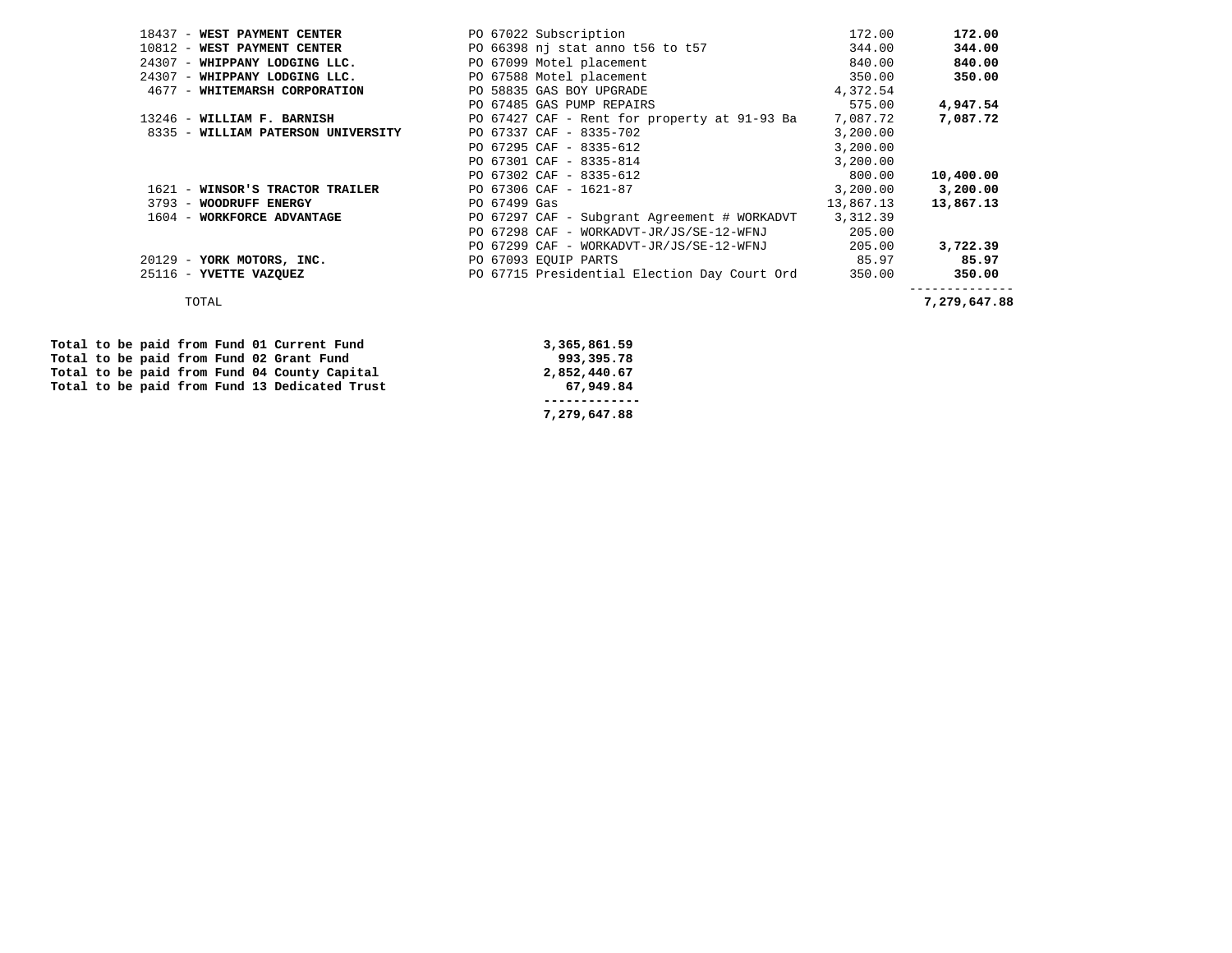| 18437 - WEST PAYMENT CENTER        | PO 67022 Subscription                        | 172.00    | 172.00       |
|------------------------------------|----------------------------------------------|-----------|--------------|
| 10812 - WEST PAYMENT CENTER        | PO 66398 nj stat anno t56 to t57             | 344.00    | 344.00       |
| 24307 - WHIPPANY LODGING LLC.      | PO 67099 Motel placement                     | 840.00    | 840.00       |
| 24307 - WHIPPANY LODGING LLC.      | PO 67588 Motel placement                     | 350.00    | 350.00       |
| 4677 - WHITEMARSH CORPORATION      | PO 58835 GAS BOY UPGRADE                     | 4,372.54  |              |
|                                    | PO 67485 GAS PUMP REPAIRS                    | 575.00    | 4,947.54     |
| 13246 - WILLIAM F. BARNISH         | PO 67427 CAF - Rent for property at 91-93 Ba | 7,087.72  | 7,087.72     |
| 8335 - WILLIAM PATERSON UNIVERSITY | PO 67337 CAF - 8335-702                      | 3,200.00  |              |
|                                    | PO 67295 CAF - 8335-612                      | 3,200.00  |              |
|                                    | PO 67301 CAF - 8335-814                      | 3,200.00  |              |
|                                    | PO 67302 CAF - 8335-612                      | 800.00    | 10,400.00    |
| 1621 - WINSOR'S TRACTOR TRAILER    | PO 67306 CAF - 1621-87                       | 3,200.00  | 3,200.00     |
| 3793 - WOODRUFF ENERGY             | PO 67499 Gas                                 | 13,867.13 | 13,867.13    |
| 1604 - WORKFORCE ADVANTAGE         | PO 67297 CAF - Subgrant Agreement # WORKADVT | 3,312.39  |              |
|                                    | PO 67298 CAF - WORKADVT-JR/JS/SE-12-WFNJ     | 205.00    |              |
|                                    | PO 67299 CAF - WORKADVT-JR/JS/SE-12-WFNJ     | 205.00    | 3,722.39     |
| 20129 - YORK MOTORS, INC.          | PO 67093 EOUIP PARTS                         | 85.97     | 85.97        |
| 25116 - YVETTE VAZQUEZ             | PO 67715 Presidential Election Day Court Ord | 350.00    | 350.00       |
| TOTAL                              |                                              |           | 7,279,647.88 |

|  |  |  |  | Total to be paid from Fund 02 Grant Fund      | 993,395.78   |
|--|--|--|--|-----------------------------------------------|--------------|
|  |  |  |  | Total to be paid from Fund 04 County Capital  | 2,852,440.67 |
|  |  |  |  | Total to be paid from Fund 13 Dedicated Trust | 67,949.84    |
|  |  |  |  |                                               |              |
|  |  |  |  |                                               | 7,279,647.88 |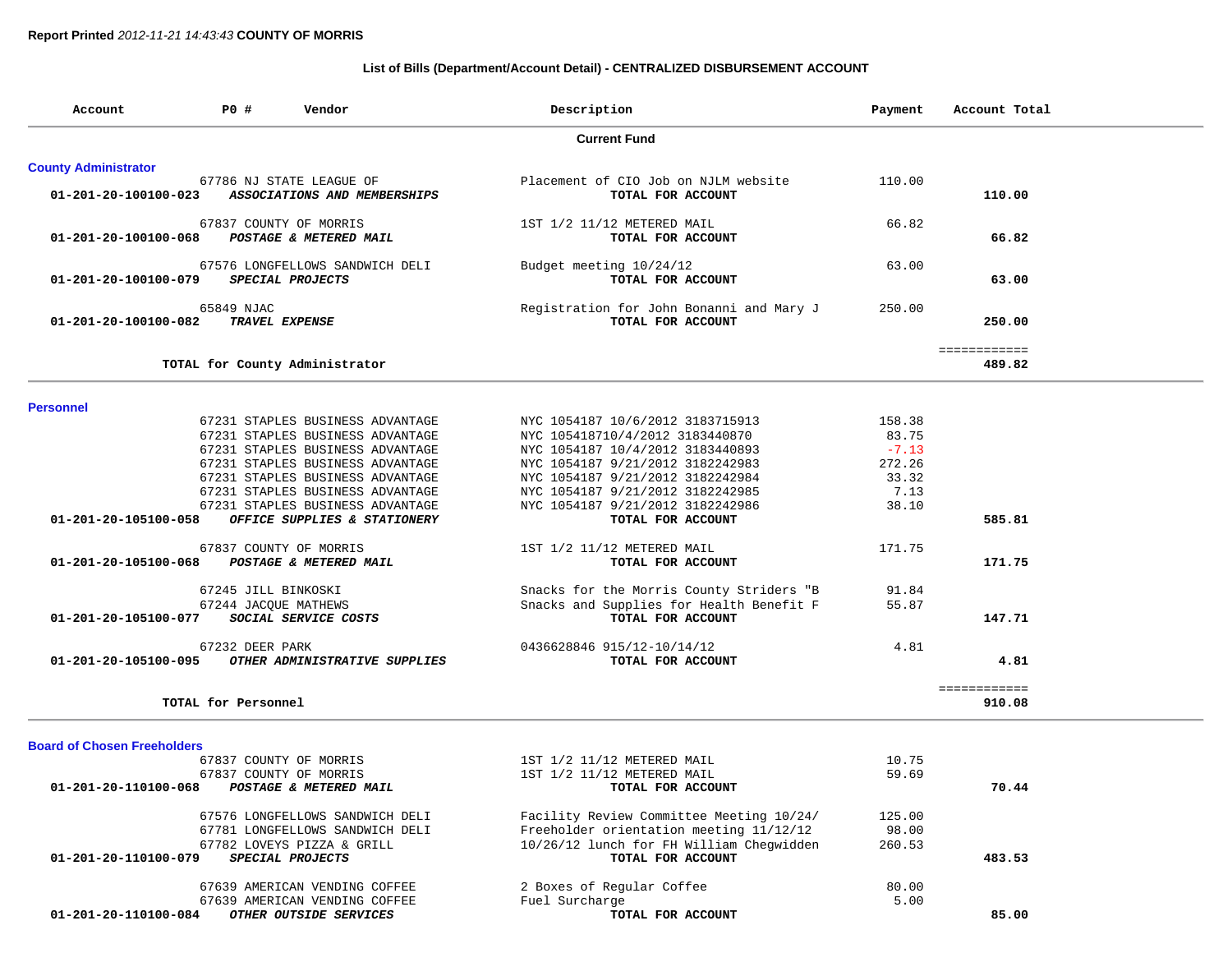### **List of Bills (Department/Account Detail) - CENTRALIZED DISBURSEMENT ACCOUNT**

| Account                                                          | P0 #                                        | Vendor                                                                                                                                                                                                                                                                                                                                       | Description                                                                                                                                                                                                                                                                                                                     | Payment                                                                  | Account Total          |
|------------------------------------------------------------------|---------------------------------------------|----------------------------------------------------------------------------------------------------------------------------------------------------------------------------------------------------------------------------------------------------------------------------------------------------------------------------------------------|---------------------------------------------------------------------------------------------------------------------------------------------------------------------------------------------------------------------------------------------------------------------------------------------------------------------------------|--------------------------------------------------------------------------|------------------------|
|                                                                  |                                             |                                                                                                                                                                                                                                                                                                                                              | <b>Current Fund</b>                                                                                                                                                                                                                                                                                                             |                                                                          |                        |
| <b>County Administrator</b>                                      |                                             |                                                                                                                                                                                                                                                                                                                                              |                                                                                                                                                                                                                                                                                                                                 |                                                                          |                        |
| 01-201-20-100100-023                                             |                                             | 67786 NJ STATE LEAGUE OF<br>ASSOCIATIONS AND MEMBERSHIPS                                                                                                                                                                                                                                                                                     | Placement of CIO Job on NJLM website<br>TOTAL FOR ACCOUNT                                                                                                                                                                                                                                                                       | 110.00                                                                   | 110.00                 |
| 01-201-20-100100-068                                             |                                             | 67837 COUNTY OF MORRIS<br>POSTAGE & METERED MAIL                                                                                                                                                                                                                                                                                             | 1ST 1/2 11/12 METERED MAIL<br>TOTAL FOR ACCOUNT                                                                                                                                                                                                                                                                                 | 66.82                                                                    | 66.82                  |
| 01-201-20-100100-079                                             |                                             | 67576 LONGFELLOWS SANDWICH DELI<br>SPECIAL PROJECTS                                                                                                                                                                                                                                                                                          | Budget meeting 10/24/12<br>TOTAL FOR ACCOUNT                                                                                                                                                                                                                                                                                    | 63.00                                                                    | 63.00                  |
| 01-201-20-100100-082                                             | 65849 NJAC                                  | TRAVEL EXPENSE                                                                                                                                                                                                                                                                                                                               | Registration for John Bonanni and Mary J<br>TOTAL FOR ACCOUNT                                                                                                                                                                                                                                                                   | 250.00                                                                   | 250.00                 |
|                                                                  |                                             | TOTAL for County Administrator                                                                                                                                                                                                                                                                                                               |                                                                                                                                                                                                                                                                                                                                 |                                                                          | ============<br>489.82 |
|                                                                  |                                             |                                                                                                                                                                                                                                                                                                                                              |                                                                                                                                                                                                                                                                                                                                 |                                                                          |                        |
| <b>Personnel</b><br>01-201-20-105100-058<br>01-201-20-105100-068 |                                             | 67231 STAPLES BUSINESS ADVANTAGE<br>67231 STAPLES BUSINESS ADVANTAGE<br>67231 STAPLES BUSINESS ADVANTAGE<br>67231 STAPLES BUSINESS ADVANTAGE<br>67231 STAPLES BUSINESS ADVANTAGE<br>67231 STAPLES BUSINESS ADVANTAGE<br>67231 STAPLES BUSINESS ADVANTAGE<br>OFFICE SUPPLIES & STATIONERY<br>67837 COUNTY OF MORRIS<br>POSTAGE & METERED MAIL | NYC 1054187 10/6/2012 3183715913<br>NYC 105418710/4/2012 3183440870<br>NYC 1054187 10/4/2012 3183440893<br>NYC 1054187 9/21/2012 3182242983<br>NYC 1054187 9/21/2012 3182242984<br>NYC 1054187 9/21/2012 3182242985<br>NYC 1054187 9/21/2012 3182242986<br>TOTAL FOR ACCOUNT<br>1ST 1/2 11/12 METERED MAIL<br>TOTAL FOR ACCOUNT | 158.38<br>83.75<br>$-7.13$<br>272.26<br>33.32<br>7.13<br>38.10<br>171.75 | 585.81<br>171.75       |
| 01-201-20-105100-077                                             | 67245 JILL BINKOSKI<br>67244 JACQUE MATHEWS | SOCIAL SERVICE COSTS                                                                                                                                                                                                                                                                                                                         | Snacks for the Morris County Striders "B<br>Snacks and Supplies for Health Benefit F<br>TOTAL FOR ACCOUNT                                                                                                                                                                                                                       | 91.84<br>55.87                                                           | 147.71                 |
| 01-201-20-105100-095                                             | 67232 DEER PARK                             | OTHER ADMINISTRATIVE SUPPLIES                                                                                                                                                                                                                                                                                                                | 0436628846 915/12-10/14/12<br>TOTAL FOR ACCOUNT                                                                                                                                                                                                                                                                                 | 4.81                                                                     | 4.81                   |
|                                                                  | TOTAL for Personnel                         |                                                                                                                                                                                                                                                                                                                                              |                                                                                                                                                                                                                                                                                                                                 |                                                                          | ============<br>910.08 |
| <b>Board of Chosen Freeholders</b>                               |                                             |                                                                                                                                                                                                                                                                                                                                              |                                                                                                                                                                                                                                                                                                                                 |                                                                          |                        |
| 01-201-20-110100-068                                             |                                             | 67837 COUNTY OF MORRIS<br>67837 COUNTY OF MORRIS<br>POSTAGE & METERED MAIL                                                                                                                                                                                                                                                                   | 1ST 1/2 11/12 METERED MAIL<br>1ST 1/2 11/12 METERED MAIL<br>TOTAL FOR ACCOUNT                                                                                                                                                                                                                                                   | 10.75<br>59.69                                                           | 70.44                  |
| 01-201-20-110100-079                                             |                                             | 67576 LONGFELLOWS SANDWICH DELI<br>67781 LONGFELLOWS SANDWICH DELI<br>67782 LOVEYS PIZZA & GRILL<br>SPECIAL PROJECTS                                                                                                                                                                                                                         | Facility Review Committee Meeting 10/24/<br>Freeholder orientation meeting 11/12/12<br>10/26/12 lunch for FH William Chegwidden<br>TOTAL FOR ACCOUNT                                                                                                                                                                            | 125.00<br>98.00<br>260.53                                                | 483.53                 |
| 01-201-20-110100-084                                             |                                             | 67639 AMERICAN VENDING COFFEE<br>67639 AMERICAN VENDING COFFEE<br>OTHER OUTSIDE SERVICES                                                                                                                                                                                                                                                     | 2 Boxes of Regular Coffee<br>Fuel Surcharge<br>TOTAL FOR ACCOUNT                                                                                                                                                                                                                                                                | 80.00<br>5.00                                                            | 85.00                  |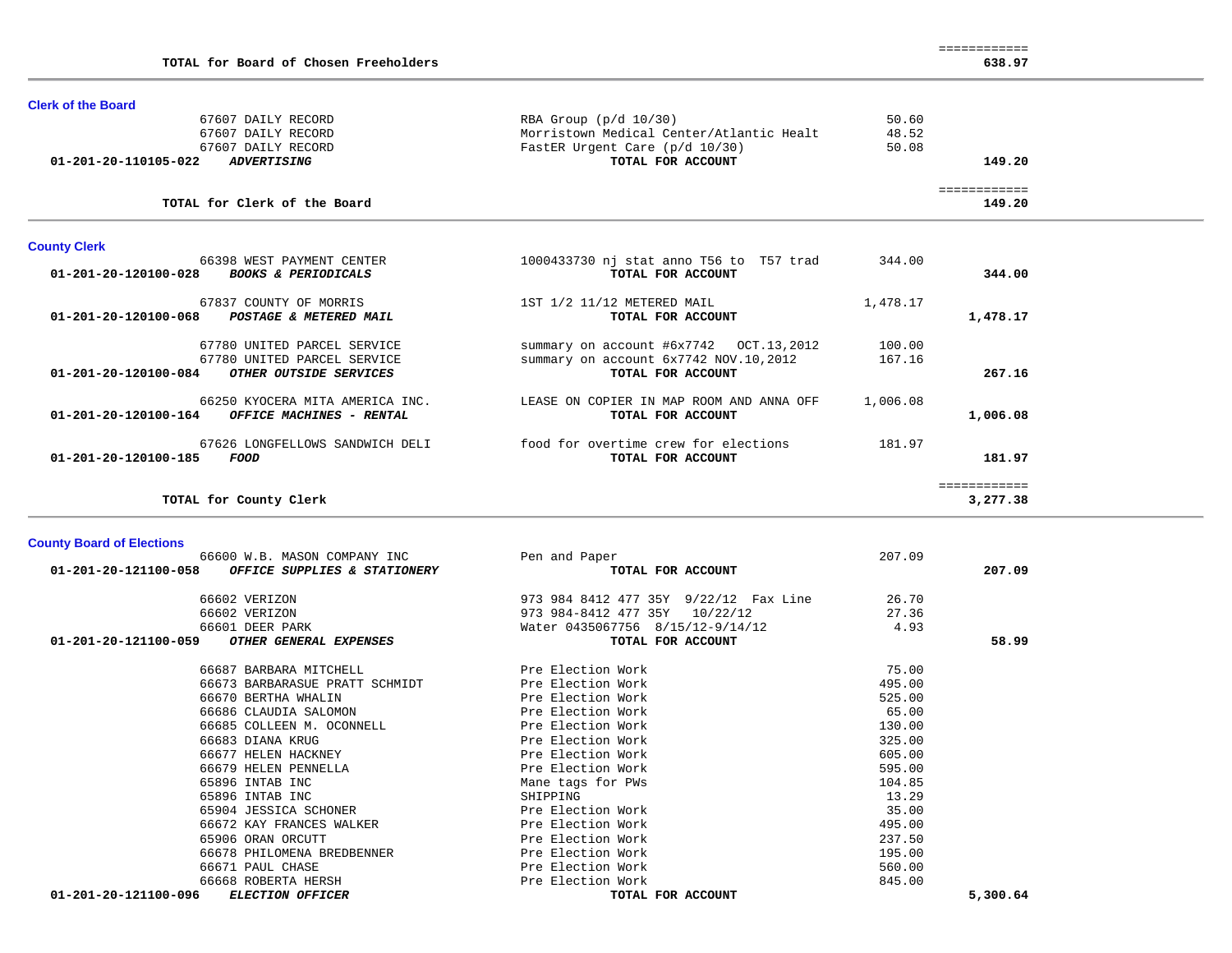| TOTAL for Board of Chosen Freeholders                  |                                          |          | 638.97                 |  |
|--------------------------------------------------------|------------------------------------------|----------|------------------------|--|
|                                                        |                                          |          |                        |  |
| <b>Clerk of the Board</b>                              |                                          |          |                        |  |
| 67607 DAILY RECORD                                     | RBA Group $(p/d 10/30)$                  | 50.60    |                        |  |
| 67607 DAILY RECORD                                     | Morristown Medical Center/Atlantic Healt | 48.52    |                        |  |
| 67607 DAILY RECORD                                     | FastER Urgent Care (p/d 10/30)           | 50.08    |                        |  |
| 01-201-20-110105-022<br><i><b>ADVERTISING</b></i>      | TOTAL FOR ACCOUNT                        |          | 149.20                 |  |
| TOTAL for Clerk of the Board                           |                                          |          | :===========<br>149.20 |  |
| <b>County Clerk</b>                                    |                                          |          |                        |  |
| 66398 WEST PAYMENT CENTER                              | 1000433730 nj stat anno T56 to T57 trad  | 344.00   |                        |  |
| 01-201-20-120100-028<br><b>BOOKS &amp; PERIODICALS</b> | TOTAL FOR ACCOUNT                        |          | 344.00                 |  |
| CLOSE COUNTY OF MODERS                                 |                                          | 1 470 17 |                        |  |

| 67837 COUNTY OF MORRIS                           | 1ST 1/2 11/12 METERED MAIL                | 1,478.17 |          |
|--------------------------------------------------|-------------------------------------------|----------|----------|
| 01-201-20-120100-068<br>POSTAGE & METERED MAIL   | TOTAL FOR ACCOUNT                         |          | 1,478.17 |
| 67780 UNITED PARCEL SERVICE                      | summary on account $\#6x7742$ OCT.13,2012 | 100.00   |          |
| 67780 UNITED PARCEL SERVICE                      | summary on account 6x7742 NOV.10,2012     | 167.16   |          |
| 01-201-20-120100-084<br>OTHER OUTSIDE SERVICES   | TOTAL FOR ACCOUNT                         |          | 267.16   |
| 66250 KYOCERA MITA AMERICA INC.                  | LEASE ON COPIER IN MAP ROOM AND ANNA OFF  | 1,006.08 |          |
| 01-201-20-120100-164<br>OFFICE MACHINES - RENTAL | TOTAL FOR ACCOUNT                         |          | 1,006.08 |
| 67626 LONGFELLOWS SANDWICH DELI                  | food for overtime crew for elections      | 181.97   |          |
| 01-201-20-120100-185<br>FOOD                     | TOTAL FOR ACCOUNT                         |          | 181.97   |
|                                                  |                                           |          |          |
| TOTAL for County Clerk                           |                                           |          | 3,277.38 |

### **County Board of Elections**

| 66600 W.B. MASON COMPANY INC                          | Pen and Paper                         | 207.09   |  |
|-------------------------------------------------------|---------------------------------------|----------|--|
| 01-201-20-121100-058<br>OFFICE SUPPLIES & STATIONERY  | TOTAL FOR ACCOUNT                     | 207.09   |  |
| 66602 VERIZON                                         | 973 984 8412 477 35Y 9/22/12 Fax Line | 26.70    |  |
| 66602 VERIZON                                         | 973 984-8412 477 35Y 10/22/12         | 27.36    |  |
| 66601 DEER PARK                                       | Water 0435067756 8/15/12-9/14/12      | 4.93     |  |
| 01-201-20-121100-059<br><i>OTHER GENERAL EXPENSES</i> | TOTAL FOR ACCOUNT                     | 58.99    |  |
| 66687 BARBARA MITCHELL                                | Pre Election Work                     | 75.00    |  |
| 66673 BARBARASUE PRATT SCHMIDT                        | Pre Election Work                     | 495.00   |  |
| 66670 BERTHA WHALIN                                   | Pre Election Work                     | 525.00   |  |
| 66686 CLAUDIA SALOMON                                 | Pre Election Work                     | 65.00    |  |
| 66685 COLLEEN M. OCONNELL                             | Pre Election Work                     | 130.00   |  |
| 66683 DIANA KRUG                                      | Pre Election Work                     | 325.00   |  |
| 66677 HELEN HACKNEY                                   | Pre Election Work                     | 605.00   |  |
| 66679 HELEN PENNELLA                                  | Pre Election Work                     | 595.00   |  |
| 65896 INTAB INC                                       | Mane tags for PWs                     | 104.85   |  |
| 65896 INTAB INC                                       | SHIPPING                              | 13.29    |  |
| 65904 JESSICA SCHONER                                 | Pre Election Work                     | 35.00    |  |
| 66672 KAY FRANCES WALKER                              | Pre Election Work                     | 495.00   |  |
| 65906 ORAN ORCUTT                                     | Pre Election Work                     | 237.50   |  |
| 66678 PHILOMENA BREDBENNER                            | Pre Election Work                     | 195.00   |  |
| 66671 PAUL CHASE                                      | Pre Election Work                     | 560.00   |  |
| 66668 ROBERTA HERSH                                   | Pre Election Work                     | 845.00   |  |
| 01-201-20-121100-096<br><b>ELECTION OFFICER</b>       | TOTAL FOR ACCOUNT                     | 5,300.64 |  |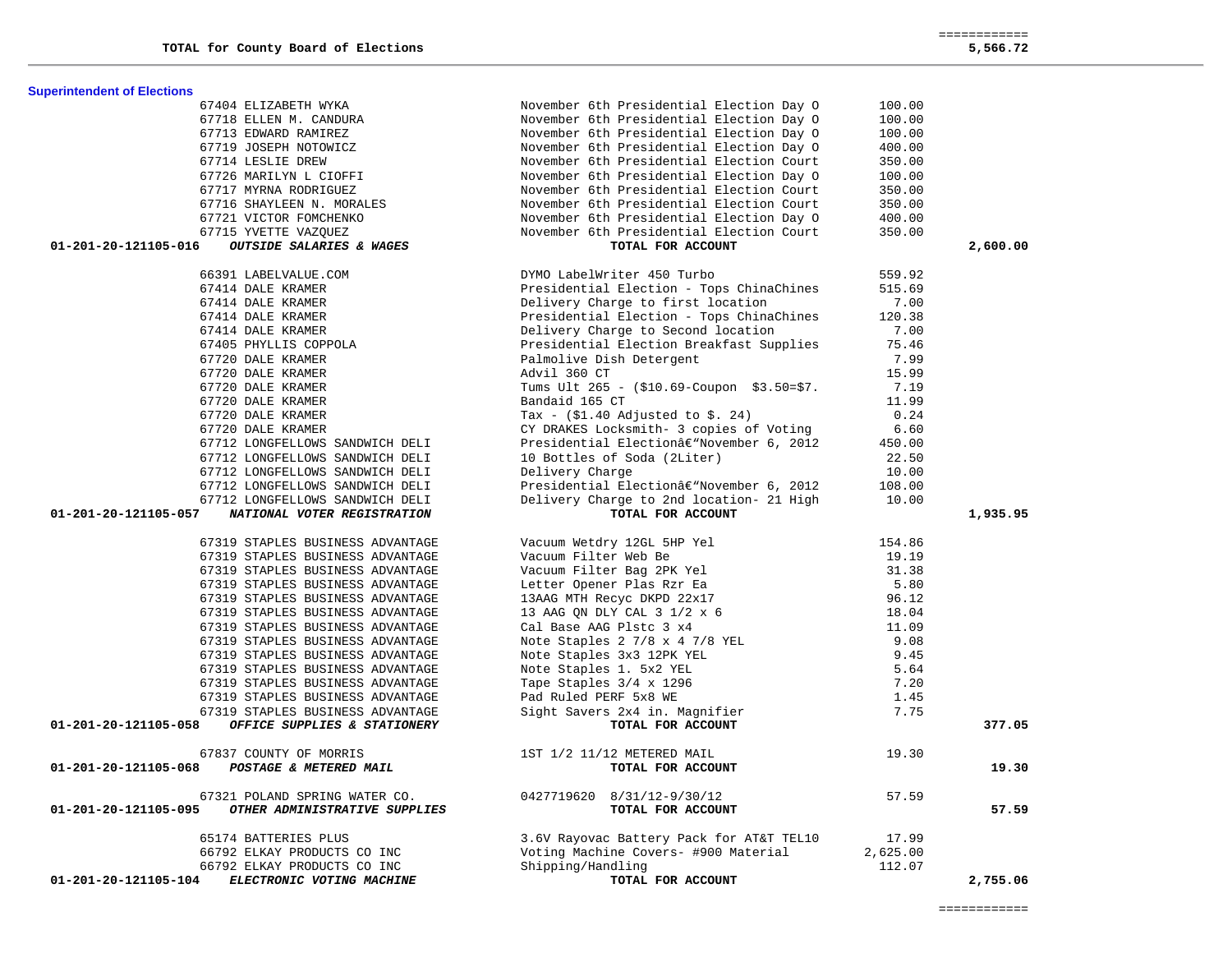377.05

19.30

57.59

| 67404 ELIZABETH WYKA                                  | November 6th Presidential Election Day 0   | 100.00   |          |
|-------------------------------------------------------|--------------------------------------------|----------|----------|
| 67718 ELLEN M. CANDURA                                | November 6th Presidential Election Day O   | 100.00   |          |
| 67713 EDWARD RAMIREZ                                  | November 6th Presidential Election Day 0   | 100.00   |          |
| 67719 JOSEPH NOTOWICZ                                 | November 6th Presidential Election Day 0   | 400.00   |          |
| 67714 LESLIE DREW                                     | November 6th Presidential Election Court   | 350.00   |          |
| 67726 MARILYN L CIOFFI                                | November 6th Presidential Election Day 0   | 100.00   |          |
| 67717 MYRNA RODRIGUEZ                                 | November 6th Presidential Election Court   | 350.00   |          |
| 67716 SHAYLEEN N. MORALES                             | November 6th Presidential Election Court   | 350.00   |          |
| 67721 VICTOR FOMCHENKO                                | November 6th Presidential Election Day 0   | 400.00   |          |
| 67715 YVETTE VAZQUEZ                                  | November 6th Presidential Election Court   | 350.00   |          |
| OUTSIDE SALARIES & WAGES<br>01-201-20-121105-016      | TOTAL FOR ACCOUNT                          |          | 2,600.00 |
| 66391 LABELVALUE.COM                                  | DYMO LabelWriter 450 Turbo                 | 559.92   |          |
| 67414 DALE KRAMER                                     | Presidential Election - Tops ChinaChines   | 515.69   |          |
| 67414 DALE KRAMER                                     | Delivery Charge to first location          | 7.00     |          |
| 67414 DALE KRAMER                                     | Presidential Election - Tops ChinaChines   | 120.38   |          |
| <br>67414 DALE KRAMER<br>67405 PHYLLIS COPPOLA        | Delivery Charge to Second location         | 7.00     |          |
|                                                       | Presidential Election Breakfast Supplies   | 75.46    |          |
| 67720 DALE KRAMER                                     | Palmolive Dish Detergent                   | 7.99     |          |
| 67720 DALE KRAMER                                     | Advil 360 CT                               | 15.99    |          |
| 67720 DALE KRAMER                                     | Tums Ult 265 - (\$10.69-Coupon \$3.50=\$7. | 7.19     |          |
| 67720 DALE KRAMER                                     | Bandaid 165 CT                             | 11.99    |          |
| 67720 DALE KRAMER                                     | Tax - $(\$1.40$ Adjusted to $\$$ . 24)     | 0.24     |          |
| 67720 DALE KRAMER                                     | CY DRAKES Locksmith- 3 copies of Voting    | 6.60     |          |
| 67712 LONGFELLOWS SANDWICH DELI                       | Presidential Electionâ€"November 6, 2012   | 450.00   |          |
| 67712 LONGFELLOWS SANDWICH DELI                       | 10 Bottles of Soda (2Liter)                | 22.50    |          |
| 67712 LONGFELLOWS SANDWICH DELI                       | Delivery Charge                            | 10.00    |          |
| 67712 LONGFELLOWS SANDWICH DELI                       | Presidential Electionâ€"November 6, 2012   | 108.00   |          |
| 67712 LONGFELLOWS SANDWICH DELI                       | Delivery Charge to 2nd location- 21 High   | 10.00    |          |
| 01-201-20-121105-057<br>NATIONAL VOTER REGISTRATION   | TOTAL FOR ACCOUNT                          |          | 1,935.95 |
| 67319 STAPLES BUSINESS ADVANTAGE                      | Vacuum Wetdry 12GL 5HP Yel                 | 154.86   |          |
| 67319 STAPLES BUSINESS ADVANTAGE                      | Vacuum Filter Web Be                       | 19.19    |          |
| 67319 STAPLES BUSINESS ADVANTAGE                      | Vacuum Filter Bag 2PK Yel                  | 31.38    |          |
| 67319 STAPLES BUSINESS ADVANTAGE                      | Letter Opener Plas Rzr Ea                  | 5.80     |          |
| 67319 STAPLES BUSINESS ADVANTAGE                      | 13AAG MTH Recyc DKPD 22x17                 | 96.12    |          |
| 67319 STAPLES BUSINESS ADVANTAGE                      | 13 AAG ON DLY CAL 3 1/2 x 6                | 18.04    |          |
| 67319 STAPLES BUSINESS ADVANTAGE                      | Cal Base AAG Plstc 3 x4                    | 11.09    |          |
| 67319 STAPLES BUSINESS ADVANTAGE                      | Note Staples 2 7/8 x 4 7/8 YEL             | 9.08     |          |
| 67319 STAPLES BUSINESS ADVANTAGE                      | Note Staples 3x3 12PK YEL                  | 9.45     |          |
| 67319 STAPLES BUSINESS ADVANTAGE                      | Note Staples 1. 5x2 YEL                    | 5.64     |          |
| 67319 STAPLES BUSINESS ADVANTAGE                      | Tape Staples 3/4 x 1296                    | 7.20     |          |
| 67319 STAPLES BUSINESS ADVANTAGE                      | Pad Ruled PERF 5x8 WE                      | 1.45     |          |
| 67319 STAPLES BUSINESS ADVANTAGE                      | Sight Savers 2x4 in. Magnifier             | 7.75     |          |
| 01-201-20-121105-058<br>OFFICE SUPPLIES & STATIONERY  | TOTAL FOR ACCOUNT                          |          | 377.05   |
| 67837 COUNTY OF MORRIS                                | 1ST 1/2 11/12 METERED MAIL                 | 19.30    |          |
| 01-201-20-121105-068<br>POSTAGE & METERED MAIL        | TOTAL FOR ACCOUNT                          |          | 19.30    |
| 67321 POLAND SPRING WATER CO.                         | 0427719620 8/31/12-9/30/12                 | 57.59    |          |
| 01-201-20-121105-095<br>OTHER ADMINISTRATIVE SUPPLIES | TOTAL FOR ACCOUNT                          |          | 57.59    |
| 65174 BATTERIES PLUS                                  | 3.6V Rayovac Battery Pack for AT&T TEL10   | 17.99    |          |
| 66792 ELKAY PRODUCTS CO INC                           | Voting Machine Covers- #900 Material       | 2,625.00 |          |
| 66792 ELKAY PRODUCTS CO INC                           | Shipping/Handling                          | 112.07   |          |
| 01-201-20-121105-104<br>ELECTRONIC VOTING MACHINE     | TOTAL FOR ACCOUNT                          |          | 2,755.06 |

**Superintendent of Elections**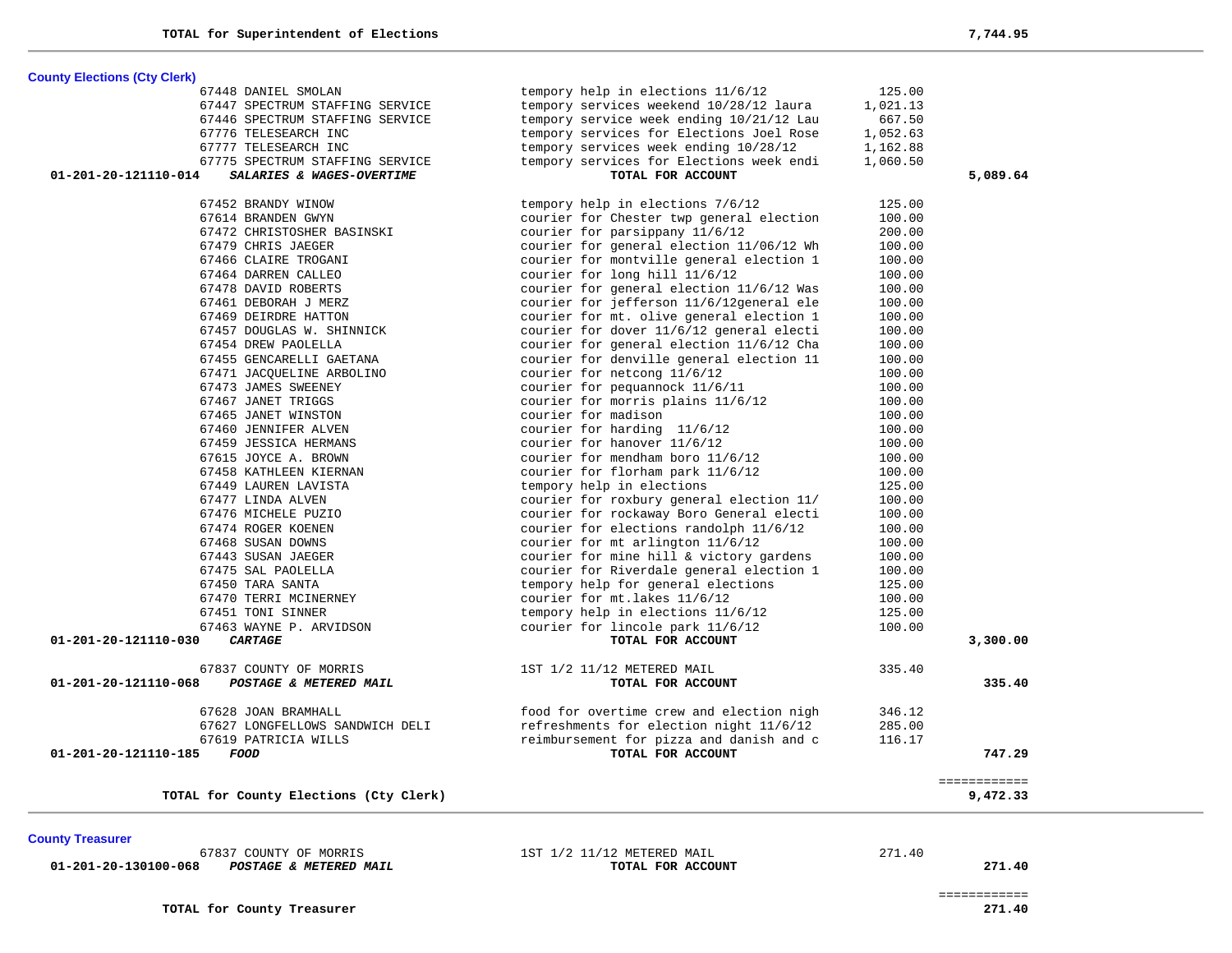**County Elections (Cty Clerk)** 67448 DANIEL SMOLAN tempory help in elections 11/6/12 125.00 67447 SPECTRUM STAFFING SERVICE tempory services weekend 10/28/12 laura 1,021.13 67446 SPECTRUM STAFFING SERVICE tempory service week ending 10/21/12 Lau 667.50 67776 TELESEARCH INC tempory services for Elections Joel Rose 1,052.63 67777 TELESEARCH INC tempory services week ending 10/28/12 1,162.88 67775 SPECTRUM STAFFING SERVICE tempory services for Elections week endi 1,060.50  **01-201-20-121110-014** *SALARIES & WAGES-OVERTIME* **TOTAL FOR ACCOUNT 5,089.64** 67452 BRANDY WINOW tempory help in elections 7/6/12 125.00 67614 BRANDEN GWYN courier for Chester twp general election 100.00 67472 CHRISTOSHER BASINSKI courier for parsippany 11/6/12 200.00 67479 CHRIS JAEGER courier for general election 11/06/12 Wh 100.00 67466 CLAIRE TROGANI courier for montville general election 1 100.00 67464 DARREN CALLEO courier for long hill 11/6/12 100.00 67478 DAVID ROBERTS courier for general election 11/6/12 Was 100.00 67461 DEBORAH J MERZ courier for jefferson 11/6/12general ele 100.00 67469 DEIRDRE HATTON courier for mt. olive general election 1 100.00 67457 DOUGLAS W. SHINNICK courier for dover 11/6/12 general electi 100.00 67454 DREW PAOLELLA courier for general election 11/6/12 Cha 100.00 67455 GENCARELLI GAETANA courier for denville general election 11 100.00 67471 JACQUELINE ARBOLINO courier for netcong 11/6/12 100.00 67473 JAMES SWEENEY courier for pequannock 11/6/11 100.00 67467 JANET TRIGGS courier for morris plains 11/6/12 100.00 67465 JANET WINSTON courier for madison 100.00 67460 JENNIFER ALVEN courier for harding 11/6/12 100.00 67459 JESSICA HERMANS courier for hanover 11/6/12 100.00 67615 JOYCE A. BROWN courier for mendham boro 11/6/12 100.00 67458 KATHLEEN KIERNAN courier for florham park 11/6/12 100.00 67449 LAUREN LAVISTA tempory help in elections 125.00 67477 LINDA ALVEN courier for roxbury general election 11/ 100.00 67476 MICHELE PUZIO courier for rockaway Boro General electi 100.00 67474 ROGER KOENEN courier for elections randolph 11/6/12 100.00 67468 SUSAN DOWNS courier for mt arlington 11/6/12 100.00 67443 SUSAN JAEGER courier for mine hill & victory gardens 100.00 67475 SAL PAOLELLA courier for Riverdale general election 1 100.00 67450 TARA SANTA tempory help for general elections 125.00 67470 TERRI MCINERNEY courier for mt.lakes 11/6/12 100.00 67451 TONI SINNER tempory help in elections 11/6/12 125.00 67463 WAYNE P. ARVIDSON courier for lincole park 11/6/12 100.00  **01-201-20-121110-030** *CARTAGE* **TOTAL FOR ACCOUNT 3,300.00** 67837 COUNTY OF MORRIS 1ST 1/2 11/12 METERED MAIL 335.40  **01-201-20-121110-068** *POSTAGE & METERED MAIL* **TOTAL FOR ACCOUNT 335.40** 67628 JOAN BRAMHALL food for overtime crew and election nigh 346.12 67627 LONGFELLOWS SANDWICH DELI refreshments for election night 11/6/12 285.00 67619 PATRICIA WILLS reimbursement for pizza and danish and c 116.17  **01-201-20-121110-185** *FOOD* **TOTAL FOR ACCOUNT 747.29** ============ **TOTAL for County Elections (Cty Clerk) 9,472.33**

 **01-201-20-130100-068** *POSTAGE & METERED MAIL* **TOTAL FOR ACCOUNT 271.40**

67837 COUNTY OF MORRIS 1ST 1/2 11/12 METERED MAIL 271.40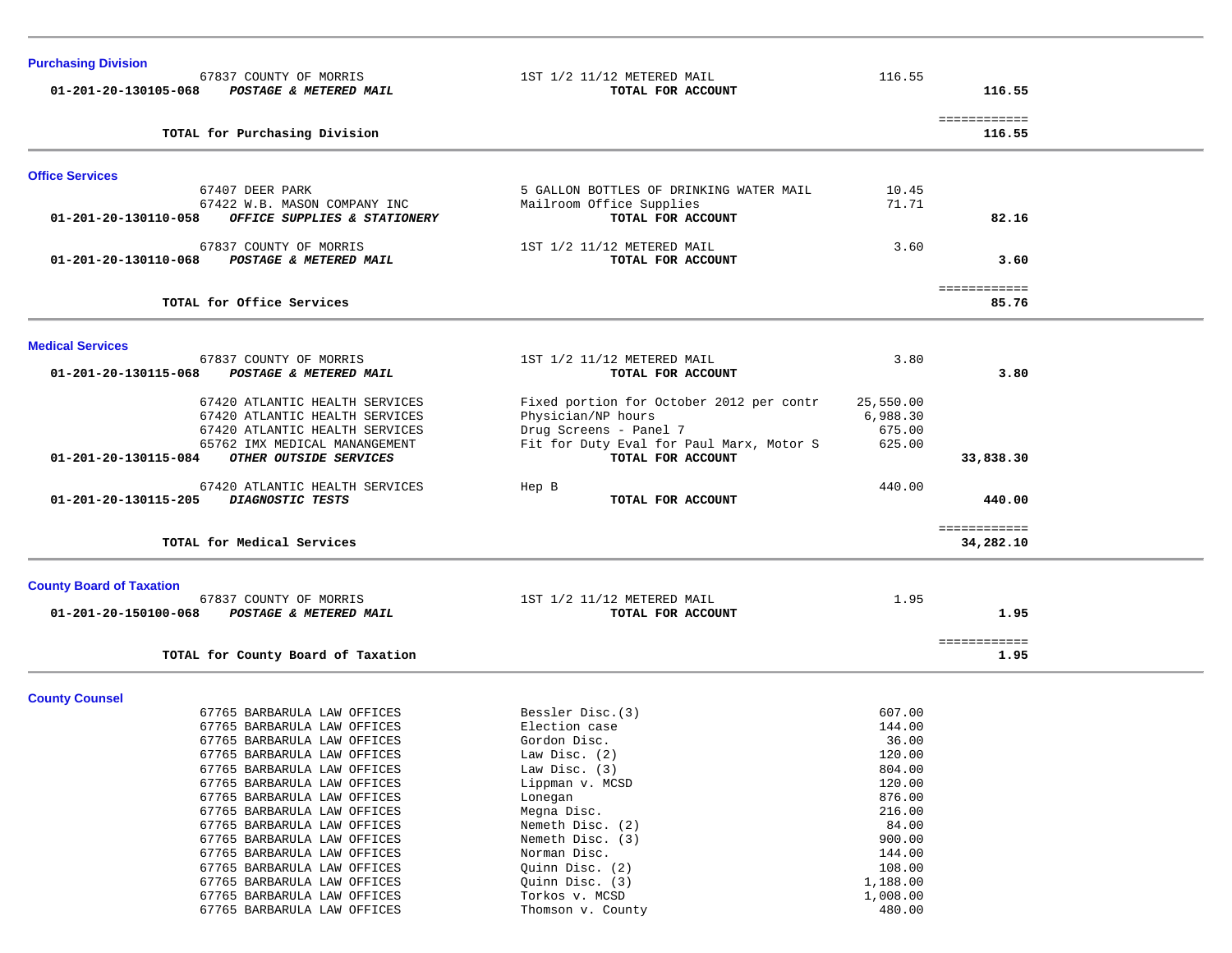| <b>Purchasing Division</b>                                                        |                                                 |                  |                        |  |
|-----------------------------------------------------------------------------------|-------------------------------------------------|------------------|------------------------|--|
| 67837 COUNTY OF MORRIS<br>01-201-20-130105-068<br>POSTAGE & METERED MAIL          | 1ST 1/2 11/12 METERED MAIL<br>TOTAL FOR ACCOUNT | 116.55           | 116.55                 |  |
| TOTAL for Purchasing Division                                                     |                                                 |                  | ============<br>116.55 |  |
| <b>Office Services</b>                                                            |                                                 |                  |                        |  |
| 67407 DEER PARK                                                                   | 5 GALLON BOTTLES OF DRINKING WATER MAIL         | 10.45            |                        |  |
| 67422 W.B. MASON COMPANY INC                                                      | Mailroom Office Supplies                        | 71.71            |                        |  |
| OFFICE SUPPLIES & STATIONERY<br>01-201-20-130110-058                              | TOTAL FOR ACCOUNT                               |                  | 82.16                  |  |
| 67837 COUNTY OF MORRIS<br>01-201-20-130110-068<br>POSTAGE & METERED MAIL          | 1ST 1/2 11/12 METERED MAIL<br>TOTAL FOR ACCOUNT | 3.60             | 3.60                   |  |
| TOTAL for Office Services                                                         |                                                 |                  | ============<br>85.76  |  |
|                                                                                   |                                                 |                  |                        |  |
| <b>Medical Services</b>                                                           |                                                 |                  |                        |  |
| 67837 COUNTY OF MORRIS                                                            | 1ST 1/2 11/12 METERED MAIL                      | 3.80             |                        |  |
| POSTAGE & METERED MAIL<br>01-201-20-130115-068                                    | TOTAL FOR ACCOUNT                               |                  | 3.80                   |  |
| 67420 ATLANTIC HEALTH SERVICES                                                    | Fixed portion for October 2012 per contr        | 25,550.00        |                        |  |
| 67420 ATLANTIC HEALTH SERVICES                                                    | Physician/NP hours                              | 6,988.30         |                        |  |
| 67420 ATLANTIC HEALTH SERVICES                                                    | Drug Screens - Panel 7                          | 675.00           |                        |  |
| 65762 IMX MEDICAL MANANGEMENT                                                     | Fit for Duty Eval for Paul Marx, Motor S        | 625.00           |                        |  |
| OTHER OUTSIDE SERVICES<br>01-201-20-130115-084                                    | TOTAL FOR ACCOUNT                               |                  | 33,838.30              |  |
|                                                                                   |                                                 |                  |                        |  |
| 67420 ATLANTIC HEALTH SERVICES<br>01-201-20-130115-205<br><b>DIAGNOSTIC TESTS</b> | Hep B<br>TOTAL FOR ACCOUNT                      | 440.00           | 440.00                 |  |
|                                                                                   |                                                 |                  | ============           |  |
| TOTAL for Medical Services                                                        |                                                 |                  | 34,282.10              |  |
|                                                                                   |                                                 |                  |                        |  |
| <b>County Board of Taxation</b><br>67837 COUNTY OF MORRIS                         | 1ST 1/2 11/12 METERED MAIL                      | 1.95             |                        |  |
| 01-201-20-150100-068<br>POSTAGE & METERED MAIL                                    | TOTAL FOR ACCOUNT                               |                  | 1.95                   |  |
|                                                                                   |                                                 |                  | ============           |  |
| TOTAL for County Board of Taxation                                                |                                                 |                  | 1.95                   |  |
|                                                                                   |                                                 |                  |                        |  |
| <b>County Counsel</b><br>67765 BARBARULA LAW OFFICES                              | Bessler Disc. (3)                               | 607.00           |                        |  |
| 67765 BARBARULA LAW OFFICES                                                       | Election case                                   | 144.00           |                        |  |
| 67765 BARBARULA LAW OFFICES                                                       | Gordon Disc.                                    | 36.00            |                        |  |
| 67765 BARBARULA LAW OFFICES                                                       | Law Disc. (2)                                   | 120.00           |                        |  |
| 67765 BARBARULA LAW OFFICES                                                       | Law Disc. (3)                                   | 804.00           |                        |  |
| 67765 BARBARULA LAW OFFICES                                                       | Lippman v. MCSD                                 | 120.00           |                        |  |
| 67765 BARBARULA LAW OFFICES                                                       | Lonegan                                         | 876.00           |                        |  |
| 67765 BARBARULA LAW OFFICES                                                       | Megna Disc.                                     | 216.00           |                        |  |
| 67765 BARBARULA LAW OFFICES                                                       | Nemeth Disc. (2)                                | 84.00            |                        |  |
| 67765 BARBARULA LAW OFFICES<br>67765 BARBARULA LAW OFFICES                        | Nemeth Disc. (3)                                | 900.00<br>144.00 |                        |  |
| 67765 BARBARULA LAW OFFICES                                                       | Norman Disc.<br>Quinn Disc. (2)                 | 108.00           |                        |  |
| 67765 BARBARULA LAW OFFICES                                                       | Quinn Disc. (3)                                 | 1,188.00         |                        |  |
| 67765 BARBARULA LAW OFFICES                                                       | Torkos v. MCSD                                  | 1,008.00         |                        |  |
| 67765 BARBARULA LAW OFFICES                                                       | Thomson v. County                               | 480.00           |                        |  |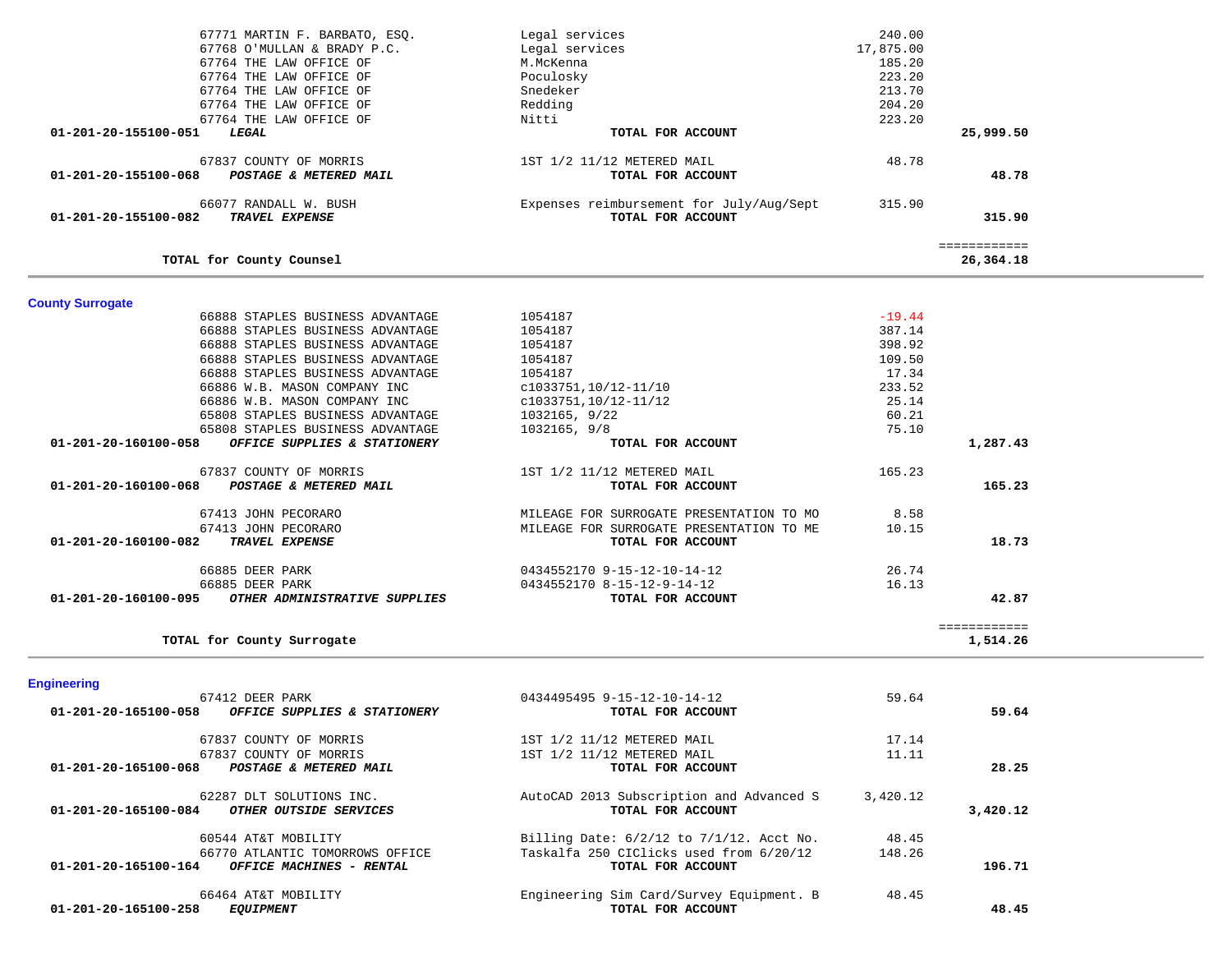|                         | 67771 MARTIN F. BARBATO, ESQ.    | Legal services                                | 240.00    |              |  |
|-------------------------|----------------------------------|-----------------------------------------------|-----------|--------------|--|
|                         | 67768 O'MULLAN & BRADY P.C.      | Legal services                                | 17,875.00 |              |  |
|                         | 67764 THE LAW OFFICE OF          | M.McKenna                                     | 185.20    |              |  |
|                         | 67764 THE LAW OFFICE OF          | Poculosky                                     | 223.20    |              |  |
|                         | 67764 THE LAW OFFICE OF          | Snedeker                                      | 213.70    |              |  |
|                         | 67764 THE LAW OFFICE OF          | Redding                                       | 204.20    |              |  |
|                         | 67764 THE LAW OFFICE OF          | Nitti                                         | 223.20    |              |  |
| 01-201-20-155100-051    | LEGAL                            | TOTAL FOR ACCOUNT                             |           | 25,999.50    |  |
|                         | 67837 COUNTY OF MORRIS           | 1ST 1/2 11/12 METERED MAIL                    | 48.78     |              |  |
| 01-201-20-155100-068    | POSTAGE & METERED MAIL           | TOTAL FOR ACCOUNT                             |           | 48.78        |  |
|                         | 66077 RANDALL W. BUSH            | Expenses reimbursement for July/Aug/Sept      | 315.90    |              |  |
| 01-201-20-155100-082    | TRAVEL EXPENSE                   | TOTAL FOR ACCOUNT                             |           | 315.90       |  |
|                         |                                  |                                               |           | ============ |  |
|                         | TOTAL for County Counsel         |                                               |           | 26,364.18    |  |
|                         |                                  |                                               |           |              |  |
| <b>County Surrogate</b> | 66888 STAPLES BUSINESS ADVANTAGE | 1054187                                       | $-19.44$  |              |  |
|                         | 66888 STAPLES BUSINESS ADVANTAGE | 1054187                                       | 387.14    |              |  |
|                         | 66888 STAPLES BUSINESS ADVANTAGE | 1054187                                       | 398.92    |              |  |
|                         | 66888 STAPLES BUSINESS ADVANTAGE | 1054187                                       | 109.50    |              |  |
|                         | 66888 STAPLES BUSINESS ADVANTAGE | 1054187                                       | 17.34     |              |  |
|                         | 66886 W.B. MASON COMPANY INC     | c1033751,10/12-11/10                          | 233.52    |              |  |
|                         | 66886 W.B. MASON COMPANY INC     | c1033751,10/12-11/12                          | 25.14     |              |  |
|                         | 65808 STAPLES BUSINESS ADVANTAGE | 1032165, 9/22                                 | 60.21     |              |  |
|                         | 65808 STAPLES BUSINESS ADVANTAGE | 1032165, 9/8                                  | 75.10     |              |  |
| 01-201-20-160100-058    | OFFICE SUPPLIES & STATIONERY     | TOTAL FOR ACCOUNT                             |           | 1,287.43     |  |
|                         | 67837 COUNTY OF MORRIS           | 1ST 1/2 11/12 METERED MAIL                    | 165.23    |              |  |
| 01-201-20-160100-068    | POSTAGE & METERED MAIL           | TOTAL FOR ACCOUNT                             |           | 165.23       |  |
|                         | 67413 JOHN PECORARO              | MILEAGE FOR SURROGATE PRESENTATION TO MO      | 8.58      |              |  |
|                         | 67413 JOHN PECORARO              | MILEAGE FOR SURROGATE PRESENTATION TO ME      | 10.15     |              |  |
| 01-201-20-160100-082    | TRAVEL EXPENSE                   | TOTAL FOR ACCOUNT                             |           | 18.73        |  |
|                         | 66885 DEER PARK                  | 0434552170 9-15-12-10-14-12                   | 26.74     |              |  |
|                         | 66885 DEER PARK                  | 0434552170 8-15-12-9-14-12                    | 16.13     |              |  |
| 01-201-20-160100-095    | OTHER ADMINISTRATIVE SUPPLIES    | TOTAL FOR ACCOUNT                             |           | 42.87        |  |
|                         |                                  |                                               |           | ============ |  |
|                         | TOTAL for County Surrogate       |                                               |           | 1,514.26     |  |
| <b>Engineering</b>      |                                  |                                               |           |              |  |
|                         | 67412 DEER PARK                  | 0434495495 9-15-12-10-14-12                   | 59.64     |              |  |
| 01-201-20-165100-058    | OFFICE SUPPLIES & STATIONERY     | TOTAL FOR ACCOUNT                             |           | 59.64        |  |
|                         | 67837 COUNTY OF MORRIS           | 1ST 1/2 11/12 METERED MAIL                    | 17.14     |              |  |
|                         | 67837 COUNTY OF MORRIS           | 1ST 1/2 11/12 METERED MAIL                    | 11.11     |              |  |
| 01-201-20-165100-068    | POSTAGE & METERED MAIL           | TOTAL FOR ACCOUNT                             |           | 28.25        |  |
|                         | 62287 DLT SOLUTIONS INC.         | AutoCAD 2013 Subscription and Advanced S      | 3,420.12  |              |  |
| 01-201-20-165100-084    | OTHER OUTSIDE SERVICES           | TOTAL FOR ACCOUNT                             |           | 3,420.12     |  |
|                         | 60544 AT&T MOBILITY              | Billing Date: $6/2/12$ to $7/1/12$ . Acct No. | 48.45     |              |  |
|                         | 66770 ATLANTIC TOMORROWS OFFICE  | Taskalfa 250 CIClicks used from 6/20/12       | 148.26    |              |  |
| 01-201-20-165100-164    | OFFICE MACHINES - RENTAL         | TOTAL FOR ACCOUNT                             |           | 196.71       |  |
|                         | 66464 AT&T MOBILITY              | Engineering Sim Card/Survey Equipment. B      | 48.45     |              |  |
| 01-201-20-165100-258    | <b>EQUIPMENT</b>                 | TOTAL FOR ACCOUNT                             |           | 48.45        |  |
|                         |                                  |                                               |           |              |  |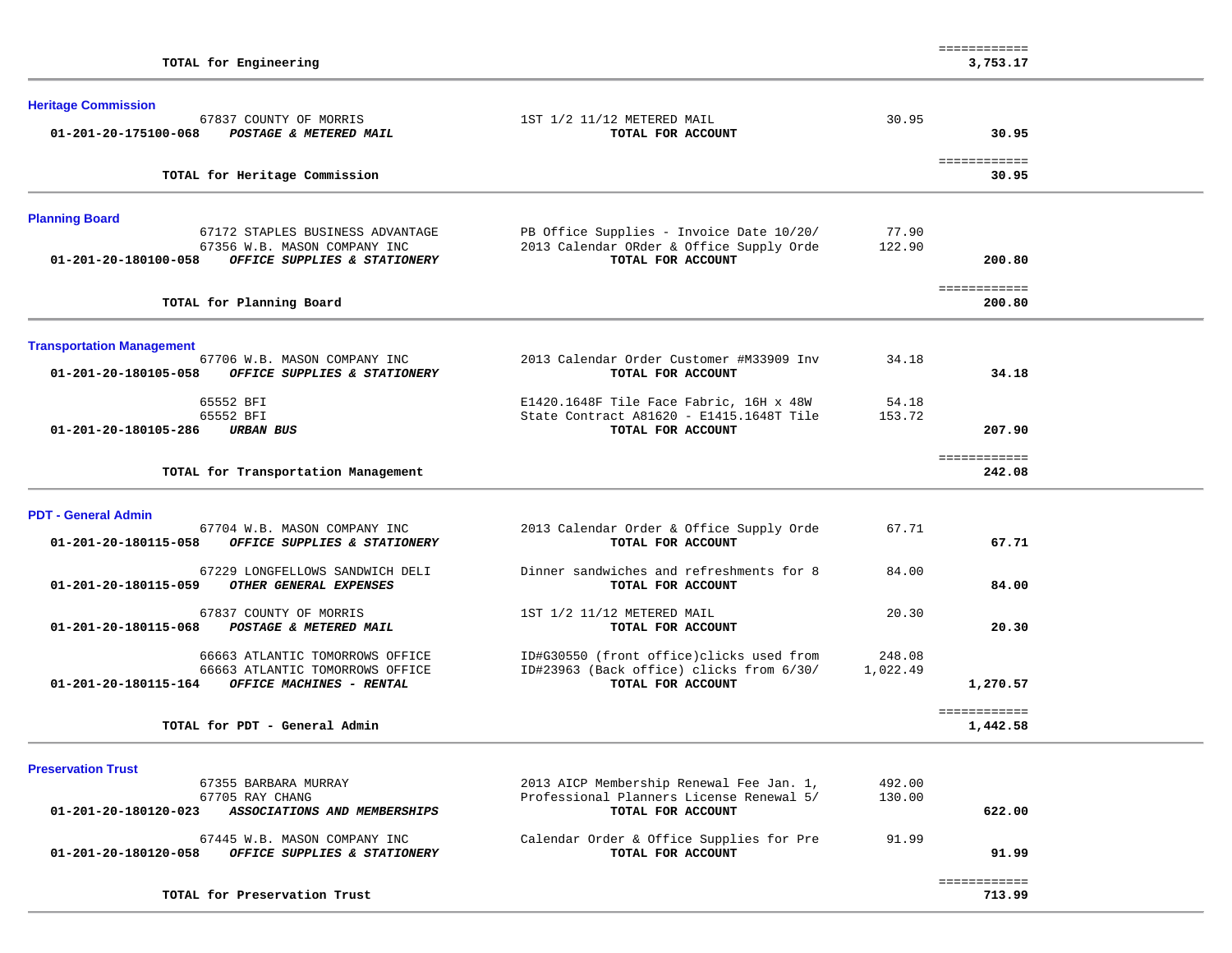| TOTAL for Engineering                                                                                                                             |                                                                                                           |                    | ============<br>3,753.17 |  |
|---------------------------------------------------------------------------------------------------------------------------------------------------|-----------------------------------------------------------------------------------------------------------|--------------------|--------------------------|--|
| <b>Heritage Commission</b><br>67837 COUNTY OF MORRIS<br>01-201-20-175100-068<br>POSTAGE & METERED MAIL                                            | 1ST 1/2 11/12 METERED MAIL<br>TOTAL FOR ACCOUNT                                                           | 30.95              | 30.95                    |  |
| TOTAL for Heritage Commission                                                                                                                     |                                                                                                           |                    | ============<br>30.95    |  |
| <b>Planning Board</b><br>67172 STAPLES BUSINESS ADVANTAGE<br>67356 W.B. MASON COMPANY INC<br>OFFICE SUPPLIES & STATIONERY<br>01-201-20-180100-058 | PB Office Supplies - Invoice Date 10/20/<br>2013 Calendar ORder & Office Supply Orde<br>TOTAL FOR ACCOUNT | 77.90<br>122.90    | 200.80                   |  |
| TOTAL for Planning Board                                                                                                                          |                                                                                                           |                    | ============<br>200.80   |  |
| <b>Transportation Management</b><br>67706 W.B. MASON COMPANY INC<br>01-201-20-180105-058<br>OFFICE SUPPLIES & STATIONERY                          | 2013 Calendar Order Customer #M33909 Inv<br>TOTAL FOR ACCOUNT                                             | 34.18              | 34.18                    |  |
| 65552 BFI<br>65552 BFI<br>01-201-20-180105-286<br><b>URBAN BUS</b>                                                                                | E1420.1648F Tile Face Fabric, 16H x 48W<br>State Contract A81620 - E1415.1648T Tile<br>TOTAL FOR ACCOUNT  | 54.18<br>153.72    | 207.90                   |  |
| TOTAL for Transportation Management                                                                                                               |                                                                                                           |                    | ============<br>242.08   |  |
| <b>PDT - General Admin</b><br>67704 W.B. MASON COMPANY INC<br>OFFICE SUPPLIES & STATIONERY<br>01-201-20-180115-058                                | 2013 Calendar Order & Office Supply Orde<br>TOTAL FOR ACCOUNT                                             | 67.71              | 67.71                    |  |
| 67229 LONGFELLOWS SANDWICH DELI<br>01-201-20-180115-059<br>OTHER GENERAL EXPENSES                                                                 | Dinner sandwiches and refreshments for 8<br>TOTAL FOR ACCOUNT                                             | 84.00              | 84.00                    |  |
| 67837 COUNTY OF MORRIS<br>01-201-20-180115-068<br>POSTAGE & METERED MAIL                                                                          | 1ST 1/2 11/12 METERED MAIL<br>TOTAL FOR ACCOUNT                                                           | 20.30              | 20.30                    |  |
| 66663 ATLANTIC TOMORROWS OFFICE<br>66663 ATLANTIC TOMORROWS OFFICE<br>01-201-20-180115-164<br>OFFICE MACHINES - RENTAL                            | ID#G30550 (front office)clicks used from<br>ID#23963 (Back office) clicks from 6/30/<br>TOTAL FOR ACCOUNT | 248.08<br>1,022.49 | 1,270.57                 |  |
| TOTAL for PDT - General Admin                                                                                                                     |                                                                                                           |                    | ============<br>1,442.58 |  |
| <b>Preservation Trust</b><br>67355 BARBARA MURRAY<br>67705 RAY CHANG<br>ASSOCIATIONS AND MEMBERSHIPS<br>01-201-20-180120-023                      | 2013 AICP Membership Renewal Fee Jan. 1,<br>Professional Planners License Renewal 5/<br>TOTAL FOR ACCOUNT | 492.00<br>130.00   | 622.00                   |  |
| 67445 W.B. MASON COMPANY INC<br>OFFICE SUPPLIES & STATIONERY<br>01-201-20-180120-058                                                              | Calendar Order & Office Supplies for Pre<br>TOTAL FOR ACCOUNT                                             | 91.99              | 91.99                    |  |
| TOTAL for Preservation Trust                                                                                                                      |                                                                                                           |                    | ============<br>713.99   |  |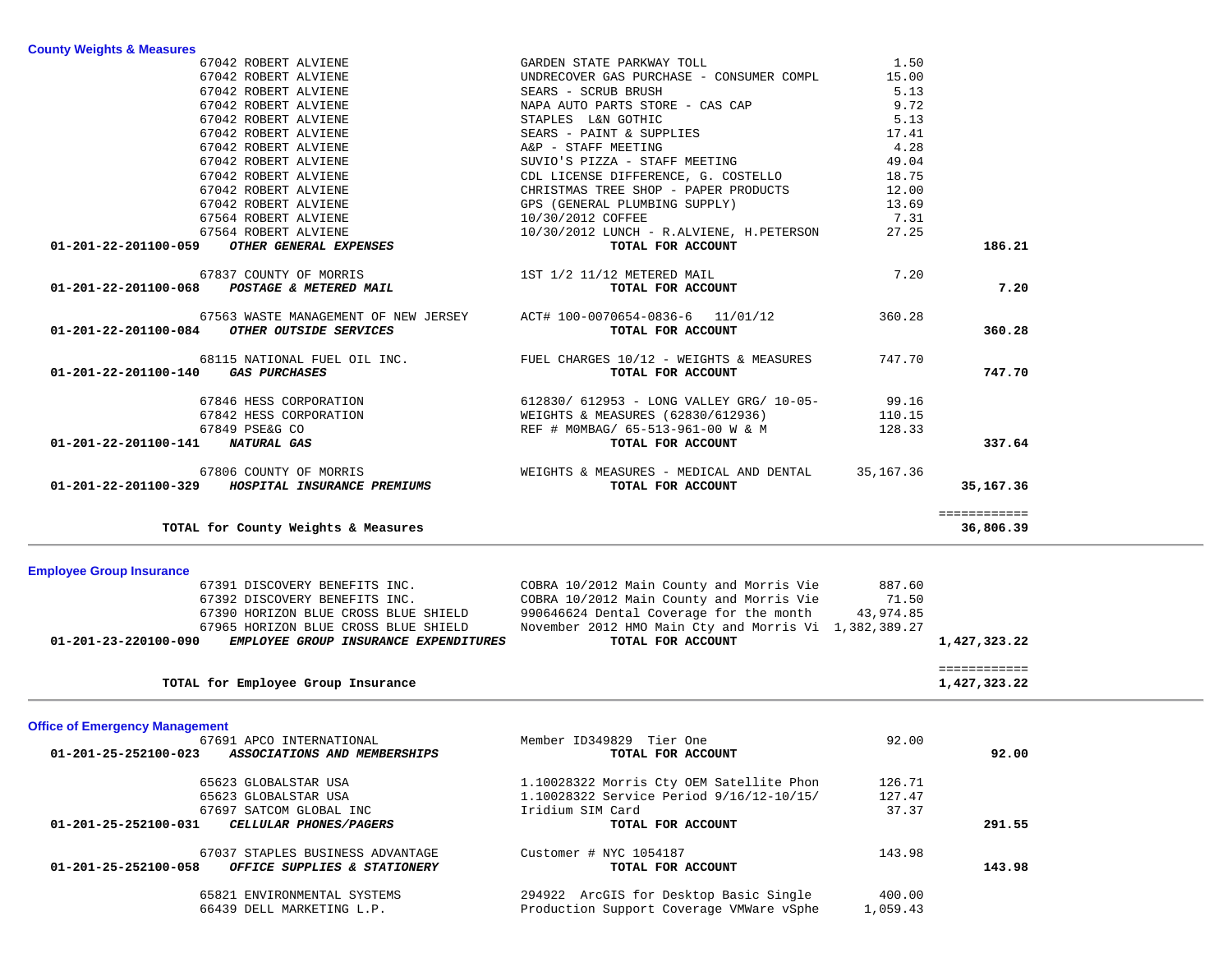| 01-201-23-220100-090                        | EMPLOYEE GROUP INSURANCE EXPENDITURES                                      | TOTAL FOR ACCOUNT                                                                         |                | 1,427,323.22 |  |
|---------------------------------------------|----------------------------------------------------------------------------|-------------------------------------------------------------------------------------------|----------------|--------------|--|
|                                             | 67965 HORIZON BLUE CROSS BLUE SHIELD                                       | November 2012 HMO Main Cty and Morris Vi 1,382,389.27                                     |                |              |  |
|                                             | 67390 HORIZON BLUE CROSS BLUE SHIELD                                       | 990646624 Dental Coverage for the month 43,974.85                                         |                |              |  |
|                                             | 67392 DISCOVERY BENEFITS INC.                                              | COBRA 10/2012 Main County and Morris Vie 71.50                                            |                |              |  |
|                                             | 67391 DISCOVERY BENEFITS INC.                                              | COBRA 10/2012 Main County and Morris Vie 887.60                                           |                |              |  |
| <b>Employee Group Insurance</b>             |                                                                            |                                                                                           |                |              |  |
|                                             | TOTAL for County Weights & Measures                                        |                                                                                           |                | 36,806.39    |  |
|                                             |                                                                            |                                                                                           |                | ============ |  |
|                                             | 67806 COUNTY OF MORRIS<br>01-201-22-201100-329 HOSPITAL INSURANCE PREMIUMS | WEIGHTS & MEASURES - MEDICAL AND DENTAL 35,167.36<br>TOTAL FOR ACCOUNT                    |                | 35,167.36    |  |
| 01-201-22-201100-141 NATURAL GAS            |                                                                            | TOTAL FOR ACCOUNT                                                                         |                |              |  |
|                                             |                                                                            | REF # MOMBAG/ 65-513-961-00 W & M 128.33                                                  |                | 337.64       |  |
|                                             | 67842 HESS CORPORATION<br>67849 PSE&G CO                                   | WEIGHTS & MEASURES (62830/612936) 110.15                                                  |                |              |  |
|                                             |                                                                            | 67846 HESS CORPORATION 612830/612953 - LONG VALLEY GRG/10-05- 99.16                       |                |              |  |
|                                             |                                                                            |                                                                                           |                |              |  |
| 01-201-22-201100-140                        | <b>GAS PURCHASES</b>                                                       | 68115 NATIONAL FUEL OIL INC. FUEL CHARGES 10/12 - WEIGHTS & MEASURES<br>TOTAL FOR ACCOUNT | 747.70         | 747.70       |  |
| 01-201-22-201100-084 OTHER OUTSIDE SERVICES |                                                                            | TOTAL FOR ACCOUNT                                                                         |                | 360.28       |  |
|                                             | 67563 WASTE MANAGEMENT OF NEW JERSEY ACT# 100-0070654-0836-6 11/01/12      |                                                                                           | 360.28         |              |  |
| 01-201-22-201100-068 POSTAGE & METERED MAIL |                                                                            | TOTAL FOR ACCOUNT                                                                         |                | 7.20         |  |
|                                             | 67837 COUNTY OF MORRIS                                                     | 1ST 1/2 11/12 METERED MAIL                                                                | 7.20           |              |  |
| 01-201-22-201100-059                        | OTHER GENERAL EXPENSES                                                     | TOTAL FOR ACCOUNT                                                                         |                | 186.21       |  |
|                                             | 67564 ROBERT ALVIENE                                                       | 10/30/2012 LUNCH - R.ALVIENE, H.PETERSON                                                  | 27.25          |              |  |
|                                             | 67564 ROBERT ALVIENE                                                       | 10/30/2012 COFFEE                                                                         | 7.31           |              |  |
|                                             | 67042 ROBERT ALVIENE                                                       | GPS (GENERAL PLUMBING SUPPLY)                                                             | 13.69          |              |  |
|                                             | 67042 ROBERT ALVIENE                                                       | CHRISTMAS TREE SHOP - PAPER PRODUCTS                                                      | 12.00          |              |  |
|                                             |                                                                            |                                                                                           |                |              |  |
|                                             | 67042 ROBERT ALVIENE<br>67042 ROBERT ALVIENE                               | SUVIO'S PIZZA - STAFF MEETING<br>CDL LICENSE DIFFERENCE, G. COSTELLO                      | 49.04<br>18.75 |              |  |

67042 ROBERT ALVIENE GARDEN STATE PARKWAY TOLL 1.50

67042 ROBERT ALVIENE SEARS - SCRUB BRUSH 5.13

67042 ROBERT ALVIENE **A**&P - STAFF MEETING **A** 28

15.00

9.72

 $5.13$ <br> $17.41$ 

 $49.04$ 

67042 ROBERT ALVIENE **12.000 FM 15.000 EUNDRECOVER GAS PURCHASE** - CONSUMER COMPL

67042 ROBERT ALVIENE NAPA AUTO PARTS STORE - CAS CAP

67042 ROBERT ALVIENE STAPLES L&N GOTHIC

67042 ROBERT ALVIENE SEARS - PAINT & SUPPLIES

 ============ 1,427,323.22 TOTAL for Employee Group Insurance

#### **Office of Emergency Management**

| 67691 APCO INTERNATIONAL                                                                 | Member ID349829 Tier One                    | 92.00    |        |
|------------------------------------------------------------------------------------------|---------------------------------------------|----------|--------|
| $01 - 201 - 25 - 252100 - 023$<br>ASSOCIATIONS AND MEMBERSHIPS                           | TOTAL FOR ACCOUNT                           |          | 92.00  |
| 65623 GLOBALSTAR USA                                                                     | 1.10028322 Morris Cty OEM Satellite Phon    | 126.71   |        |
| 65623 GLOBALSTAR USA                                                                     | 1.10028322 Service Period 9/16/12-10/15/    | 127.47   |        |
| 67697 SATCOM GLOBAL INC                                                                  | Iridium SIM Card                            | 37.37    |        |
| $01 - 201 - 25 - 252100 - 031$<br><i>CELLULAR PHONES/PAGERS</i>                          | TOTAL FOR ACCOUNT                           |          | 291.55 |
| 67037 STAPLES BUSINESS ADVANTAGE<br>01-201-25-252100-058<br>OFFICE SUPPLIES & STATIONERY | Customer # NYC 1054187<br>TOTAL FOR ACCOUNT | 143.98   | 143.98 |
|                                                                                          |                                             |          |        |
| 65821 ENVIRONMENTAL SYSTEMS                                                              | 294922 ArcGIS for Desktop Basic Single      | 400.00   |        |
| 66439 DELL MARKETING L.P.                                                                | Production Support Coverage VMWare vSphe    | 1,059.43 |        |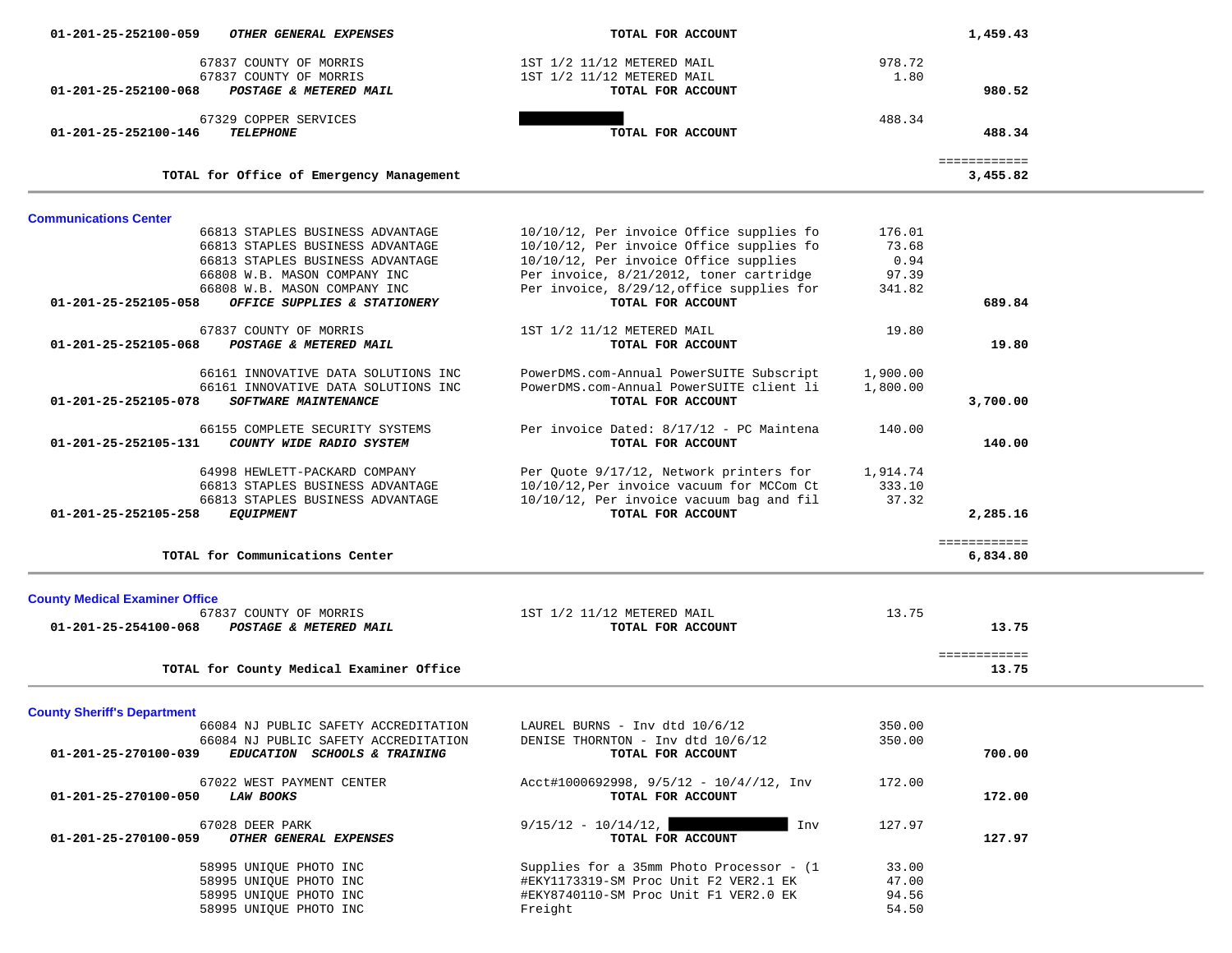| 01-201-25-252100-059                  | OTHER GENERAL EXPENSES                                               | TOTAL FOR ACCOUNT                                              |                | 1,459.43              |  |
|---------------------------------------|----------------------------------------------------------------------|----------------------------------------------------------------|----------------|-----------------------|--|
|                                       | 67837 COUNTY OF MORRIS                                               | 1ST 1/2 11/12 METERED MAIL                                     | 978.72         |                       |  |
|                                       | 67837 COUNTY OF MORRIS                                               | 1ST 1/2 11/12 METERED MAIL                                     | 1.80           |                       |  |
| 01-201-25-252100-068                  | POSTAGE & METERED MAIL                                               | TOTAL FOR ACCOUNT                                              |                | 980.52                |  |
|                                       | 67329 COPPER SERVICES                                                |                                                                | 488.34         |                       |  |
| 01-201-25-252100-146                  | <b>TELEPHONE</b>                                                     | TOTAL FOR ACCOUNT                                              |                | 488.34                |  |
|                                       |                                                                      |                                                                |                | ============          |  |
|                                       | TOTAL for Office of Emergency Management                             |                                                                |                | 3,455.82              |  |
| <b>Communications Center</b>          |                                                                      |                                                                |                |                       |  |
|                                       | 66813 STAPLES BUSINESS ADVANTAGE                                     | 10/10/12, Per invoice Office supplies fo                       | 176.01         |                       |  |
|                                       | 66813 STAPLES BUSINESS ADVANTAGE                                     | 10/10/12, Per invoice Office supplies fo                       | 73.68          |                       |  |
|                                       | 66813 STAPLES BUSINESS ADVANTAGE                                     | 10/10/12, Per invoice Office supplies                          | 0.94           |                       |  |
|                                       | 66808 W.B. MASON COMPANY INC                                         | Per invoice, 8/21/2012, toner cartridge                        | 97.39          |                       |  |
| 01-201-25-252105-058                  | 66808 W.B. MASON COMPANY INC<br>OFFICE SUPPLIES & STATIONERY         | Per invoice, 8/29/12, office supplies for<br>TOTAL FOR ACCOUNT | 341.82         | 689.84                |  |
|                                       |                                                                      |                                                                |                |                       |  |
|                                       | 67837 COUNTY OF MORRIS                                               | 1ST 1/2 11/12 METERED MAIL                                     | 19.80          |                       |  |
| 01-201-25-252105-068                  | POSTAGE & METERED MAIL                                               | TOTAL FOR ACCOUNT                                              |                | 19.80                 |  |
|                                       | 66161 INNOVATIVE DATA SOLUTIONS INC                                  | PowerDMS.com-Annual PowerSUITE Subscript                       | 1,900.00       |                       |  |
|                                       | 66161 INNOVATIVE DATA SOLUTIONS INC                                  | PowerDMS.com-Annual PowerSUITE client li                       | 1,800.00       |                       |  |
| $01 - 201 - 25 - 252105 - 078$        | SOFTWARE MAINTENANCE                                                 | TOTAL FOR ACCOUNT                                              |                | 3,700.00              |  |
|                                       |                                                                      |                                                                |                |                       |  |
| 01-201-25-252105-131                  | 66155 COMPLETE SECURITY SYSTEMS<br>COUNTY WIDE RADIO SYSTEM          | Per invoice Dated: 8/17/12 - PC Maintena<br>TOTAL FOR ACCOUNT  | 140.00         | 140.00                |  |
|                                       |                                                                      |                                                                |                |                       |  |
|                                       | 64998 HEWLETT-PACKARD COMPANY                                        | Per Quote 9/17/12, Network printers for                        | 1,914.74       |                       |  |
|                                       | 66813 STAPLES BUSINESS ADVANTAGE                                     | 10/10/12, Per invoice vacuum for MCCom Ct                      | 333.10         |                       |  |
|                                       | 66813 STAPLES BUSINESS ADVANTAGE                                     | 10/10/12, Per invoice vacuum bag and fil                       | 37.32          |                       |  |
| 01-201-25-252105-258                  | <b>EQUIPMENT</b>                                                     | TOTAL FOR ACCOUNT                                              |                | 2,285.16              |  |
|                                       |                                                                      |                                                                |                | ============          |  |
|                                       | TOTAL for Communications Center                                      |                                                                |                | 6,834.80              |  |
| <b>County Medical Examiner Office</b> |                                                                      |                                                                |                |                       |  |
|                                       | 67837 COUNTY OF MORRIS                                               | 1ST 1/2 11/12 METERED MAIL                                     | 13.75          |                       |  |
| 01-201-25-254100-068                  | POSTAGE & METERED MAIL                                               | TOTAL FOR ACCOUNT                                              |                | 13.75                 |  |
|                                       |                                                                      |                                                                |                |                       |  |
|                                       | TOTAL for County Medical Examiner Office                             |                                                                |                | ============<br>13.75 |  |
|                                       |                                                                      |                                                                |                |                       |  |
| <b>County Sheriff's Department</b>    |                                                                      |                                                                |                |                       |  |
|                                       | 66084 NJ PUBLIC SAFETY ACCREDITATION                                 | LAUREL BURNS - Inv dtd 10/6/12                                 | 350.00         |                       |  |
| 01-201-25-270100-039                  | 66084 NJ PUBLIC SAFETY ACCREDITATION<br>EDUCATION SCHOOLS & TRAINING | DENISE THORNTON - Inv dtd 10/6/12<br>TOTAL FOR ACCOUNT         | 350.00         | 700.00                |  |
|                                       |                                                                      |                                                                |                |                       |  |
|                                       | 67022 WEST PAYMENT CENTER                                            | Acct#1000692998, $9/5/12 - 10/4//12$ , Inv                     | 172.00         |                       |  |
| 01-201-25-270100-050                  | <b>LAW BOOKS</b>                                                     | TOTAL FOR ACCOUNT                                              |                | 172.00                |  |
|                                       | 67028 DEER PARK                                                      | $9/15/12 - 10/14/12,$<br>Inv                                   | 127.97         |                       |  |
| 01-201-25-270100-059                  | OTHER GENERAL EXPENSES                                               | TOTAL FOR ACCOUNT                                              |                | 127.97                |  |
|                                       |                                                                      |                                                                |                |                       |  |
|                                       | 58995 UNIQUE PHOTO INC                                               | Supplies for a 35mm Photo Processor - (1                       | 33.00          |                       |  |
|                                       | 58995 UNIQUE PHOTO INC                                               | #EKY1173319-SM Proc Unit F2 VER2.1 EK                          | 47.00          |                       |  |
|                                       | 58995 UNIQUE PHOTO INC<br>58995 UNIQUE PHOTO INC                     | #EKY8740110-SM Proc Unit F1 VER2.0 EK<br>Freight               | 94.56<br>54.50 |                       |  |
|                                       |                                                                      |                                                                |                |                       |  |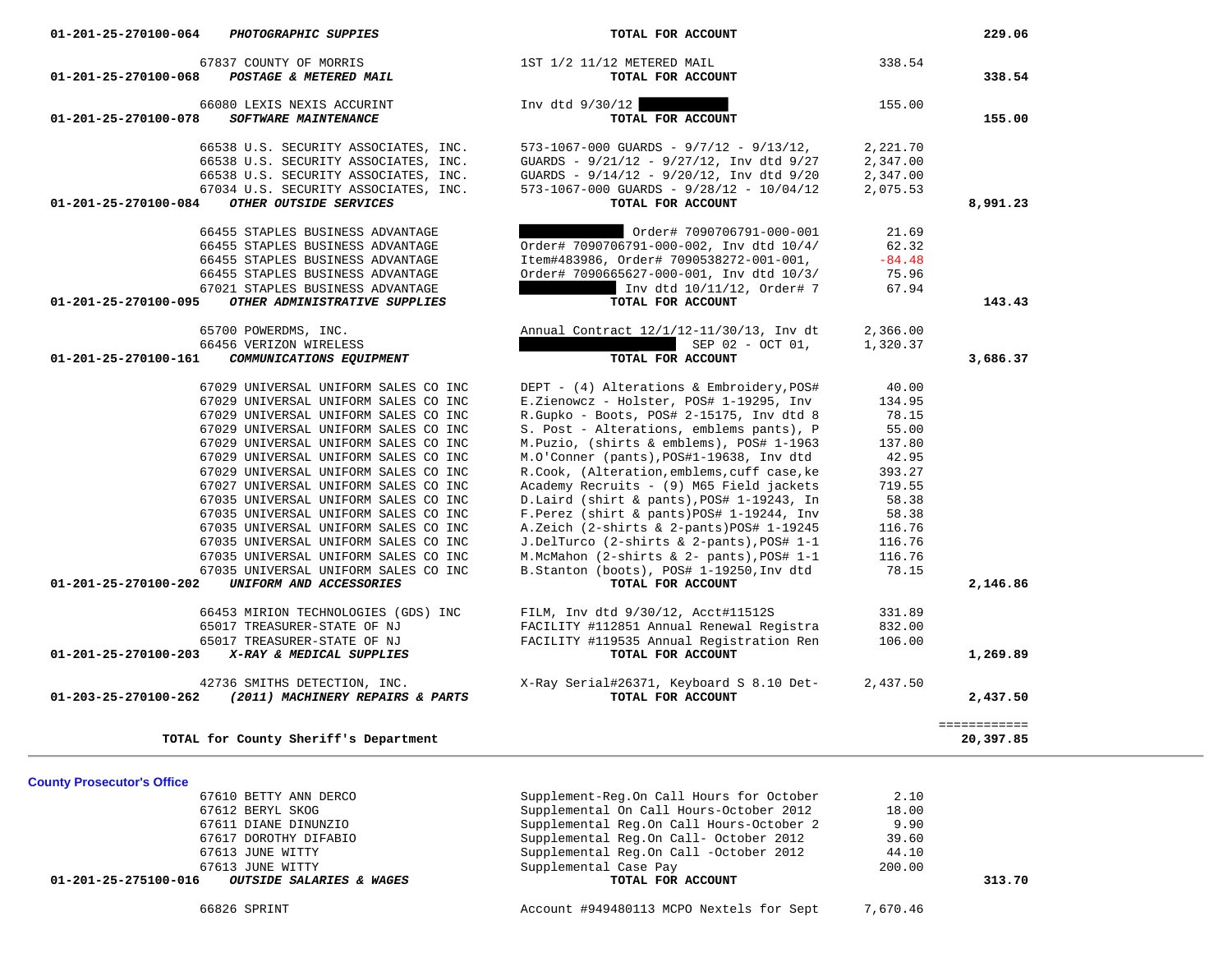| <b>County Prosecutor's Office</b>                                  |                                          |          |        |
|--------------------------------------------------------------------|------------------------------------------|----------|--------|
| 67610 BETTY ANN DERCO                                              | Supplement-Req.On Call Hours for October | 2.10     |        |
| 67612 BERYL SKOG                                                   | Supplemental On Call Hours-October 2012  | 18.00    |        |
| 67611 DIANE DINUNZIO                                               | Supplemental Req.On Call Hours-October 2 | 9.90     |        |
| 67617 DOROTHY DIFABIO                                              | Supplemental Reg.On Call- October 2012   | 39.60    |        |
| 67613 JUNE WITTY                                                   | Supplemental Reg.On Call -October 2012   | 44.10    |        |
| 67613 JUNE WITTY                                                   | Supplemental Case Pay                    | 200.00   |        |
| <i><b>OUTSIDE SALARIES &amp; WAGES</b></i><br>01-201-25-275100-016 | TOTAL FOR ACCOUNT                        |          | 313.70 |
| 66826 SPRINT                                                       | Account #949480113 MCPO Nextels for Sept | 7,670.46 |        |

| 229.06   |          | TOTAL FOR ACCOUNT                                                      | 01-201-25-270100-064<br><b>PHOTOGRAPHIC SUPPIES</b>               |
|----------|----------|------------------------------------------------------------------------|-------------------------------------------------------------------|
|          | 338.54   | 1ST 1/2 11/12 METERED MAIL                                             | 67837 COUNTY OF MORRIS                                            |
| 338.54   |          | TOTAL FOR ACCOUNT                                                      | 01-201-25-270100-068<br>POSTAGE & METERED MAIL                    |
|          | 155.00   | Inv dtd 9/30/12                                                        | 66080 LEXIS NEXIS ACCURINT                                        |
| 155.00   |          | TOTAL FOR ACCOUNT                                                      | 01-201-25-270100-078<br><b>SOFTWARE MAINTENANCE</b>               |
|          | 2,221.70 | $573 - 1067 - 000$ GUARDS - $9/7/12$ - $9/13/12$ ,                     | 66538 U.S. SECURITY ASSOCIATES, INC.                              |
|          | 2,347.00 | GUARDS - 9/21/12 - 9/27/12, Inv dtd 9/27                               | 66538 U.S. SECURITY ASSOCIATES, INC.                              |
|          | 2,347.00 | GUARDS - 9/14/12 - 9/20/12, Inv dtd 9/20                               | 66538 U.S. SECURITY ASSOCIATES, INC.                              |
|          | 2,075.53 | $573-1067-000$ GUARDS - $9/28/12$ - $10/04/12$                         | 67034 U.S. SECURITY ASSOCIATES, INC.                              |
| 8,991.23 |          | TOTAL FOR ACCOUNT                                                      | OTHER OUTSIDE SERVICES<br>01-201-25-270100-084                    |
|          |          |                                                                        |                                                                   |
|          | 21.69    | Order# 7090706791-000-001                                              | 66455 STAPLES BUSINESS ADVANTAGE                                  |
|          | 62.32    | Order# 7090706791-000-002, Inv dtd 10/4/                               | 66455 STAPLES BUSINESS ADVANTAGE                                  |
|          | $-84.48$ | Item#483986, Order# 7090538272-001-001,                                | 66455 STAPLES BUSINESS ADVANTAGE                                  |
|          | 75.96    | Order# 7090665627-000-001, Inv dtd 10/3/<br>Inv dtd 10/11/12, Order# 7 | 66455 STAPLES BUSINESS ADVANTAGE                                  |
| 143.43   | 67.94    | TOTAL FOR ACCOUNT                                                      | 67021 STAPLES BUSINESS ADVANTAGE<br>OTHER ADMINISTRATIVE SUPPLIES |
|          |          |                                                                        | 01-201-25-270100-095                                              |
|          | 2,366.00 | Annual Contract 12/1/12-11/30/13, Inv dt                               | 65700 POWERDMS, INC.                                              |
|          | 1,320.37 | SEP 02 - OCT 01,                                                       | 66456 VERIZON WIRELESS                                            |
| 3,686.37 |          | TOTAL FOR ACCOUNT                                                      | 01-201-25-270100-161<br>COMMUNICATIONS EQUIPMENT                  |
|          | 40.00    | DEPT - (4) Alterations & Embroidery, POS#                              | 67029 UNIVERSAL UNIFORM SALES CO INC                              |
|          | 134.95   | E.Zienowcz - Holster, POS# 1-19295, Inv                                | 67029 UNIVERSAL UNIFORM SALES CO INC                              |
|          | 78.15    | R.Gupko - Boots, POS# 2-15175, Inv dtd 8                               | 67029 UNIVERSAL UNIFORM SALES CO INC                              |
|          | 55.00    | S. Post - Alterations, emblems pants), P                               | 67029 UNIVERSAL UNIFORM SALES CO INC                              |
|          | 137.80   | M.Puzio, (shirts & emblems), POS# 1-1963                               | 67029 UNIVERSAL UNIFORM SALES CO INC                              |
|          | 42.95    | M.O'Conner (pants), POS#1-19638, Inv dtd                               | 67029 UNIVERSAL UNIFORM SALES CO INC                              |
|          | 393.27   | R.Cook, (Alteration, emblems, cuff case, ke                            | 67029 UNIVERSAL UNIFORM SALES CO INC                              |
|          | 719.55   | Academy Recruits - (9) M65 Field jackets                               | 67027 UNIVERSAL UNIFORM SALES CO INC                              |
|          | 58.38    | D.Laird (shirt & pants), POS# 1-19243, In                              | 67035 UNIVERSAL UNIFORM SALES CO INC                              |
|          | 58.38    | F.Perez (shirt & pants)POS# 1-19244, Inv                               | 67035 UNIVERSAL UNIFORM SALES CO INC                              |
|          | 116.76   | A.Zeich (2-shirts & 2-pants)POS# 1-19245                               | 67035 UNIVERSAL UNIFORM SALES CO INC                              |
|          | 116.76   | J.DelTurco (2-shirts & 2-pants), POS# 1-1                              | 67035 UNIVERSAL UNIFORM SALES CO INC                              |
|          | 116.76   | M.McMahon (2-shirts & 2- pants), POS# 1-1                              | 67035 UNIVERSAL UNIFORM SALES CO INC                              |
|          | 78.15    | B.Stanton (boots), POS# 1-19250, Inv dtd                               | 67035 UNIVERSAL UNIFORM SALES CO INC                              |
| 2,146.86 |          | TOTAL FOR ACCOUNT                                                      | 01-201-25-270100-202<br>UNIFORM AND ACCESSORIES                   |
|          | 331.89   | FILM, Inv dtd 9/30/12, Acct#11512S                                     | 66453 MIRION TECHNOLOGIES (GDS) INC                               |
|          | 832.00   | FACILITY #112851 Annual Renewal Registra                               | 65017 TREASURER-STATE OF NJ                                       |
|          | 106.00   | FACILITY #119535 Annual Registration Ren                               | 65017 TREASURER-STATE OF NJ                                       |
| 1,269.89 |          | TOTAL FOR ACCOUNT                                                      | X-RAY & MEDICAL SUPPLIES<br>01-201-25-270100-203                  |
|          | 2,437.50 | X-Ray Serial#26371, Keyboard S 8.10 Det-                               | 42736 SMITHS DETECTION, INC.                                      |
|          |          |                                                                        |                                                                   |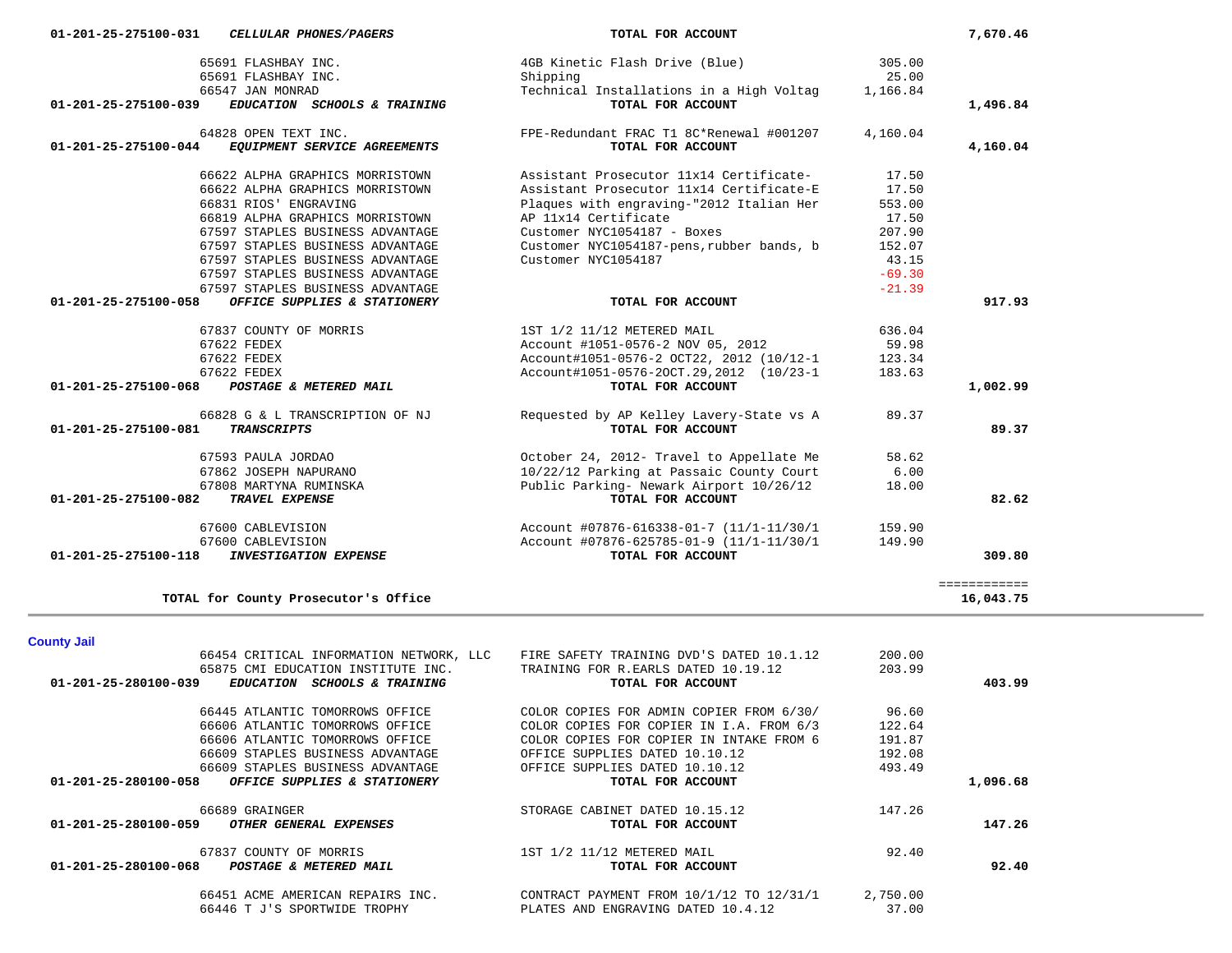| 66454 CRITICAL INFORMATION NETWORK, LLC                                                                                | FIRE SAFETY TRAINING DVD'S DATED 10.1.12                 | 200.00   |          |
|------------------------------------------------------------------------------------------------------------------------|----------------------------------------------------------|----------|----------|
| 65875 CMI EDUCATION INSTITUTE INC.<br>01-201-25-280100-039<br><i><b>EDUCATION</b></i><br><b>SCHOOLS &amp; TRAINING</b> | TRAINING FOR R.EARLS DATED 10.19.12<br>TOTAL FOR ACCOUNT | 203.99   | 403.99   |
| 66445 ATLANTIC TOMORROWS OFFICE                                                                                        | COLOR COPIES FOR ADMIN COPIER FROM 6/30/                 | 96.60    |          |
| 66606 ATLANTIC TOMORROWS OFFICE                                                                                        | COLOR COPIES FOR COPIER IN I.A. FROM 6/3                 | 122.64   |          |
| 66606 ATLANTIC TOMORROWS OFFICE                                                                                        | COLOR COPIES FOR COPIER IN INTAKE FROM 6                 | 191.87   |          |
| 66609 STAPLES BUSINESS ADVANTAGE                                                                                       | OFFICE SUPPLIES DATED 10.10.12                           | 192.08   |          |
| 66609 STAPLES BUSINESS ADVANTAGE                                                                                       | OFFICE SUPPLIES DATED 10.10.12                           | 493.49   |          |
| 01-201-25-280100-058<br>OFFICE SUPPLIES & STATIONERY                                                                   | TOTAL FOR ACCOUNT                                        |          | 1,096.68 |
| 66689 GRAINGER                                                                                                         | STORAGE CABINET DATED 10.15.12                           | 147.26   |          |
| $01 - 201 - 25 - 280100 - 059$<br>OTHER GENERAL EXPENSES                                                               | TOTAL FOR ACCOUNT                                        |          | 147.26   |
| 67837 COUNTY OF MORRIS                                                                                                 | 1ST 1/2 11/12 METERED MAIL                               | 92.40    |          |
| $01 - 201 - 25 - 280100 - 068$<br>POSTAGE & METERED MAIL                                                               | TOTAL FOR ACCOUNT                                        |          | 92.40    |
| 66451 ACME AMERICAN REPAIRS INC.                                                                                       | CONTRACT PAYMENT FROM 10/1/12 TO 12/31/1                 | 2,750.00 |          |
| 66446 T J'S SPORTWIDE TROPHY                                                                                           | PLATES AND ENGRAVING DATED 10.4.12                       | 37.00    |          |

============

### **County Jail**

|                                | 65691 FLASHBAY INC.              | Shipping                                  | 25.00    |          |
|--------------------------------|----------------------------------|-------------------------------------------|----------|----------|
|                                | 66547 JAN MONRAD                 | Technical Installations in a High Voltag  | 1,166.84 |          |
| 01-201-25-275100-039           | EDUCATION SCHOOLS & TRAINING     | TOTAL FOR ACCOUNT                         |          | 1,496.84 |
|                                | 64828 OPEN TEXT INC.             | FPE-Redundant FRAC T1 8C*Renewal #001207  | 4,160.04 |          |
| $01 - 201 - 25 - 275100 - 044$ | EQUIPMENT SERVICE AGREEMENTS     | TOTAL FOR ACCOUNT                         |          | 4,160.04 |
|                                | 66622 ALPHA GRAPHICS MORRISTOWN  | Assistant Prosecutor 11x14 Certificate-   | 17.50    |          |
|                                | 66622 ALPHA GRAPHICS MORRISTOWN  | Assistant Prosecutor 11x14 Certificate-E  | 17.50    |          |
|                                | 66831 RIOS' ENGRAVING            | Plaques with engraving-"2012 Italian Her  | 553.00   |          |
|                                | 66819 ALPHA GRAPHICS MORRISTOWN  | AP 11x14 Certificate                      | 17.50    |          |
|                                | 67597 STAPLES BUSINESS ADVANTAGE | Customer NYC1054187 - Boxes               | 207.90   |          |
|                                | 67597 STAPLES BUSINESS ADVANTAGE | Customer NYC1054187-pens, rubber bands, b | 152.07   |          |
|                                | 67597 STAPLES BUSINESS ADVANTAGE | Customer NYC1054187                       | 43.15    |          |
|                                | 67597 STAPLES BUSINESS ADVANTAGE |                                           | $-69.30$ |          |
|                                | 67597 STAPLES BUSINESS ADVANTAGE |                                           | $-21.39$ |          |
| 01-201-25-275100-058           | OFFICE SUPPLIES & STATIONERY     | TOTAL FOR ACCOUNT                         |          | 917.93   |
|                                | 67837 COUNTY OF MORRIS           | 1ST 1/2 11/12 METERED MAIL                | 636.04   |          |
|                                | 67622 FEDEX                      | Account #1051-0576-2 NOV 05, 2012         | 59.98    |          |
|                                | 67622 FEDEX                      | Account#1051-0576-2 OCT22, 2012 (10/12-1  | 123.34   |          |
|                                | 67622 FEDEX                      | Account#1051-0576-20CT.29,2012 (10/23-1)  | 183.63   |          |
| 01-201-25-275100-068           | POSTAGE & METERED MAIL           | TOTAL FOR ACCOUNT                         |          | 1,002.99 |
|                                | 66828 G & L TRANSCRIPTION OF NJ  | Requested by AP Kelley Lavery-State vs A  | 89.37    |          |
| 01-201-25-275100-081           | <b>TRANSCRIPTS</b>               | TOTAL FOR ACCOUNT                         |          | 89.37    |
|                                | 67593 PAULA JORDAO               | October 24, 2012- Travel to Appellate Me  | 58.62    |          |
|                                | 67862 JOSEPH NAPURANO            | 10/22/12 Parking at Passaic County Court  | 6.00     |          |
|                                | 67808 MARTYNA RUMINSKA           | Public Parking- Newark Airport 10/26/12   | 18.00    |          |
| 01-201-25-275100-082           | TRAVEL EXPENSE                   | TOTAL FOR ACCOUNT                         |          | 82.62    |
|                                | 67600 CABLEVISION                | Account #07876-616338-01-7 (11/1-11/30/1  | 159.90   |          |
|                                | 67600 CABLEVISION                | Account #07876-625785-01-9 (11/1-11/30/1) | 149.90   |          |
| 01-201-25-275100-118           | <b>INVESTIGATION EXPENSE</b>     | TOTAL FOR ACCOUNT                         |          | 309.80   |

65691 FLASHBAY INC. 4GB Kinetic Flash Drive (Blue) 305.00

**TOTAL for County Prosecutor's Office 16,043.75**

16,043.75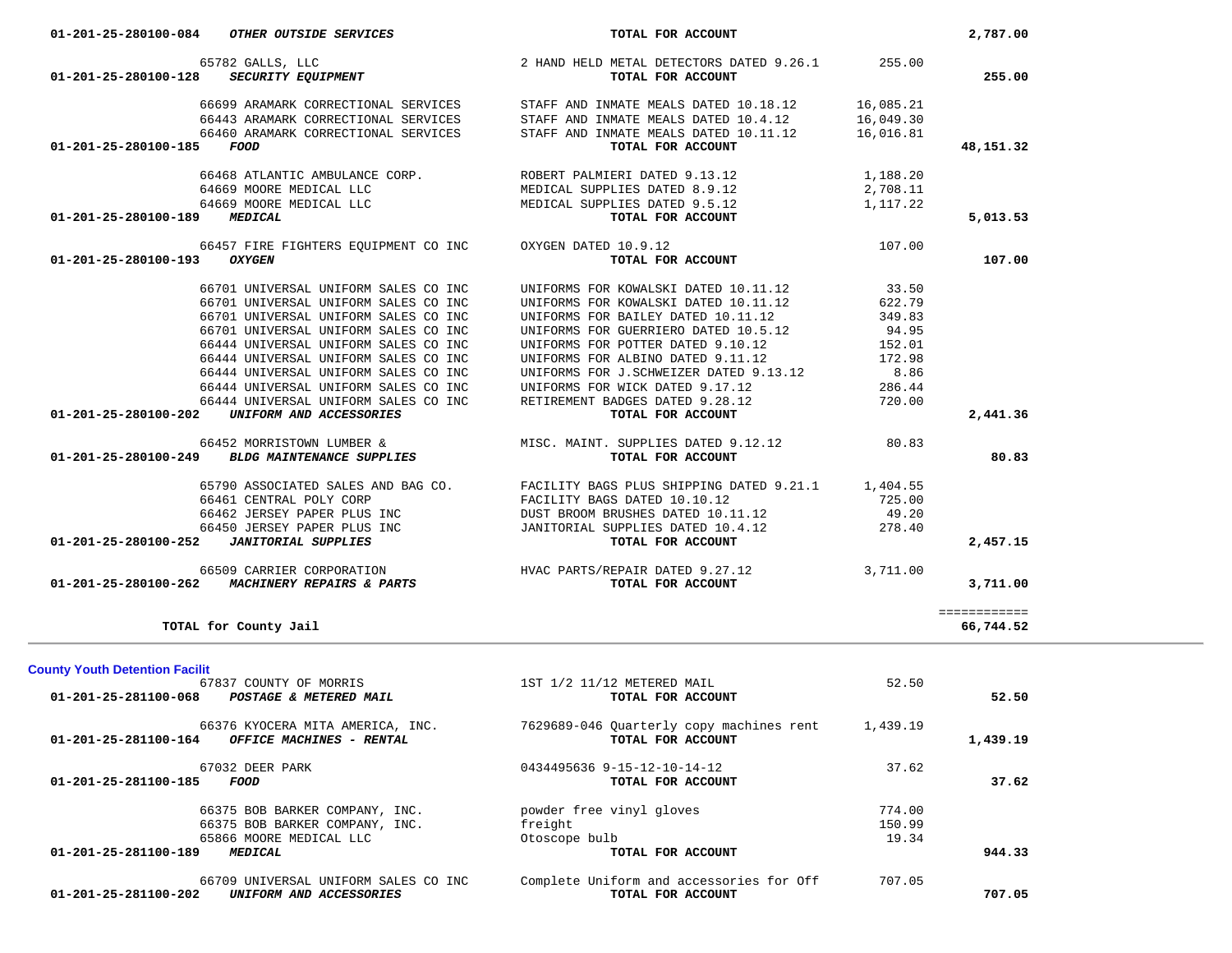| 64669 MOORE MEDICAL LLC<br>MEDICAL SUPPLIES DATED 9.5.12<br>1,117.22<br>01-201-25-280100-189<br>MEDICAL<br>TOTAL FOR ACCOUNT                                        |           |
|---------------------------------------------------------------------------------------------------------------------------------------------------------------------|-----------|
|                                                                                                                                                                     | 5,013.53  |
| OXYGEN DATED 10.9.12<br>66457 FIRE FIGHTERS EQUIPMENT CO INC<br>107.00<br>TOTAL FOR ACCOUNT<br>01-201-25-280100-193<br><b>OXYGEN</b>                                | 107.00    |
| 66701 UNIVERSAL UNIFORM SALES CO INC<br>UNIFORMS FOR KOWALSKI DATED 10.11.12<br>33.50                                                                               |           |
| 66701 UNIVERSAL UNIFORM SALES CO INC<br>UNIFORMS FOR KOWALSKI DATED 10.11.12<br>622.79                                                                              |           |
| 66701 UNIVERSAL UNIFORM SALES CO INC<br>UNIFORMS FOR BAILEY DATED 10.11.12<br>349.83<br>94.95                                                                       |           |
| 66701 UNIVERSAL UNIFORM SALES CO INC<br>UNIFORMS FOR GUERRIERO DATED 10.5.12<br>66444 UNIVERSAL UNIFORM SALES CO INC<br>UNIFORMS FOR POTTER DATED 9.10.12<br>152.01 |           |
| 66444 UNIVERSAL UNIFORM SALES CO INC<br>UNIFORMS FOR ALBINO DATED 9.11.12<br>172.98                                                                                 |           |
| 66444 UNIVERSAL UNIFORM SALES CO INC<br>UNIFORMS FOR J.SCHWEIZER DATED 9.13.12<br>8.86                                                                              |           |
| 66444 UNIVERSAL UNIFORM SALES CO INC<br>UNIFORMS FOR WICK DATED 9.17.12<br>286.44                                                                                   |           |
| 66444 UNIVERSAL UNIFORM SALES CO INC<br>RETIREMENT BADGES DATED 9.28.12<br>720.00                                                                                   |           |
| UNIFORM AND ACCESSORIES<br>TOTAL FOR ACCOUNT<br>01-201-25-280100-202                                                                                                | 2,441.36  |
| MISC. MAINT. SUPPLIES DATED 9.12.12<br>80.83<br>66452 MORRISTOWN LUMBER &<br><b>BLDG MAINTENANCE SUPPLIES</b><br>TOTAL FOR ACCOUNT<br>01-201-25-280100-249          | 80.83     |
|                                                                                                                                                                     |           |
| 65790 ASSOCIATED SALES AND BAG CO.<br>FACILITY BAGS PLUS SHIPPING DATED 9.21.1 1,404.55                                                                             |           |
| 66461 CENTRAL POLY CORP<br>FACILITY BAGS DATED 10.10.12<br>725.00                                                                                                   |           |
| 66462 JERSEY PAPER PLUS INC<br>DUST BROOM BRUSHES DATED 10.11.12<br>49.20<br>278.40<br>66450 JERSEY PAPER PLUS INC<br>JANITORIAL SUPPLIES DATED 10.4.12             |           |
| <b>JANITORIAL SUPPLIES</b><br>TOTAL FOR ACCOUNT<br>01-201-25-280100-252                                                                                             | 2,457.15  |
|                                                                                                                                                                     |           |
| 66509 CARRIER CORPORATION HVAC PARTS/REPAIR DATED 9.27.12<br>3,711.00<br>01-201-25-280100-262 MACHINERY REPAIRS & PARTS<br>TOTAL FOR ACCOUNT                        | 3,711.00  |
| ============                                                                                                                                                        |           |
| TOTAL for County Jail                                                                                                                                               | 66,744.52 |
|                                                                                                                                                                     |           |
| 67837 COUNTY OF MORRIS<br>1ST 1/2 11/12 METERED MAIL<br>52.50                                                                                                       |           |
| <b>County Youth Detention Facilit</b><br>01-201-25-281100-068<br>POSTAGE & METERED MAIL<br>TOTAL FOR ACCOUNT                                                        | 52.50     |
| 7629689-046 Quarterly copy machines rent 1,439.19<br>66376 KYOCERA MITA AMERICA, INC.<br>OFFICE MACHINES - RENTAL<br>TOTAL FOR ACCOUNT<br>01-201-25-281100-164      | 1,439.19  |
| 67032 DEER PARK<br>37.62<br>0434495636 9-15-12-10-14-12                                                                                                             |           |
| FOOD<br>TOTAL FOR ACCOUNT<br>01-201-25-281100-185                                                                                                                   | 37.62     |
|                                                                                                                                                                     |           |
| 66375 BOB BARKER COMPANY, INC.<br>774.00<br>powder free vinyl gloves                                                                                                |           |
| 66375 BOB BARKER COMPANY, INC.<br>freight<br>150.99                                                                                                                 |           |
| 65866 MOORE MEDICAL LLC<br>Otoscope bulb<br>19.34<br><b>MEDICAL</b><br>TOTAL FOR ACCOUNT<br>01-201-25-281100-189                                                    | 944.33    |
|                                                                                                                                                                     |           |
| Complete Uniform and accessories for Off<br>66709 UNIVERSAL UNIFORM SALES CO INC<br>707.05<br>TOTAL FOR ACCOUNT<br>01-201-25-281100-202<br>UNIFORM AND ACCESSORIES  | 707.05    |
|                                                                                                                                                                     |           |

 65782 GALLS, LLC 2 HAND HELD METAL DETECTORS DATED 9.26.1 255.00  **01-201-25-280100-128** *SECURITY EQUIPMENT* **TOTAL FOR ACCOUNT 255.00**

 **01-201-25-280100-185** *FOOD* **TOTAL FOR ACCOUNT 48,151.32**

 66699 ARAMARK CORRECTIONAL SERVICES STAFF AND INMATE MEALS DATED 10.18.12 16,085.21 66443 ARAMARK CORRECTIONAL SERVICES STAFF AND INMATE MEALS DATED 10.4.12 16,049.30 66460 ARAMARK CORRECTIONAL SERVICES STAFF AND INMATE MEALS DATED 10.11.12 16,016.81

| 01-201-25-280100-084 | OTHER OUTSIDE SERVICES | FOR ACCOUNT<br>TOTAL | 787.00 |
|----------------------|------------------------|----------------------|--------|
|                      |                        |                      |        |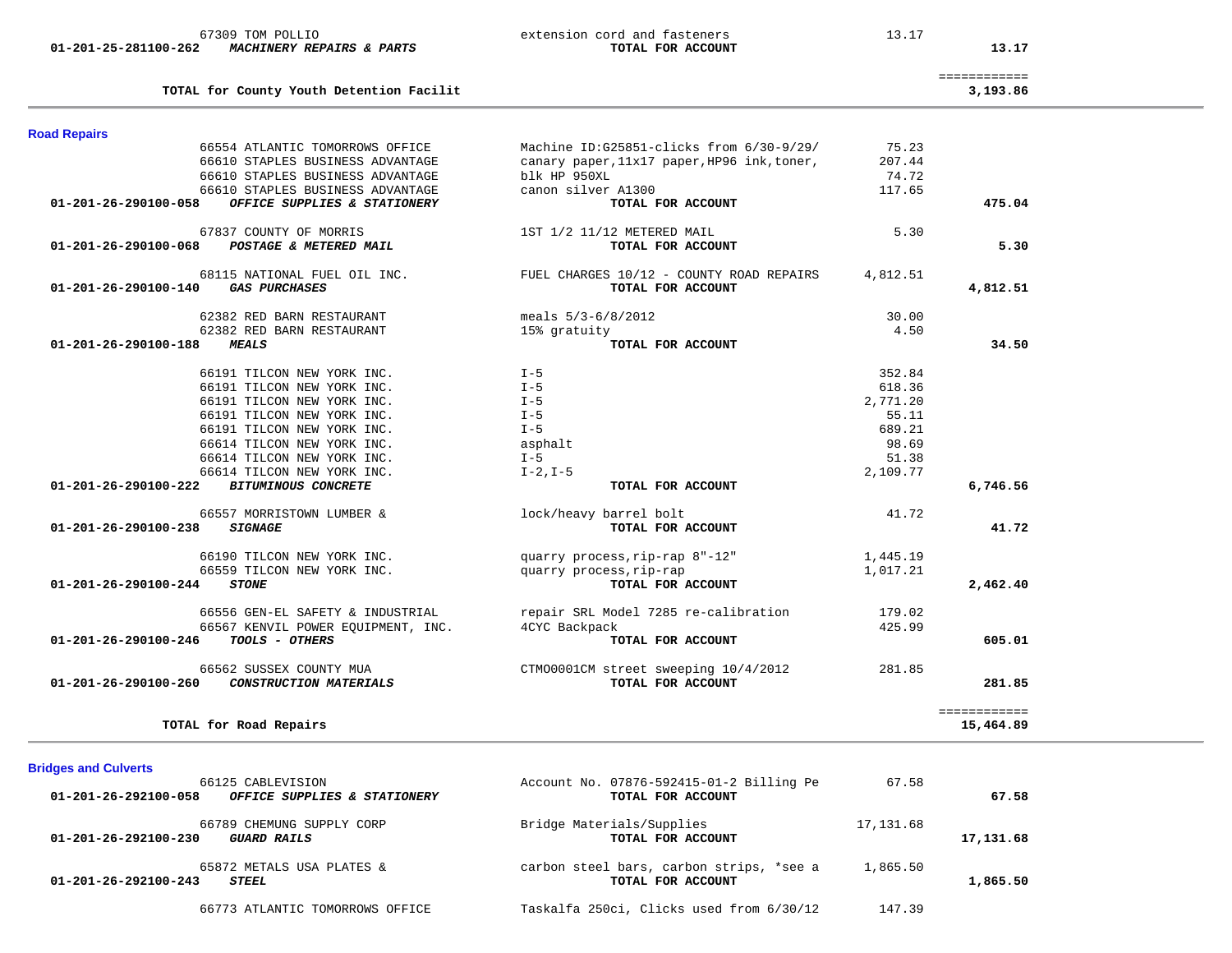| <b>Road Repairs</b>            |                                    |                                             |          |                           |
|--------------------------------|------------------------------------|---------------------------------------------|----------|---------------------------|
|                                | 66554 ATLANTIC TOMORROWS OFFICE    | Machine ID:G25851-clicks from 6/30-9/29/    | 75.23    |                           |
|                                | 66610 STAPLES BUSINESS ADVANTAGE   | canary paper, 11x17 paper, HP96 ink, toner, | 207.44   |                           |
|                                | 66610 STAPLES BUSINESS ADVANTAGE   | blk HP 950XL                                | 74.72    |                           |
|                                | 66610 STAPLES BUSINESS ADVANTAGE   | canon silver A1300                          | 117.65   |                           |
| 01-201-26-290100-058           | OFFICE SUPPLIES & STATIONERY       | TOTAL FOR ACCOUNT                           |          | 475.04                    |
|                                | 67837 COUNTY OF MORRIS             | 1ST 1/2 11/12 METERED MAIL                  | 5.30     |                           |
| 01-201-26-290100-068           | POSTAGE & METERED MAIL             | TOTAL FOR ACCOUNT                           |          | 5.30                      |
|                                | 68115 NATIONAL FUEL OIL INC.       | FUEL CHARGES 10/12 - COUNTY ROAD REPAIRS    | 4,812.51 |                           |
| 01-201-26-290100-140           | <b>GAS PURCHASES</b>               | TOTAL FOR ACCOUNT                           |          | 4,812.51                  |
|                                | 62382 RED BARN RESTAURANT          | meals $5/3 - 6/8/2012$                      | 30.00    |                           |
|                                | 62382 RED BARN RESTAURANT          | 15% gratuity                                | 4.50     |                           |
| $01 - 201 - 26 - 290100 - 188$ | <b>MEALS</b>                       | TOTAL FOR ACCOUNT                           |          | 34.50                     |
|                                | 66191 TILCON NEW YORK INC.         | $I - 5$                                     | 352.84   |                           |
|                                | 66191 TILCON NEW YORK INC.         | $I - 5$                                     | 618.36   |                           |
|                                | 66191 TILCON NEW YORK INC.         | $I - 5$                                     | 2,771.20 |                           |
|                                | 66191 TILCON NEW YORK INC.         | $I - 5$                                     | 55.11    |                           |
|                                | 66191 TILCON NEW YORK INC.         | $I - 5$                                     | 689.21   |                           |
|                                | 66614 TILCON NEW YORK INC.         | asphalt                                     | 98.69    |                           |
|                                | 66614 TILCON NEW YORK INC.         | $I - 5$                                     | 51.38    |                           |
|                                | 66614 TILCON NEW YORK INC.         | $I-2, I-5$                                  | 2,109.77 |                           |
| 01-201-26-290100-222           | <b>BITUMINOUS CONCRETE</b>         | TOTAL FOR ACCOUNT                           |          | 6,746.56                  |
|                                | 66557 MORRISTOWN LUMBER &          | lock/heavy barrel bolt                      | 41.72    |                           |
| $01 - 201 - 26 - 290100 - 238$ | <b>SIGNAGE</b>                     | TOTAL FOR ACCOUNT                           |          | 41.72                     |
|                                | 66190 TILCON NEW YORK INC.         | quarry process, rip-rap 8"-12"              | 1,445.19 |                           |
|                                | 66559 TILCON NEW YORK INC.         | quarry process, rip-rap                     | 1,017.21 |                           |
| 01-201-26-290100-244           | <b>STONE</b>                       | TOTAL FOR ACCOUNT                           |          | 2,462.40                  |
|                                | 66556 GEN-EL SAFETY & INDUSTRIAL   | repair SRL Model 7285 re-calibration        | 179.02   |                           |
|                                | 66567 KENVIL POWER EQUIPMENT, INC. | 4CYC Backpack                               | 425.99   |                           |
| 01-201-26-290100-246           | TOOLS - OTHERS                     | TOTAL FOR ACCOUNT                           |          | 605.01                    |
|                                | 66562 SUSSEX COUNTY MUA            | CTM00001CM street sweeping 10/4/2012        | 281.85   |                           |
| $01 - 201 - 26 - 290100 - 260$ | CONSTRUCTION MATERIALS             | TOTAL FOR ACCOUNT                           |          | 281.85                    |
|                                | TOTAL for Road Repairs             |                                             |          | ============<br>15,464.89 |

 66125 CABLEVISION Account No. 07876-592415-01-2 Billing Pe 67.58  **01-201-26-292100-058** *OFFICE SUPPLIES & STATIONERY* **TOTAL FOR ACCOUNT 67.58** 66789 CHEMUNG SUPPLY CORP Bridge Materials/Supplies 17,131.68  **01-201-26-292100-230** *GUARD RAILS* **TOTAL FOR ACCOUNT 17,131.68** 65872 METALS USA PLATES & carbon steel bars, carbon strips, \*see a 1,865.50<br>3 STEEL<br>TOTAL FOR ACCOUNT  **01-201-26-292100-243** *STEEL* **TOTAL FOR ACCOUNT 1,865.50** 66773 ATLANTIC TOMORROWS OFFICE Taskalfa 250ci, Clicks used from 6/30/12 147.39

**TOTAL for County Youth Detention Facilit 3,193.86**

**Bridges and Culverts** 

- ============
	-

3,193.86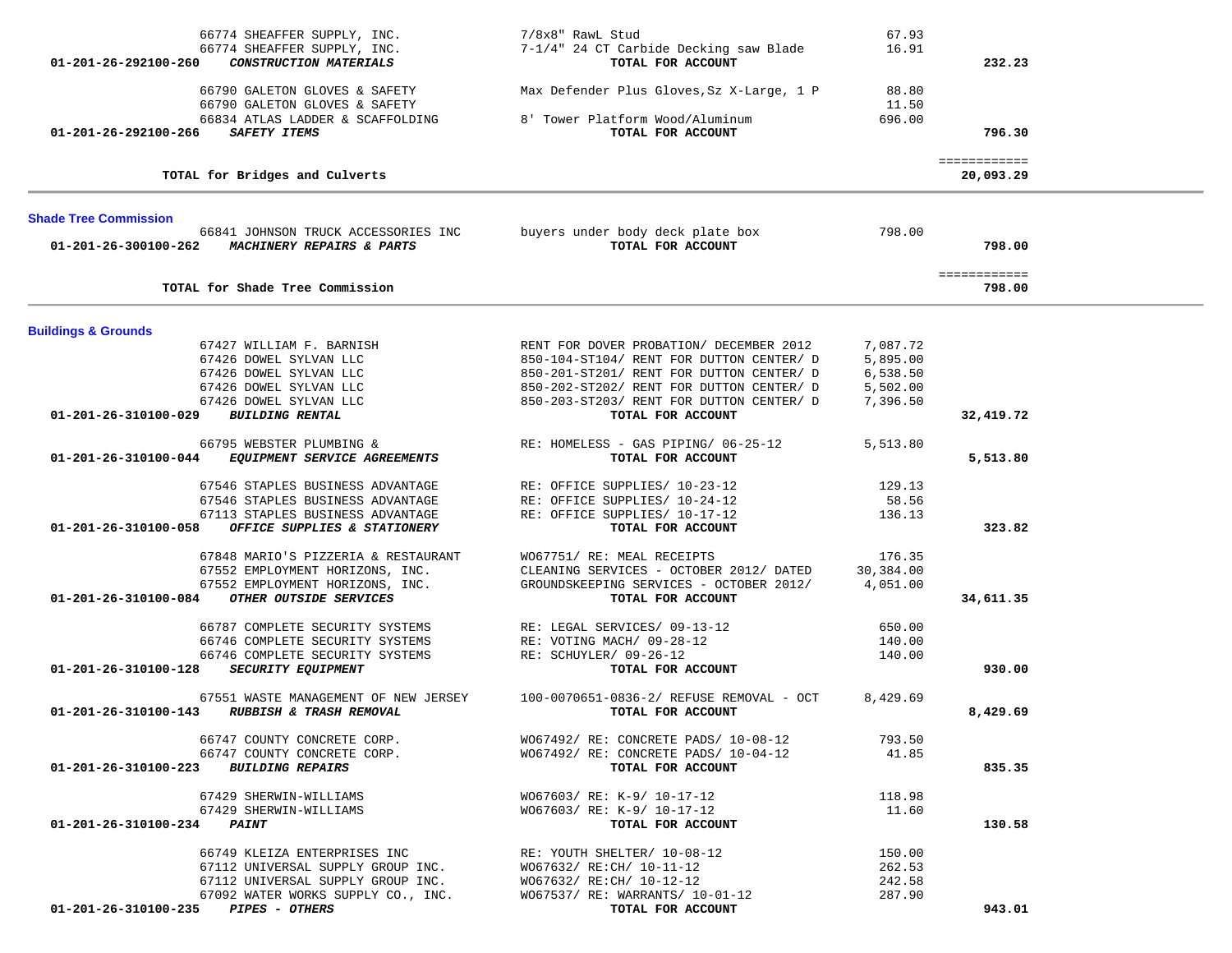| 66774 SHEAFFER SUPPLY, INC.                                                                         | 7/8x8" RawL Stud                                             | 67.93     |              |  |
|-----------------------------------------------------------------------------------------------------|--------------------------------------------------------------|-----------|--------------|--|
| 66774 SHEAFFER SUPPLY, INC.                                                                         | 7-1/4" 24 CT Carbide Decking saw Blade                       | 16.91     |              |  |
| CONSTRUCTION MATERIALS<br>01-201-26-292100-260                                                      | TOTAL FOR ACCOUNT                                            |           | 232.23       |  |
|                                                                                                     |                                                              |           |              |  |
| 66790 GALETON GLOVES & SAFETY                                                                       | Max Defender Plus Gloves, Sz X-Large, 1 P                    | 88.80     |              |  |
| 66790 GALETON GLOVES & SAFETY                                                                       |                                                              | 11.50     |              |  |
| 66834 ATLAS LADDER & SCAFFOLDING                                                                    | 8' Tower Platform Wood/Aluminum                              | 696.00    |              |  |
| 01-201-26-292100-266<br>SAFETY ITEMS                                                                | TOTAL FOR ACCOUNT                                            |           | 796.30       |  |
|                                                                                                     |                                                              |           |              |  |
|                                                                                                     |                                                              |           | ============ |  |
| TOTAL for Bridges and Culverts                                                                      |                                                              |           | 20,093.29    |  |
|                                                                                                     |                                                              |           |              |  |
|                                                                                                     |                                                              |           |              |  |
| <b>Shade Tree Commission</b>                                                                        | buyers under body deck plate box                             | 798.00    |              |  |
| 66841 JOHNSON TRUCK ACCESSORIES INC<br>01-201-26-300100-262<br><b>MACHINERY REPAIRS &amp; PARTS</b> | TOTAL FOR ACCOUNT                                            |           | 798.00       |  |
|                                                                                                     |                                                              |           |              |  |
|                                                                                                     |                                                              |           | ============ |  |
| TOTAL for Shade Tree Commission                                                                     |                                                              |           | 798.00       |  |
|                                                                                                     |                                                              |           |              |  |
|                                                                                                     |                                                              |           |              |  |
| <b>Buildings &amp; Grounds</b>                                                                      |                                                              |           |              |  |
| 67427 WILLIAM F. BARNISH                                                                            | RENT FOR DOVER PROBATION/ DECEMBER 2012                      | 7,087.72  |              |  |
| 67426 DOWEL SYLVAN LLC                                                                              | 850-104-ST104/ RENT FOR DUTTON CENTER/ D                     | 5,895.00  |              |  |
| 67426 DOWEL SYLVAN LLC                                                                              | 850-201-ST201/ RENT FOR DUTTON CENTER/ D                     | 6,538.50  |              |  |
| 67426 DOWEL SYLVAN LLC                                                                              | 850-202-ST202/ RENT FOR DUTTON CENTER/ D                     | 5,502.00  |              |  |
| 67426 DOWEL SYLVAN LLC                                                                              | 850-203-ST203/ RENT FOR DUTTON CENTER/ D                     | 7,396.50  |              |  |
| 01-201-26-310100-029<br><b>BUILDING RENTAL</b>                                                      | TOTAL FOR ACCOUNT                                            |           | 32,419.72    |  |
|                                                                                                     |                                                              |           |              |  |
| 66795 WEBSTER PLUMBING &                                                                            | RE: HOMELESS - GAS PIPING/ 06-25-12                          | 5,513.80  |              |  |
| 01-201-26-310100-044<br>EQUIPMENT SERVICE AGREEMENTS                                                | TOTAL FOR ACCOUNT                                            |           | 5,513.80     |  |
| 67546 STAPLES BUSINESS ADVANTAGE                                                                    |                                                              | 129.13    |              |  |
|                                                                                                     | RE: OFFICE SUPPLIES/ 10-23-12                                |           |              |  |
| 67546 STAPLES BUSINESS ADVANTAGE                                                                    | RE: OFFICE SUPPLIES/ 10-24-12                                | 58.56     |              |  |
| 67113 STAPLES BUSINESS ADVANTAGE                                                                    | RE: OFFICE SUPPLIES/ 10-17-12                                | 136.13    |              |  |
| 01-201-26-310100-058<br>OFFICE SUPPLIES & STATIONERY                                                | TOTAL FOR ACCOUNT                                            |           | 323.82       |  |
| 67848 MARIO'S PIZZERIA & RESTAURANT                                                                 | WO67751/ RE: MEAL RECEIPTS                                   | 176.35    |              |  |
| 67552 EMPLOYMENT HORIZONS, INC.                                                                     |                                                              | 30,384.00 |              |  |
|                                                                                                     | CLEANING SERVICES - OCTOBER 2012/ DATED                      |           |              |  |
| 67552 EMPLOYMENT HORIZONS, INC.<br>OTHER OUTSIDE SERVICES<br>01-201-26-310100-084                   | GROUNDSKEEPING SERVICES - OCTOBER 2012/<br>TOTAL FOR ACCOUNT | 4,051.00  |              |  |
|                                                                                                     |                                                              |           | 34,611.35    |  |
| 66787 COMPLETE SECURITY SYSTEMS                                                                     | RE: LEGAL SERVICES/ 09-13-12                                 | 650.00    |              |  |
| 66746 COMPLETE SECURITY SYSTEMS                                                                     | RE: VOTING MACH/ 09-28-12                                    | 140.00    |              |  |
| 66746 COMPLETE SECURITY SYSTEMS                                                                     | RE: SCHUYLER/ 09-26-12                                       | 140.00    |              |  |
| <b>SECURITY EQUIPMENT</b><br>01-201-26-310100-128                                                   | TOTAL FOR ACCOUNT                                            |           | 930.00       |  |
|                                                                                                     |                                                              |           |              |  |
| 67551 WASTE MANAGEMENT OF NEW JERSEY                                                                | 100-0070651-0836-2/ REFUSE REMOVAL - OCT                     | 8,429.69  |              |  |
| RUBBISH & TRASH REMOVAL<br>01-201-26-310100-143                                                     | TOTAL FOR ACCOUNT                                            |           | 8,429.69     |  |
|                                                                                                     |                                                              |           |              |  |
| 66747 COUNTY CONCRETE CORP.                                                                         | W067492/ RE: CONCRETE PADS/ 10-08-12                         | 793.50    |              |  |
| 66747 COUNTY CONCRETE CORP.                                                                         | WO67492/RE: CONCRETE PADS/10-04-12                           | 41.85     |              |  |
| 01-201-26-310100-223<br><b>BUILDING REPAIRS</b>                                                     | TOTAL FOR ACCOUNT                                            |           | 835.35       |  |
|                                                                                                     |                                                              |           |              |  |
| 67429 SHERWIN-WILLIAMS                                                                              | W067603/ RE: K-9/ 10-17-12                                   | 118.98    |              |  |
| 67429 SHERWIN-WILLIAMS                                                                              | W067603/ RE: K-9/ 10-17-12                                   | 11.60     |              |  |
| <b>PAINT</b><br>01-201-26-310100-234                                                                | TOTAL FOR ACCOUNT                                            |           | 130.58       |  |
|                                                                                                     |                                                              |           |              |  |
| 66749 KLEIZA ENTERPRISES INC                                                                        | RE: YOUTH SHELTER/ 10-08-12                                  | 150.00    |              |  |
| 67112 UNIVERSAL SUPPLY GROUP INC.                                                                   | W067632/ RE:CH/ 10-11-12                                     | 262.53    |              |  |
| 67112 UNIVERSAL SUPPLY GROUP INC.                                                                   | W067632/ RE:CH/ 10-12-12                                     | 242.58    |              |  |
| 67092 WATER WORKS SUPPLY CO., INC.                                                                  | WO67537/ RE: WARRANTS/ 10-01-12                              | 287.90    |              |  |
| 01-201-26-310100-235 PIPES - OTHERS                                                                 | TOTAL FOR ACCOUNT                                            |           | 943.01       |  |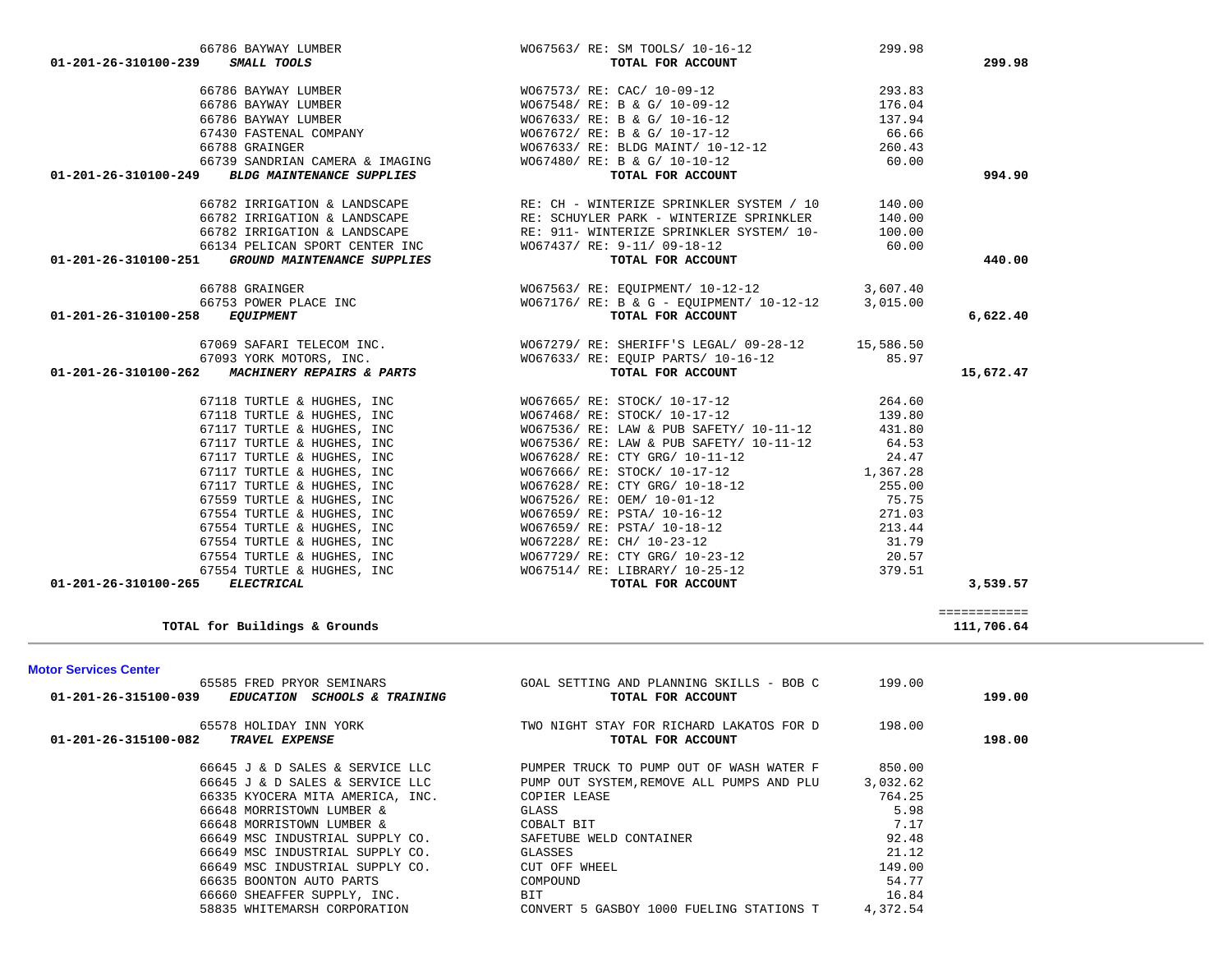| 67118 TURTLE & HUGHES, INC                           | W067468/ RE: STOCK/ 10-17-12                                                    | 139.80   |              |  |
|------------------------------------------------------|---------------------------------------------------------------------------------|----------|--------------|--|
| 67117 TURTLE & HUGHES, INC                           | WO67536/ RE: LAW & PUB SAFETY/ 10-11-12                                         | 431.80   |              |  |
| 67117 TURTLE & HUGHES, INC                           | WO67536/ RE: LAW & PUB SAFETY/ 10-11-12                                         | 64.53    |              |  |
| 67117 TURTLE & HUGHES, INC                           | W067628/ RE: CTY GRG/ 10-11-12                                                  | 24.47    |              |  |
| 67117 TURTLE & HUGHES, INC                           | WO67666/ RE: STOCK/ 10-17-12                                                    | 1,367.28 |              |  |
| 67117 TURTLE & HUGHES, INC                           | W067628/ RE: CTY GRG/ 10-18-12                                                  | 255.00   |              |  |
| 67559 TURTLE & HUGHES, INC                           | WO67526/ RE: OEM/ 10-01-12<br>WO67659/ RE: PSTA/ 10-16-12                       | 75.75    |              |  |
| 67554 TURTLE & HUGHES, INC                           |                                                                                 | 271.03   |              |  |
| 67554 TURTLE & HUGHES, INC                           | W067659/ RE: PSTA/ 10-18-12                                                     | 213.44   |              |  |
| 67554 TURTLE & HUGHES, INC                           | W067228/ RE: CH/ 10-23-12                                                       | 31.79    |              |  |
| 67554 TURTLE & HUGHES, INC                           | W067729/ RE: CTY GRG/ 10-23-12                                                  | 20.57    |              |  |
| 67554 TURTLE & HUGHES, INC                           | WO67514/ RE: LIBRARY/ 10-25-12 379.51                                           |          |              |  |
| <b>ELECTRICAL</b><br>01-201-26-310100-265            | TOTAL FOR ACCOUNT                                                               |          | 3,539.57     |  |
|                                                      |                                                                                 |          |              |  |
|                                                      |                                                                                 |          | ============ |  |
| TOTAL for Buildings & Grounds                        |                                                                                 |          | 111,706.64   |  |
|                                                      |                                                                                 |          |              |  |
| <b>Motor Services Center</b>                         |                                                                                 |          |              |  |
| 65585 FRED PRYOR SEMINARS                            | GOAL SETTING AND PLANNING SKILLS - BOB C 199.00                                 |          |              |  |
| EDUCATION SCHOOLS & TRAINING<br>01-201-26-315100-039 | TOTAL FOR ACCOUNT                                                               |          | 199.00       |  |
| 65578 HOLIDAY INN YORK                               | TWO NIGHT STAY FOR RICHARD LAKATOS FOR D 198.00                                 |          |              |  |
| 01-201-26-315100-082<br>TRAVEL EXPENSE               | TOTAL FOR ACCOUNT                                                               |          | 198.00       |  |
|                                                      |                                                                                 |          |              |  |
|                                                      | 66645 J & D SALES & SERVICE LLC PUMPER TRUCK TO PUMP OUT OF WASH WATER F 850.00 |          |              |  |
|                                                      | 66645 J & D SALES & SERVICE LLC PUMP OUT SYSTEM, REMOVE ALL PUMPS AND PLU       | 3,032.62 |              |  |
|                                                      |                                                                                 |          |              |  |
| 66335 KYOCERA MITA AMERICA, INC.                     | COPIER LEASE                                                                    | 764.25   |              |  |
| 66648 MORRISTOWN LUMBER &                            | GLASS                                                                           | 5.98     |              |  |
| 66648 MORRISTOWN LUMBER &                            | COBALT BIT                                                                      | 7.17     |              |  |
| 66649 MSC INDUSTRIAL SUPPLY CO.                      | SAFETUBE WELD CONTAINER                                                         | 92.48    |              |  |
| 66649 MSC INDUSTRIAL SUPPLY CO.                      | GLASSES                                                                         | 21.12    |              |  |
| 66649 MSC INDUSTRIAL SUPPLY CO.                      | CUT OFF WHEEL                                                                   | 149.00   |              |  |
| 66635 BOONTON AUTO PARTS                             | COMPOUND                                                                        | 54.77    |              |  |
| 66660 SHEAFFER SUPPLY, INC.                          | BIT                                                                             | 16.84    |              |  |
|                                                      | 58835 WHITEMARSH CORPORATION CONVERT 5 GASBOY 1000 FUELING STATIONS T           | 4,372.54 |              |  |

 66788 GRAINGER WO67563/ RE: EQUIPMENT/ 10-12-12 3,607.40 66753 POWER PLACE INC WO67176/ RE: B & G - EQUIPMENT/ 10-12-12 3,015.00  **01-201-26-310100-258** *EQUIPMENT* **TOTAL FOR ACCOUNT 6,622.40**

| 67069 SAFARI TELECOM INC.<br>67093 YORK MOTORS, INC.<br><i>MACHINERY REPAIRS &amp; PARTS</i><br>01-201-26-310100-262 | WO67279/RE: SHERIFF'S LEGAL/ 09-28-12<br>W067633/ RE: EOUIP PARTS/ 10-16-12<br>TOTAL FOR ACCOUNT | 15,586.50<br>85.97 | 15,672.47 |
|----------------------------------------------------------------------------------------------------------------------|--------------------------------------------------------------------------------------------------|--------------------|-----------|
| 67118 TURTLE & HUGHES, INC<br>67118 TURTLE & HUGHES, INC                                                             | W067665/ RE: STOCK/ 10-17-12<br>W067468/ RE: STOCK/ 10-17-12                                     | 264.60<br>139.80   |           |
| 67117 TURTLE & HUGHES, INC                                                                                           | WO67536/ RE: LAW & PUB SAFETY/ 10-11-12                                                          | 431.80             |           |

|                      | 66782 IRRIGATION & LANDSCAPE   |
|----------------------|--------------------------------|
|                      | 66782 IRRIGATION & LANDSCAPE   |
|                      | 66782 IRRIGATION & LANDSCAPE   |
|                      | 66134 PELICAN SPORT CENTER INC |
| 01-201-26-310100-251 | GROUND MAINTENANCE SUPPLIES    |
|                      |                                |

| 01-401-40-J1010-433<br><u>amayy ivuya</u>                | TOIAL FOR ACCOUNT                 | - 22.20 |
|----------------------------------------------------------|-----------------------------------|---------|
| 66786 BAYWAY LUMBER                                      | W067573/ RE: CAC/ 10-09-12        | 293.83  |
| 66786 BAYWAY LUMBER                                      | WO67548/ RE: B & G/ 10-09-12      | 176.04  |
| 66786 BAYWAY LUMBER                                      | W067633/ RE: B & G/ 10-16-12      | 137.94  |
| 67430 FASTENAL COMPANY                                   | W067672/ RE: B & G/ 10-17-12      | 66.66   |
| 66788 GRAINGER                                           | W067633/ RE: BLDG MAINT/ 10-12-12 | 260.43  |
| 66739 SANDRIAN CAMERA & IMAGING                          | WO67480/ RE: B & G/ 10-10-12      | 60.00   |
| 01-201-26-310100-249<br><b>BLDG MAINTENANCE SUPPLIES</b> | TOTAL FOR ACCOUNT                 | 994.90  |

|                      | 66786 BAYWAY LUMBER | WO67563/ RE: SM TOOLS/ 10-16-12 | 299. |        |
|----------------------|---------------------|---------------------------------|------|--------|
| 01-201-26-310100-239 | SMALL TOOLS         | TOTAL FOR ACCOUNT               |      | 299.98 |

RE: CH - WINTERIZE SPRINKLER SYSTEM / 10 140.00 RE: SCHUYLER PARK - WINTERIZE SPRINKLER 140.00 RE: 911- WINTERIZE SPRINKLER SYSTEM/ 10- 100.00  $W067437/RE: 9-11/09-18-12$  60.00

 **01-201-26-3101-26-3101-26-3101-26-3101-251 12:31 12:32 13:440.00**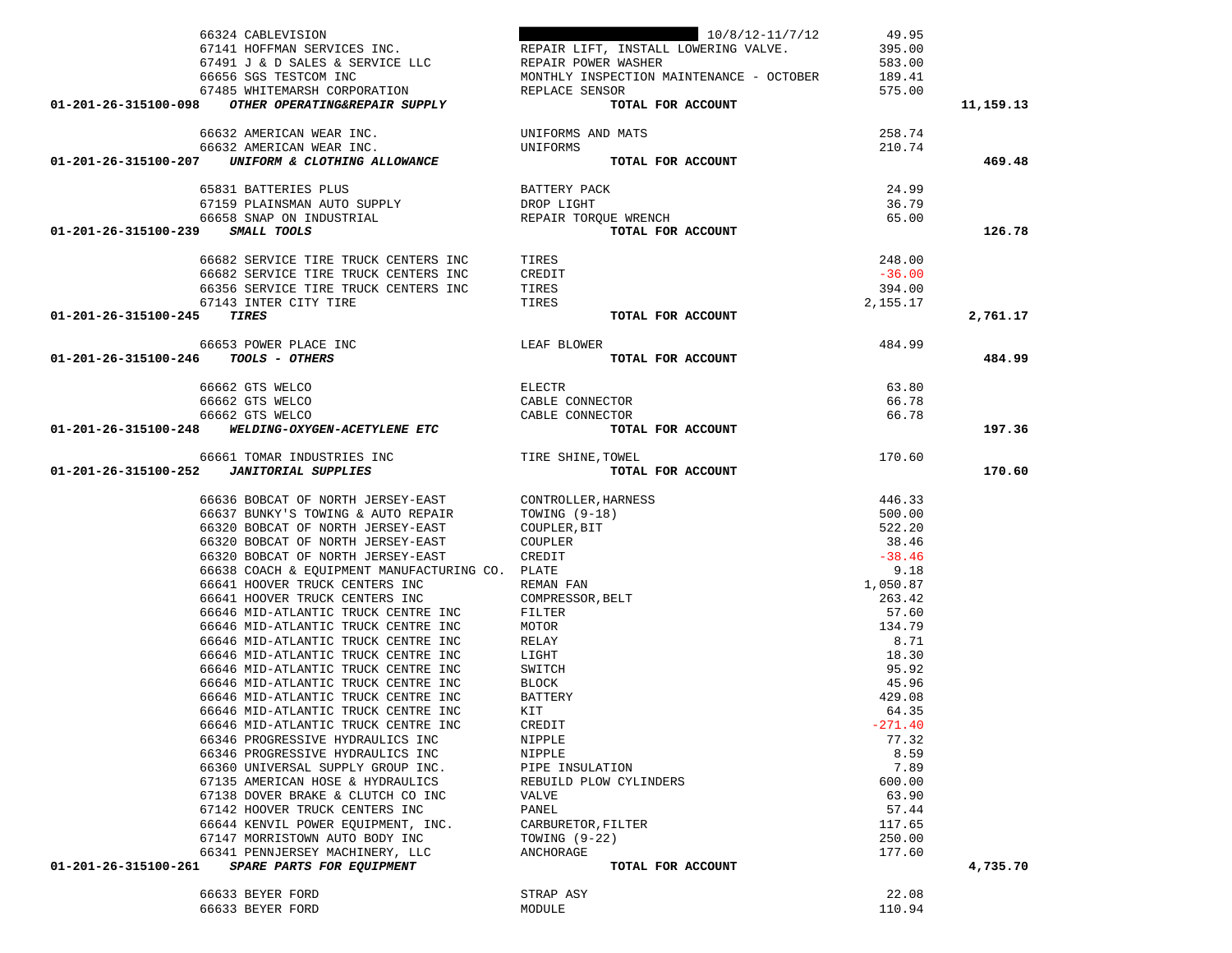|                                     | 66324 CABLEVISION                                                                         | 10/8/12-11/7/12<br>60324 CADDEVISION<br>67141 HOFFMAN SERVICES INC. THE REPAIR LIFT, INSTALL LOWERING VALVE.                                         | 49.95<br>395.00<br>583.00<br>189.41 |           |
|-------------------------------------|-------------------------------------------------------------------------------------------|------------------------------------------------------------------------------------------------------------------------------------------------------|-------------------------------------|-----------|
| 01-201-26-315100-098                | 67485 WHITEMARSH CORPORATION<br>OTHER OPERATING&REPAIR SUPPLY                             | REPLACE SENSOR<br>TOTAL FOR ACCOUNT                                                                                                                  | 575.00                              | 11,159.13 |
|                                     | 66632 AMERICAN WEAR INC.                                                                  | UNIFORMS AND MATS                                                                                                                                    | 258.74                              |           |
|                                     | 66632 AMERICAN WEAR INC.                                                                  | UNIFORMS                                                                                                                                             | 210.74                              |           |
| 01-201-26-315100-207                | UNIFORM & CLOTHING ALLOWANCE                                                              | TOTAL FOR ACCOUNT                                                                                                                                    |                                     | 469.48    |
|                                     | 65831 BATTERIES PLUS                                                                      | BATTERY PACK                                                                                                                                         | 24.99                               |           |
|                                     | 67159 PLAINSMAN AUTO SUPPLY                                                               |                                                                                                                                                      | 36.79                               |           |
|                                     | 66658 SNAP ON INDUSTRIAL                                                                  | DROP LIGHT<br>REPAIR TORQUE WRENCH<br><b>TOTAL FOR ACCOUNT</b>                                                                                       | 65.00                               |           |
| 01-201-26-315100-239                | SMALL TOOLS                                                                               |                                                                                                                                                      |                                     | 126.78    |
|                                     | 66682 SERVICE TIRE TRUCK CENTERS INC TIRES<br>66682 SERVICE TIRE TRUCK CENTERS INC CREDIT |                                                                                                                                                      | 248.00                              |           |
|                                     |                                                                                           |                                                                                                                                                      | $-36.00$                            |           |
|                                     | 66356 SERVICE TIRE TRUCK CENTERS INC                                                      | TIRES                                                                                                                                                | 394.00                              |           |
|                                     | 67143 INTER CITY TIRE                                                                     | TIRES                                                                                                                                                | 2,155.17                            |           |
| 01-201-26-315100-245                | TIRES                                                                                     | TOTAL FOR ACCOUNT                                                                                                                                    |                                     | 2,761.17  |
|                                     | 66653 POWER PLACE INC                                                                     |                                                                                                                                                      | 484.99                              |           |
| 01-201-26-315100-246 TOOLS - OTHERS | LEAF BLOWER                                                                               | TOTAL FOR ACCOUNT                                                                                                                                    |                                     | 484.99    |
|                                     | 66662 GTS WELCO                                                                           | <b>ELECTR</b>                                                                                                                                        | 63.80                               |           |
|                                     |                                                                                           | CABLE CONNECTOR                                                                                                                                      | 66.78                               |           |
|                                     |                                                                                           | CABLE CONNECTOR                                                                                                                                      | 66.78                               |           |
|                                     |                                                                                           | TOTAL FOR ACCOUNT                                                                                                                                    |                                     | 197.36    |
|                                     | 66661 TOMAR INDUSTRIES INC TIRE SHINE, TOWEL                                              |                                                                                                                                                      | 170.60                              |           |
|                                     | 01-201-26-315100-252 JANITORIAL SUPPLIES                                                  | TOTAL FOR ACCOUNT                                                                                                                                    |                                     | 170.60    |
|                                     | 66636 BOBCAT OF NORTH JERSEY-EAST                                                         | CONTROLLER, HARNESS<br>CONTROLLER, HARNESS<br>TOWING (9-18)<br>COUPLER, BIT<br>COUPLER<br>CREDIT<br>PLATE<br>REMAN FAN<br>COMPRESSOR, BELT<br>TITTER | 446.33                              |           |
|                                     | 66637 BUNKY'S TOWING & AUTO REPAIR                                                        |                                                                                                                                                      | 500.00                              |           |
|                                     | 66320 BOBCAT OF NORTH JERSEY-EAST                                                         |                                                                                                                                                      | 522.20                              |           |
|                                     | 66320 BOBCAT OF NORTH JERSEY-EAST                                                         |                                                                                                                                                      | 38.46                               |           |
|                                     | 66320 BOBCAT OF NORTH JERSEY-EAST                                                         |                                                                                                                                                      | $-38.46$                            |           |
|                                     | 66638 COACH & EQUIPMENT MANUFACTURING CO. PLATE<br>66641 HOOVER TRUCK CENTERS INC         |                                                                                                                                                      | 9.18<br>1,050.87                    |           |
|                                     | 66641 HOOVER TRUCK CENTERS INC                                                            |                                                                                                                                                      | 263.42                              |           |
|                                     | 66646 MID-ATLANTIC TRUCK CENTRE INC                                                       |                                                                                                                                                      | 57.60                               |           |
|                                     | 66646 MID-ATLANTIC TRUCK CENTRE INC                                                       | MOTOR                                                                                                                                                | 134.79                              |           |
|                                     | 66646 MID-ATLANTIC TRUCK CENTRE INC                                                       | RELAY                                                                                                                                                | 8.71                                |           |
|                                     | 66646 MID-ATLANTIC TRUCK CENTRE INC                                                       | LIGHT                                                                                                                                                | 18.30                               |           |
|                                     | 66646 MID-ATLANTIC TRUCK CENTRE INC                                                       | SWITCH                                                                                                                                               | 95.92                               |           |
|                                     | 66646 MID-ATLANTIC TRUCK CENTRE INC                                                       | BLOCK                                                                                                                                                | 45.96                               |           |
|                                     | 66646 MID-ATLANTIC TRUCK CENTRE INC<br>66646 MID-ATLANTIC TRUCK CENTRE INC                | BATTERY<br>KIT                                                                                                                                       | 429.08<br>64.35                     |           |
|                                     | 66646 MID-ATLANTIC TRUCK CENTRE INC                                                       | CREDIT                                                                                                                                               | $-271.40$                           |           |
|                                     | 66346 PROGRESSIVE HYDRAULICS INC                                                          | NIPPLE                                                                                                                                               | 77.32                               |           |
|                                     | 66346 PROGRESSIVE HYDRAULICS INC                                                          | NIPPLE                                                                                                                                               | 8.59                                |           |
|                                     | 66360 UNIVERSAL SUPPLY GROUP INC.                                                         | PIPE INSULATION                                                                                                                                      | 7.89                                |           |
|                                     | 67135 AMERICAN HOSE & HYDRAULICS                                                          | REBUILD PLOW CYLINDERS                                                                                                                               | 600.00                              |           |
|                                     | 67138 DOVER BRAKE & CLUTCH CO INC                                                         | VALVE                                                                                                                                                | 63.90                               |           |
|                                     | 67142 HOOVER TRUCK CENTERS INC                                                            | PANEL                                                                                                                                                | 57.44                               |           |
|                                     | 66644 KENVIL POWER EQUIPMENT, INC.                                                        | CARBURETOR, FILTER                                                                                                                                   | 117.65                              |           |
|                                     | 67147 MORRISTOWN AUTO BODY INC                                                            | TOWING $(9-22)$                                                                                                                                      | 250.00                              |           |
| 01-201-26-315100-261                | 66341 PENNJERSEY MACHINERY, LLC<br>SPARE PARTS FOR EQUIPMENT                              | ANCHORAGE<br>TOTAL FOR ACCOUNT                                                                                                                       | 177.60                              | 4,735.70  |
|                                     |                                                                                           |                                                                                                                                                      |                                     |           |
|                                     | 66633 BEYER FORD                                                                          | STRAP ASY                                                                                                                                            | 22.08                               |           |
|                                     | 66633 BEYER FORD                                                                          | MODULE                                                                                                                                               | 110.94                              |           |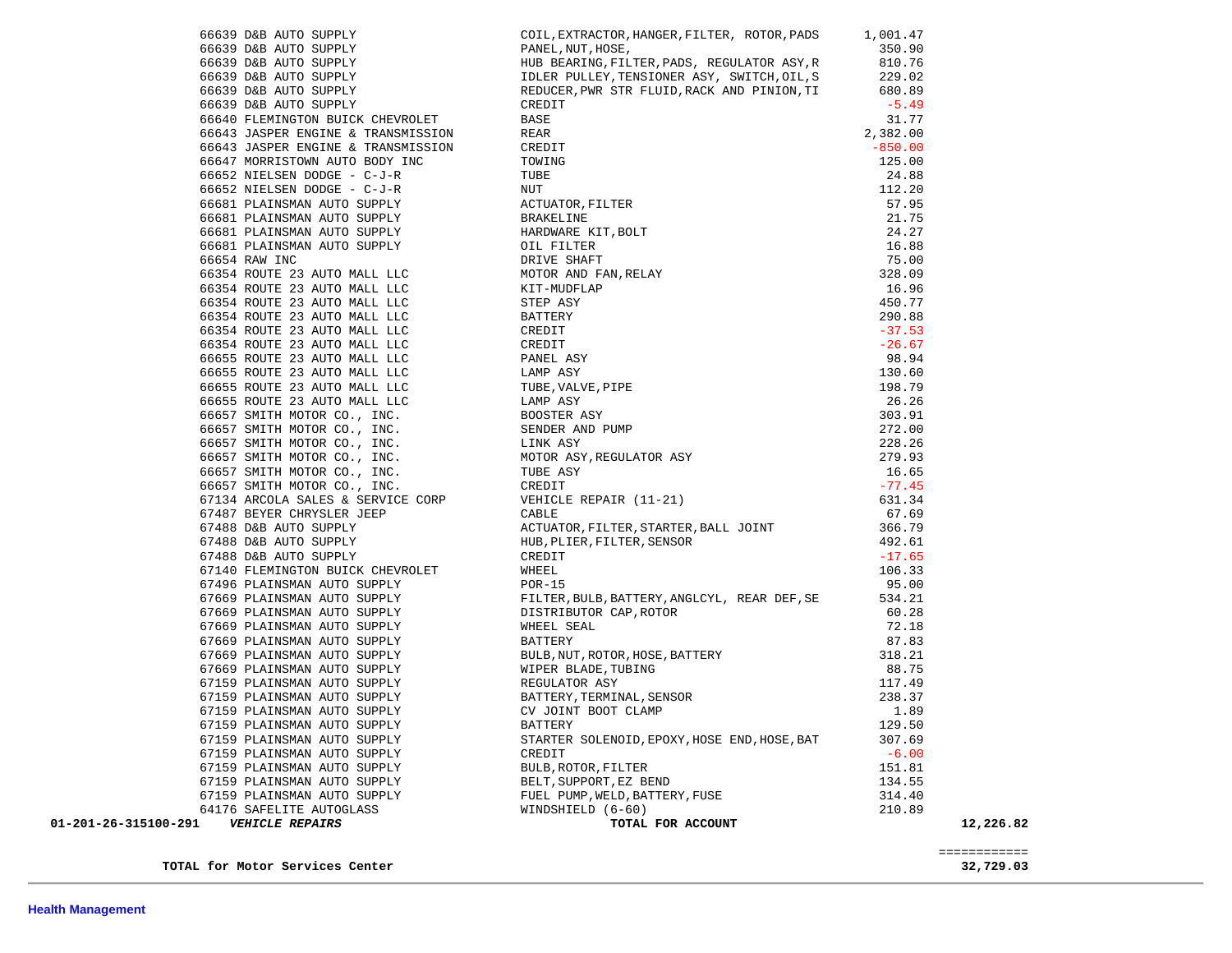66639 D&B AUTO SUPPLY REDUCER,PWR STR FLUID,RACK AND PINION,TI 680.89 66639 D&B AUTO SUPPLY CREDIT CREDIT 66640 FLEMINGTON BUICK CHEVROLET BASE 31.77 66643 JASPER ENGINE & TRANSMISSION REAR 2,382.00 66643 JASPER ENGINE & TRANSMISSION CREDIT CREDIT CONSTRUCTED A S50.00 66647 MORRISTOWN AUTO BODY INC TOWING 125.00 66652 NIELSEN DODGE - C-J-R TUBE 24.88 66652 NIELSEN DODGE - C-J-R NUT 112.20 112.20 66681 PLAINSMAN AUTO SUPPLY ACTUATOR,FILTER 57.95 66681 PLAINSMAN AUTO SUPPLY BRAKELINE 21.75 %66681 PLAINSMAN AUTO SUPPLY HARDWARE KIT, BOLT (16.88 PLAINSMAN AUTO SUPPLY 16.88 PLAINSMAN AUTO SUPPLY 21.27 66681 PLAINSMAN AUTO SUPPLY OIL FILTER 16.88 66654 RAW INC DRIVE SHAFT 75.00 66354 ROUTE 23 AUTO MALL LLC MOTOR AND FAN,RELAY 328.09 66354 ROUTE 23 AUTO MALL LLC KIT-MUDFLAP 16.96 66354 ROUTE 23 AUTO MALL LLC STEP ASY 450.77 66354 ROUTE 23 AUTO MALL LLC BATTERY 290.88 66354 ROUTE 23 AUTO MALL LLC CREDIT -37.53 66354 ROUTE 23 AUTO MALL LLC CREDIT -26.6766655 ROUTE 23 AUTO MALL LLC 98.94<br>130.60 66655 ROUTE 23 AUTO MALL LLC 66655 ROUTE 23 AUTO MALL LLC TUBE,VALVE,PIPE 198.79 66655 ROUTE 23 AUTO MALL LLC LAMP ASY 26.26 66657 SMITH MOTOR CO., INC. BOOSTER ASY 303.91 66657 SMITH MOTOR CO., INC. SENDER AND PUMP 272.00 66657 SMITH MOTOR CO., INC. LINK ASY 228.26 66657 SMITH MOTOR CO., INC. MOTOR ASY,REGULATOR ASY 279.93 66657 SMITH MOTOR CO., INC. TUBE ASY 16.65 66657 SMITH MOTOR CO., INC. CREDIT -77.45 67134 ARCOLA SALES & SERVICE CORP VEHICLE REPAIR (11-21) 631.34 67487 BEYER CHRYSLER JEEP CABLE 67.69 67488 D&B AUTO SUPPLY ACTUATOR,FILTER,STARTER,BALL JOINT 366.79 67488 D&B AUTO SUPPLY HUB,PLIER,FILTER,SENSOR 492.61 67488 D&B AUTO SUPPLY CREDIT CREDIT 67140 FLEMINGTON BUICK CHEVROLET WHEEL WHEEL 106.33 67496 PLAINSMAN AUTO SUPPLY POR-15 95.00 67669 PLAINSMAN AUTO SUPPLY FILTER, BULB, BATTERY, ANGLCYL, REAR DEF, SE 534.21 67669 PLAINSMAN AUTO SUPPLY DISTRIBUTOR CAP,ROTOR 60.28 67669 PLAINSMAN AUTO SUPPLY **WHEEL SEAL WHEEL SEAL 12.18**  67669 PLAINSMAN AUTO SUPPLY BATTERY 87.83 67669 PLAINSMAN AUTO SUPPLY BULB,NUT,ROTOR,HOSE,BATTERY 318.21 67669 PLAINSMAN AUTO SUPPLY WIPER BLADE,TUBING 88.75 67159 PLAINSMAN AUTO SUPPLY **REGULATOR ASY 117.49** 67159 PLAINSMAN AUTO SUPPLY BATTERY, TERMINAL, SENSOR 238.37 67159 PLAINSMAN AUTO SUPPLY CV JOINT BOOT CLAMP 2.89 67159 PLAINSMAN AUTO SUPPLY BATTERY 129.50 67159 PLAINSMAN AUTO SUPPLY STARTER SOLENOID,EPOXY,HOSE END,HOSE,BAT 307.69 % 67159 PLAINSMAN AUTO SUPPLY CREDIT CREDIT -6.00 CREDIT -6.00<br>67159 PLAINSMAN AUTO SUPPLY BULB, ROTOR, FILTER CONTROLLER 151 81 67159 PLAINSMAN AUTO SUPPLY 67159 PLAINSMAN AUTO SUPPLY BELT,SUPPORT,EZ BEND 134.55 67159 PLAINSMAN AUTO SUPPLY FUEL PUMP,WELD,BATTERY,FUSE 314.40 64176 SAFELITE AUTOGLASS WINDSHIELD (6-60) 210.89  **01-201-26-315100-291** *VEHICLE REPAIRS* **TOTAL FOR ACCOUNT 12,226.82** ============

**TOTAL for Motor Services Center 32,729.03**

 66639 D&B AUTO SUPPLY COIL,EXTRACTOR,HANGER,FILTER, ROTOR,PADS 1,001.47 66639 D&B AUTO SUPPLY PANEL,NUT,HOSE, 350.90

 66639 D&B AUTO SUPPLY HUB BEARING,FILTER,PADS, REGULATOR ASY,R 810.76 66639 D&B AUTO SUPPLY IDLER PULLEY,TENSIONER ASY, SWITCH,OIL,S 229.02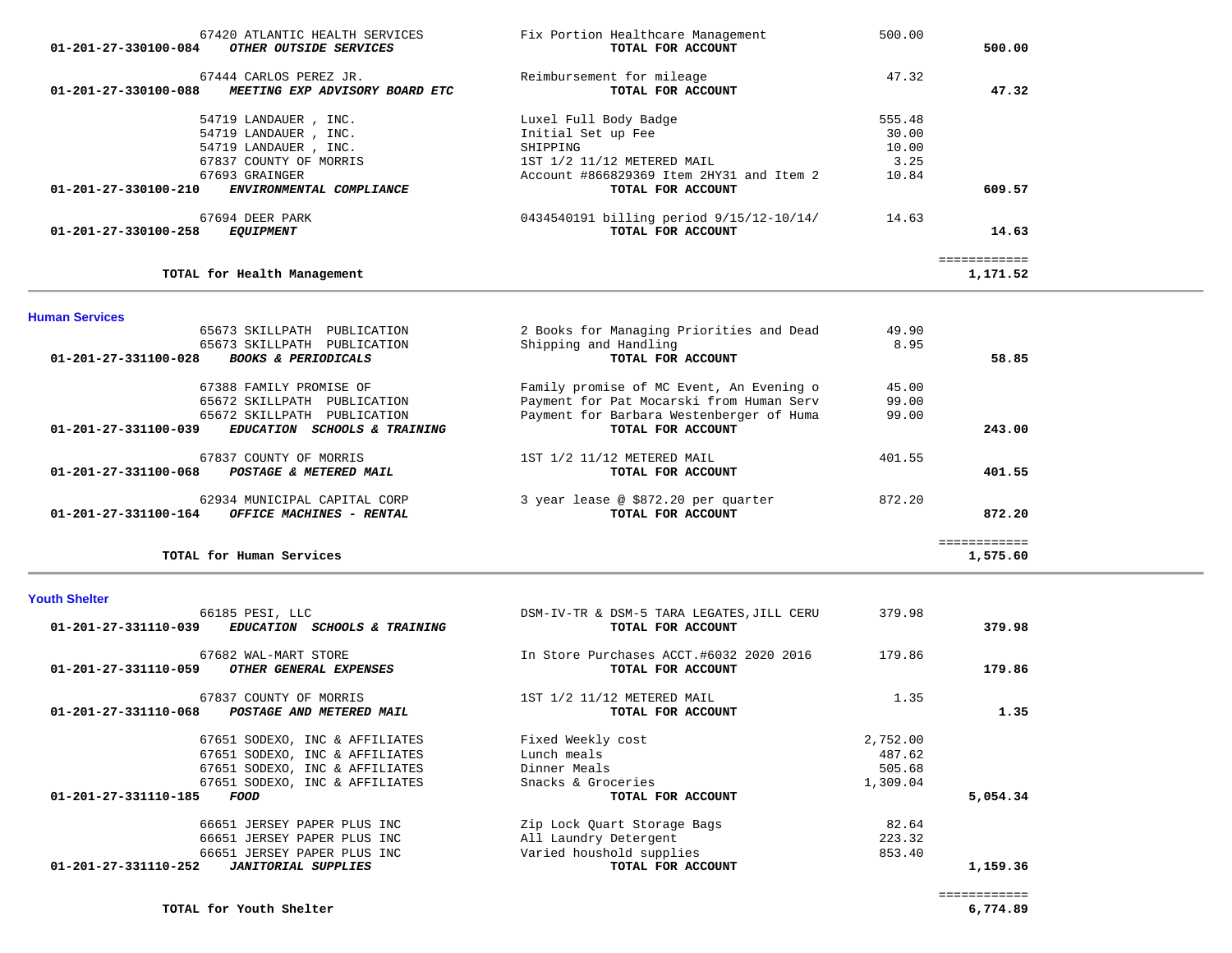| 67420 ATLANTIC HEALTH SERVICES<br>01-201-27-330100-084<br>OTHER OUTSIDE SERVICES | Fix Portion Healthcare Management<br>TOTAL FOR ACCOUNT | 500.00 | 500.00       |
|----------------------------------------------------------------------------------|--------------------------------------------------------|--------|--------------|
| 67444 CARLOS PEREZ JR.                                                           | Reimbursement for mileage                              | 47.32  |              |
| 01-201-27-330100-088<br><i>MEETING EXP ADVISORY BOARD ETC</i>                    | TOTAL FOR ACCOUNT                                      |        | 47.32        |
| 54719 LANDAUER, INC.                                                             | Luxel Full Body Badge                                  | 555.48 |              |
| 54719 LANDAUER, INC.                                                             | Initial Set up Fee                                     | 30.00  |              |
| 54719 LANDAUER, INC.                                                             | SHIPPING                                               | 10.00  |              |
| 67837 COUNTY OF MORRIS                                                           | 1ST 1/2 11/12 METERED MAIL                             | 3.25   |              |
| 67693 GRAINGER                                                                   | Account #866829369 Item 2HY31 and Item 2               | 10.84  |              |
| 01-201-27-330100-210<br>ENVIRONMENTAL COMPLIANCE                                 | TOTAL FOR ACCOUNT                                      |        | 609.57       |
| 67694 DEER PARK                                                                  | 0434540191 billing period 9/15/12-10/14/               | 14.63  |              |
| 01-201-27-330100-258<br><i>EQUIPMENT</i>                                         | TOTAL FOR ACCOUNT                                      |        | 14.63        |
|                                                                                  |                                                        |        | ============ |
| TOTAL for Health Management                                                      |                                                        |        | 1,171.52     |

| 65673 SKILLPATH<br>PUBLICATION                                            | 2 Books for Managing Priorities and Dead | 49.90  |          |
|---------------------------------------------------------------------------|------------------------------------------|--------|----------|
| 65673 SKILLPATH<br>PUBLICATION                                            | Shipping and Handling                    | 8.95   |          |
| $01 - 201 - 27 - 331100 - 028$<br><b>BOOKS &amp; PERIODICALS</b>          | TOTAL FOR ACCOUNT                        |        | 58.85    |
| 67388 FAMILY PROMISE OF                                                   | Family promise of MC Event, An Evening o | 45.00  |          |
| 65672 SKILLPATH<br>PUBLICATION                                            | Payment for Pat Mocarski from Human Serv | 99.00  |          |
| 65672 SKILLPATH<br>PUBLICATION                                            | Payment for Barbara Westenberger of Huma | 99.00  |          |
| 01-201-27-331100-039<br><i>EDUCATION</i><br><b>SCHOOLS &amp; TRAINING</b> | TOTAL FOR ACCOUNT                        |        | 243.00   |
| 67837 COUNTY OF MORRIS                                                    | 1ST 1/2 11/12 METERED MAIL               | 401.55 |          |
| $01 - 201 - 27 - 331100 - 068$<br>POSTAGE & METERED MAIL                  | TOTAL FOR ACCOUNT                        |        | 401.55   |
| 62934 MUNICIPAL CAPITAL CORP                                              | 3 year lease @ \$872.20 per quarter      | 872.20 |          |
| $01 - 201 - 27 - 331100 - 164$<br>OFFICE MACHINES - RENTAL                | TOTAL FOR ACCOUNT                        |        | 872.20   |
|                                                                           |                                          |        |          |
| TOTAL for Human Services                                                  |                                          |        | 1,575.60 |

#### **Youth Shelter**

**Human Services** 

| 01-201-27-331110-039 | 66185 PESI, LLC<br><i>EDUCATION</i><br><i><b>SCHOOLS &amp; TRAINING</b></i> | DSM-IV-TR & DSM-5 TARA LEGATES, JILL CERU<br>TOTAL FOR ACCOUNT | 379.98   | 379.98   |
|----------------------|-----------------------------------------------------------------------------|----------------------------------------------------------------|----------|----------|
|                      | 67682 WAL-MART STORE                                                        | In Store Purchases ACCT.#6032 2020 2016                        | 179.86   |          |
| 01-201-27-331110-059 | OTHER GENERAL EXPENSES                                                      | TOTAL FOR ACCOUNT                                              |          | 179.86   |
|                      | 67837 COUNTY OF MORRIS                                                      | 1ST 1/2 11/12 METERED MAIL                                     | 1.35     |          |
| 01-201-27-331110-068 | POSTAGE AND METERED MAIL                                                    | TOTAL FOR ACCOUNT                                              |          | 1.35     |
|                      | 67651 SODEXO, INC & AFFILIATES                                              | Fixed Weekly cost                                              | 2,752.00 |          |
|                      | 67651 SODEXO, INC & AFFILIATES                                              | Lunch meals                                                    | 487.62   |          |
|                      | 67651 SODEXO, INC & AFFILIATES                                              | Dinner Meals                                                   | 505.68   |          |
|                      | 67651 SODEXO, INC & AFFILIATES                                              | Snacks & Groceries                                             | 1,309.04 |          |
| 01-201-27-331110-185 | FOOD                                                                        | TOTAL FOR ACCOUNT                                              |          | 5,054.34 |
|                      | 66651 JERSEY PAPER PLUS INC                                                 | Zip Lock Quart Storage Bags                                    | 82.64    |          |
|                      | 66651 JERSEY PAPER PLUS INC                                                 | All Laundry Detergent                                          | 223.32   |          |
|                      | 66651 JERSEY PAPER PLUS INC                                                 | Varied houshold supplies                                       | 853.40   |          |
| 01-201-27-331110-252 | <b>JANITORIAL SUPPLIES</b>                                                  | TOTAL FOR ACCOUNT                                              |          | 1,159.36 |
|                      |                                                                             |                                                                |          |          |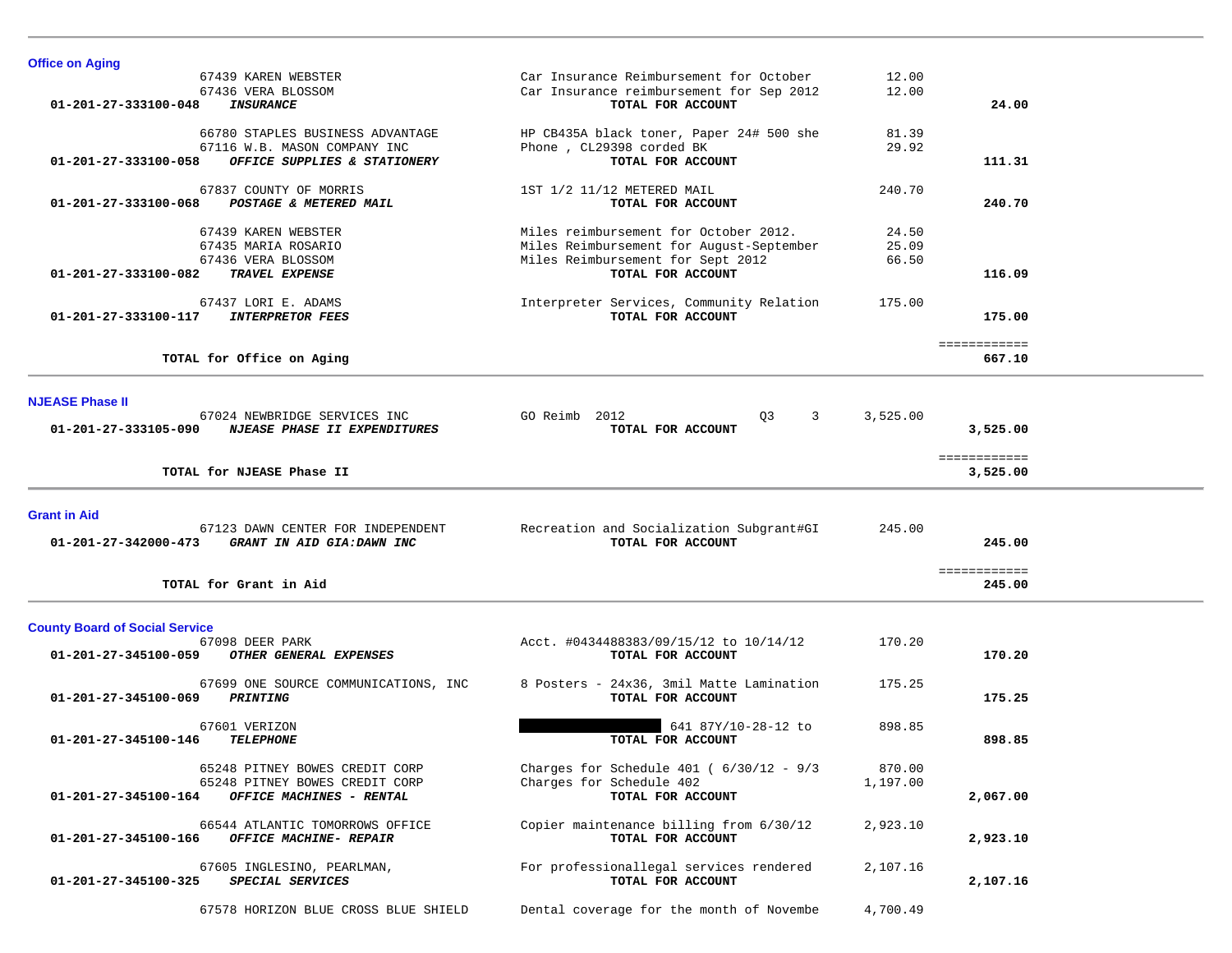| <b>Office on Aging</b>                                                                                                     |                                                                                                                                             |                         |                          |
|----------------------------------------------------------------------------------------------------------------------------|---------------------------------------------------------------------------------------------------------------------------------------------|-------------------------|--------------------------|
| 67439 KAREN WEBSTER<br>67436 VERA BLOSSOM<br>01-201-27-333100-048<br><b>INSURANCE</b>                                      | Car Insurance Reimbursement for October<br>Car Insurance reimbursement for Sep 2012<br>TOTAL FOR ACCOUNT                                    | 12.00<br>12.00          | 24.00                    |
| 66780 STAPLES BUSINESS ADVANTAGE<br>67116 W.B. MASON COMPANY INC<br>01-201-27-333100-058<br>OFFICE SUPPLIES & STATIONERY   | HP CB435A black toner, Paper 24# 500 she<br>Phone, CL29398 corded BK<br>TOTAL FOR ACCOUNT                                                   | 81.39<br>29.92          | 111.31                   |
| 67837 COUNTY OF MORRIS<br>01-201-27-333100-068<br>POSTAGE & METERED MAIL                                                   | 1ST 1/2 11/12 METERED MAIL<br>TOTAL FOR ACCOUNT                                                                                             | 240.70                  | 240.70                   |
| 67439 KAREN WEBSTER<br>67435 MARIA ROSARIO<br>67436 VERA BLOSSOM<br>TRAVEL EXPENSE<br>01-201-27-333100-082                 | Miles reimbursement for October 2012.<br>Miles Reimbursement for August-September<br>Miles Reimbursement for Sept 2012<br>TOTAL FOR ACCOUNT | 24.50<br>25.09<br>66.50 | 116.09                   |
| 67437 LORI E. ADAMS<br><b>INTERPRETOR FEES</b><br>01-201-27-333100-117                                                     | Interpreter Services, Community Relation<br>TOTAL FOR ACCOUNT                                                                               | 175.00                  | 175.00                   |
| TOTAL for Office on Aging                                                                                                  |                                                                                                                                             |                         | ============<br>667.10   |
| <b>NJEASE Phase II</b><br>67024 NEWBRIDGE SERVICES INC<br>01-201-27-333105-090<br>NJEASE PHASE II EXPENDITURES             | GO Reimb 2012<br>Q3<br>3<br>TOTAL FOR ACCOUNT                                                                                               | 3,525.00                | 3,525.00                 |
| TOTAL for NJEASE Phase II                                                                                                  |                                                                                                                                             |                         | ============<br>3,525.00 |
| <b>Grant in Aid</b><br>67123 DAWN CENTER FOR INDEPENDENT<br>$01 - 201 - 27 - 342000 - 473$<br>GRANT IN AID GIA:DAWN INC    | Recreation and Socialization Subgrant#GI<br>TOTAL FOR ACCOUNT                                                                               | 245.00                  | 245.00                   |
| TOTAL for Grant in Aid                                                                                                     |                                                                                                                                             |                         | ============<br>245.00   |
|                                                                                                                            |                                                                                                                                             |                         |                          |
| 67098 DEER PARK<br>01-201-27-345100-059<br>OTHER GENERAL EXPENSES                                                          | Acct. #0434488383/09/15/12 to 10/14/12<br>TOTAL FOR ACCOUNT                                                                                 | 170.20                  | 170.20                   |
| 67699 ONE SOURCE COMMUNICATIONS, INC<br>01-201-27-345100-069<br><b>PRINTING</b>                                            | 8 Posters - 24x36, 3mil Matte Lamination<br>TOTAL FOR ACCOUNT                                                                               | 175.25                  | 175.25                   |
| 67601 VERIZON<br>01-201-27-345100-146<br><b>TELEPHONE</b>                                                                  | 641 87Y/10-28-12 to<br>TOTAL FOR ACCOUNT                                                                                                    | 898.85                  | 898.85                   |
| 65248 PITNEY BOWES CREDIT CORP<br>65248 PITNEY BOWES CREDIT CORP<br>01-201-27-345100-164<br>OFFICE MACHINES - RENTAL       | Charges for Schedule 401 ( $6/30/12 - 9/3$<br>Charges for Schedule 402<br>TOTAL FOR ACCOUNT                                                 | 870.00<br>1,197.00      | 2,067.00                 |
| <b>County Board of Social Service</b><br>66544 ATLANTIC TOMORROWS OFFICE<br>OFFICE MACHINE- REPAIR<br>01-201-27-345100-166 | Copier maintenance billing from 6/30/12<br>TOTAL FOR ACCOUNT                                                                                | 2,923.10                | 2,923.10                 |
| 67605 INGLESINO, PEARLMAN,<br>SPECIAL SERVICES<br>01-201-27-345100-325                                                     | For professionallegal services rendered<br>TOTAL FOR ACCOUNT                                                                                | 2,107.16                | 2,107.16                 |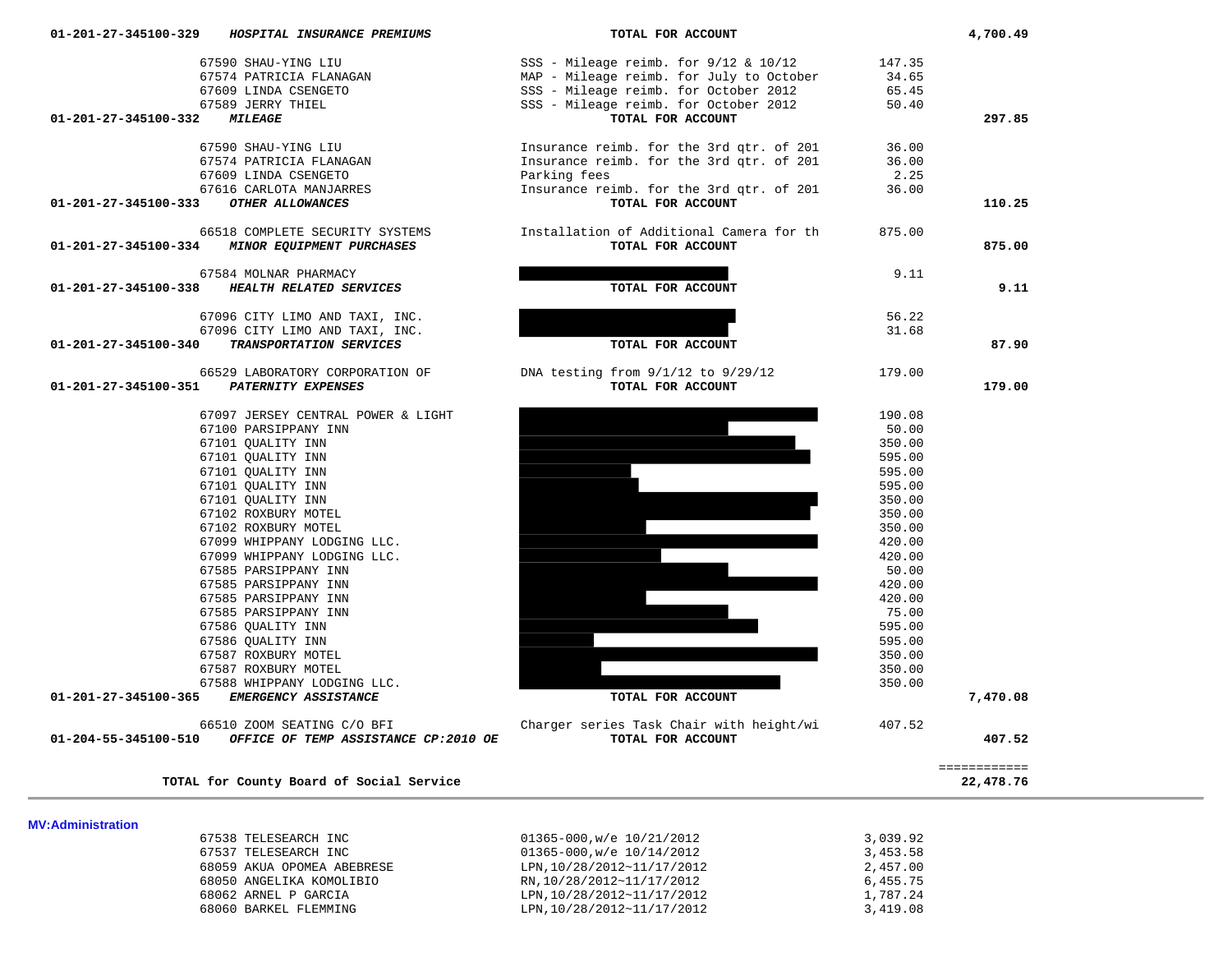|                          | 67586 OUALITY INN                        |                                          | 595.00   |           |
|--------------------------|------------------------------------------|------------------------------------------|----------|-----------|
|                          | 67587 ROXBURY MOTEL                      |                                          | 350.00   |           |
|                          | 67587 ROXBURY MOTEL                      |                                          | 350.00   |           |
|                          | 67588 WHIPPANY LODGING LLC.              |                                          | 350.00   |           |
| 01-201-27-345100-365     | <i>EMERGENCY ASSISTANCE</i>              | TOTAL FOR ACCOUNT                        |          | 7,470.08  |
|                          | 66510 ZOOM SEATING C/O BFI               | Charger series Task Chair with height/wi | 407.52   |           |
| 01-204-55-345100-510     | OFFICE OF TEMP ASSISTANCE CP:2010 OE     | TOTAL FOR ACCOUNT                        |          | 407.52    |
|                          |                                          |                                          |          |           |
|                          |                                          |                                          |          |           |
|                          | TOTAL for County Board of Social Service |                                          |          | 22,478.76 |
| <b>MV:Administration</b> |                                          |                                          |          |           |
|                          | 67538 TELESEARCH INC                     | $01365 - 000$ , w/e $10/21/2012$         | 3,039.92 |           |
|                          | 67537 TELESEARCH INC                     | $01365 - 000$ , w/e $10/14/2012$         | 3,453.58 |           |
|                          | 68059 AKUA OPOMEA ABEBRESE               | LPN, 10/28/2012~11/17/2012               | 2,457.00 |           |
|                          | 68050 ANGELIKA KOMOLIBIO                 | RN, 10/28/2012~11/17/2012                | 6,455.75 |           |

68060 BARKEL FLEMMING LPN,10/28/2012~11/17/2012 3,419.08

|                                    | 67097 JERSEY CENTRAL POWER & LIC |
|------------------------------------|----------------------------------|
|                                    | 67100 PARSIPPANY INN             |
|                                    | 67101 OUALITY INN                |
|                                    | 67101 OUALITY INN                |
|                                    | 67101 OUALITY INN                |
|                                    | 67101 OUALITY INN                |
|                                    | 67101 OUALITY INN                |
|                                    | 67102 ROXBURY MOTEL              |
|                                    | 67102 ROXBURY MOTEL              |
|                                    | 67099 WHIPPANY LODGING LLC.      |
|                                    | 67099 WHIPPANY LODGING LLC.      |
|                                    | 67585 PARSIPPANY INN             |
|                                    | 67585 PARSIPPANY INN             |
|                                    | 67585 PARSIPPANY INN             |
|                                    | 67585 PARSIPPANY INN             |
|                                    | 67586 QUALITY INN                |
|                                    | 67586 OUALITY INN                |
|                                    | 67587 ROXBURY MOTEL              |
|                                    | 67587 ROXBURY MOTEL              |
|                                    | 67588 WHIPPANY LODGING LLC.      |
| 27-345100-365 EMERGENCY ASSISTANCE |                                  |

#### 66529 LABORATORY CORPORATION OF 01-201-27-345100-351 PATERNITY EXPENSES

#### 67584 MOLNAR PHARMACY 01-201-27-345100-338 *HEALTH RELATED SERVICES*

#### 66518 COMPLETE SECURITY SYSTEMS 01-201-27-345100-334 *MINOR EQUIPMENT PURCHASES*

## 67590 SHAU-YING LIU 67574 PATRICIA FLANAGAN 67609 LINDA CSENGETO 67616 CARLOTA MANJARRES 01-201-27-345100-333 OTHER ALLOWANCES

### **01-201-27-345100-329** *HOSPITAL INSURANCE PREMIUMS* **TOTAL FOR ACCOUNT 4,700.49** 67590 SHAU-YING LIU 67574 PATRICIA FLANAGAN 67609 LINDA CSENGETO 67589 JERRY THIEL 01-201-27-345100-332 *MILEAGE*

| 67590 SHAU-YING LIU<br>67574 PATRICIA FLANAGAN<br>67609 LINDA CSENGETO<br>67589 JERRY THIEL       | SSS - Mileage reimb. for $9/12$ & $10/12$<br>MAP - Mileage reimb. for July to October<br>SSS - Mileage reimb. for October 2012<br>SSS - Mileage reimb. for October 2012 | 147.35<br>34.65<br>65.45<br>50.40 |          |
|---------------------------------------------------------------------------------------------------|-------------------------------------------------------------------------------------------------------------------------------------------------------------------------|-----------------------------------|----------|
| <b>MILEAGE</b><br>01-201-27-345100-332                                                            | TOTAL FOR ACCOUNT                                                                                                                                                       |                                   | 297.85   |
| 67590 SHAU-YING LIU<br>67574 PATRICIA FLANAGAN<br>67609 LINDA CSENGETO<br>67616 CARLOTA MANJARRES | Insurance reimb. for the 3rd qtr. of 201<br>Insurance reimb. for the 3rd qtr. of 201<br>Parking fees<br>Insurance reimb. for the 3rd qtr. of 201                        | 36.00<br>36.00<br>2.25<br>36.00   |          |
| OTHER ALLOWANCES<br>01-201-27-345100-333                                                          | TOTAL FOR ACCOUNT                                                                                                                                                       |                                   | 110.25   |
|                                                                                                   |                                                                                                                                                                         |                                   |          |
| 66518 COMPLETE SECURITY SYSTEMS<br>01-201-27-345100-334<br><b>MINOR EQUIPMENT PURCHASES</b>       | Installation of Additional Camera for th<br>TOTAL FOR ACCOUNT                                                                                                           | 875.00                            | 875.00   |
| 67584 MOLNAR PHARMACY                                                                             |                                                                                                                                                                         | 9.11                              |          |
| HEALTH RELATED SERVICES<br>01-201-27-345100-338                                                   | TOTAL FOR ACCOUNT                                                                                                                                                       |                                   | 9.11     |
|                                                                                                   |                                                                                                                                                                         |                                   |          |
| 67096 CITY LIMO AND TAXI, INC.                                                                    |                                                                                                                                                                         | 56.22                             |          |
| 67096 CITY LIMO AND TAXI, INC.                                                                    |                                                                                                                                                                         | 31.68                             |          |
| 01-201-27-345100-340<br>TRANSPORTATION SERVICES                                                   | TOTAL FOR ACCOUNT                                                                                                                                                       |                                   | 87.90    |
|                                                                                                   |                                                                                                                                                                         |                                   |          |
| 66529 LABORATORY CORPORATION OF<br>01-201-27-345100-351<br>PATERNITY EXPENSES                     | DNA testing from 9/1/12 to 9/29/12<br>TOTAL FOR ACCOUNT                                                                                                                 | 179.00                            | 179.00   |
|                                                                                                   |                                                                                                                                                                         |                                   |          |
| 67097 JERSEY CENTRAL POWER & LIGHT                                                                |                                                                                                                                                                         | 190.08                            |          |
| 67100 PARSIPPANY INN                                                                              |                                                                                                                                                                         | 50.00                             |          |
| 67101 QUALITY INN                                                                                 |                                                                                                                                                                         | 350.00                            |          |
| 67101 OUALITY INN                                                                                 |                                                                                                                                                                         | 595.00                            |          |
| 67101 QUALITY INN                                                                                 |                                                                                                                                                                         | 595.00                            |          |
| 67101 QUALITY INN                                                                                 |                                                                                                                                                                         | 595.00                            |          |
| 67101 OUALITY INN                                                                                 |                                                                                                                                                                         | 350.00                            |          |
| 67102 ROXBURY MOTEL                                                                               |                                                                                                                                                                         | 350.00                            |          |
| 67102 ROXBURY MOTEL                                                                               |                                                                                                                                                                         | 350.00                            |          |
| 67099 WHIPPANY LODGING LLC.                                                                       |                                                                                                                                                                         | 420.00                            |          |
| 67099 WHIPPANY LODGING LLC.                                                                       |                                                                                                                                                                         | 420.00                            |          |
| 67585 PARSIPPANY INN                                                                              |                                                                                                                                                                         | 50.00                             |          |
| 67585 PARSIPPANY INN                                                                              |                                                                                                                                                                         | 420.00                            |          |
| 67585 PARSIPPANY INN                                                                              |                                                                                                                                                                         | 420.00                            |          |
| 67585 PARSIPPANY INN                                                                              |                                                                                                                                                                         | 75.00                             |          |
| 67586 QUALITY INN                                                                                 |                                                                                                                                                                         | 595.00                            |          |
| 67586 OUALITY INN                                                                                 |                                                                                                                                                                         | 595.00                            |          |
| 67587 ROXBURY MOTEL                                                                               |                                                                                                                                                                         | 350.00                            |          |
| 67587 ROXBURY MOTEL                                                                               |                                                                                                                                                                         | 350.00                            |          |
| 67588 WHIPPANY LODGING LLC.                                                                       |                                                                                                                                                                         | 350.00                            |          |
| EMERGENCY ASSISTANCE<br>01-201-27-345100-365                                                      | TOTAL FOR ACCOUNT                                                                                                                                                       |                                   | 7,470.08 |
| 66510 ZOOM SEATING C/O BFI                                                                        |                                                                                                                                                                         | 407.52                            |          |
| 01-204-55-345100-510 OFFICE OF TEMP ASSISTANCE CP:2010 OE                                         | Charger series Task Chair with height/wi<br>TOTAL FOR ACCOUNT                                                                                                           |                                   | 407.52   |
|                                                                                                   |                                                                                                                                                                         |                                   |          |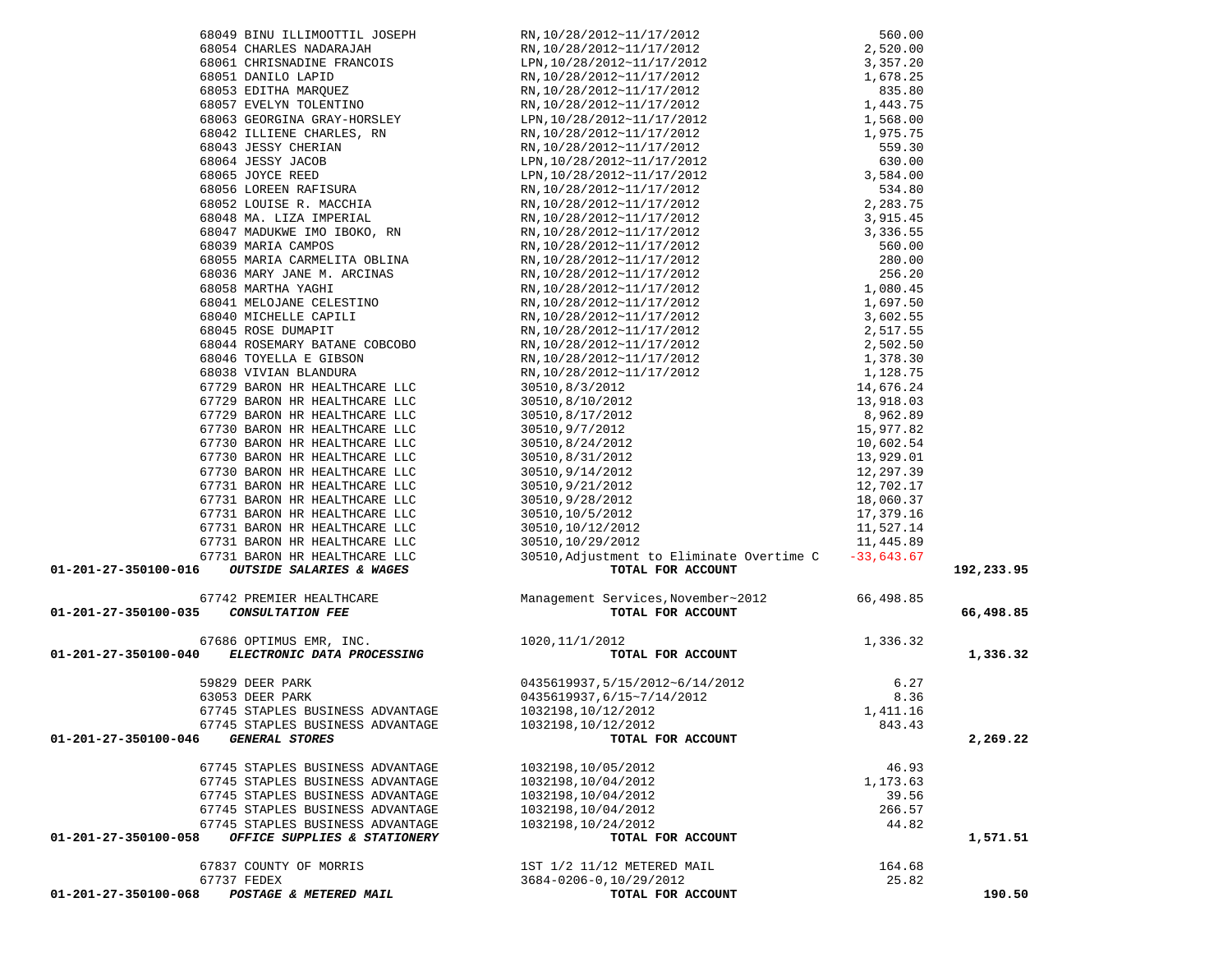| 68045 ROSE DUMAPIT                                                    |                                                                                   |              |            |
|-----------------------------------------------------------------------|-----------------------------------------------------------------------------------|--------------|------------|
| 68044 ROSEMARY BATANE COBCOBO                                         |                                                                                   |              |            |
|                                                                       |                                                                                   |              |            |
| 68046 TOYELLA E GIBSON                                                |                                                                                   |              |            |
| 68038 VIVIAN BLANDURA                                                 |                                                                                   |              |            |
| 67729 BARON HR HEALTHCARE LLC                                         |                                                                                   |              |            |
| 67729 BARON HR HEALTHCARE LLC                                         |                                                                                   |              |            |
| 67729 BARON HR HEALTHCARE LLC                                         |                                                                                   |              |            |
| 67730 BARON HR HEALTHCARE LLC                                         |                                                                                   |              |            |
| 67730 BARON HR HEALTHCARE LLC                                         |                                                                                   |              |            |
| 67730 BARON HR HEALTHCARE LLC                                         |                                                                                   |              |            |
| 67730 BARON HR HEALTHCARE LLC                                         |                                                                                   |              |            |
| 67731 BARON HR HEALTHCARE LLC                                         |                                                                                   |              |            |
| 67731 BARON HR HEALTHCARE LLC                                         |                                                                                   |              |            |
| 67731 BARON HR HEALTHCARE LLC                                         |                                                                                   |              |            |
| 67731 BARON HR HEALTHCARE LLC                                         |                                                                                   |              |            |
| 67731 BARON HR HEALTHCARE LLC                                         |                                                                                   |              |            |
| 67731 BARON HR HEALTHCARE LLC                                         | 30510, Adjustment to Eliminate Overtime C                                         | $-33,643.67$ |            |
| 01-201-27-350100-016<br><b>OUTSIDE SALARIES &amp; WAGES</b>           | TOTAL FOR ACCOUNT                                                                 |              | 192,233.95 |
|                                                                       |                                                                                   |              |            |
| 67742 PREMIER HEALTHCARE                                              |                                                                                   | 66,498.85    |            |
| <b>CONSULTATION FEE</b><br>01-201-27-350100-035                       | Management Services, November~2012<br>TOTAL FOR ACCOUNT                           |              | 66,498.85  |
|                                                                       |                                                                                   |              |            |
| 67686 OPTIMUS EMR, INC.<br>BLECTRONIC DATA PROGRESSES (1020,11/1/2012 |                                                                                   |              |            |
| 01-201-27-350100-040 ELECTRONIC DATA PROCESSING                       | $1,336.32$<br><b>TOTAL FOR ACCOUNT</b>                                            |              | 1,336.32   |
|                                                                       |                                                                                   |              |            |
| 59829 DEER PARK                                                       |                                                                                   | 6.27         |            |
| 63053 DEER PARK                                                       |                                                                                   | 8.36         |            |
| 67745 STAPLES BUSINESS ADVANTAGE                                      | 0435619937,5/15/2012~6/14/2012<br>0435619937,6/15~7/14/2012<br>1032198,10/12/2012 | 1,411.16     |            |
| 67745 STAPLES BUSINESS ADVANTAGE                                      | 1032198,10/12/2012                                                                | 843.43       |            |
| 01-201-27-350100-046<br><b>GENERAL STORES</b>                         | TOTAL FOR ACCOUNT                                                                 |              | 2,269.22   |
|                                                                       |                                                                                   |              |            |
| 67745 STAPLES BUSINESS ADVANTAGE                                      | 1032198,10/05/2012                                                                | 46.93        |            |
| 67745 STAPLES BUSINESS ADVANTAGE                                      | 1032198,10/04/2012                                                                | 1,173.63     |            |
| 67745 STAPLES BUSINESS ADVANTAGE                                      | 1032198,10/04/2012                                                                | 39.56        |            |
| 67745 STAPLES BUSINESS ADVANTAGE                                      | 1032198,10/04/2012                                                                | 266.57       |            |
| 67745 STAPLES BUSINESS ADVANTAGE                                      | 1032198, 10/24/2012                                                               | 44.82        |            |
| OFFICE SUPPLIES & STATIONERY<br>01-201-27-350100-058                  | TOTAL FOR ACCOUNT                                                                 |              | 1,571.51   |
|                                                                       |                                                                                   |              |            |
| 67837 COUNTY OF MORRIS                                                | 1ST 1/2 11/12 METERED MAIL                                                        | 164.68       |            |
| 67737 FEDEX                                                           | 3684-0206-0,10/29/2012                                                            | 25.82        |            |
| POSTAGE & METERED MAIL<br>01-201-27-350100-068                        | TOTAL FOR ACCOUNT                                                                 |              | 190.50     |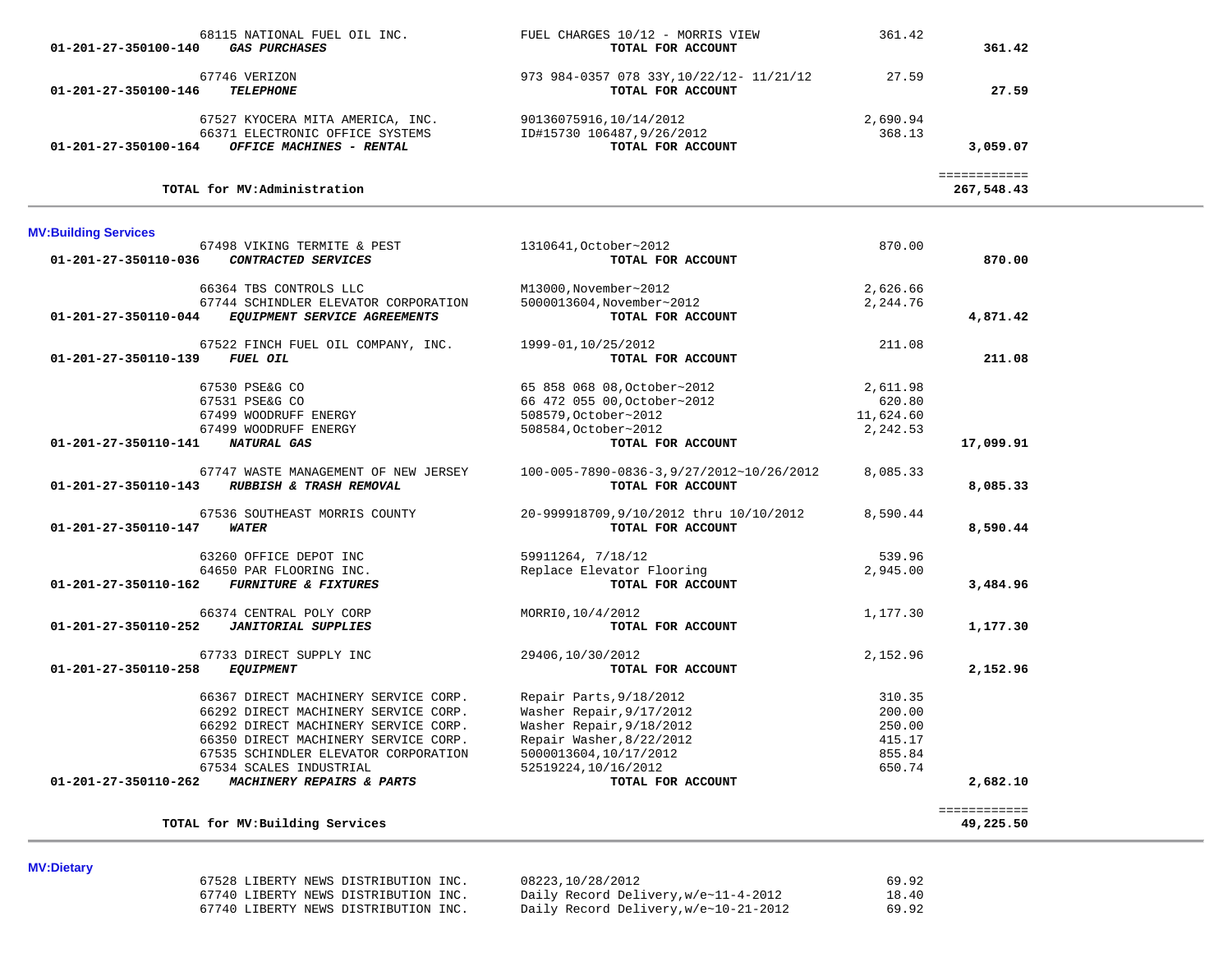| 68115 NATIONAL FUEL OIL INC.<br><i><b>GAS PURCHASES</b></i><br>01-201-27-350100-140 | FUEL CHARGES 10/12 - MORRIS VIEW<br>TOTAL FOR ACCOUNT         | 361.42    | 361.42                     |
|-------------------------------------------------------------------------------------|---------------------------------------------------------------|-----------|----------------------------|
|                                                                                     |                                                               |           |                            |
| 67746 VERIZON<br><b>TELEPHONE</b><br>01-201-27-350100-146                           | 973 984-0357 078 33Y, 10/22/12- 11/21/12<br>TOTAL FOR ACCOUNT | 27.59     | 27.59                      |
| 67527 KYOCERA MITA AMERICA, INC.                                                    | 90136075916,10/14/2012                                        | 2,690.94  |                            |
| 66371 ELECTRONIC OFFICE SYSTEMS                                                     | ID#15730 106487,9/26/2012                                     | 368.13    |                            |
| 01-201-27-350100-164 OFFICE MACHINES - RENTAL                                       | TOTAL FOR ACCOUNT                                             |           | 3,059.07                   |
| TOTAL for MV:Administration                                                         |                                                               |           | ============<br>267,548.43 |
| <b>MV:Building Services</b>                                                         |                                                               |           |                            |
| 67498 VIKING TERMITE & PEST                                                         | 1310641, October~2012                                         | 870.00    |                            |
| CONTRACTED SERVICES<br>01-201-27-350110-036                                         | TOTAL FOR ACCOUNT                                             |           | 870.00                     |
| 66364 TBS CONTROLS LLC                                                              | M13000, November~2012                                         | 2,626.66  |                            |
| 67744 SCHINDLER ELEVATOR CORPORATION                                                | 5000013604, November~2012                                     | 2,244.76  |                            |
| 01-201-27-350110-044 EQUIPMENT SERVICE AGREEMENTS                                   | TOTAL FOR ACCOUNT                                             |           | 4,871.42                   |
| 67522 FINCH FUEL OIL COMPANY, INC.                                                  | 1999-01, 10/25/2012                                           | 211.08    |                            |
| 01-201-27-350110-139 FUEL OIL                                                       | TOTAL FOR ACCOUNT                                             |           | 211.08                     |
| 67530 PSE&G CO                                                                      | 65 858 068 08, October~2012                                   | 2,611.98  |                            |
| 67531 PSE&G CO                                                                      | 66 472 055 00, October~2012                                   | 620.80    |                            |
| 67499 WOODRUFF ENERGY                                                               | 508579, October~2012                                          | 11,624.60 |                            |
| 67499 WOODRUFF ENERGY                                                               | 508584, October~2012                                          | 2,242.53  |                            |
| 01-201-27-350110-141<br>NATURAL GAS                                                 | TOTAL FOR ACCOUNT                                             |           | 17,099.91                  |
| 67747 WASTE MANAGEMENT OF NEW JERSEY                                                | 100-005-7890-0836-3,9/27/2012~10/26/2012                      | 8,085.33  |                            |
| 01-201-27-350110-143 RUBBISH & TRASH REMOVAL                                        | TOTAL FOR ACCOUNT                                             |           | 8,085.33                   |
| 67536 SOUTHEAST MORRIS COUNTY                                                       | 20-999918709,9/10/2012 thru 10/10/2012                        | 8,590.44  |                            |
| 01-201-27-350110-147 WATER                                                          | TOTAL FOR ACCOUNT                                             |           | 8,590.44                   |
| 63260 OFFICE DEPOT INC                                                              | 59911264, 7/18/12                                             | 539.96    |                            |
| 64650 PAR FLOORING INC.                                                             | Replace Elevator Flooring                                     | 2,945.00  |                            |
| 01-201-27-350110-162 FURNITURE & FIXTURES                                           | TOTAL FOR ACCOUNT                                             |           | 3,484.96                   |
| 66374 CENTRAL POLY CORP                                                             | MORRIO, 10/4/2012                                             | 1,177.30  |                            |
| 01-201-27-350110-252 JANITORIAL SUPPLIES                                            | TOTAL FOR ACCOUNT                                             |           | 1,177.30                   |
| 67733 DIRECT SUPPLY INC                                                             | 29406,10/30/2012                                              | 2,152.96  |                            |
| <b>EQUIPMENT</b><br>01-201-27-350110-258                                            | TOTAL FOR ACCOUNT                                             |           | 2,152.96                   |
| 66367 DIRECT MACHINERY SERVICE CORP.                                                | Repair Parts, 9/18/2012                                       | 310.35    |                            |
| 66292 DIRECT MACHINERY SERVICE CORP.                                                | Washer Repair, 9/17/2012                                      | 200.00    |                            |
| 66292 DIRECT MACHINERY SERVICE CORP.                                                | Washer Repair, 9/18/2012                                      | 250.00    |                            |
| 66350 DIRECT MACHINERY SERVICE CORP.                                                | Repair Washer, 8/22/2012                                      | 415.17    |                            |
| 67535 SCHINDLER ELEVATOR CORPORATION                                                | 5000013604,10/17/2012                                         | 855.84    |                            |
| 67534 SCALES INDUSTRIAL                                                             | 52519224,10/16/2012                                           | 650.74    |                            |
| 01-201-27-350110-262<br>MACHINERY REPAIRS & PARTS                                   | TOTAL FOR ACCOUNT                                             |           | 2,682.10                   |
|                                                                                     |                                                               |           | ============               |
| TOTAL for MV: Building Services                                                     |                                                               |           | 49,225.50                  |

|  | 67528 LIBERTY NEWS DISTRIBUTION INC. | 08223,10/28/2012                      | 69.92 |
|--|--------------------------------------|---------------------------------------|-------|
|  | 67740 LIBERTY NEWS DISTRIBUTION INC. | Daily Record Delivery, w/e~11-4-2012  | 18.40 |
|  | 67740 LIBERTY NEWS DISTRIBUTION INC. | Daily Record Delivery, w/e~10-21-2012 | 69.92 |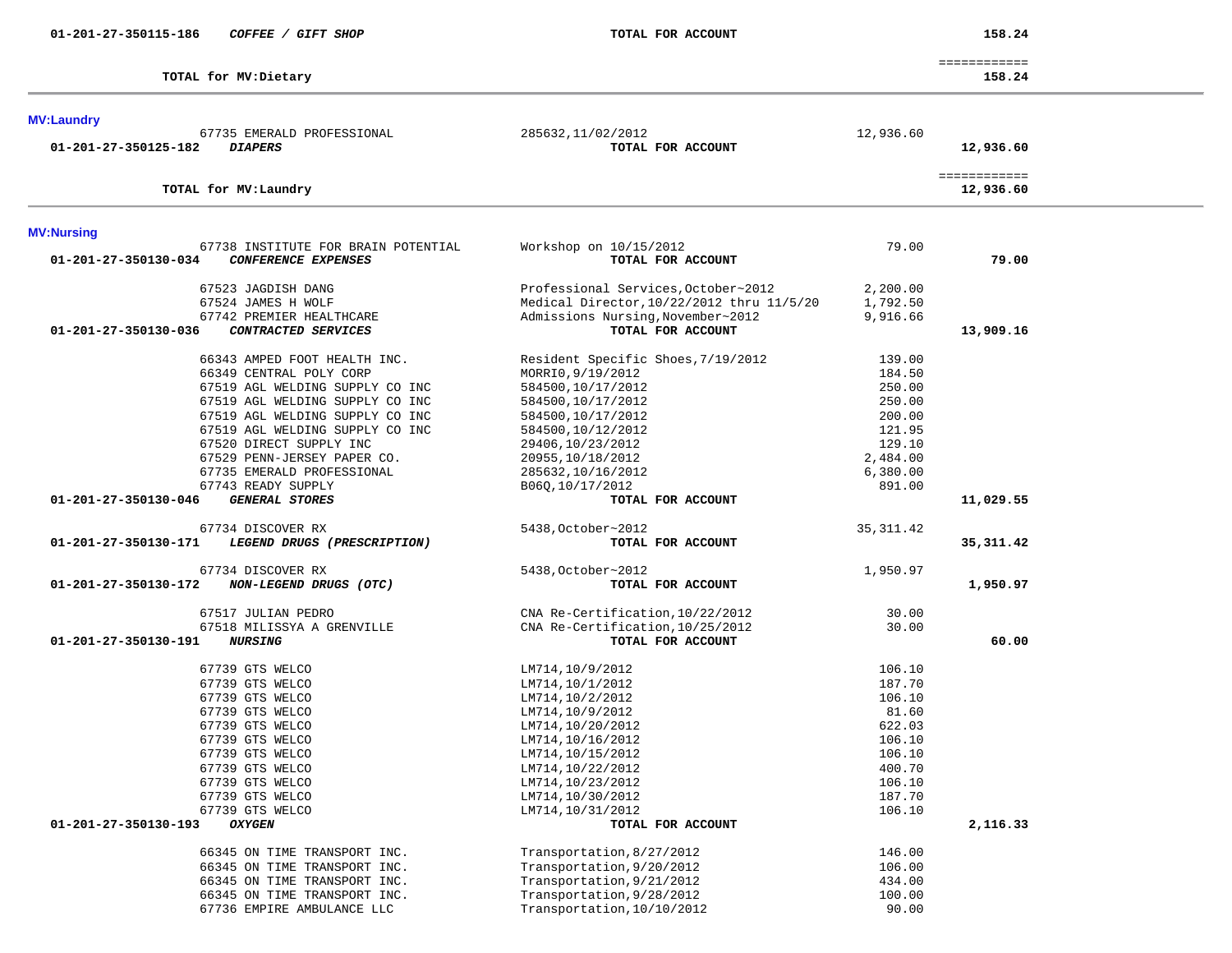67735 EMERALD PROFESSIONAL 285632,11/02/2012 12,936.60

| л<br>58<br>ı |  |
|--------------|--|
|--------------|--|

|                         | -------------<br>_____________ |
|-------------------------|--------------------------------|
| TOTAL<br>for MV:Dietary | 158.24                         |

| <b>MV:Laundry</b> |  |                            |  |
|-------------------|--|----------------------------|--|
|                   |  |                            |  |
|                   |  | 67735 EMERALD PROFESSIONAL |  |

 **01-201-27-350125-182** *DIAPERS* **TOTAL FOR ACCOUNT 12,936.60** ============ **TOTAL for MV:Laundry 12,936.60 MV:Nursing**  67738 INSTITUTE FOR BRAIN POTENTIAL Workshop on 10/15/2012 79.00  **01-201-27-350130-034** *CONFERENCE EXPENSES* **TOTAL FOR ACCOUNT 79.00** 67523 JAGDISH DANG Professional Services,October~2012 2,200.00 67524 JAMES H WOLF Medical Director,10/22/2012 thru 11/5/20 1,792.50 Admissions Nursing,November~2012 9,916.66  **01-201-27-350130-036** *CONTRACTED SERVICES* **TOTAL FOR ACCOUNT 13,909.16** 66343 AMPED FOOT HEALTH INC. Resident Specific Shoes,7/19/2012 139.00 66349 CENTRAL POLY CORP MORRI0,9/19/2012 184.50 67519 AGL WELDING SUPPLY CO INC 584500,10/17/2012 250.00 67519 AGL WELDING SUPPLY CO INC 584500,10/17/2012 250.00 67519 AGL WELDING SUPPLY CO INC 584500,10/17/2012 200.00 67519 AGL WELDING SUPPLY CO INC 584500,10/12/2012 121.95 67520 DIRECT SUPPLY INC 29406,10/23/2012 129.10 67529 PENN-JERSEY PAPER CO. 20955,10/18/2012 2,484.00 67735 EMERALD PROFESSIONAL 285632,10/16/2012 6,380.00 67743 READY SUPPLY B060,10/17/2012 891.00  **01-201-27-350130-046** *GENERAL STORES* **TOTAL FOR ACCOUNT 11,029.55** 67734 DISCOVER RX 5438,October~2012 35,311.42  **01-201-27-350130-171** *LEGEND DRUGS (PRESCRIPTION)* **TOTAL FOR ACCOUNT 35,311.42** 67734 DISCOVER RX 5438,October~2012 1,950.97  **01-201-27-350130-172** *NON-LEGEND DRUGS (OTC)* **TOTAL FOR ACCOUNT 1,950.97** 67517 JULIAN PEDRO CNA Re-Certification,10/22/2012 30.00 67518 MILISSYA A GRENVILLE CNA Re-Certification,10/25/2012 30.00  **01-201-27-350130-191** *NURSING* **TOTAL FOR ACCOUNT 60.00**67739 GTS WELCO 106.10 LM714,10/9/2012 106.10 67739 GTS WELCO **LM714,10/1/2012** 187.70 67739 GTS WELCO LM714,10/2/2012 106.10 67739 GTS WELCO LM714,10/9/2012 81.60 67739 GTS WELCO LM714,10/20/2012 622.03 67739 GTS WELCO 106.10 LM714,10/16/2012 106.10 67739 GTS WELCO 106.10 LM714,10/15/2012 106.10 67739 GTS WELCO LM714,10/22/2012 400.70 67739 GTS WELCO **LM714,10/23/2012** 106.10 67739 GTS WELCO LM714,10/30/2012 187.70 67739 GTS WELCO LM714,10/31/2012 106.10  **01-201-27-350130-193** *OXYGEN* **TOTAL FOR ACCOUNT 2,116.33** 66345 ON TIME TRANSPORT INC. Transportation,8/27/2012 146.00 66345 ON TIME TRANSPORT INC. Transportation,9/20/2012 106.00 66345 ON TIME TRANSPORT INC.<br>66345 ON TIME TRANSPORT INC. Transportation.9/28/2012 434.00

66345 ON TIME TRANSPORT INC. Transportation, 9/28/2012

67736 EMPIRE AMBULANCE LLC Transportation,10/10/2012 90.00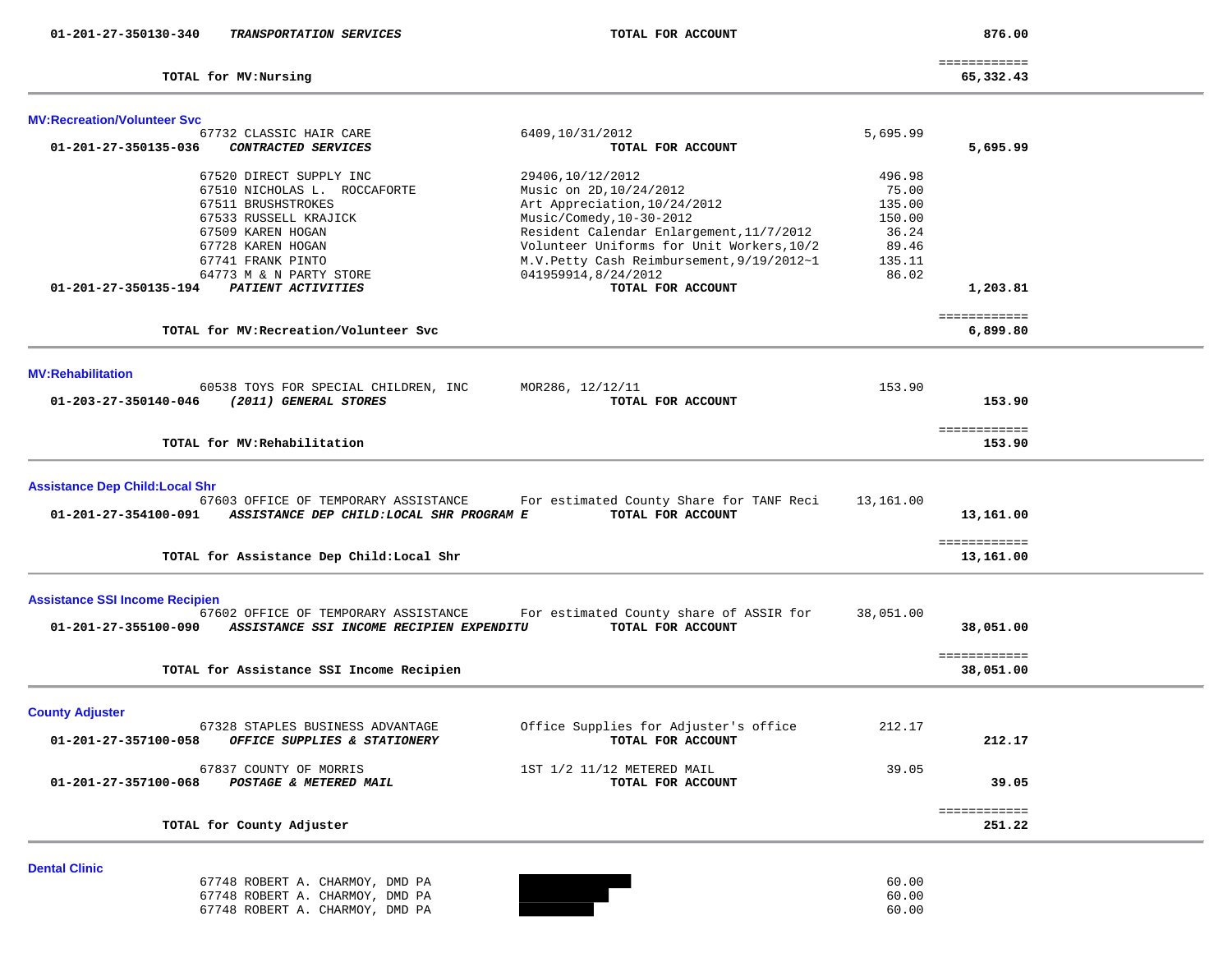| 01-201-27-350130-340                   | TRANSPORTATION SERVICES                   | TOTAL FOR ACCOUNT                         |           | 876.00                    |  |
|----------------------------------------|-------------------------------------------|-------------------------------------------|-----------|---------------------------|--|
|                                        | TOTAL for MV: Nursing                     |                                           |           | ============<br>65,332.43 |  |
| <b>MV:Recreation/Volunteer Svc</b>     |                                           |                                           |           |                           |  |
|                                        | 67732 CLASSIC HAIR CARE                   | 6409,10/31/2012                           | 5,695.99  |                           |  |
| 01-201-27-350135-036                   | CONTRACTED SERVICES                       | TOTAL FOR ACCOUNT                         |           | 5,695.99                  |  |
|                                        | 67520 DIRECT SUPPLY INC                   | 29406,10/12/2012                          | 496.98    |                           |  |
|                                        | 67510 NICHOLAS L. ROCCAFORTE              | Music on 2D, 10/24/2012                   | 75.00     |                           |  |
|                                        | 67511 BRUSHSTROKES                        | Art Appreciation, 10/24/2012              | 135.00    |                           |  |
|                                        | 67533 RUSSELL KRAJICK                     | Music/Comedy, 10-30-2012                  | 150.00    |                           |  |
|                                        | 67509 KAREN HOGAN                         | Resident Calendar Enlargement, 11/7/2012  | 36.24     |                           |  |
|                                        | 67728 KAREN HOGAN                         | Volunteer Uniforms for Unit Workers, 10/2 | 89.46     |                           |  |
|                                        | 67741 FRANK PINTO                         | M.V.Petty Cash Reimbursement, 9/19/2012~1 | 135.11    |                           |  |
|                                        | 64773 M & N PARTY STORE                   | 041959914,8/24/2012                       | 86.02     |                           |  |
| 01-201-27-350135-194                   | PATIENT ACTIVITIES                        | TOTAL FOR ACCOUNT                         |           | 1,203.81                  |  |
|                                        |                                           |                                           |           | ============              |  |
|                                        | TOTAL for MV: Recreation/Volunteer Svc    |                                           |           | 6,899.80                  |  |
|                                        |                                           |                                           |           |                           |  |
| <b>MV:Rehabilitation</b>               |                                           |                                           |           |                           |  |
|                                        | 60538 TOYS FOR SPECIAL CHILDREN, INC      | MOR286, 12/12/11                          | 153.90    |                           |  |
| 01-203-27-350140-046                   | (2011) GENERAL STORES                     | TOTAL FOR ACCOUNT                         |           | 153.90                    |  |
|                                        | TOTAL for MV: Rehabilitation              |                                           |           | ============<br>153.90    |  |
|                                        |                                           |                                           |           |                           |  |
| <b>Assistance Dep Child: Local Shr</b> |                                           |                                           |           |                           |  |
|                                        | 67603 OFFICE OF TEMPORARY ASSISTANCE      | For estimated County Share for TANF Reci  | 13,161.00 |                           |  |
| 01-201-27-354100-091                   | ASSISTANCE DEP CHILD: LOCAL SHR PROGRAM E | TOTAL FOR ACCOUNT                         |           | 13,161.00                 |  |
|                                        |                                           |                                           |           |                           |  |
|                                        | TOTAL for Assistance Dep Child: Local Shr |                                           |           | ============<br>13,161.00 |  |
|                                        |                                           |                                           |           |                           |  |
| <b>Assistance SSI Income Recipien</b>  |                                           |                                           |           |                           |  |
|                                        | 67602 OFFICE OF TEMPORARY ASSISTANCE      | For estimated County share of ASSIR for   | 38,051.00 |                           |  |
| 01-201-27-355100-090                   | ASSISTANCE SSI INCOME RECIPIEN EXPENDITU  | TOTAL FOR ACCOUNT                         |           | 38,051.00                 |  |
|                                        |                                           |                                           |           | ============              |  |
|                                        | TOTAL for Assistance SSI Income Recipien  |                                           |           | 38,051.00                 |  |
|                                        |                                           |                                           |           |                           |  |
| <b>County Adjuster</b>                 |                                           |                                           |           |                           |  |
|                                        | 67328 STAPLES BUSINESS ADVANTAGE          | Office Supplies for Adjuster's office     | 212.17    |                           |  |
| 01-201-27-357100-058                   | OFFICE SUPPLIES & STATIONERY              | TOTAL FOR ACCOUNT                         |           | 212.17                    |  |
|                                        | 67837 COUNTY OF MORRIS                    | 1ST 1/2 11/12 METERED MAIL                | 39.05     |                           |  |
| 01-201-27-357100-068                   | POSTAGE & METERED MAIL                    | TOTAL FOR ACCOUNT                         |           | 39.05                     |  |
|                                        |                                           |                                           |           |                           |  |
|                                        | TOTAL for County Adjuster                 |                                           |           | ============<br>251.22    |  |
|                                        |                                           |                                           |           |                           |  |
| <b>Dental Clinic</b>                   |                                           |                                           |           |                           |  |
|                                        | 67748 ROBERT A. CHARMOY, DMD PA           |                                           | 60.00     |                           |  |
|                                        |                                           |                                           |           |                           |  |

67748 ROBERT A. CHARMOY, DMD PA<br>67748 ROBERT A. CHARMOY, DMD PA 67748 ROBERT A. CHARMOY, DMD PA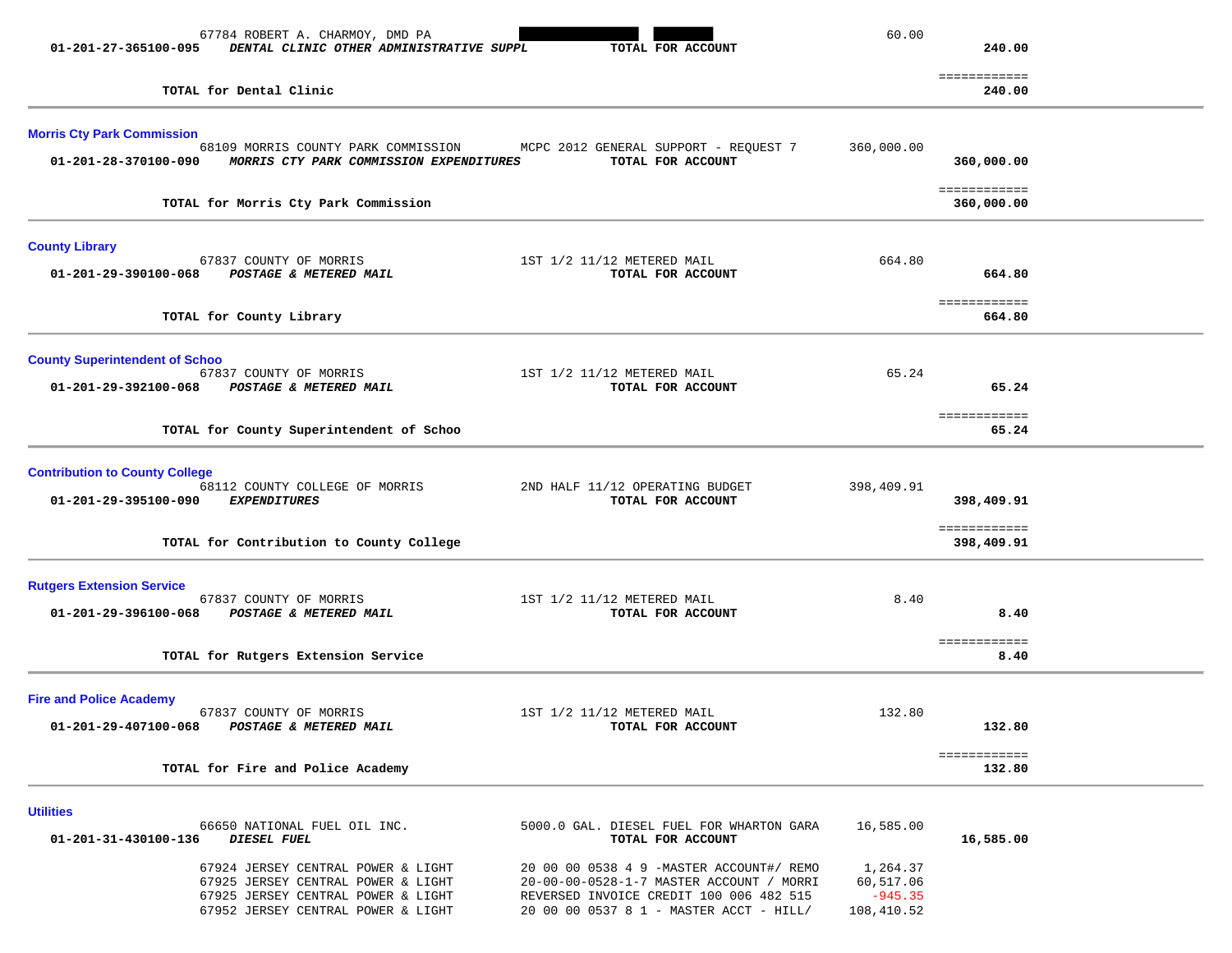| 01-201-27-365100-095                                          | 67784 ROBERT A. CHARMOY, DMD PA<br>DENTAL CLINIC OTHER ADMINISTRATIVE SUPPL                                                                          | TOTAL FOR ACCOUNT                                                                                                                                                          | 60.00                                            | 240.00                                   |  |
|---------------------------------------------------------------|------------------------------------------------------------------------------------------------------------------------------------------------------|----------------------------------------------------------------------------------------------------------------------------------------------------------------------------|--------------------------------------------------|------------------------------------------|--|
|                                                               | TOTAL for Dental Clinic                                                                                                                              |                                                                                                                                                                            |                                                  | ============<br>240.00                   |  |
| <b>Morris Cty Park Commission</b><br>01-201-28-370100-090     | 68109 MORRIS COUNTY PARK COMMISSION<br>MORRIS CTY PARK COMMISSION EXPENDITURES                                                                       | MCPC 2012 GENERAL SUPPORT - REQUEST 7<br>TOTAL FOR ACCOUNT                                                                                                                 | 360,000.00                                       | 360,000.00                               |  |
|                                                               | TOTAL for Morris Cty Park Commission                                                                                                                 |                                                                                                                                                                            |                                                  | ============<br>360,000.00               |  |
| <b>County Library</b><br>01-201-29-390100-068                 | 67837 COUNTY OF MORRIS<br>POSTAGE & METERED MAIL                                                                                                     | 1ST 1/2 11/12 METERED MAIL<br>TOTAL FOR ACCOUNT                                                                                                                            | 664.80                                           | 664.80                                   |  |
|                                                               | TOTAL for County Library                                                                                                                             |                                                                                                                                                                            |                                                  | ============<br>664.80                   |  |
| <b>County Superintendent of Schoo</b><br>01-201-29-392100-068 | 67837 COUNTY OF MORRIS<br>POSTAGE & METERED MAIL                                                                                                     | 1ST 1/2 11/12 METERED MAIL<br>TOTAL FOR ACCOUNT                                                                                                                            | 65.24                                            | 65.24                                    |  |
|                                                               | TOTAL for County Superintendent of Schoo                                                                                                             |                                                                                                                                                                            |                                                  | <b>EEEEEEEEEEE</b><br>65.24              |  |
| <b>Contribution to County College</b><br>01-201-29-395100-090 | 68112 COUNTY COLLEGE OF MORRIS<br><b>EXPENDITURES</b><br>TOTAL for Contribution to County College                                                    | 2ND HALF 11/12 OPERATING BUDGET<br>TOTAL FOR ACCOUNT                                                                                                                       | 398,409.91                                       | 398,409.91<br>============<br>398,409.91 |  |
| <b>Rutgers Extension Service</b><br>01-201-29-396100-068      | 67837 COUNTY OF MORRIS<br><b>POSTAGE &amp; METERED MAIL</b>                                                                                          | 1ST 1/2 11/12 METERED MAIL<br>TOTAL FOR ACCOUNT                                                                                                                            | 8.40                                             | 8.40<br>============                     |  |
|                                                               | TOTAL for Rutgers Extension Service                                                                                                                  |                                                                                                                                                                            |                                                  | 8.40                                     |  |
| <b>Fire and Police Academy</b><br>01-201-29-407100-068        | 67837 COUNTY OF MORRIS<br>POSTAGE & METERED MAIL                                                                                                     | 1ST 1/2 11/12 METERED MAIL<br>TOTAL FOR ACCOUNT                                                                                                                            | 132.80                                           | 132.80                                   |  |
|                                                               | TOTAL for Fire and Police Academy                                                                                                                    |                                                                                                                                                                            |                                                  | ============<br>132.80                   |  |
| <b>Utilities</b><br>01-201-31-430100-136                      | 66650 NATIONAL FUEL OIL INC.<br>DIESEL FUEL                                                                                                          | 5000.0 GAL. DIESEL FUEL FOR WHARTON GARA<br>TOTAL FOR ACCOUNT                                                                                                              | 16,585.00                                        | 16,585.00                                |  |
|                                                               | 67924 JERSEY CENTRAL POWER & LIGHT<br>67925 JERSEY CENTRAL POWER & LIGHT<br>67925 JERSEY CENTRAL POWER & LIGHT<br>67952 JERSEY CENTRAL POWER & LIGHT | 20 00 00 0538 4 9 -MASTER ACCOUNT#/ REMO<br>20-00-00-0528-1-7 MASTER ACCOUNT / MORRI<br>REVERSED INVOICE CREDIT 100 006 482 515<br>20 00 00 0537 8 1 - MASTER ACCT - HILL/ | 1,264.37<br>60,517.06<br>$-945.35$<br>108,410.52 |                                          |  |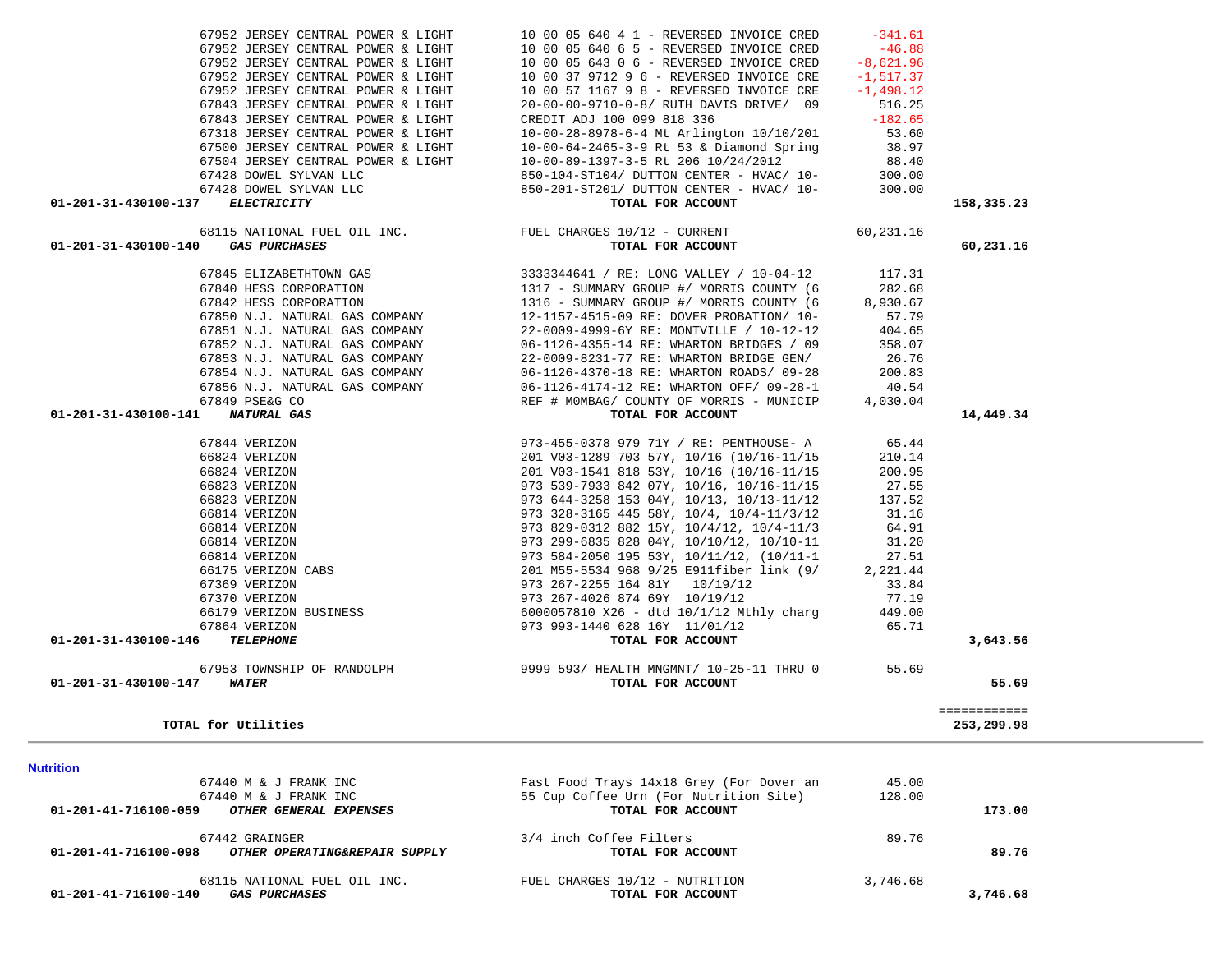| <b>Nutrition</b>                                      |                                          |          |          |
|-------------------------------------------------------|------------------------------------------|----------|----------|
| 67440 M & J FRANK INC                                 | Fast Food Trays 14x18 Grey (For Dover an | 45.00    |          |
| 67440 M & J FRANK INC                                 | 55 Cup Coffee Urn (For Nutrition Site)   | 128.00   |          |
| 01-201-41-716100-059<br>OTHER GENERAL EXPENSES        | TOTAL FOR ACCOUNT                        |          | 173.00   |
| 67442 GRAINGER                                        | 3/4 inch Coffee Filters                  | 89.76    |          |
| 01-201-41-716100-098<br>OTHER OPERATING&REPAIR SUPPLY | TOTAL FOR ACCOUNT                        |          | 89.76    |
| 68115 NATIONAL FUEL OIL INC.                          | FUEL CHARGES 10/12 - NUTRITION           | 3,746.68 |          |
| 01-201-41-716100-140<br><b>GAS PURCHASES</b>          | TOTAL FOR ACCOUNT                        |          | 3,746.68 |

| TOTAL for Utilities                                                            |          | ============<br>253, 299, 98 |
|--------------------------------------------------------------------------------|----------|------------------------------|
|                                                                                |          |                              |
| 01-201-31-430100-147<br><i><b>WATER</b></i><br>TOTAL FOR ACCOUNT               |          | 55.69                        |
| 9999 593/ HEALTH MNGMNT/ 10-25-11 THRU 0<br>67953 TOWNSHIP OF RANDOLPH         | 55.69    |                              |
| $01 - 201 - 31 - 430100 - 146$<br><i><b>TELEPHONE</b></i><br>TOTAL FOR ACCOUNT |          | 3,643.56                     |
| 973 993-1440 628 16Y 11/01/12<br>67864 VERIZON                                 | 65.71    |                              |
| $6000057810$ X26 - dtd $10/1/12$ Mthly charg<br>66179 VERIZON BUSINESS         | 449.00   |                              |
| 67370 VERIZON<br>973 267-4026 874 69Y 10/19/12                                 | 77.19    |                              |
| 973 267-2255 164 81Y 10/19/12<br>67369 VERIZON                                 | 33.84    |                              |
| 201 M55-5534 968 9/25 E911fiber link (9/<br>66175 VERIZON CABS                 | 2,221.44 |                              |
| 973 584-2050 195 53Y, 10/11/12, (10/11-1<br>66814 VERIZON                      | 27.51    |                              |
| 973 299-6835 828 04Y, 10/10/12, 10/10-11<br>66814 VERIZON                      | 31.20    |                              |
| 973 829-0312 882 15Y, 10/4/12, 10/4-11/3<br>66814 VERIZON                      | 64.91    |                              |
| 973 328-3165 445 58Y, 10/4, 10/4-11/3/12 31.16<br>66814 VERIZON                |          |                              |
| 973 644-3258 153 04Y, 10/13, 10/13-11/12<br>66823 VERIZON                      | 137.52   |                              |
| 973 539-7933 842 07Y, 10/16, 10/16-11/15 27.55<br>66823 VERIZON                |          |                              |
| 201 V03-1541 818 53Y, 10/16 (10/16-11/15<br>66824 VERIZON                      | 200.95   |                              |
| 201 V03-1289 703 57Y, 10/16 (10/16-11/15<br>66824 VERIZON                      | 210.14   |                              |
| 67844 VERIZON<br>973-455-0378 979 71Y / RE: PENTHOUSE- A                       | 65.44    |                              |

 **01-201-31-430100-141** *NATURAL GAS* **TOTAL FOR ACCOUNT 14,449.34**

## 67851 N.J. NATURAL GAS COMPANY 22-0009-4999-6Y RE: MONTVILLE / 10-12-12 404.65 67852 N.J. NATURAL GAS COMPANY 06-1126-4355-14 RE: WHARTON BRIDGES / 09 358.07 67853 N.J. NATURAL GAS COMPANY 22-0009-8231-77 RE: WHARTON BRIDGE GEN/ 26.76 67854 N.J. NATURAL GAS COMPANY 06-1126-4370-18 RE: WHARTON ROADS/ 09-28 200.83 67856 N.J. NATURAL GAS COMPANY 06-1126-4174-12 RE: WHARTON OFF/ 09-28-1 40.54 67849 PSE&G CO REF # M0MBAG/ COUNTY OF MORRIS - MUNICIP 4,030.04

 67952 JERSEY CENTRAL POWER & LIGHT 10 00 05 640 4 1 - REVERSED INVOICE CRED -341.61 $67952$  JERSEY CENTRAL POWER & LIGHT  $100005$  $67952$  JERSEY CENTRAL POWER & LIGHT  $100005$  $67952$  JERSEY CENTRAL POWER & LIGHT  $100037$ 67952 JERSEY CENTRAL POWER & LIGHT 10 00 57 67843 JERSEY CENTRAL POWER & LIGHT 20-00-00-9 67843 JERSEY CENTRAL POWER & LIGHT CREDIT AD 67318 JERSEY CENTRAL POWER & LIGHT  $10-00-28-8$ 67500 JERSEY CENTRAL POWER & LIGHT  $10-00-64-2$ 67504 JERSEY CENTRAL POWER & LIGHT  $10-00-89-3$ 67428 DOWEL SYLVAN LLC 850-67428 DOWEL SYLVAN LLC 850-

# 67845 ELIZABETHTOWN GAS 3333344641 / RE: LONG VALLEY / 10-04-12 117.31 67840 HESS CORPORATION 1317 - SUMMARY GROUP #/ MORRIS COUNTY (6 282.68 67842 HESS CORPORATION 1316 - SUMMARY GROUP #/ MORRIS COUNTY (6 8,930.67 67850 N.J. NATURAL GAS COMPANY 12-1157-4515-09 RE: DOVER PROBATION/ 10- 57.79

| 68115 NATIONAL FUEL OIL INC.<br>$01 - 201 - 31 - 430100 - 140$<br><i>GAS PURCHASES</i> | FUEL CHARGES 10/12 - CURRENT<br>TOTAL FOR ACCOUNT | 60,231.16 | 60,231,16  |
|----------------------------------------------------------------------------------------|---------------------------------------------------|-----------|------------|
| 01-201-31-430100-137<br><i>ELECTRICITY</i>                                             | TOTAL FOR ACCOUNT                                 |           | 158,335.23 |
| 67428 DOWEL SYLVAN LLC                                                                 | 850-201-ST201/ DUTTON CENTER - HVAC/ 10-          | 300.00    |            |
| 67428 DOWEL SYLVAN LLC                                                                 | 850-104-ST104/ DUTTON CENTER - HVAC/ 10-          | 300.00    |            |
|                                                                                        |                                                   |           |            |

| 040 4 I - REVERSED INVOICE CRED         -341.01 |           |
|-------------------------------------------------|-----------|
| $640\,65$ - REVERSED INVOICE CRED $-46.88$      |           |
| 643 0 6 - REVERSED INVOICE CRED -8,621.96       |           |
| 9712 9 6 - REVERSED INVOICE CRE -1,517.37       |           |
| 1167 9 8 - REVERSED INVOICE CRE -1,498.12       |           |
| 9710-0-8/ RUTH DAVIS DRIVE/ 09 516.25           |           |
| J 100 099 818 336                               | $-182.65$ |
| 8978-6-4 Mt Arlington 10/10/201 53.60           |           |
| 2465-3-9 Rt 53 & Diamond Spring                 | 38.97     |
| 1397-3-5 Rt 206 10/24/2012                      | 88.40     |
| T104/ DUTTON CENTER - HVAC/ 10-                 | 300.00    |
| T201/ DUTTON CENTER - HVAC/ 10-                 | 300.00    |
| TOTAL FOR ACCOUNT                               | 158       |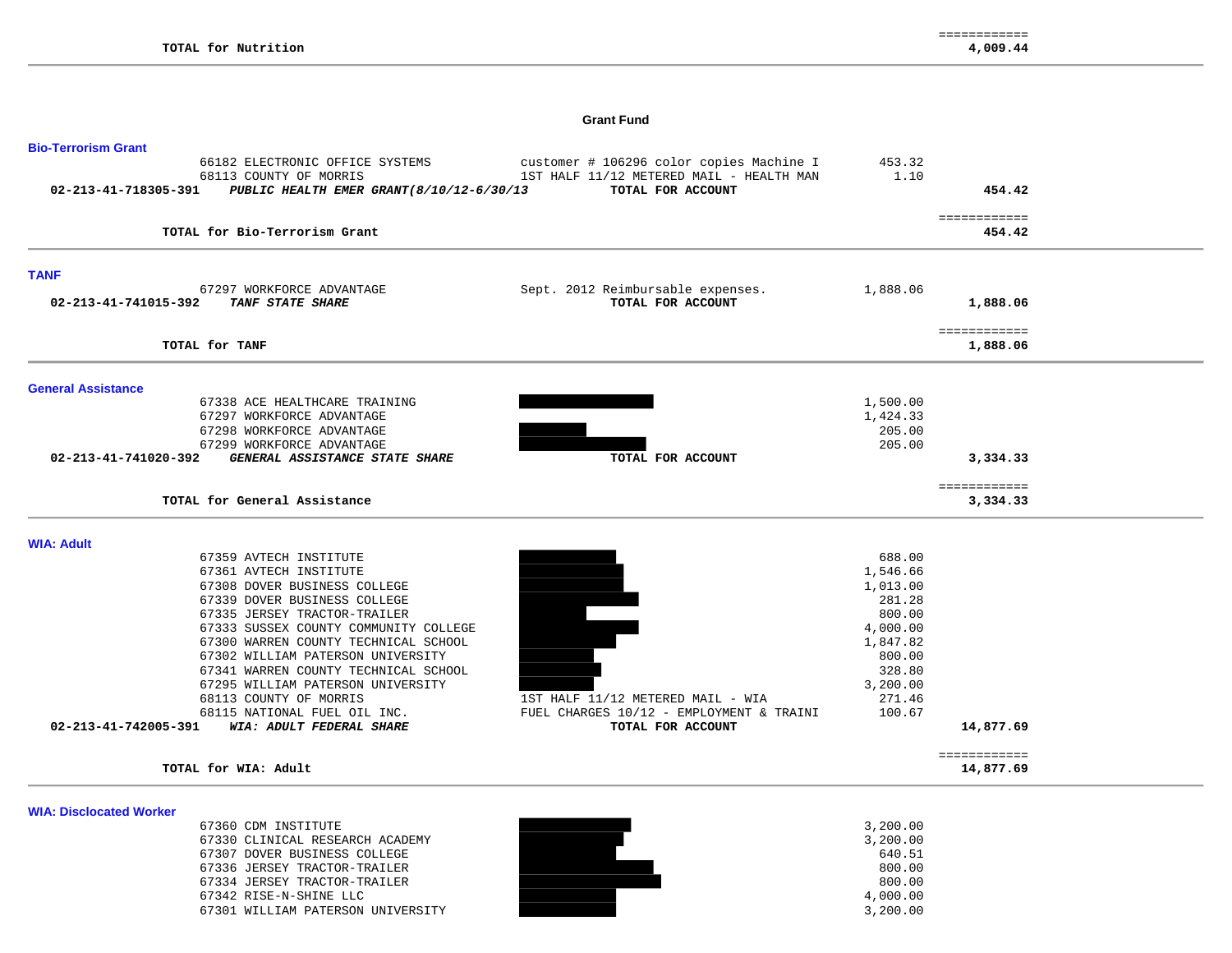#### **Grant Fund**

| <b>Bio-Terrorism Grant</b>                                                                                                     |                                                                                                           |                                |                           |
|--------------------------------------------------------------------------------------------------------------------------------|-----------------------------------------------------------------------------------------------------------|--------------------------------|---------------------------|
| 66182 ELECTRONIC OFFICE SYSTEMS<br>68113 COUNTY OF MORRIS<br>PUBLIC HEALTH EMER GRANT (8/10/12-6/30/13<br>02-213-41-718305-391 | customer # 106296 color copies Machine I<br>1ST HALF 11/12 METERED MAIL - HEALTH MAN<br>TOTAL FOR ACCOUNT | 453.32<br>1.10                 | 454.42                    |
| TOTAL for Bio-Terrorism Grant                                                                                                  |                                                                                                           |                                | ============<br>454.42    |
| <b>TANF</b>                                                                                                                    |                                                                                                           |                                |                           |
| 67297 WORKFORCE ADVANTAGE<br>02-213-41-741015-392<br>TANF STATE SHARE                                                          | Sept. 2012 Reimbursable expenses.<br>TOTAL FOR ACCOUNT                                                    | 1,888.06                       | 1,888.06                  |
| TOTAL for TANF                                                                                                                 |                                                                                                           |                                | ============<br>1,888.06  |
| <b>General Assistance</b>                                                                                                      |                                                                                                           |                                |                           |
| 67338 ACE HEALTHCARE TRAINING<br>67297 WORKFORCE ADVANTAGE<br>67298 WORKFORCE ADVANTAGE                                        |                                                                                                           | 1,500.00<br>1,424.33<br>205.00 |                           |
| 67299 WORKFORCE ADVANTAGE<br>GENERAL ASSISTANCE STATE SHARE<br>02-213-41-741020-392                                            | TOTAL FOR ACCOUNT                                                                                         | 205.00                         | 3,334.33                  |
| TOTAL for General Assistance                                                                                                   |                                                                                                           |                                | ============<br>3,334.33  |
| <b>WIA: Adult</b>                                                                                                              |                                                                                                           |                                |                           |
| 67359 AVTECH INSTITUTE                                                                                                         |                                                                                                           | 688.00                         |                           |
| 67361 AVTECH INSTITUTE<br>67308 DOVER BUSINESS COLLEGE                                                                         |                                                                                                           | 1,546.66<br>1,013.00           |                           |
| 67339 DOVER BUSINESS COLLEGE                                                                                                   |                                                                                                           | 281.28                         |                           |
| 67335 JERSEY TRACTOR-TRAILER                                                                                                   |                                                                                                           | 800.00                         |                           |
| 67333 SUSSEX COUNTY COMMUNITY COLLEGE                                                                                          |                                                                                                           | 4,000.00                       |                           |
| 67300 WARREN COUNTY TECHNICAL SCHOOL                                                                                           |                                                                                                           | 1,847.82                       |                           |
| 67302 WILLIAM PATERSON UNIVERSITY                                                                                              |                                                                                                           | 800.00                         |                           |
| 67341 WARREN COUNTY TECHNICAL SCHOOL                                                                                           |                                                                                                           | 328.80                         |                           |
| 67295 WILLIAM PATERSON UNIVERSITY                                                                                              |                                                                                                           | 3,200.00                       |                           |
| 68113 COUNTY OF MORRIS                                                                                                         | 1ST HALF 11/12 METERED MAIL - WIA                                                                         | 271.46                         |                           |
| 68115 NATIONAL FUEL OIL INC.<br>WIA: ADULT FEDERAL SHARE<br>02-213-41-742005-391                                               | FUEL CHARGES 10/12 - EMPLOYMENT & TRAINI<br>TOTAL FOR ACCOUNT                                             | 100.67                         | 14,877.69                 |
| TOTAL for WIA: Adult                                                                                                           |                                                                                                           |                                | ============<br>14,877.69 |
|                                                                                                                                |                                                                                                           |                                |                           |
| <b>WIA: Disclocated Worker</b>                                                                                                 |                                                                                                           |                                |                           |
| 67360 CDM INSTITUTE<br>67330 CLINICAL RESEARCH ACADEMY                                                                         |                                                                                                           | 3,200.00<br>3,200.00           |                           |
| 67307 DOVER BUSINESS COLLEGE                                                                                                   |                                                                                                           | 640.51                         |                           |
| 67336 JERSEY TRACTOR-TRAILER                                                                                                   |                                                                                                           | 800.00                         |                           |
| 67334 JERSEY TRACTOR-TRAILER                                                                                                   |                                                                                                           | 800.00                         |                           |
| 67342 RISE-N-SHINE LLC                                                                                                         |                                                                                                           | 4,000.00                       |                           |
| 67301 WILLIAM PATERSON UNIVERSITY                                                                                              |                                                                                                           | 3,200.00                       |                           |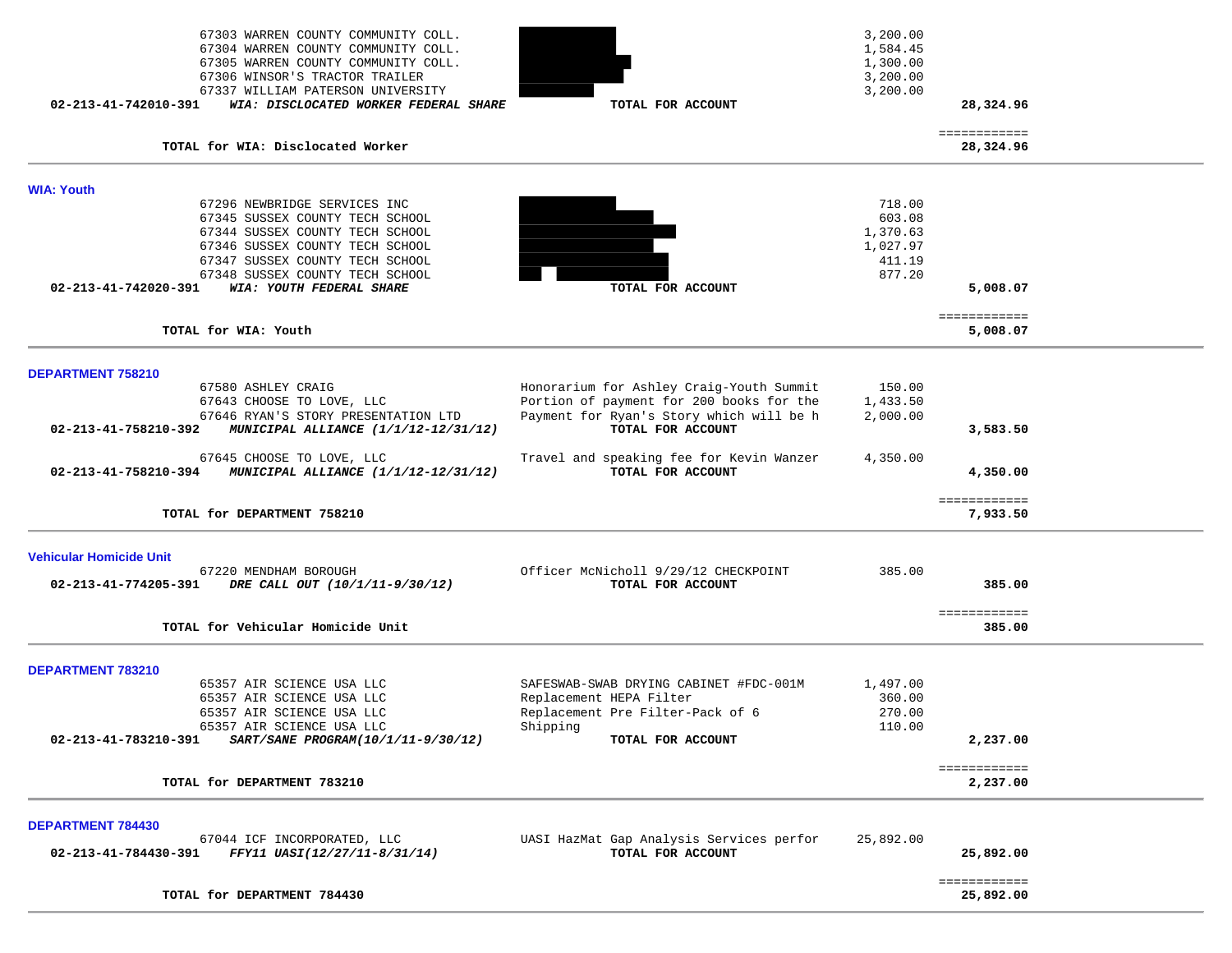| 67303 WARREN COUNTY COMMUNITY COLL.<br>67304 WARREN COUNTY COMMUNITY COLL.<br>67305 WARREN COUNTY COMMUNITY COLL. |                                                               | 3,200.00<br>1,584.45<br>1,300.00 |                           |  |
|-------------------------------------------------------------------------------------------------------------------|---------------------------------------------------------------|----------------------------------|---------------------------|--|
| 67306 WINSOR'S TRACTOR TRAILER                                                                                    |                                                               | 3,200.00                         |                           |  |
| 67337 WILLIAM PATERSON UNIVERSITY<br>WIA: DISCLOCATED WORKER FEDERAL SHARE<br>$02 - 213 - 41 - 742010 - 391$      | TOTAL FOR ACCOUNT                                             | 3,200.00                         | 28,324.96                 |  |
|                                                                                                                   |                                                               |                                  |                           |  |
| TOTAL for WIA: Disclocated Worker                                                                                 |                                                               |                                  | ============<br>28,324.96 |  |
| <b>WIA: Youth</b>                                                                                                 |                                                               |                                  |                           |  |
| 67296 NEWBRIDGE SERVICES INC                                                                                      |                                                               | 718.00                           |                           |  |
| 67345 SUSSEX COUNTY TECH SCHOOL<br>67344 SUSSEX COUNTY TECH SCHOOL                                                |                                                               | 603.08                           |                           |  |
| 67346 SUSSEX COUNTY TECH SCHOOL                                                                                   |                                                               | 1,370.63<br>1,027.97             |                           |  |
| 67347 SUSSEX COUNTY TECH SCHOOL                                                                                   |                                                               | 411.19                           |                           |  |
| 67348 SUSSEX COUNTY TECH SCHOOL                                                                                   |                                                               | 877.20                           |                           |  |
| 02-213-41-742020-391<br>WIA: YOUTH FEDERAL SHARE                                                                  | TOTAL FOR ACCOUNT                                             |                                  | 5,008.07                  |  |
| TOTAL for WIA: Youth                                                                                              |                                                               |                                  | ============              |  |
|                                                                                                                   |                                                               |                                  | 5,008.07                  |  |
| DEPARTMENT 758210                                                                                                 |                                                               |                                  |                           |  |
| 67580 ASHLEY CRAIG                                                                                                | Honorarium for Ashley Craig-Youth Summit                      | 150.00                           |                           |  |
| 67643 CHOOSE TO LOVE, LLC                                                                                         | Portion of payment for 200 books for the                      | 1,433.50                         |                           |  |
| 67646 RYAN'S STORY PRESENTATION LTD<br>02-213-41-758210-392<br>MUNICIPAL ALLIANCE (1/1/12-12/31/12)               | Payment for Ryan's Story which will be h<br>TOTAL FOR ACCOUNT | 2,000.00                         | 3,583.50                  |  |
| 67645 CHOOSE TO LOVE, LLC                                                                                         | Travel and speaking fee for Kevin Wanzer                      | 4,350.00                         |                           |  |
| 02-213-41-758210-394 MUNICIPAL ALLIANCE (1/1/12-12/31/12)                                                         | TOTAL FOR ACCOUNT                                             |                                  | 4,350.00                  |  |
| TOTAL for DEPARTMENT 758210                                                                                       |                                                               |                                  | ============<br>7,933.50  |  |
|                                                                                                                   |                                                               |                                  |                           |  |
| <b>Vehicular Homicide Unit</b>                                                                                    |                                                               |                                  |                           |  |
| 67220 MENDHAM BOROUGH<br>02-213-41-774205-391<br>DRE CALL OUT (10/1/11-9/30/12)                                   | Officer McNicholl 9/29/12 CHECKPOINT<br>TOTAL FOR ACCOUNT     | 385.00                           | 385.00                    |  |
|                                                                                                                   |                                                               |                                  |                           |  |
| TOTAL for Vehicular Homicide Unit                                                                                 |                                                               |                                  | ============<br>385.00    |  |
|                                                                                                                   |                                                               |                                  |                           |  |
| DEPARTMENT 783210                                                                                                 |                                                               |                                  |                           |  |
| 65357 AIR SCIENCE USA LLC                                                                                         | SAFESWAB-SWAB DRYING CABINET #FDC-001M                        | 1,497.00                         |                           |  |
| 65357 AIR SCIENCE USA LLC<br>65357 AIR SCIENCE USA LLC                                                            | Replacement HEPA Filter<br>Replacement Pre Filter-Pack of 6   | 360.00<br>270.00                 |                           |  |
| 65357 AIR SCIENCE USA LLC                                                                                         | Shipping                                                      | 110.00                           |                           |  |
| SART/SANE PROGRAM(10/1/11-9/30/12)<br>02-213-41-783210-391                                                        | TOTAL FOR ACCOUNT                                             |                                  | 2,237.00                  |  |
|                                                                                                                   |                                                               |                                  | ============              |  |
| TOTAL for DEPARTMENT 783210                                                                                       |                                                               |                                  | 2,237.00                  |  |
| <b>DEPARTMENT 784430</b>                                                                                          |                                                               |                                  |                           |  |
| 67044 ICF INCORPORATED, LLC                                                                                       | UASI HazMat Gap Analysis Services perfor                      | 25,892.00                        |                           |  |
| FFY11 UASI(12/27/11-8/31/14)<br>02-213-41-784430-391                                                              | TOTAL FOR ACCOUNT                                             |                                  | 25,892.00                 |  |
|                                                                                                                   |                                                               |                                  | ============              |  |
| TOTAL for DEPARTMENT 784430                                                                                       |                                                               |                                  | 25,892.00                 |  |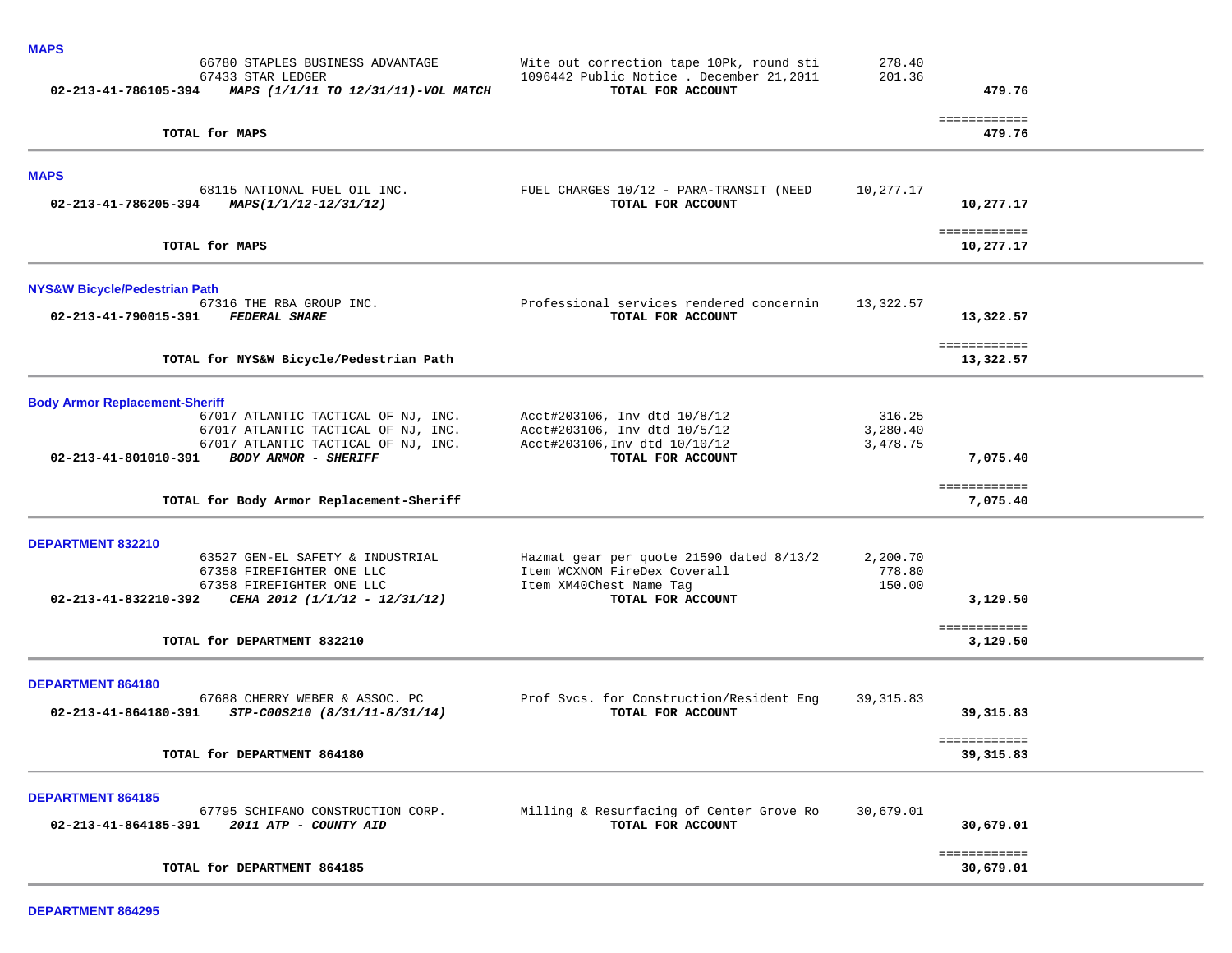| <b>MAPS</b>                                                                        |                                                                                      |                    |                            |  |
|------------------------------------------------------------------------------------|--------------------------------------------------------------------------------------|--------------------|----------------------------|--|
| 66780 STAPLES BUSINESS ADVANTAGE<br>67433 STAR LEDGER                              | Wite out correction tape 10Pk, round sti<br>1096442 Public Notice . December 21,2011 | 278.40<br>201.36   |                            |  |
| 02-213-41-786105-394<br>MAPS (1/1/11 TO 12/31/11)-VOL MATCH                        | TOTAL FOR ACCOUNT                                                                    |                    | 479.76                     |  |
| TOTAL for MAPS                                                                     |                                                                                      |                    | ============<br>479.76     |  |
| <b>MAPS</b>                                                                        |                                                                                      |                    |                            |  |
| 68115 NATIONAL FUEL OIL INC.<br>02-213-41-786205-394<br>MAPS(1/1/12-12/31/12)      | FUEL CHARGES 10/12 - PARA-TRANSIT (NEED<br>TOTAL FOR ACCOUNT                         | 10,277.17          | 10,277.17                  |  |
| TOTAL for MAPS                                                                     |                                                                                      |                    | ============<br>10,277.17  |  |
| <b>NYS&amp;W Bicycle/Pedestrian Path</b>                                           |                                                                                      |                    |                            |  |
| 67316 THE RBA GROUP INC.<br>02-213-41-790015-391<br><b>FEDERAL SHARE</b>           | Professional services rendered concernin<br>TOTAL FOR ACCOUNT                        | 13,322.57          | 13,322.57                  |  |
| TOTAL for NYS&W Bicycle/Pedestrian Path                                            |                                                                                      |                    | ============<br>13,322.57  |  |
| <b>Body Armor Replacement-Sheriff</b>                                              |                                                                                      |                    |                            |  |
| 67017 ATLANTIC TACTICAL OF NJ, INC.<br>67017 ATLANTIC TACTICAL OF NJ, INC.         | Acct#203106, Inv dtd 10/8/12<br>Acct#203106, Inv dtd 10/5/12                         | 316.25<br>3,280.40 |                            |  |
| 67017 ATLANTIC TACTICAL OF NJ, INC.                                                | Acct#203106, Inv dtd 10/10/12                                                        | 3,478.75           |                            |  |
| 02-213-41-801010-391<br><b>BODY ARMOR - SHERIFF</b>                                | TOTAL FOR ACCOUNT                                                                    |                    | 7,075.40                   |  |
| TOTAL for Body Armor Replacement-Sheriff                                           |                                                                                      |                    | ============<br>7,075.40   |  |
| DEPARTMENT 832210                                                                  |                                                                                      |                    |                            |  |
| 63527 GEN-EL SAFETY & INDUSTRIAL                                                   | Hazmat gear per quote 21590 dated 8/13/2                                             | 2,200.70           |                            |  |
| 67358 FIREFIGHTER ONE LLC<br>67358 FIREFIGHTER ONE LLC                             | Item WCXNOM FireDex Coverall<br>Item XM40Chest Name Tag                              | 778.80<br>150.00   |                            |  |
| 02-213-41-832210-392<br>CEHA 2012 (1/1/12 - 12/31/12)                              | TOTAL FOR ACCOUNT                                                                    |                    | 3,129.50                   |  |
| TOTAL for DEPARTMENT 832210                                                        |                                                                                      |                    | ============<br>3,129.50   |  |
| DEPARTMENT 864180                                                                  |                                                                                      |                    |                            |  |
| 67688 CHERRY WEBER & ASSOC. PC                                                     | Prof Svcs. for Construction/Resident Eng                                             | 39, 315.83         |                            |  |
| 02-213-41-864180-391<br>STP-C00S210 (8/31/11-8/31/14)                              | TOTAL FOR ACCOUNT                                                                    |                    | 39,315.83                  |  |
| TOTAL for DEPARTMENT 864180                                                        |                                                                                      |                    | ============<br>39, 315.83 |  |
| <b>DEPARTMENT 864185</b>                                                           |                                                                                      |                    |                            |  |
| 67795 SCHIFANO CONSTRUCTION CORP.<br>2011 ATP - COUNTY AID<br>02-213-41-864185-391 | Milling & Resurfacing of Center Grove Ro<br>TOTAL FOR ACCOUNT                        | 30,679.01          | 30,679.01                  |  |
| TOTAL for DEPARTMENT 864185                                                        |                                                                                      |                    | ============<br>30,679.01  |  |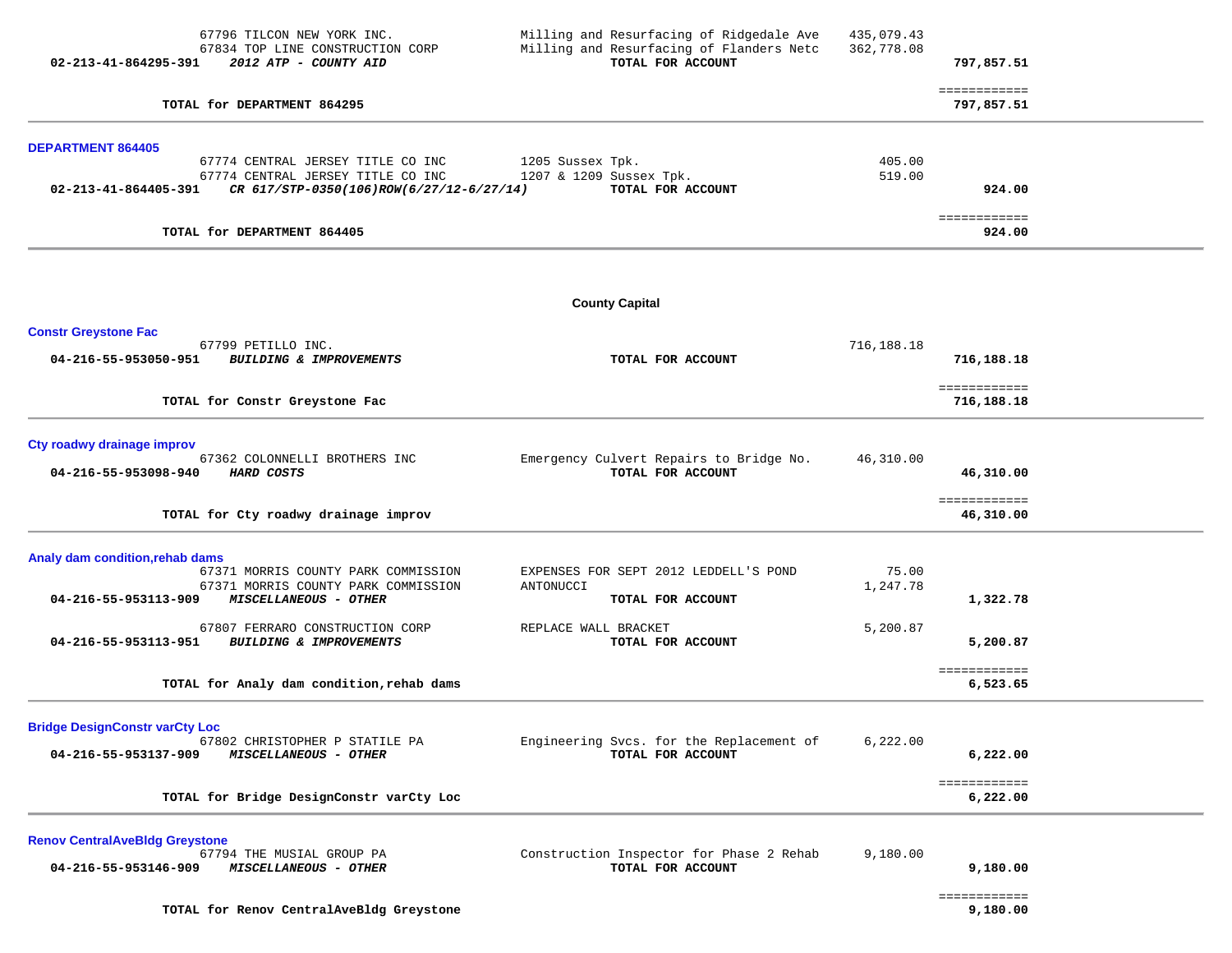| 02-213-41-864295-391                                          | 67796 TILCON NEW YORK INC.<br>67834 TOP LINE CONSTRUCTION CORP<br>2012 ATP - COUNTY AID                            | Milling and Resurfacing of Ridgedale Ave<br>Milling and Resurfacing of Flanders Netc<br>TOTAL FOR ACCOUNT | 435,079.43<br>362,778.08 | 797,857.51                 |  |
|---------------------------------------------------------------|--------------------------------------------------------------------------------------------------------------------|-----------------------------------------------------------------------------------------------------------|--------------------------|----------------------------|--|
|                                                               | TOTAL for DEPARTMENT 864295                                                                                        |                                                                                                           |                          | ============<br>797,857.51 |  |
| <b>DEPARTMENT 864405</b>                                      |                                                                                                                    |                                                                                                           |                          |                            |  |
| 02-213-41-864405-391                                          | 67774 CENTRAL JERSEY TITLE CO INC<br>67774 CENTRAL JERSEY TITLE CO INC<br>CR 617/STP-0350(106)ROW(6/27/12-6/27/14) | 1205 Sussex Tpk.<br>1207 & 1209 Sussex Tpk.<br>TOTAL FOR ACCOUNT                                          | 405.00<br>519.00         | 924.00                     |  |
|                                                               | TOTAL for DEPARTMENT 864405                                                                                        |                                                                                                           |                          | ============<br>924.00     |  |
|                                                               |                                                                                                                    | <b>County Capital</b>                                                                                     |                          |                            |  |
| <b>Constr Greystone Fac</b>                                   |                                                                                                                    |                                                                                                           |                          |                            |  |
| 04-216-55-953050-951                                          | 67799 PETILLO INC.<br><b>BUILDING &amp; IMPROVEMENTS</b>                                                           | TOTAL FOR ACCOUNT                                                                                         | 716,188.18               | 716,188.18                 |  |
|                                                               | TOTAL for Constr Greystone Fac                                                                                     |                                                                                                           |                          | ============<br>716,188.18 |  |
| Cty roadwy drainage improv<br>04-216-55-953098-940            | 67362 COLONNELLI BROTHERS INC<br>HARD COSTS                                                                        | Emergency Culvert Repairs to Bridge No.<br>TOTAL FOR ACCOUNT                                              | 46,310.00                | 46,310.00                  |  |
|                                                               | TOTAL for Cty roadwy drainage improv                                                                               |                                                                                                           |                          | ============<br>46,310.00  |  |
| Analy dam condition, rehab dams<br>04-216-55-953113-909       | 67371 MORRIS COUNTY PARK COMMISSION<br>67371 MORRIS COUNTY PARK COMMISSION<br>MISCELLANEOUS - OTHER                | EXPENSES FOR SEPT 2012 LEDDELL'S POND<br>ANTONUCCI<br>TOTAL FOR ACCOUNT                                   | 75.00<br>1,247.78        | 1,322.78                   |  |
| 04-216-55-953113-951                                          | 67807 FERRARO CONSTRUCTION CORP<br><b>BUILDING &amp; IMPROVEMENTS</b>                                              | REPLACE WALL BRACKET<br>TOTAL FOR ACCOUNT                                                                 | 5,200.87                 | 5,200.87                   |  |
|                                                               | TOTAL for Analy dam condition, rehab dams                                                                          |                                                                                                           |                          | ============<br>6,523.65   |  |
| <b>Bridge DesignConstr varCty Loc</b><br>04-216-55-953137-909 | 67802 CHRISTOPHER P STATILE PA<br>MISCELLANEOUS - OTHER                                                            | Engineering Svcs. for the Replacement of<br>TOTAL FOR ACCOUNT                                             | 6,222.00                 | 6,222.00                   |  |
|                                                               | TOTAL for Bridge DesignConstr varCty Loc                                                                           |                                                                                                           |                          | ============<br>6,222.00   |  |
| <b>Renov CentralAveBldg Greystone</b><br>04-216-55-953146-909 | 67794 THE MUSIAL GROUP PA<br>MISCELLANEOUS - OTHER                                                                 | Construction Inspector for Phase 2 Rehab<br>TOTAL FOR ACCOUNT                                             | 9,180.00                 | 9,180.00<br>============   |  |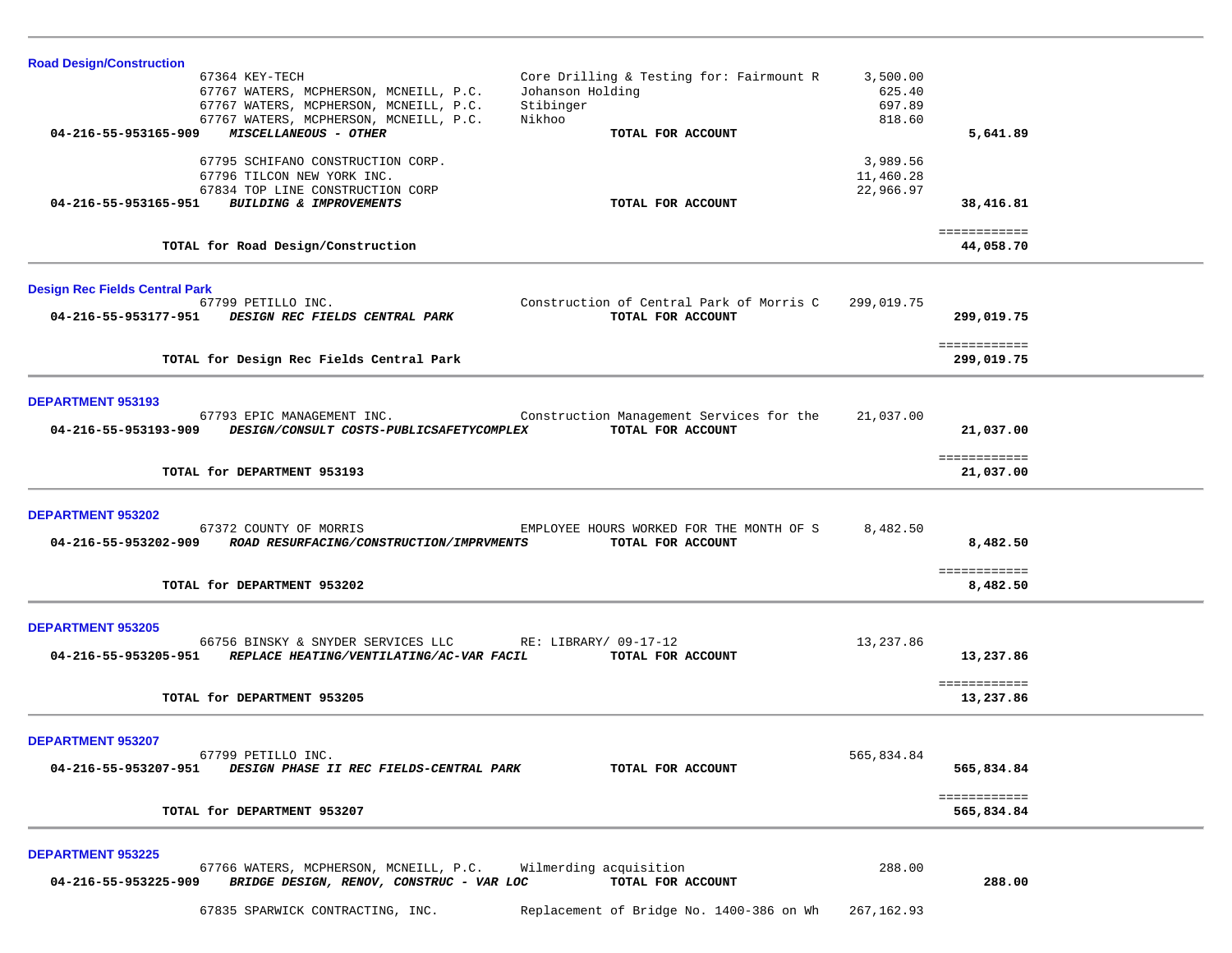| <b>Road Design/Construction</b>                                                                            |                                                               |                    |                           |  |
|------------------------------------------------------------------------------------------------------------|---------------------------------------------------------------|--------------------|---------------------------|--|
| 67364 KEY-TECH<br>67767 WATERS, MCPHERSON, MCNEILL, P.C.                                                   | Core Drilling & Testing for: Fairmount R<br>Johanson Holding  | 3,500.00<br>625.40 |                           |  |
| 67767 WATERS, MCPHERSON, MCNEILL, P.C.                                                                     | Stibinger                                                     | 697.89             |                           |  |
| 67767 WATERS, MCPHERSON, MCNEILL, P.C.<br>Nikhoo                                                           |                                                               | 818.60             |                           |  |
| MISCELLANEOUS - OTHER<br>04-216-55-953165-909                                                              | TOTAL FOR ACCOUNT                                             |                    | 5,641.89                  |  |
| 67795 SCHIFANO CONSTRUCTION CORP.                                                                          |                                                               | 3,989.56           |                           |  |
| 67796 TILCON NEW YORK INC.                                                                                 |                                                               | 11,460.28          |                           |  |
| 67834 TOP LINE CONSTRUCTION CORP<br>04-216-55-953165-951<br>BUILDING & IMPROVEMENTS                        | TOTAL FOR ACCOUNT                                             | 22,966.97          | 38,416.81                 |  |
|                                                                                                            |                                                               |                    |                           |  |
| TOTAL for Road Design/Construction                                                                         |                                                               |                    | ============<br>44,058.70 |  |
|                                                                                                            |                                                               |                    |                           |  |
| <b>Design Rec Fields Central Park</b>                                                                      |                                                               |                    |                           |  |
| 67799 PETILLO INC.<br>04-216-55-953177-951<br>DESIGN REC FIELDS CENTRAL PARK                               | Construction of Central Park of Morris C<br>TOTAL FOR ACCOUNT | 299,019.75         |                           |  |
|                                                                                                            |                                                               |                    | 299,019.75                |  |
|                                                                                                            |                                                               |                    | ============              |  |
| TOTAL for Design Rec Fields Central Park                                                                   |                                                               |                    | 299,019.75                |  |
|                                                                                                            |                                                               |                    |                           |  |
| <b>DEPARTMENT 953193</b><br>67793 EPIC MANAGEMENT INC.                                                     | Construction Management Services for the                      | 21,037.00          |                           |  |
| 04-216-55-953193-909<br>DESIGN/CONSULT COSTS-PUBLICSAFETYCOMPLEX                                           | TOTAL FOR ACCOUNT                                             |                    | 21,037.00                 |  |
|                                                                                                            |                                                               |                    |                           |  |
| TOTAL for DEPARTMENT 953193                                                                                |                                                               |                    | ============<br>21,037.00 |  |
|                                                                                                            |                                                               |                    |                           |  |
| DEPARTMENT 953202                                                                                          |                                                               |                    |                           |  |
| 67372 COUNTY OF MORRIS                                                                                     | EMPLOYEE HOURS WORKED FOR THE MONTH OF S                      | 8,482.50           |                           |  |
| 04-216-55-953202-909<br>ROAD RESURFACING/CONSTRUCTION/IMPRVMENTS                                           | TOTAL FOR ACCOUNT                                             |                    | 8,482.50                  |  |
|                                                                                                            |                                                               |                    | ============              |  |
| TOTAL for DEPARTMENT 953202                                                                                |                                                               |                    | 8,482.50                  |  |
|                                                                                                            |                                                               |                    |                           |  |
| <b>DEPARTMENT 953205</b>                                                                                   |                                                               |                    |                           |  |
| 66756 BINSKY & SNYDER SERVICES LLC<br>04-216-55-953205-951<br>REPLACE HEATING/VENTILATING/AC-VAR FACIL     | RE: LIBRARY/ 09-17-12<br>TOTAL FOR ACCOUNT                    | 13,237.86          | 13,237.86                 |  |
|                                                                                                            |                                                               |                    |                           |  |
| TOTAL for DEPARTMENT 953205                                                                                |                                                               |                    | ============<br>13,237.86 |  |
|                                                                                                            |                                                               |                    |                           |  |
|                                                                                                            |                                                               |                    |                           |  |
| <b>DEPARTMENT 953207</b><br>67799 PETILLO INC.                                                             |                                                               | 565,834.84         |                           |  |
| DESIGN PHASE II REC FIELDS-CENTRAL PARK<br>04-216-55-953207-951                                            | TOTAL FOR ACCOUNT                                             |                    | 565,834.84                |  |
|                                                                                                            |                                                               |                    | ============              |  |
| TOTAL for DEPARTMENT 953207                                                                                |                                                               |                    | 565,834.84                |  |
|                                                                                                            |                                                               |                    |                           |  |
| <b>DEPARTMENT 953225</b>                                                                                   |                                                               |                    |                           |  |
| 67766 WATERS, MCPHERSON, MCNEILL, P.C.<br>BRIDGE DESIGN, RENOV, CONSTRUC - VAR LOC<br>04-216-55-953225-909 | Wilmerding acquisition<br>TOTAL FOR ACCOUNT                   | 288.00             | 288.00                    |  |
|                                                                                                            |                                                               |                    |                           |  |
| 67835 SPARWICK CONTRACTING, INC.                                                                           | Replacement of Bridge No. 1400-386 on Wh                      | 267, 162.93        |                           |  |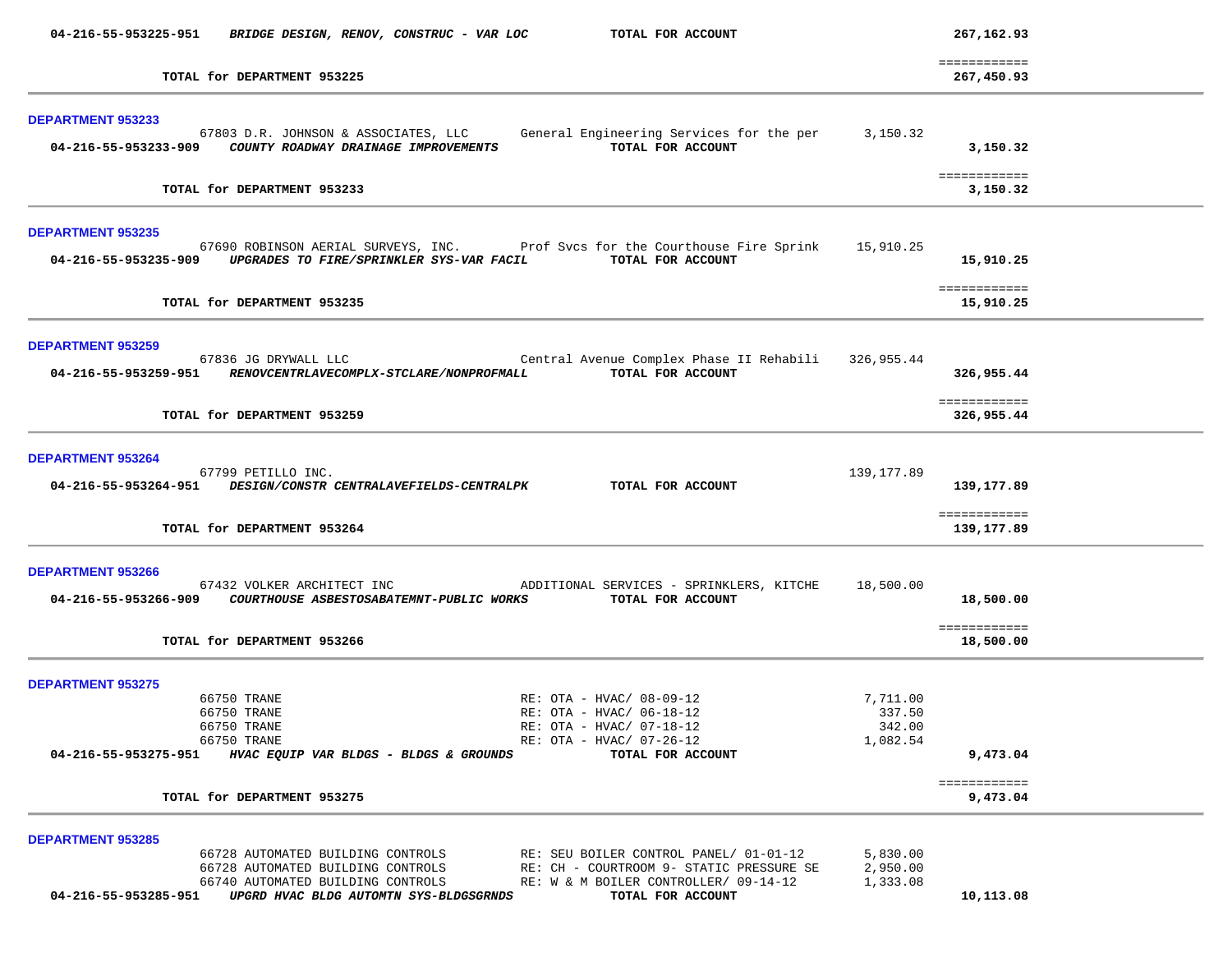| 04-216-55-953225-951                                                                                         | BRIDGE DESIGN, RENOV, CONSTRUC - VAR LOC                                                                                                              | TOTAL FOR ACCOUNT                                                                                                                                |                                          | 267,162.93                 |  |
|--------------------------------------------------------------------------------------------------------------|-------------------------------------------------------------------------------------------------------------------------------------------------------|--------------------------------------------------------------------------------------------------------------------------------------------------|------------------------------------------|----------------------------|--|
|                                                                                                              | TOTAL for DEPARTMENT 953225                                                                                                                           |                                                                                                                                                  |                                          | ============<br>267,450.93 |  |
| <b>DEPARTMENT 953233</b>                                                                                     | 67803 D.R. JOHNSON & ASSOCIATES, LLC<br>04-216-55-953233-909 COUNTY ROADWAY DRAINAGE IMPROVEMENTS                                                     | General Engineering Services for the per 3,150.32<br>TOTAL FOR ACCOUNT                                                                           |                                          | 3,150.32                   |  |
|                                                                                                              | TOTAL for DEPARTMENT 953233                                                                                                                           |                                                                                                                                                  |                                          | ============<br>3,150.32   |  |
| <b>DEPARTMENT 953235</b>                                                                                     | 04-216-55-953235-909 UPGRADES TO FIRE/SPRINKLER SYS-VAR FACIL                                                                                         | 67690 ROBINSON AERIAL SURVEYS, INC. Prof Svcs for the Courthouse Fire Sprink 15,910.25<br>TOTAL FOR ACCOUNT                                      |                                          | 15,910.25                  |  |
|                                                                                                              | TOTAL for DEPARTMENT 953235                                                                                                                           |                                                                                                                                                  |                                          | ============<br>15,910.25  |  |
| <b>DEPARTMENT 953259</b>                                                                                     | 67836 JG DRYWALL LLC<br>04-216-55-953259-951 RENOVCENTRLAVECOMPLX-STCLARE/NONPROFMALL                                                                 | Central Avenue Complex Phase II Rehabili 326,955.44<br>TOTAL FOR ACCOUNT                                                                         |                                          | 326,955.44                 |  |
|                                                                                                              | TOTAL for DEPARTMENT 953259                                                                                                                           |                                                                                                                                                  |                                          | ============<br>326,955.44 |  |
| <b>DEPARTMENT 953264</b>                                                                                     | 67799 PETILLO INC.<br>04-216-55-953264-951 DESIGN/CONSTR CENTRALAVEFIELDS-CENTRALPK TOTAL FOR ACCOUNT                                                 |                                                                                                                                                  | 139,177.89                               | 139,177.89                 |  |
|                                                                                                              | TOTAL for DEPARTMENT 953264                                                                                                                           |                                                                                                                                                  |                                          | ============<br>139,177.89 |  |
| DEPARTMENT 953266                                                                                            | 04-216-55-953266-909 COURTHOUSE ASBESTOSABATEMNT-PUBLIC WORKS TOTAL FOR ACCOUNT                                                                       | 67432 VOLKER ARCHITECT INC <b>ADDITIONAL SERVICES</b> - SPRINKLERS, KITCHE                                                                       | 18,500.00                                | 18,500.00<br>============  |  |
|                                                                                                              | TOTAL for DEPARTMENT 953266                                                                                                                           |                                                                                                                                                  |                                          | 18,500.00                  |  |
| <b>DEPARTMENT 953275</b><br>66750 TRANE<br>66750 TRANE<br>66750 TRANE<br>66750 TRANE<br>04-216-55-953275-951 | HVAC EQUIP VAR BLDGS - BLDGS & GROUNDS                                                                                                                | RE: OTA - HVAC/ 08-09-12<br>RE: OTA - HVAC/ 06-18-12<br>RE: OTA - HVAC/ 07-18-12<br>RE: OTA - HVAC/ 07-26-12<br>TOTAL FOR ACCOUNT                | 7,711.00<br>337.50<br>342.00<br>1,082.54 | 9,473.04                   |  |
|                                                                                                              | TOTAL for DEPARTMENT 953275                                                                                                                           |                                                                                                                                                  |                                          | ============<br>9,473.04   |  |
| <b>DEPARTMENT 953285</b><br>04-216-55-953285-951                                                             | 66728 AUTOMATED BUILDING CONTROLS<br>66728 AUTOMATED BUILDING CONTROLS<br>66740 AUTOMATED BUILDING CONTROLS<br>UPGRD HVAC BLDG AUTOMTN SYS-BLDGSGRNDS | RE: SEU BOILER CONTROL PANEL/ 01-01-12<br>RE: CH - COURTROOM 9- STATIC PRESSURE SE<br>RE: W & M BOILER CONTROLLER/ 09-14-12<br>TOTAL FOR ACCOUNT | 5,830.00<br>2,950.00<br>1,333.08         | 10,113.08                  |  |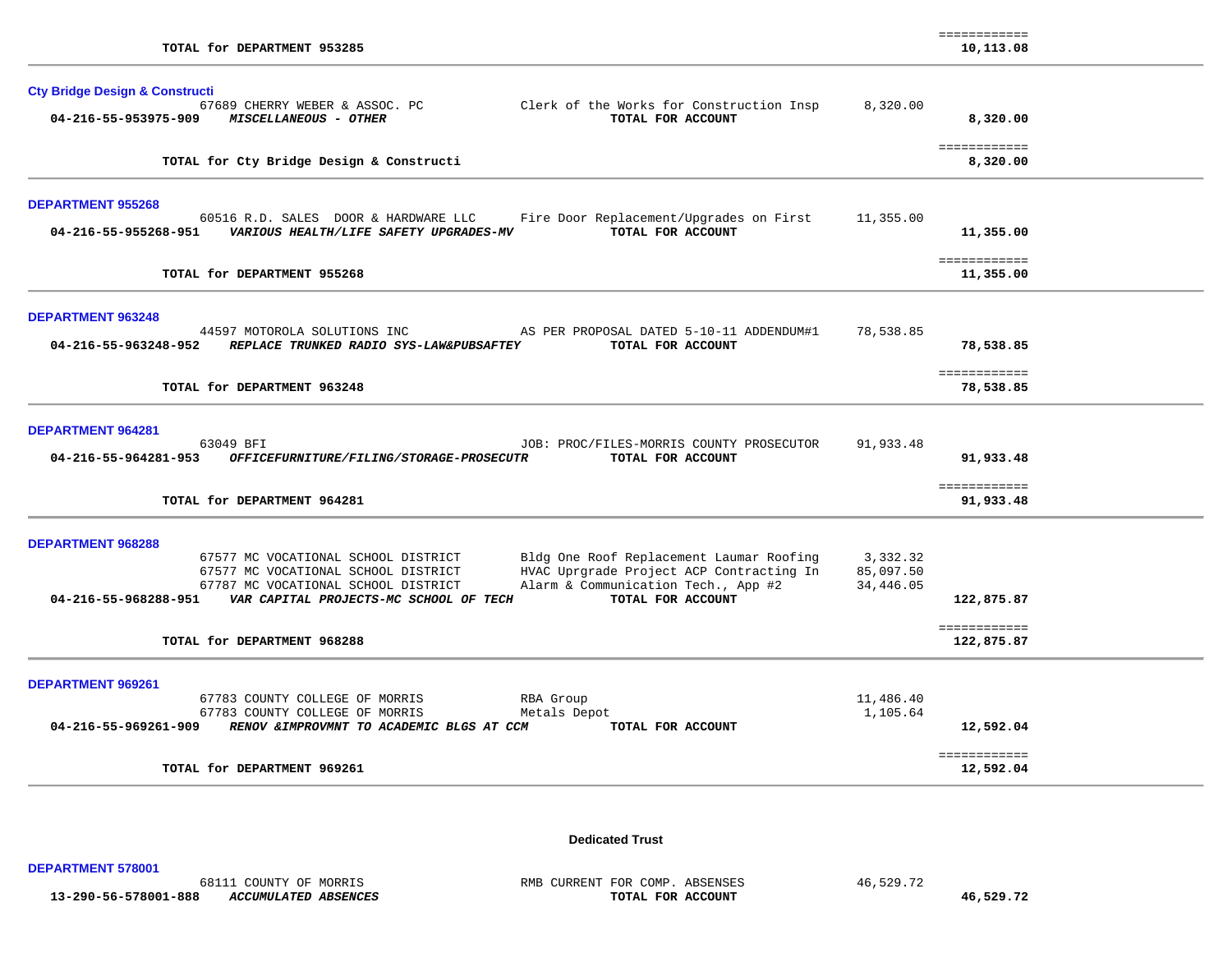| TOTAL for DEPARTMENT 953285                                                                                                                                                                                                                                                                                                                                         |                                    | ------------<br>10,113.08  |  |
|---------------------------------------------------------------------------------------------------------------------------------------------------------------------------------------------------------------------------------------------------------------------------------------------------------------------------------------------------------------------|------------------------------------|----------------------------|--|
| <b>Cty Bridge Design &amp; Constructi</b><br>Clerk of the Works for Construction Insp<br>67689 CHERRY WEBER & ASSOC. PC<br>TOTAL FOR ACCOUNT<br>04-216-55-953975-909<br><b>MISCELLANEOUS - OTHER</b>                                                                                                                                                                | 8,320.00                           | 8,320.00                   |  |
| TOTAL for Cty Bridge Design & Constructi                                                                                                                                                                                                                                                                                                                            |                                    | ============<br>8,320.00   |  |
| <b>DEPARTMENT 955268</b><br>60516 R.D. SALES DOOR & HARDWARE LLC<br>Fire Door Replacement/Upgrades on First<br>TOTAL FOR ACCOUNT<br>04-216-55-955268-951    VARIOUS HEALTH/LIFE SAFETY UPGRADES-MV                                                                                                                                                                  | 11,355.00                          | 11,355.00                  |  |
| TOTAL for DEPARTMENT 955268                                                                                                                                                                                                                                                                                                                                         |                                    | ============<br>11,355.00  |  |
| <b>DEPARTMENT 963248</b><br>44597 MOTOROLA SOLUTIONS INC<br>AS PER PROPOSAL DATED 5-10-11 ADDENDUM#1<br>REPLACE TRUNKED RADIO SYS-LAW&PUBSAFTEY<br>TOTAL FOR ACCOUNT<br>04-216-55-963248-952                                                                                                                                                                        | 78,538.85                          | 78,538.85<br>============  |  |
| TOTAL for DEPARTMENT 963248                                                                                                                                                                                                                                                                                                                                         |                                    | 78,538.85                  |  |
| <b>DEPARTMENT 964281</b><br>63049 BFI<br>JOB: PROC/FILES-MORRIS COUNTY PROSECUTOR<br>04-216-55-964281-953<br>OFFICEFURNITURE/FILING/STORAGE-PROSECUTR<br>TOTAL FOR ACCOUNT                                                                                                                                                                                          | 91,933.48                          | 91,933.48<br>============  |  |
| TOTAL for DEPARTMENT 964281                                                                                                                                                                                                                                                                                                                                         |                                    | 91,933.48                  |  |
| <b>DEPARTMENT 968288</b><br>Bldg One Roof Replacement Laumar Roofing<br>67577 MC VOCATIONAL SCHOOL DISTRICT<br>67577 MC VOCATIONAL SCHOOL DISTRICT<br>HVAC Uprgrade Project ACP Contracting In<br>Alarm & Communication Tech., App #2<br>67787 MC VOCATIONAL SCHOOL DISTRICT<br>04-216-55-968288-951    VAR CAPITAL PROJECTS-MC SCHOOL OF TECH<br>TOTAL FOR ACCOUNT | 3,332.32<br>85,097.50<br>34,446.05 | 122,875.87                 |  |
| TOTAL for DEPARTMENT 968288                                                                                                                                                                                                                                                                                                                                         |                                    | ============<br>122,875.87 |  |
| DEPARTMENT 969261<br>67783 COUNTY COLLEGE OF MORRIS<br>RBA Group<br>67783 COUNTY COLLEGE OF MORRIS<br>Metals Depot<br>04-216-55-969261-909<br>RENOV & IMPROVMNT TO ACADEMIC BLGS AT CCM<br>TOTAL FOR ACCOUNT                                                                                                                                                        | 11,486.40<br>1,105.64              | 12,592.04                  |  |
| TOTAL for DEPARTMENT 969261                                                                                                                                                                                                                                                                                                                                         |                                    | ============<br>12,592.04  |  |

**Dedicated Trust** 

**DEPARTMENT 578001** 

 **13-290-56-578001-888** *ACCUMULATED ABSENCES* **TOTAL FOR ACCOUNT 46,529.72**

68111 COUNTY OF MORRIS RMB CURRENT FOR COMP. ABSENSES 46,529.72